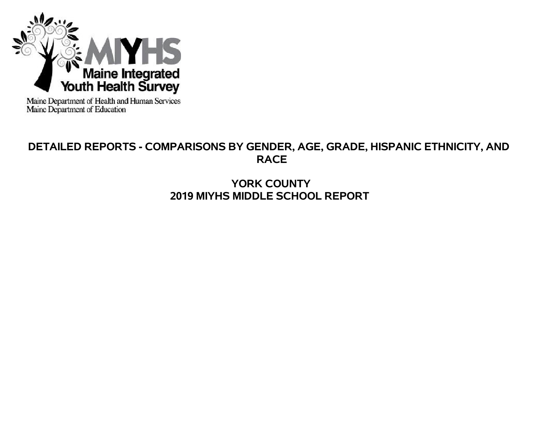

Maine Department of Health and Human Services<br>Maine Department of Education

# **DETAILED REPORTS - COMPARISONS BY GENDER, AGE, GRADE, HISPANIC ETHNICITY, AND RACE**

# **YORK COUNTY 2019 MIYHS MIDDLE SCHOOL REPORT**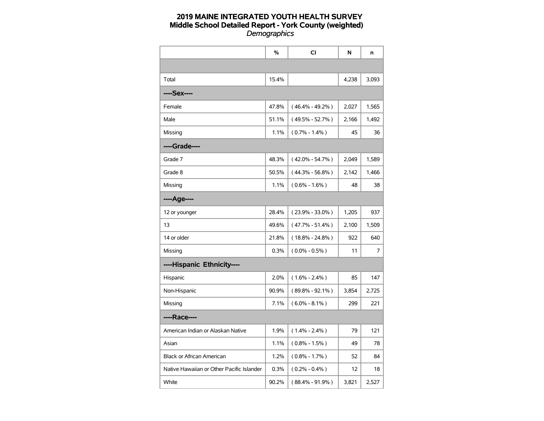|                                           | %     | <b>CI</b>           | N     | n     |
|-------------------------------------------|-------|---------------------|-------|-------|
|                                           |       |                     |       |       |
| Total                                     | 15.4% |                     | 4,238 | 3,093 |
| ----Sex----                               |       |                     |       |       |
| Female                                    | 47.8% | $(46.4\% - 49.2\%)$ | 2,027 | 1,565 |
| Male                                      | 51.1% | $(49.5\% - 52.7\%)$ | 2,166 | 1,492 |
| Missing                                   | 1.1%  | $(0.7\% - 1.4\%)$   | 45    | 36    |
| ----Grade----                             |       |                     |       |       |
| Grade 7                                   | 48.3% | $(42.0\% - 54.7\%)$ | 2,049 | 1,589 |
| Grade 8                                   | 50.5% | $(44.3\% - 56.8\%)$ | 2,142 | 1,466 |
| Missing                                   | 1.1%  | $(0.6\% - 1.6\%)$   | 48    | 38    |
| ----Age----                               |       |                     |       |       |
| 12 or younger                             | 28.4% | $(23.9\% - 33.0\%)$ | 1,205 | 937   |
| 13                                        | 49.6% | $(47.7\% - 51.4\%)$ | 2,100 | 1,509 |
| 14 or older                               | 21.8% | $(18.8\% - 24.8\%)$ | 922   | 640   |
| Missing                                   | 0.3%  | $(0.0\% - 0.5\%)$   | 11    | 7     |
| ----Hispanic Ethnicity----                |       |                     |       |       |
| Hispanic                                  | 2.0%  | $(1.6\% - 2.4\%)$   | 85    | 147   |
| Non-Hispanic                              | 90.9% | $(89.8\% - 92.1\%)$ | 3,854 | 2,725 |
| Missing                                   | 7.1%  | $(6.0\% - 8.1\%)$   | 299   | 221   |
| ----Race----                              |       |                     |       |       |
| American Indian or Alaskan Native         | 1.9%  | $(1.4\% - 2.4\%)$   | 79    | 121   |
| Asian                                     | 1.1%  | $(0.8\% - 1.5\%)$   | 49    | 78    |
| <b>Black or African American</b>          | 1.2%  | $(0.8\% - 1.7\%)$   | 52    | 84    |
| Native Hawaiian or Other Pacific Islander | 0.3%  | $(0.2\% - 0.4\%)$   | 12    | 18    |
| White                                     | 90.2% | $(88.4\% - 91.9\%)$ | 3,821 | 2,527 |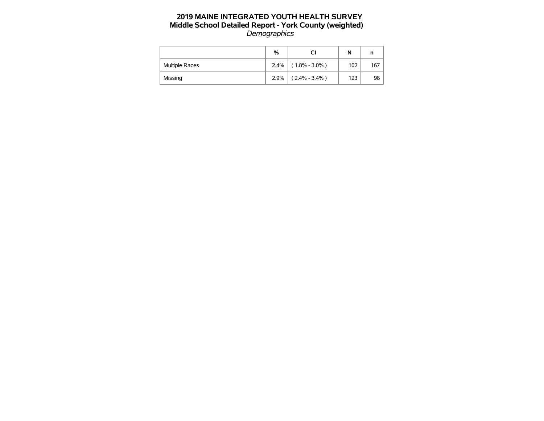|                | %    | CI                | N   |     |
|----------------|------|-------------------|-----|-----|
| Multiple Races | 2.4% | $(1.8\% - 3.0\%)$ | 102 | 167 |
| Missing        | 2.9% | $(2.4\% - 3.4\%)$ | 123 | 98  |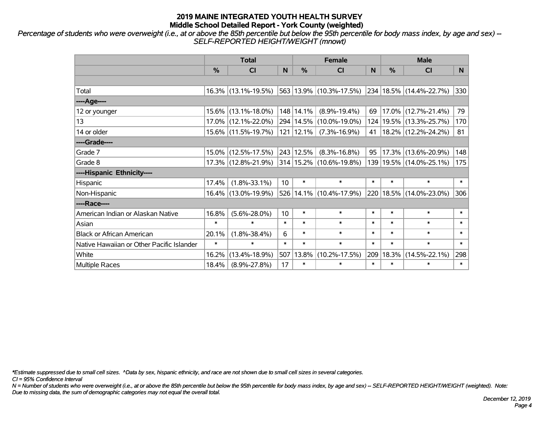*Percentage of students who were overweight (i.e., at or above the 85th percentile but below the 95th percentile for body mass index, by age and sex) -- SELF-REPORTED HEIGHT/WEIGHT (mnowt)*

|                                           | <b>Total</b>  |                        |        |               | <b>Female</b>               |        | <b>Male</b> |                             |        |  |
|-------------------------------------------|---------------|------------------------|--------|---------------|-----------------------------|--------|-------------|-----------------------------|--------|--|
|                                           | $\frac{0}{0}$ | N<br><b>CI</b>         |        | %             | <b>CI</b>                   | N      | %           | <b>CI</b>                   | N.     |  |
|                                           |               |                        |        |               |                             |        |             |                             |        |  |
| Total                                     |               | $16.3\%$ (13.1%-19.5%) |        |               | 563 13.9% (10.3%-17.5%)     |        |             | 234 18.5% (14.4%-22.7%)     | 330    |  |
| ----Age----                               |               |                        |        |               |                             |        |             |                             |        |  |
| 12 or younger                             |               | 15.6% (13.1%-18.0%)    |        | 148 14.1%     | $(8.9\% - 19.4\%)$          | 69     |             | 17.0% (12.7%-21.4%)         | 79     |  |
| 13                                        |               | 17.0% (12.1%-22.0%)    |        |               | 294   14.5%   (10.0%-19.0%) |        |             | 124   19.5%   (13.3%-25.7%) | 170    |  |
| 14 or older                               |               | 15.6% (11.5%-19.7%)    |        | $121$   12.1% | $(7.3\% - 16.9\%)$          | 41     |             | $ 18.2\% $ (12.2%-24.2%)    | 81     |  |
| ----Grade----                             |               |                        |        |               |                             |        |             |                             |        |  |
| Grade 7                                   |               | 15.0% (12.5%-17.5%)    |        | 243 12.5%     | $(8.3\% - 16.8\%)$          | 95     |             | 17.3% (13.6%-20.9%)         | 148    |  |
| Grade 8                                   |               | 17.3% (12.8%-21.9%)    |        |               | $314 15.2\% $ (10.6%-19.8%) |        |             | 139 19.5% (14.0%-25.1%)     | 175    |  |
| ----Hispanic Ethnicity----                |               |                        |        |               |                             |        |             |                             |        |  |
| Hispanic                                  | 17.4%         | $(1.8\% - 33.1\%)$     | 10     | $\ast$        | $\ast$                      | $\ast$ | $\ast$      | $\ast$                      | $\ast$ |  |
| Non-Hispanic                              |               | 16.4% (13.0%-19.9%)    |        |               | 526 14.1% (10.4%-17.9%)     |        |             | 220 18.5% (14.0%-23.0%)     | 306    |  |
| ----Race----                              |               |                        |        |               |                             |        |             |                             |        |  |
| American Indian or Alaskan Native         | 16.8%         | $(5.6\% - 28.0\%)$     | 10     | $\ast$        | $\ast$                      | $\ast$ | $\ast$      | $\ast$                      | $\ast$ |  |
| Asian                                     | $\ast$        | $\ast$                 | $\ast$ | $\ast$        | $\ast$                      | $\ast$ | $\ast$      | $\ast$                      | $\ast$ |  |
| <b>Black or African American</b>          | 20.1%         | $(1.8\% - 38.4\%)$     | 6      | $\ast$        | $\ast$                      | $\ast$ | $\ast$      | $\ast$                      | $\ast$ |  |
| Native Hawaiian or Other Pacific Islander | $\ast$        | $\ast$                 | $\ast$ | $\ast$        | $\ast$                      | $\ast$ | $\ast$      | $\ast$                      | $\ast$ |  |
| White                                     | 16.2%         | $(13.4\% - 18.9\%)$    | 507    | 13.8%         | $(10.2\% - 17.5\%)$         | 209    | 18.3%       | $(14.5\% - 22.1\%)$         | 298    |  |
| <b>Multiple Races</b>                     | 18.4%         | $(8.9\% - 27.8\%)$     | 17     | $\ast$        | $\ast$                      | $\ast$ | $\ast$      | $\ast$                      | $\ast$ |  |

*\*Estimate suppressed due to small cell sizes. ^Data by sex, hispanic ethnicity, and race are not shown due to small cell sizes in several categories.*

*CI = 95% Confidence Interval*

*N = Number of students who were overweight (i.e., at or above the 85th percentile but below the 95th percentile for body mass index, by age and sex) -- SELF-REPORTED HEIGHT/WEIGHT (weighted). Note: Due to missing data, the sum of demographic categories may not equal the overall total.*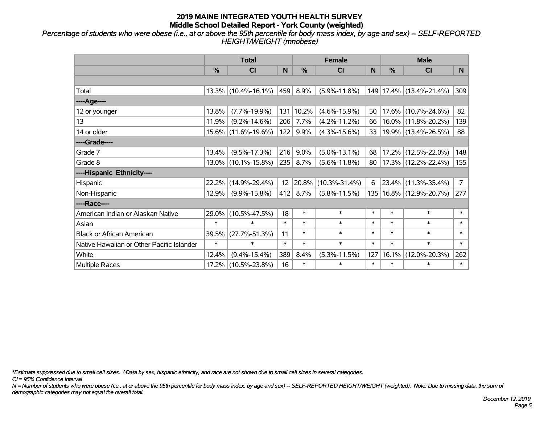*Percentage of students who were obese (i.e., at or above the 95th percentile for body mass index, by age and sex) -- SELF-REPORTED HEIGHT/WEIGHT (mnobese)*

|                                           |               | <b>Total</b>           |        | <b>Female</b> |                     | <b>Male</b> |               |                         |                |
|-------------------------------------------|---------------|------------------------|--------|---------------|---------------------|-------------|---------------|-------------------------|----------------|
|                                           | $\frac{0}{0}$ | C <sub>l</sub>         | N      | $\frac{0}{0}$ | <b>CI</b>           | N           | $\frac{0}{0}$ | <b>CI</b>               | N              |
|                                           |               |                        |        |               |                     |             |               |                         |                |
| Total                                     |               | 13.3% (10.4%-16.1%)    | 459    | 8.9%          | $(5.9\% - 11.8\%)$  |             |               | 149 17.4% (13.4%-21.4%) | 309            |
| ----Age----                               |               |                        |        |               |                     |             |               |                         |                |
| 12 or younger                             | 13.8%         | $(7.7\% - 19.9\%)$     |        | 131 10.2%     | $(4.6\% - 15.9\%)$  | 50          | 17.6%         | $(10.7\% - 24.6\%)$     | 82             |
| 13                                        | 11.9%         | $(9.2\% - 14.6\%)$     | 206    | 7.7%          | $(4.2\% - 11.2\%)$  | 66          |               | 16.0% (11.8%-20.2%)     | 139            |
| 14 or older                               | $15.6\%$      | $(11.6\% - 19.6\%)$    | 122    | 9.9%          | $(4.3\% - 15.6\%)$  | 33          |               | 19.9% (13.4%-26.5%)     | 88             |
| ----Grade----                             |               |                        |        |               |                     |             |               |                         |                |
| Grade 7                                   | 13.4%         | $(9.5\% - 17.3\%)$     | 216    | 9.0%          | $(5.0\% - 13.1\%)$  | 68          | 17.2%         | $(12.5\% - 22.0\%)$     | 148            |
| Grade 8                                   |               | $13.0\%$ (10.1%-15.8%) | 235    | 8.7%          | $(5.6\% - 11.8\%)$  | 80          |               | 17.3% (12.2%-22.4%)     | 155            |
| ----Hispanic Ethnicity----                |               |                        |        |               |                     |             |               |                         |                |
| Hispanic                                  | 22.2%         | $(14.9\% - 29.4\%)$    | 12     | 20.8%         | $(10.3\% - 31.4\%)$ | 6           | 23.4%         | $(11.3\% - 35.4\%)$     | $\overline{7}$ |
| Non-Hispanic                              | 12.9%         | $(9.9\% - 15.8\%)$     | 412    | 8.7%          | $(5.8\% - 11.5\%)$  | 135         |               | 16.8% (12.9%-20.7%)     | 277            |
| ----Race----                              |               |                        |        |               |                     |             |               |                         |                |
| American Indian or Alaskan Native         | 29.0%         | $(10.5\% - 47.5\%)$    | 18     | $\ast$        | $\ast$              | $\ast$      | $\ast$        | $\ast$                  | $\pmb{\ast}$   |
| Asian                                     | $\ast$        | $\ast$                 | $\ast$ | $\ast$        | $\ast$              | $\ast$      | $\ast$        | $\ast$                  | $\ast$         |
| <b>Black or African American</b>          | 39.5%         | $(27.7\% - 51.3\%)$    | 11     | $\ast$        | $\ast$              | $\ast$      | $\ast$        | $\ast$                  | $\ast$         |
| Native Hawaiian or Other Pacific Islander | $\ast$        | $\ast$                 | $\ast$ | $\ast$        | $\ast$              | $\ast$      | $\ast$        | $\ast$                  | $\pmb{\ast}$   |
| White                                     | 12.4%         | $(9.4\% - 15.4\%)$     | 389    | 8.4%          | $(5.3\% - 11.5\%)$  | 127         | 16.1%         | $(12.0\% - 20.3\%)$     | 262            |
| Multiple Races                            | $17.2\%$      | $(10.5\% - 23.8\%)$    | 16     | $\ast$        | $\ast$              | $\ast$      | $\ast$        | $\ast$                  | $\ast$         |

*\*Estimate suppressed due to small cell sizes. ^Data by sex, hispanic ethnicity, and race are not shown due to small cell sizes in several categories.*

*CI = 95% Confidence Interval*

*N = Number of students who were obese (i.e., at or above the 95th percentile for body mass index, by age and sex) -- SELF-REPORTED HEIGHT/WEIGHT (weighted). Note: Due to missing data, the sum of demographic categories may not equal the overall total.*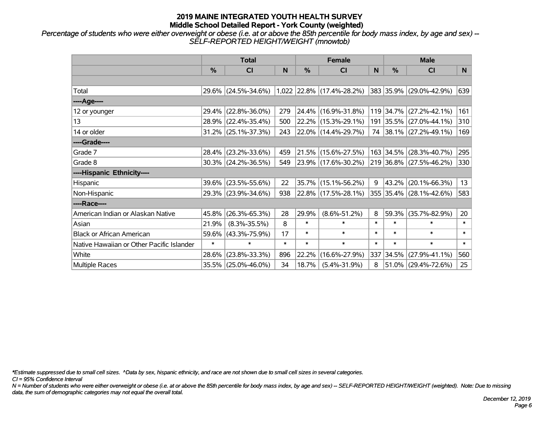*Percentage of students who were either overweight or obese (i.e. at or above the 85th percentile for body mass index, by age and sex) -- SELF-REPORTED HEIGHT/WEIGHT (mnowtob)*

|                                           |               | <b>Total</b>           |        |        | <b>Female</b>               |        | <b>Male</b>   |                         |        |  |
|-------------------------------------------|---------------|------------------------|--------|--------|-----------------------------|--------|---------------|-------------------------|--------|--|
|                                           | $\frac{0}{0}$ | <b>CI</b><br>N         |        | %      | <b>CI</b>                   | N      | $\frac{0}{0}$ | <b>CI</b>               | N.     |  |
|                                           |               |                        |        |        |                             |        |               |                         |        |  |
| Total                                     |               | 29.6% (24.5%-34.6%)    |        |        | $1,022$ 22.8% (17.4%-28.2%) |        |               | 383 35.9% (29.0%-42.9%) | 639    |  |
| ----Age----                               |               |                        |        |        |                             |        |               |                         |        |  |
| 12 or younger                             | 29.4%         | $(22.8\% - 36.0\%)$    | 279    |        | 24.4% (16.9%-31.8%)         |        |               | 119 34.7% (27.2%-42.1%) | 161    |  |
| 13                                        |               | 28.9% (22.4%-35.4%)    | 500    |        | $22.2\%$ (15.3%-29.1%)      |        |               | 191 35.5% (27.0%-44.1%) | 310    |  |
| 14 or older                               |               | $31.2\%$ (25.1%-37.3%) | 243    |        | $ 22.0\% $ (14.4%-29.7%)    |        |               | 74 38.1% (27.2%-49.1%)  | 169    |  |
| ----Grade----                             |               |                        |        |        |                             |        |               |                         |        |  |
| Grade 7                                   |               | 28.4% (23.2%-33.6%)    | 459    |        | 21.5% (15.6%-27.5%)         |        | 163 34.5%     | $(28.3\% - 40.7\%)$     | 295    |  |
| Grade 8                                   |               | $30.3\%$ (24.2%-36.5%) | 549    |        | $ 23.9\% $ (17.6%-30.2%)    |        |               | 219 36.8% (27.5%-46.2%) | 330    |  |
| ----Hispanic Ethnicity----                |               |                        |        |        |                             |        |               |                         |        |  |
| Hispanic                                  | 39.6%         | $(23.5\% - 55.6\%)$    | 22     | 35.7%  | $(15.1\% - 56.2\%)$         | 9      | 43.2%         | $(20.1\% - 66.3\%)$     | 13     |  |
| Non-Hispanic                              |               | 29.3% (23.9%-34.6%)    | 938    |        | 22.8% (17.5%-28.1%)         |        |               | 355 35.4% (28.1%-42.6%) | 583    |  |
| ----Race----                              |               |                        |        |        |                             |        |               |                         |        |  |
| American Indian or Alaskan Native         | 45.8%         | $(26.3\% - 65.3\%)$    | 28     | 29.9%  | $(8.6\% - 51.2\%)$          | 8      | 59.3%         | $(35.7\% - 82.9\%)$     | 20     |  |
| Asian                                     | 21.9%         | $(8.3\% - 35.5\%)$     | 8      | $\ast$ | $\ast$                      | $\ast$ | $\ast$        | $\ast$                  | $\ast$ |  |
| <b>Black or African American</b>          | 59.6%         | $(43.3\% - 75.9\%)$    | 17     | $\ast$ | $\ast$                      | $\ast$ | $\ast$        | $\ast$                  | $\ast$ |  |
| Native Hawaiian or Other Pacific Islander | $\ast$        | $\ast$                 | $\ast$ | $\ast$ | $\ast$                      | $\ast$ | $\ast$        | $\ast$                  | $\ast$ |  |
| White                                     | 28.6%         | $(23.8\% - 33.3\%)$    | 896    | 22.2%  | $(16.6\% - 27.9\%)$         |        | 337 34.5%     | $(27.9\% - 41.1\%)$     | 560    |  |
| Multiple Races                            |               | 35.5% (25.0%-46.0%)    | 34     | 18.7%  | $(5.4\% - 31.9\%)$          | 8      |               | $51.0\%$ (29.4%-72.6%)  | 25     |  |

*\*Estimate suppressed due to small cell sizes. ^Data by sex, hispanic ethnicity, and race are not shown due to small cell sizes in several categories.*

*CI = 95% Confidence Interval*

*N = Number of students who were either overweight or obese (i.e. at or above the 85th percentile for body mass index, by age and sex) -- SELF-REPORTED HEIGHT/WEIGHT (weighted). Note: Due to missing data, the sum of demographic categories may not equal the overall total.*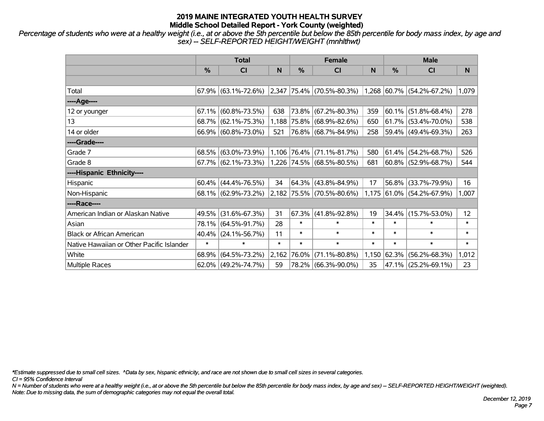*Percentage of students who were at a healthy weight (i.e., at or above the 5th percentile but below the 85th percentile for body mass index, by age and sex) -- SELF-REPORTED HEIGHT/WEIGHT (mnhlthwt)*

|                                           | <b>Total</b> |                        |        |            | <b>Female</b>                                            |        | <b>Male</b> |                           |        |  |
|-------------------------------------------|--------------|------------------------|--------|------------|----------------------------------------------------------|--------|-------------|---------------------------|--------|--|
|                                           | %            | <b>CI</b>              | N      | %          | <b>CI</b>                                                | N      | %           | <b>CI</b>                 | N.     |  |
|                                           |              |                        |        |            |                                                          |        |             |                           |        |  |
| Total                                     |              | $67.9\%$ (63.1%-72.6%) |        |            | $ 2,347 75.4\% $ (70.5%-80.3%) 1,268 60.7% (54.2%-67.2%) |        |             |                           | 1,079  |  |
| ----Age----                               |              |                        |        |            |                                                          |        |             |                           |        |  |
| 12 or younger                             | 67.1%        | $(60.8\% - 73.5\%)$    | 638    |            | 73.8% (67.2%-80.3%)                                      | 359    | $ 60.1\% $  | $(51.8\% - 68.4\%)$       | 278    |  |
| 13                                        |              | 68.7% (62.1%-75.3%)    |        |            | 1,188 75.8% (68.9%-82.6%)                                | 650    |             | 61.7% (53.4%-70.0%)       | 538    |  |
| 14 or older                               |              | 66.9% (60.8%-73.0%)    | 521    |            | 76.8% (68.7%-84.9%)                                      | 258    |             | 59.4% (49.4%-69.3%)       | 263    |  |
| ----Grade----                             |              |                        |        |            |                                                          |        |             |                           |        |  |
| Grade 7                                   |              | 68.5% (63.0%-73.9%)    |        |            | $1,106$ 76.4% (71.1%-81.7%)                              | 580    |             | $61.4\%$ (54.2%-68.7%)    | 526    |  |
| Grade 8                                   |              | $67.7\%$ (62.1%-73.3%) |        |            | $ 1,226 74.5\%  (68.5\% - 80.5\%)$                       | 681    |             | 60.8% (52.9%-68.7%)       | 544    |  |
| ----Hispanic Ethnicity----                |              |                        |        |            |                                                          |        |             |                           |        |  |
| Hispanic                                  |              | $60.4\%$ (44.4%-76.5%) | 34     | $ 64.3\% $ | $(43.8\% - 84.9\%)$                                      | 17     | 56.8%       | $(33.7\% - 79.9\%)$       | 16     |  |
| Non-Hispanic                              |              | 68.1% (62.9%-73.2%)    |        |            | 2,182 75.5% (70.5%-80.6%)                                |        |             | 1,175 61.0% (54.2%-67.9%) | 1,007  |  |
| ----Race----                              |              |                        |        |            |                                                          |        |             |                           |        |  |
| American Indian or Alaskan Native         | 49.5%        | $(31.6\% - 67.3\%)$    | 31     | 67.3%      | $(41.8\% - 92.8\%)$                                      | 19     | 34.4%       | $(15.7\% - 53.0\%)$       | 12     |  |
| Asian                                     | 78.1%        | $(64.5\% - 91.7\%)$    | 28     | $\ast$     | $\ast$                                                   | $\ast$ | $\ast$      | $\ast$                    | $\ast$ |  |
| <b>Black or African American</b>          | 40.4%        | $(24.1\% - 56.7\%)$    | 11     | $\ast$     | $\ast$                                                   | $\ast$ | $\ast$      | $\ast$                    | $\ast$ |  |
| Native Hawaiian or Other Pacific Islander | $\ast$       | $\ast$                 | $\ast$ | $\ast$     | $\ast$                                                   | $\ast$ | $\ast$      | $\ast$                    | $\ast$ |  |
| White                                     | 68.9%        | $(64.5\% - 73.2\%)$    | 2,162  | 76.0%      | $(71.1\% - 80.8\%)$                                      | 1,150  | $ 62.3\% $  | $(56.2\% - 68.3\%)$       | 1,012  |  |
| Multiple Races                            |              | $62.0\%$ (49.2%-74.7%) | 59     |            | 78.2% (66.3%-90.0%)                                      | 35     |             | 47.1% (25.2%-69.1%)       | 23     |  |

*\*Estimate suppressed due to small cell sizes. ^Data by sex, hispanic ethnicity, and race are not shown due to small cell sizes in several categories.*

*CI = 95% Confidence Interval*

*N = Number of students who were at a healthy weight (i.e., at or above the 5th percentile but below the 85th percentile for body mass index, by age and sex) -- SELF-REPORTED HEIGHT/WEIGHT (weighted). Note: Due to missing data, the sum of demographic categories may not equal the overall total.*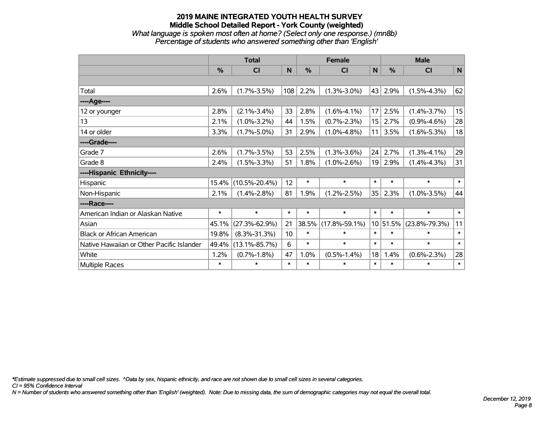#### **2019 MAINE INTEGRATED YOUTH HEALTH SURVEY Middle School Detailed Report - York County (weighted)** *What language is spoken most often at home? (Select only one response.) (mn8b) Percentage of students who answered something other than 'English'*

|                                           |        | <b>Total</b>        |        |               | <b>Female</b>       | <b>Male</b>  |               |                     |        |
|-------------------------------------------|--------|---------------------|--------|---------------|---------------------|--------------|---------------|---------------------|--------|
|                                           | %      | <b>CI</b>           | N      | $\frac{9}{6}$ | <b>CI</b>           | $\mathsf{N}$ | $\frac{0}{0}$ | <b>CI</b>           | N      |
|                                           |        |                     |        |               |                     |              |               |                     |        |
| Total                                     | 2.6%   | $(1.7\% - 3.5\%)$   | 108    | 2.2%          | $(1.3\% - 3.0\%)$   | 43           | 2.9%          | $(1.5\% - 4.3\%)$   | 62     |
| ----Age----                               |        |                     |        |               |                     |              |               |                     |        |
| 12 or younger                             | 2.8%   | $(2.1\% - 3.4\%)$   | 33     | 2.8%          | $(1.6\% - 4.1\%)$   | 17           | 2.5%          | $(1.4\% - 3.7\%)$   | 15     |
| 13                                        | 2.1%   | $(1.0\% - 3.2\%)$   | 44     | 1.5%          | $(0.7\% - 2.3\%)$   | 15           | 2.7%          | $(0.9\% - 4.6\%)$   | 28     |
| 14 or older                               | 3.3%   | $(1.7\% - 5.0\%)$   | 31     | 2.9%          | $(1.0\% - 4.8\%)$   | 11           | 3.5%          | $(1.6\% - 5.3\%)$   | 18     |
| ----Grade----                             |        |                     |        |               |                     |              |               |                     |        |
| Grade 7                                   | 2.6%   | $(1.7\% - 3.5\%)$   | 53     | 2.5%          | $(1.3\% - 3.6\%)$   | 24           | 2.7%          | $(1.3\% - 4.1\%)$   | 29     |
| Grade 8                                   | 2.4%   | $(1.5\% - 3.3\%)$   | 51     | 1.8%          | $(1.0\% - 2.6\%)$   | 19           | 2.9%          | $(1.4\% - 4.3\%)$   | 31     |
| ----Hispanic Ethnicity----                |        |                     |        |               |                     |              |               |                     |        |
| Hispanic                                  | 15.4%  | $(10.5\% - 20.4\%)$ | 12     | $\ast$        | $\ast$              | $\ast$       | $\ast$        | $\ast$              | $\ast$ |
| Non-Hispanic                              | 2.1%   | $(1.4\% - 2.8\%)$   | 81     | 1.9%          | $(1.2\% - 2.5\%)$   | 35           | 2.3%          | $(1.0\% - 3.5\%)$   | 44     |
| ----Race----                              |        |                     |        |               |                     |              |               |                     |        |
| American Indian or Alaskan Native         | $\ast$ | $\ast$              | $\ast$ | $\ast$        | $\ast$              | $\ast$       | $\ast$        | $\ast$              | $\ast$ |
| Asian                                     | 45.1%  | $(27.3\% - 62.9\%)$ | 21     | 38.5%         | $(17.8\% - 59.1\%)$ |              | 10 51.5%      | $(23.8\% - 79.3\%)$ | 11     |
| <b>Black or African American</b>          | 19.8%  | $(8.3\% - 31.3\%)$  | 10     | $\ast$        | $\ast$              | $\ast$       | $\ast$        | $\ast$              | $\ast$ |
| Native Hawaiian or Other Pacific Islander | 49.4%  | $(13.1\% - 85.7\%)$ | 6      | $\ast$        | $\ast$              | $\ast$       | $\ast$        | $\ast$              | $\ast$ |
| White                                     | 1.2%   | $(0.7\% - 1.8\%)$   | 47     | 1.0%          | $(0.5\% - 1.4\%)$   | 18           | 1.4%          | $(0.6\% - 2.3\%)$   | 28     |
| <b>Multiple Races</b>                     | $\ast$ | $\ast$              | $\ast$ | $\ast$        | $\ast$              | $\ast$       | $\ast$        | $\ast$              | $\ast$ |

*\*Estimate suppressed due to small cell sizes. ^Data by sex, hispanic ethnicity, and race are not shown due to small cell sizes in several categories.*

*CI = 95% Confidence Interval*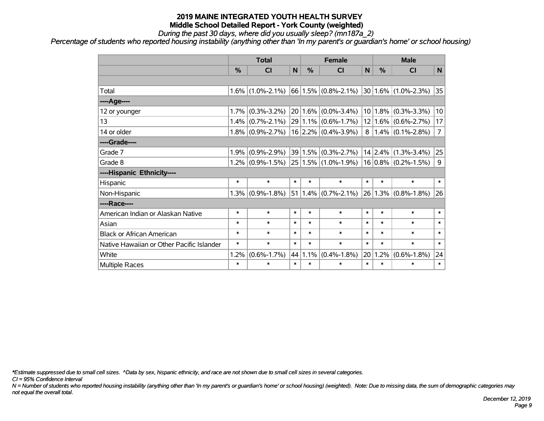*During the past 30 days, where did you usually sleep? (mn187a\_2)*

*Percentage of students who reported housing instability (anything other than 'In my parent's or guardian's home' or school housing)*

|                                           |         | <b>Total</b>      |        | <b>Female</b> |                              | <b>Male</b>    |         |                         |                |
|-------------------------------------------|---------|-------------------|--------|---------------|------------------------------|----------------|---------|-------------------------|----------------|
|                                           | %       | N<br>CI           |        | %             | <b>CI</b>                    | N <sub>1</sub> | %       | <b>CI</b>               | N              |
|                                           |         |                   |        |               |                              |                |         |                         |                |
| Total                                     | 1.6%    | $(1.0\% - 2.1\%)$ |        |               | $66 1.5\% $ (0.8%-2.1%)      |                |         | $30 1.6\% $ (1.0%-2.3%) | 35             |
| ----Age----                               |         |                   |        |               |                              |                |         |                         |                |
| 12 or younger                             | 1.7%    | $(0.3\% - 3.2\%)$ |        |               | $20 1.6\% $ (0.0%-3.4%)      |                | 10 1.8% | $(0.3\% - 3.3\%)$       | 10             |
| 13                                        | 1.4%    | $(0.7\% - 2.1\%)$ |        |               | $29 1.1\% $ (0.6%-1.7%)      |                | 12 1.6% | $(0.6\% - 2.7\%)$       | 17             |
| 14 or older                               | $1.8\%$ | $(0.9\% - 2.7\%)$ |        |               | $16$ 2.2% (0.4%-3.9%)        |                |         | $8 1.4\% $ (0.1%-2.8%)  | $\overline{7}$ |
| ----Grade----                             |         |                   |        |               |                              |                |         |                         |                |
| Grade 7                                   | 1.9%    | $(0.9\% - 2.9\%)$ |        |               | 39 1.5% (0.3%-2.7%)          |                | 14 2.4% | $(1.3\% - 3.4\%)$       | 25             |
| Grade 8                                   | $1.2\%$ | $(0.9\% - 1.5\%)$ |        |               | $ 25 1.5\%  (1.0\% - 1.9\%)$ |                |         | $16 0.8\% $ (0.2%-1.5%) | 9              |
| ----Hispanic Ethnicity----                |         |                   |        |               |                              |                |         |                         |                |
| Hispanic                                  | $\ast$  | $\ast$            | $\ast$ | $\ast$        | $\ast$                       | $\ast$         | $\ast$  | $\ast$                  | $\ast$         |
| Non-Hispanic                              | $1.3\%$ | $(0.9\% - 1.8\%)$ | 51     |               | $1.4\%$ (0.7%-2.1%)          |                | 26 1.3% | $(0.8\% - 1.8\%)$       | 26             |
| ----Race----                              |         |                   |        |               |                              |                |         |                         |                |
| American Indian or Alaskan Native         | $\ast$  | $\ast$            | $\ast$ | $\ast$        | $\ast$                       | $\ast$         | $\ast$  | $\ast$                  | $\ast$         |
| Asian                                     | $\ast$  | $\ast$            | $\ast$ | $\ast$        | $\ast$                       | $\ast$         | $\ast$  | $\ast$                  | $\ast$         |
| <b>Black or African American</b>          | $\ast$  | $\ast$            | $\ast$ | $\ast$        | $\ast$                       | $\ast$         | $\ast$  | $\ast$                  | $\ast$         |
| Native Hawaiian or Other Pacific Islander | $\ast$  | $\ast$            | $\ast$ | $\ast$        | $\ast$                       | $\ast$         | $\ast$  | $\ast$                  | $\ast$         |
| White                                     | 1.2%    | $(0.6\% - 1.7\%)$ | 44     | 1.1%          | $(0.4\% - 1.8\%)$            | 20             | 1.2%    | $(0.6\% - 1.8\%)$       | 24             |
| <b>Multiple Races</b>                     | $\ast$  | $\ast$            | $\ast$ | $\ast$        | $\ast$                       | $\ast$         | $\ast$  | $\ast$                  | $\ast$         |

*\*Estimate suppressed due to small cell sizes. ^Data by sex, hispanic ethnicity, and race are not shown due to small cell sizes in several categories.*

*CI = 95% Confidence Interval*

*N = Number of students who reported housing instability (anything other than 'In my parent's or guardian's home' or school housing) (weighted). Note: Due to missing data, the sum of demographic categories may not equal the overall total.*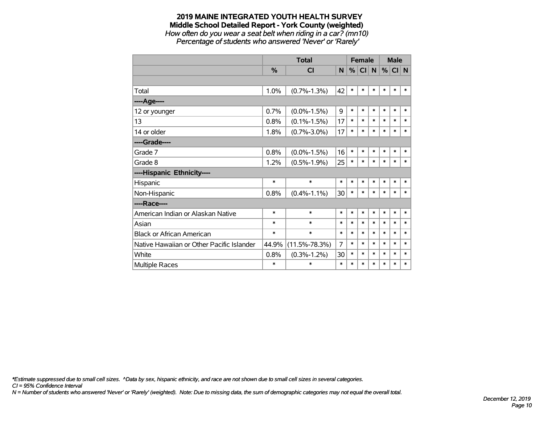*How often do you wear a seat belt when riding in a car? (mn10) Percentage of students who answered 'Never' or 'Rarely'*

|                                           |               | <b>Total</b>        |        | <b>Female</b> |        |        | <b>Male</b> |        |        |
|-------------------------------------------|---------------|---------------------|--------|---------------|--------|--------|-------------|--------|--------|
|                                           | $\frac{0}{2}$ | CI                  | N      | %             | CI N   |        | %           | CI N   |        |
|                                           |               |                     |        |               |        |        |             |        |        |
| Total                                     | 1.0%          | $(0.7\% - 1.3\%)$   | 42     | $\ast$        | $\ast$ | $\ast$ | $\ast$      | $\ast$ | $\ast$ |
| ---- Age----                              |               |                     |        |               |        |        |             |        |        |
| 12 or younger                             | 0.7%          | $(0.0\% - 1.5\%)$   | 9      | $\ast$        | $\ast$ | $\ast$ | $\ast$      | $\ast$ | $\ast$ |
| 13                                        | 0.8%          | $(0.1\% - 1.5\%)$   | 17     | $\ast$        | $\ast$ | $\ast$ | $\ast$      | $\ast$ | $\ast$ |
| 14 or older                               | 1.8%          | $(0.7\% - 3.0\%)$   | 17     | $\ast$        | $\ast$ | $\ast$ | $\ast$      | $\ast$ | $\ast$ |
| ----Grade----                             |               |                     |        |               |        |        |             |        |        |
| Grade 7                                   | 0.8%          | $(0.0\% - 1.5\%)$   | 16     | $\ast$        | $\ast$ | $\ast$ | $\ast$      | $\ast$ | $\ast$ |
| Grade 8                                   | 1.2%          | $(0.5\% - 1.9\%)$   | 25     | $\ast$        | $\ast$ | $\ast$ | $\ast$      | $\ast$ | $\ast$ |
| ----Hispanic Ethnicity----                |               |                     |        |               |        |        |             |        |        |
| Hispanic                                  | $\ast$        | $\ast$              | $\ast$ | $\ast$        | $\ast$ | $\ast$ | $\ast$      | $\ast$ | ∗      |
| Non-Hispanic                              | 0.8%          | $(0.4\% - 1.1\%)$   | 30     | $\ast$        | $\ast$ | $\ast$ | $\ast$      | $\ast$ | $\ast$ |
| ----Race----                              |               |                     |        |               |        |        |             |        |        |
| American Indian or Alaskan Native         | $\ast$        | $\ast$              | $\ast$ | $\ast$        | $\ast$ | $\ast$ | $\ast$      | $\ast$ | $\ast$ |
| Asian                                     | $\ast$        | $\ast$              | $\ast$ | $\ast$        | $\ast$ | $\ast$ | $\ast$      | $\ast$ | $\ast$ |
| <b>Black or African American</b>          | $\ast$        | $\ast$              | $\ast$ | $\ast$        | $\ast$ | $\ast$ | $\ast$      | $\ast$ | $\ast$ |
| Native Hawaiian or Other Pacific Islander | 44.9%         | $(11.5\% - 78.3\%)$ | 7      | $\ast$        | $\ast$ | $\ast$ | $\ast$      | $\ast$ | $\ast$ |
| White                                     | 0.8%          | $(0.3\% - 1.2\%)$   | 30     | $\ast$        | $\ast$ | $\ast$ | $\ast$      | $\ast$ | $\ast$ |
| <b>Multiple Races</b>                     | $\ast$        | *                   | $\ast$ | $\ast$        | $\ast$ | $\ast$ | $\ast$      | $\ast$ | $\ast$ |

*\*Estimate suppressed due to small cell sizes. ^Data by sex, hispanic ethnicity, and race are not shown due to small cell sizes in several categories.*

*CI = 95% Confidence Interval*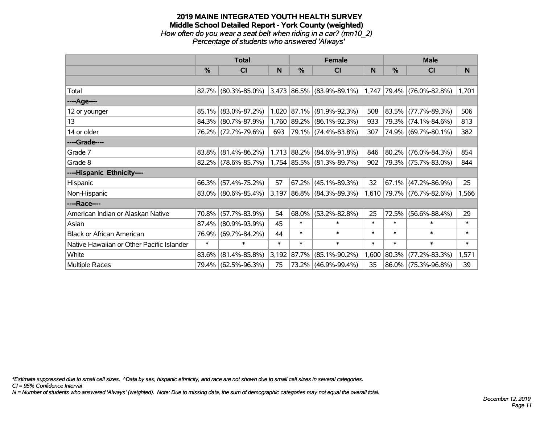#### **2019 MAINE INTEGRATED YOUTH HEALTH SURVEY Middle School Detailed Report - York County (weighted)** *How often do you wear a seat belt when riding in a car? (mn10\_2) Percentage of students who answered 'Always'*

|                                           | <b>Total</b> |                        |        |             | <b>Female</b>                                                              |        | <b>Male</b> |                           |        |  |
|-------------------------------------------|--------------|------------------------|--------|-------------|----------------------------------------------------------------------------|--------|-------------|---------------------------|--------|--|
|                                           | $\%$         | <b>CI</b>              | N      | %           | <b>CI</b>                                                                  | N      | %           | <b>CI</b>                 | N      |  |
|                                           |              |                        |        |             |                                                                            |        |             |                           |        |  |
| Total                                     |              |                        |        |             | $82.7\%$ (80.3%-85.0%) 3,473 86.5% (83.9%-89.1%) 1,747 79.4% (76.0%-82.8%) |        |             |                           | 1,701  |  |
| ----Age----                               |              |                        |        |             |                                                                            |        |             |                           |        |  |
| 12 or younger                             | 85.1%        | $(83.0\% - 87.2\%)$    |        | 1,020 87.1% | $(81.9\% - 92.3\%)$                                                        | 508    | 83.5%       | $(77.7\% - 89.3\%)$       | 506    |  |
| 13                                        |              | 84.3% (80.7%-87.9%)    |        | 1,760 89.2% | $(86.1\% - 92.3\%)$                                                        | 933    |             | 79.3% (74.1%-84.6%)       | 813    |  |
| 14 or older                               |              | 76.2% (72.7%-79.6%)    | 693    |             | 79.1% (74.4%-83.8%)                                                        | 307    |             | 74.9% (69.7%-80.1%)       | 382    |  |
| ----Grade----                             |              |                        |        |             |                                                                            |        |             |                           |        |  |
| Grade 7                                   | 83.8%        | $(81.4\% - 86.2\%)$    |        |             | $1,713$ 88.2% (84.6%-91.8%)                                                | 846    | 80.2%       | $(76.0\% - 84.3\%)$       | 854    |  |
| Grade 8                                   |              | $82.2\%$ (78.6%-85.7%) |        |             | $1,754$ 85.5% (81.3%-89.7%)                                                | 902    |             | 79.3% (75.7%-83.0%)       | 844    |  |
| ----Hispanic Ethnicity----                |              |                        |        |             |                                                                            |        |             |                           |        |  |
| Hispanic                                  | 66.3%        | $(57.4\% - 75.2\%)$    | 57     | 67.2%       | $(45.1\% - 89.3\%)$                                                        | 32     | 67.1%       | $(47.2\% - 86.9\%)$       | 25     |  |
| Non-Hispanic                              |              | $83.0\%$ (80.6%-85.4%) |        |             | 3,197 86.8% (84.3%-89.3%)                                                  |        |             | 1,610 79.7% (76.7%-82.6%) | 1,566  |  |
| ----Race----                              |              |                        |        |             |                                                                            |        |             |                           |        |  |
| American Indian or Alaskan Native         | 70.8%        | $(57.7\% - 83.9\%)$    | 54     | 68.0%       | $(53.2\% - 82.8\%)$                                                        | 25     | 72.5%       | $(56.6\% - 88.4\%)$       | 29     |  |
| Asian                                     | 87.4%        | $(80.9\% - 93.9\%)$    | 45     | $\ast$      | $\ast$                                                                     | $\ast$ | $\ast$      | $\ast$                    | $\ast$ |  |
| <b>Black or African American</b>          | 76.9%        | $(69.7\% - 84.2\%)$    | 44     | $\ast$      | $\ast$                                                                     | $\ast$ | $\ast$      | $\ast$                    | $\ast$ |  |
| Native Hawaiian or Other Pacific Islander | $\ast$       | $\ast$                 | $\ast$ | $\ast$      | $\ast$                                                                     | $\ast$ | $\ast$      | $\ast$                    | $\ast$ |  |
| White                                     | 83.6%        | $(81.4\% - 85.8\%)$    |        | 3,192 87.7% | $(85.1\% - 90.2\%)$                                                        | 1,600  | 80.3%       | $(77.2\% - 83.3\%)$       | 1,571  |  |
| Multiple Races                            |              | 79.4% (62.5%-96.3%)    | 75     |             | 73.2% (46.9%-99.4%)                                                        | 35     |             | 86.0% (75.3%-96.8%)       | 39     |  |

*\*Estimate suppressed due to small cell sizes. ^Data by sex, hispanic ethnicity, and race are not shown due to small cell sizes in several categories.*

*CI = 95% Confidence Interval*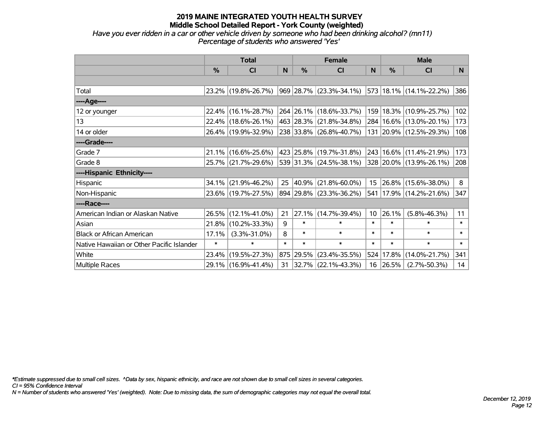## *Have you ever ridden in a car or other vehicle driven by someone who had been drinking alcohol? (mn11) Percentage of students who answered 'Yes'*

|                                           |               | <b>Total</b>                                |        |               | <b>Female</b>            |                 | <b>Male</b> |                              |        |  |
|-------------------------------------------|---------------|---------------------------------------------|--------|---------------|--------------------------|-----------------|-------------|------------------------------|--------|--|
|                                           | $\frac{0}{0}$ | CI                                          | N      | $\frac{9}{6}$ | <b>CI</b>                | N               | %           | <b>CI</b>                    | N.     |  |
|                                           |               |                                             |        |               |                          |                 |             |                              |        |  |
| Total                                     |               | 23.2% (19.8%-26.7%) 969 28.7% (23.3%-34.1%) |        |               |                          |                 |             | $ 573 18.1\% $ (14.1%-22.2%) | 386    |  |
| ----Age----                               |               |                                             |        |               |                          |                 |             |                              |        |  |
| 12 or younger                             | $22.4\%$      | $(16.1\% - 28.7\%)$                         |        |               | 264 26.1% (18.6%-33.7%)  | 159             | 18.3%       | $(10.9\% - 25.7\%)$          | 102    |  |
| 13                                        |               | 22.4% (18.6%-26.1%)                         |        |               | 463 28.3% (21.8%-34.8%)  |                 |             | 284   16.6%   (13.0%-20.1%)  | 173    |  |
| 14 or older                               |               | 26.4% (19.9%-32.9%)                         |        |               | 238 33.8% (26.8%-40.7%)  |                 |             | 131 20.9% (12.5%-29.3%)      | 108    |  |
| ----Grade----                             |               |                                             |        |               |                          |                 |             |                              |        |  |
| Grade 7                                   | $21.1\%$      | $(16.6\% - 25.6\%)$                         |        |               | 423 25.8% (19.7%-31.8%)  | 243             |             | 16.6% (11.4%-21.9%)          | 173    |  |
| Grade 8                                   |               | 25.7% (21.7%-29.6%)                         |        |               | 539 31.3% (24.5%-38.1%)  |                 |             | 328 20.0% (13.9%-26.1%)      | 208    |  |
| ----Hispanic Ethnicity----                |               |                                             |        |               |                          |                 |             |                              |        |  |
| Hispanic                                  | 34.1%         | $(21.9\% - 46.2\%)$                         | 25     |               | $ 40.9\% $ (21.8%-60.0%) |                 |             | 15 26.8% (15.6%-38.0%)       | 8      |  |
| Non-Hispanic                              |               | 23.6% (19.7%-27.5%)                         |        |               | 894 29.8% (23.3%-36.2%)  | 541             |             | 17.9% (14.2%-21.6%)          | 347    |  |
| ----Race----                              |               |                                             |        |               |                          |                 |             |                              |        |  |
| American Indian or Alaskan Native         |               | 26.5% (12.1%-41.0%)                         | 21     |               | 27.1% (14.7%-39.4%)      | 10 <sup>1</sup> | 26.1%       | $(5.8\% - 46.3\%)$           | 11     |  |
| Asian                                     | 21.8%         | $(10.2\% - 33.3\%)$                         | 9      | $\ast$        | $\ast$                   | $\ast$          | $\ast$      | $\ast$                       | $\ast$ |  |
| <b>Black or African American</b>          | 17.1%         | $(3.3\% - 31.0\%)$                          | 8      | $\ast$        | $\ast$                   | $\ast$          | $\ast$      | $\ast$                       | $\ast$ |  |
| Native Hawaiian or Other Pacific Islander | $\ast$        | $\ast$                                      | $\ast$ | $\ast$        | $\ast$                   | $\ast$          | $\ast$      | $\ast$                       | $\ast$ |  |
| White                                     |               | 23.4% (19.5%-27.3%)                         |        | 875 29.5%     | $(23.4\% - 35.5\%)$      | 524             | 17.8%       | $(14.0\% - 21.7\%)$          | 341    |  |
| Multiple Races                            |               | 29.1% (16.9%-41.4%)                         | 31     |               | $ 32.7\% $ (22.1%-43.3%) |                 | 16 26.5%    | $(2.7\% - 50.3\%)$           | 14     |  |

*\*Estimate suppressed due to small cell sizes. ^Data by sex, hispanic ethnicity, and race are not shown due to small cell sizes in several categories.*

*CI = 95% Confidence Interval*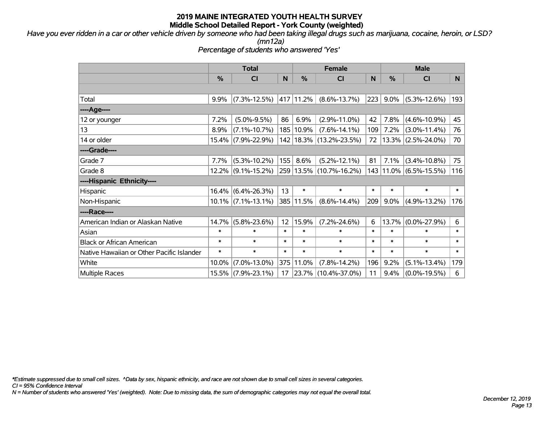*Have you ever ridden in a car or other vehicle driven by someone who had been taking illegal drugs such as marijuana, cocaine, heroin, or LSD? (mn12a)*

*Percentage of students who answered 'Yes'*

|                                           |               | <b>Total</b>          |        |             | <b>Female</b>               | <b>Male</b> |         |                         |        |
|-------------------------------------------|---------------|-----------------------|--------|-------------|-----------------------------|-------------|---------|-------------------------|--------|
|                                           | $\frac{0}{0}$ | CI                    | N      | %           | <b>CI</b>                   | N           | %       | <b>CI</b>               | N      |
|                                           |               |                       |        |             |                             |             |         |                         |        |
| Total                                     | 9.9%          | $(7.3\% - 12.5\%)$    |        | 417 11.2%   | $(8.6\% - 13.7\%)$          | 223         | 9.0%    | $(5.3\% - 12.6\%)$      | 193    |
| ----Age----                               |               |                       |        |             |                             |             |         |                         |        |
| 12 or younger                             | 7.2%          | $(5.0\% - 9.5\%)$     | 86     | 6.9%        | $(2.9\% - 11.0\%)$          | 42          | 7.8%    | $(4.6\% - 10.9\%)$      | 45     |
| 13                                        | 8.9%          | $(7.1\% - 10.7\%)$    |        | 185   10.9% | $(7.6\% - 14.1\%)$          | 109         | 7.2%    | $(3.0\% - 11.4\%)$      | 76     |
| 14 or older                               |               | 15.4% (7.9%-22.9%)    |        |             | 142   18.3%   (13.2%-23.5%) | 72          |         | $ 13.3\% $ (2.5%-24.0%) | 70     |
| ----Grade----                             |               |                       |        |             |                             |             |         |                         |        |
| Grade 7                                   | 7.7%          | $(5.3\% - 10.2\%)$    | 155    | 8.6%        | $(5.2\% - 12.1\%)$          | 81          | 7.1%    | $(3.4\% - 10.8\%)$      | 75     |
| Grade 8                                   |               | $12.2\%$ (9.1%-15.2%) |        |             | 259 13.5% (10.7%-16.2%)     |             |         | 143 11.0% (6.5%-15.5%)  | 116    |
| ----Hispanic Ethnicity----                |               |                       |        |             |                             |             |         |                         |        |
| Hispanic                                  | 16.4%         | $(6.4\% - 26.3\%)$    | 13     | $\ast$      | $\ast$                      | $\ast$      | $\ast$  | $\ast$                  | $\ast$ |
| Non-Hispanic                              |               | $10.1\%$ (7.1%-13.1%) |        | 385 11.5%   | $(8.6\% - 14.4\%)$          | 209         | $9.0\%$ | $(4.9\% - 13.2\%)$      | 176    |
| ----Race----                              |               |                       |        |             |                             |             |         |                         |        |
| American Indian or Alaskan Native         | 14.7%         | $(5.8\% - 23.6\%)$    | 12     | 15.9%       | $(7.2\% - 24.6\%)$          | 6           | 13.7%   | $(0.0\% - 27.9\%)$      | 6      |
| Asian                                     | $\ast$        | $\ast$                | $\ast$ | $\ast$      | $\ast$                      | $\ast$      | $\ast$  | $\ast$                  | $\ast$ |
| <b>Black or African American</b>          | $\ast$        | $\ast$                | $\ast$ | $\ast$      | $\ast$                      | $\ast$      | $\ast$  | $\ast$                  | $\ast$ |
| Native Hawaiian or Other Pacific Islander | $\ast$        | $\ast$                | $\ast$ | $\ast$      | $\ast$                      | $\ast$      | $\ast$  | $\ast$                  | $\ast$ |
| White                                     | 10.0%         | $(7.0\% - 13.0\%)$    |        | 375 11.0%   | $(7.8\% - 14.2\%)$          | 196         | 9.2%    | $(5.1\% - 13.4\%)$      | 179    |
| <b>Multiple Races</b>                     |               | 15.5% (7.9%-23.1%)    | 17     |             | $ 23.7\% $ (10.4%-37.0%)    | 11          | 9.4%    | $(0.0\% - 19.5\%)$      | 6      |

*\*Estimate suppressed due to small cell sizes. ^Data by sex, hispanic ethnicity, and race are not shown due to small cell sizes in several categories.*

*CI = 95% Confidence Interval*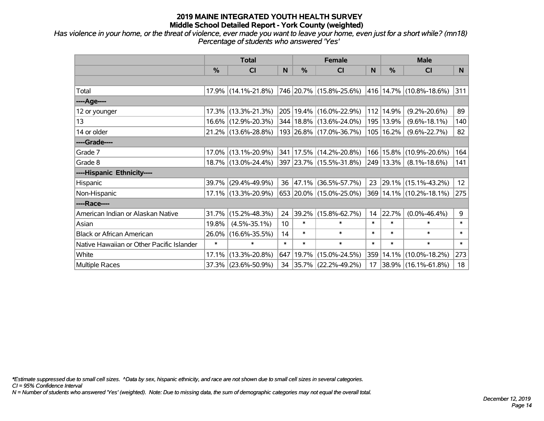*Has violence in your home, or the threat of violence, ever made you want to leave your home, even just for a short while? (mn18) Percentage of students who answered 'Yes'*

|                                           | <b>Total</b> |                        |        | <b>Female</b> | <b>Male</b>                 |        |           |                         |                 |
|-------------------------------------------|--------------|------------------------|--------|---------------|-----------------------------|--------|-----------|-------------------------|-----------------|
|                                           | %            | CI                     | N      | %             | <b>CI</b>                   | N      | %         | <b>CI</b>               | N <sub>1</sub>  |
|                                           |              |                        |        |               |                             |        |           |                         |                 |
| Total                                     |              | $17.9\%$ (14.1%-21.8%) |        |               | 746 20.7% (15.8%-25.6%)     |        |           | 416 14.7% (10.8%-18.6%) | 311             |
| ----Age----                               |              |                        |        |               |                             |        |           |                         |                 |
| 12 or younger                             |              | 17.3% (13.3%-21.3%)    |        |               | 205 19.4% (16.0%-22.9%)     | 112    | 14.9%     | $(9.2\% - 20.6\%)$      | 89              |
| 13                                        |              | 16.6% (12.9%-20.3%)    |        |               | 344   18.8%   (13.6%-24.0%) |        | 195 13.9% | $(9.6\% - 18.1\%)$      | 140             |
| 14 or older                               |              | 21.2% (13.6%-28.8%)    |        |               | 193 26.8% (17.0%-36.7%)     | 105    | 16.2%     | $(9.6\% - 22.7\%)$      | 82              |
| ----Grade----                             |              |                        |        |               |                             |        |           |                         |                 |
| Grade 7                                   |              | 17.0% (13.1%-20.9%)    |        |               | 341   17.5%   (14.2%-20.8%) | 166    | 15.8%     | $(10.9\% - 20.6\%)$     | 164             |
| Grade 8                                   |              | 18.7% (13.0%-24.4%)    |        |               | 397 23.7% (15.5%-31.8%)     |        | 249 13.3% | $(8.1\% - 18.6\%)$      | 141             |
| ----Hispanic Ethnicity----                |              |                        |        |               |                             |        |           |                         |                 |
| Hispanic                                  | 39.7%        | $(29.4\% - 49.9\%)$    | 36     | 47.1%         | $(36.5\% - 57.7\%)$         | 23     | 29.1%     | $(15.1\% - 43.2\%)$     | 12 <sup>2</sup> |
| Non-Hispanic                              |              | 17.1% (13.3%-20.9%)    |        |               | 653 20.0% (15.0%-25.0%)     |        |           | 369 14.1% (10.2%-18.1%) | 275             |
| ----Race----                              |              |                        |        |               |                             |        |           |                         |                 |
| American Indian or Alaskan Native         | 31.7%        | $(15.2\% - 48.3\%)$    | 24     | 39.2%         | $(15.8\% - 62.7\%)$         | 14     | 22.7%     | $(0.0\% - 46.4\%)$      | 9               |
| Asian                                     | 19.8%        | $(4.5\% - 35.1\%)$     | 10     | $\ast$        | $\ast$                      | $\ast$ | $\ast$    | $\ast$                  | $\ast$          |
| <b>Black or African American</b>          | 26.0%        | $(16.6\% - 35.5\%)$    | 14     | $\ast$        | $\ast$                      | $\ast$ | $\ast$    | $\ast$                  | $\ast$          |
| Native Hawaiian or Other Pacific Islander | $\ast$       | $\ast$                 | $\ast$ | $\ast$        | $\ast$                      | $\ast$ | $\ast$    | $\ast$                  | $\pmb{\ast}$    |
| White                                     | 17.1%        | $(13.3\% - 20.8\%)$    |        | 647 19.7%     | $(15.0\% - 24.5\%)$         | 359    | 14.1%     | $(10.0\% - 18.2\%)$     | 273             |
| Multiple Races                            |              | $37.3\%$ (23.6%-50.9%) |        |               | 34 35.7% (22.2%-49.2%)      | 17     |           | 38.9% (16.1%-61.8%)     | 18              |

*\*Estimate suppressed due to small cell sizes. ^Data by sex, hispanic ethnicity, and race are not shown due to small cell sizes in several categories.*

*CI = 95% Confidence Interval*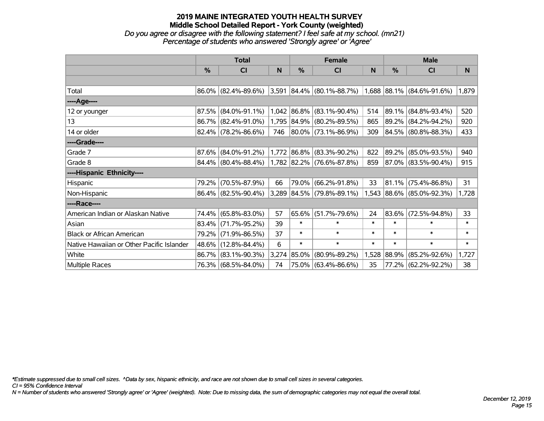*Do you agree or disagree with the following statement? I feel safe at my school. (mn21) Percentage of students who answered 'Strongly agree' or 'Agree'*

|                                           |       | <b>Total</b>           |       |               | <b>Female</b>                                         |        | <b>Male</b> |                           |        |  |
|-------------------------------------------|-------|------------------------|-------|---------------|-------------------------------------------------------|--------|-------------|---------------------------|--------|--|
|                                           | $\%$  | <b>CI</b>              | N     | $\frac{0}{0}$ | <b>CI</b>                                             | N      | %           | <b>CI</b>                 | N.     |  |
|                                           |       |                        |       |               |                                                       |        |             |                           |        |  |
| Total                                     |       | 86.0% (82.4%-89.6%)    |       |               | $3,591$ 84.4% (80.1%-88.7%) 1,688 88.1% (84.6%-91.6%) |        |             |                           | 1,879  |  |
| ----Age----                               |       |                        |       |               |                                                       |        |             |                           |        |  |
| 12 or younger                             | 87.5% | $(84.0\% - 91.1\%)$    |       |               | 1,042 86.8% (83.1%-90.4%)                             | 514    | 89.1%       | $(84.8\% - 93.4\%)$       | 520    |  |
| 13                                        |       | 86.7% (82.4%-91.0%)    |       |               | 1,795 84.9% (80.2%-89.5%)                             | 865    |             | 89.2% (84.2%-94.2%)       | 920    |  |
| 14 or older                               |       | $82.4\%$ (78.2%-86.6%) | 746   |               | 80.0% (73.1%-86.9%)                                   | 309    |             | 84.5% (80.8%-88.3%)       | 433    |  |
| ----Grade----                             |       |                        |       |               |                                                       |        |             |                           |        |  |
| Grade 7                                   | 87.6% | $(84.0\% - 91.2\%)$    |       |               | 1,772 86.8% (83.3%-90.2%)                             | 822    | 89.2%       | $(85.0\% - 93.5\%)$       | 940    |  |
| Grade 8                                   |       | 84.4% (80.4%-88.4%)    |       |               | 1,782 82.2% (76.6%-87.8%)                             | 859    |             | 87.0% (83.5%-90.4%)       | 915    |  |
| ----Hispanic Ethnicity----                |       |                        |       |               |                                                       |        |             |                           |        |  |
| Hispanic                                  | 79.2% | $(70.5\% - 87.9\%)$    | 66    | 79.0%         | $(66.2\% - 91.8\%)$                                   | 33     | 81.1%       | $(75.4\% - 86.8\%)$       | 31     |  |
| Non-Hispanic                              |       | 86.4% (82.5%-90.4%)    |       |               | 3,289 84.5% (79.8%-89.1%)                             |        |             | 1,543 88.6% (85.0%-92.3%) | 1,728  |  |
| ----Race----                              |       |                        |       |               |                                                       |        |             |                           |        |  |
| American Indian or Alaskan Native         |       | 74.4% (65.8%-83.0%)    | 57    | 65.6%         | $(51.7\% - 79.6\%)$                                   | 24     | 83.6%       | $(72.5\% - 94.8\%)$       | 33     |  |
| Asian                                     | 83.4% | $(71.7\% - 95.2\%)$    | 39    | $\ast$        | $\ast$                                                | $\ast$ | $\ast$      | $\ast$                    | $\ast$ |  |
| <b>Black or African American</b>          | 79.2% | $(71.9\% - 86.5\%)$    | 37    | $\ast$        | $\ast$                                                | $\ast$ | $\ast$      | $\ast$                    | $\ast$ |  |
| Native Hawaiian or Other Pacific Islander | 48.6% | $(12.8\% - 84.4\%)$    | 6     | $\ast$        | $\ast$                                                | $\ast$ | $\ast$      | $\ast$                    | $\ast$ |  |
| White                                     | 86.7% | $(83.1\% - 90.3\%)$    | 3,274 | 85.0%         | $(80.9\% - 89.2\%)$                                   | 1,528  | $ 88.9\% $  | $(85.2\% - 92.6\%)$       | 1,727  |  |
| <b>Multiple Races</b>                     |       | 76.3% (68.5%-84.0%)    | 74    |               | 75.0% (63.4%-86.6%)                                   | 35     |             | 77.2% (62.2%-92.2%)       | 38     |  |

*\*Estimate suppressed due to small cell sizes. ^Data by sex, hispanic ethnicity, and race are not shown due to small cell sizes in several categories.*

*CI = 95% Confidence Interval*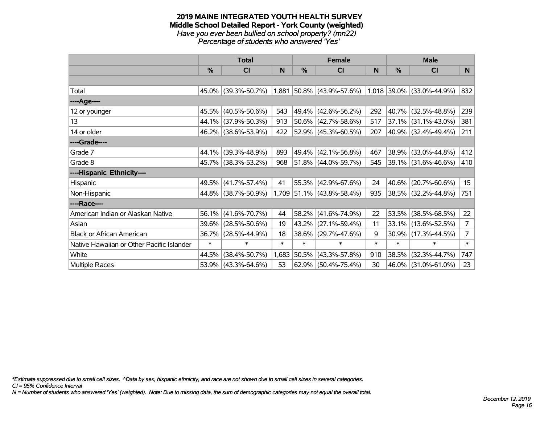#### **2019 MAINE INTEGRATED YOUTH HEALTH SURVEY Middle School Detailed Report - York County (weighted)** *Have you ever been bullied on school property? (mn22) Percentage of students who answered 'Yes'*

|                                           | <b>Total</b> |                     |        | <b>Female</b> | <b>Male</b>                 |        |        |                             |                |
|-------------------------------------------|--------------|---------------------|--------|---------------|-----------------------------|--------|--------|-----------------------------|----------------|
|                                           | $\%$         | CI                  | N      | $\frac{0}{0}$ | <b>CI</b>                   | N      | $\%$   | <b>CI</b>                   | N.             |
|                                           |              |                     |        |               |                             |        |        |                             |                |
| Total                                     |              | 45.0% (39.3%-50.7%) |        |               | $1,881$ 50.8% (43.9%-57.6%) |        |        | $1,018$ 39.0% (33.0%-44.9%) | 832            |
| ----Age----                               |              |                     |        |               |                             |        |        |                             |                |
| 12 or younger                             | 45.5%        | $(40.5\% - 50.6\%)$ | 543    |               | 49.4% (42.6%-56.2%)         | 292    |        | 40.7% (32.5%-48.8%)         | 239            |
| 13                                        |              | 44.1% (37.9%-50.3%) | 913    |               | $50.6\%$ (42.7%-58.6%)      | 517    |        | $37.1\%$ (31.1%-43.0%)      | 381            |
| 14 or older                               |              | 46.2% (38.6%-53.9%) | 422    |               | 52.9% (45.3%-60.5%)         | 207    |        | 40.9% (32.4%-49.4%)         | 211            |
| ----Grade----                             |              |                     |        |               |                             |        |        |                             |                |
| Grade 7                                   | 44.1%        | $(39.3\% - 48.9\%)$ | 893    |               | 49.4% (42.1%-56.8%)         | 467    |        | 38.9% (33.0%-44.8%)         | 412            |
| Grade 8                                   |              | 45.7% (38.3%-53.2%) | 968    |               | $51.8\%$ (44.0%-59.7%)      | 545    |        | 39.1% (31.6%-46.6%)         | 410            |
| ----Hispanic Ethnicity----                |              |                     |        |               |                             |        |        |                             |                |
| Hispanic                                  | 49.5%        | $(41.7\% - 57.4\%)$ | 41     |               | $55.3\%$ (42.9%-67.6%)      | 24     |        | 40.6% (20.7%-60.6%)         | 15             |
| Non-Hispanic                              |              | 44.8% (38.7%-50.9%) |        |               | 1,709 51.1% (43.8%-58.4%)   | 935    |        | 38.5% (32.2%-44.8%)         | 751            |
| ----Race----                              |              |                     |        |               |                             |        |        |                             |                |
| American Indian or Alaskan Native         | 56.1%        | $(41.6\% - 70.7\%)$ | 44     |               | $58.2\%$ (41.6%-74.9%)      | 22     |        | 53.5% (38.5%-68.5%)         | 22             |
| Asian                                     | 39.6%        | $(28.5\% - 50.6\%)$ | 19     |               | 43.2% (27.1%-59.4%)         | 11     |        | 33.1% (13.6%-52.5%)         | 7 <sup>7</sup> |
| <b>Black or African American</b>          | 36.7%        | $(28.5\% - 44.9\%)$ | 18     |               | 38.6% (29.7%-47.6%)         | 9      |        | $30.9\%$ (17.3%-44.5%)      | 7 <sup>1</sup> |
| Native Hawaiian or Other Pacific Islander | $\ast$       | $\ast$              | $\ast$ | $\ast$        | $\ast$                      | $\ast$ | $\ast$ | $\ast$                      | $*$            |
| White                                     | 44.5%        | $(38.4\% - 50.7\%)$ | 1,683  |               | $50.5\%$ (43.3%-57.8%)      | 910    |        | 38.5% (32.3%-44.7%)         | 747            |
| Multiple Races                            |              | 53.9% (43.3%-64.6%) | 53     |               | $62.9\%$ (50.4%-75.4%)      | 30     |        | 46.0% (31.0%-61.0%)         | 23             |

*\*Estimate suppressed due to small cell sizes. ^Data by sex, hispanic ethnicity, and race are not shown due to small cell sizes in several categories.*

*CI = 95% Confidence Interval*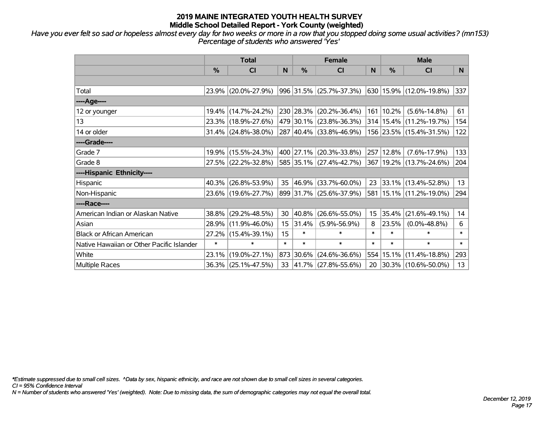*Have you ever felt so sad or hopeless almost every day for two weeks or more in a row that you stopped doing some usual activities? (mn153) Percentage of students who answered 'Yes'*

|                                           | <b>Total</b>  |                        |                  |               | <b>Female</b>            |        | <b>Male</b> |                             |                |  |
|-------------------------------------------|---------------|------------------------|------------------|---------------|--------------------------|--------|-------------|-----------------------------|----------------|--|
|                                           | $\frac{0}{0}$ | C <sub>l</sub>         | N                | $\frac{0}{0}$ | <b>CI</b>                | N      | %           | <b>CI</b>                   | N <sub>1</sub> |  |
|                                           |               |                        |                  |               |                          |        |             |                             |                |  |
| Total                                     |               | 23.9% (20.0%-27.9%)    |                  |               | 996 31.5% (25.7%-37.3%)  |        |             | 630 15.9% (12.0%-19.8%)     | 337            |  |
| ----Age----                               |               |                        |                  |               |                          |        |             |                             |                |  |
| 12 or younger                             |               | 19.4% (14.7%-24.2%)    |                  |               | 230 28.3% (20.2%-36.4%)  | 161    | 10.2%       | $(5.6\% - 14.8\%)$          | 61             |  |
| 13                                        |               | 23.3% (18.9%-27.6%)    |                  |               | 479 30.1% (23.8%-36.3%)  |        |             | 314   15.4%   (11.2%-19.7%) | 154            |  |
| 14 or older                               |               | $31.4\%$ (24.8%-38.0%) |                  |               | 287 40.4% (33.8%-46.9%)  |        |             | 156 23.5% (15.4%-31.5%)     | 122            |  |
| ----Grade----                             |               |                        |                  |               |                          |        |             |                             |                |  |
| Grade 7                                   |               | 19.9% (15.5%-24.3%)    |                  |               | 400 27.1% (20.3%-33.8%)  | 257    | 12.8%       | $(7.6\% - 17.9\%)$          | 133            |  |
| Grade 8                                   |               | 27.5% (22.2%-32.8%)    |                  |               | 585 35.1% (27.4%-42.7%)  |        |             | 367   19.2%   (13.7%-24.6%) | 204            |  |
| ----Hispanic Ethnicity----                |               |                        |                  |               |                          |        |             |                             |                |  |
| Hispanic                                  |               | $40.3\%$ (26.8%-53.9%) | 35               |               | 46.9% (33.7%-60.0%)      | 23     |             | $33.1\%$ (13.4%-52.8%)      | 13             |  |
| Non-Hispanic                              |               | 23.6% (19.6%-27.7%)    |                  |               | 899 31.7% (25.6%-37.9%)  | 581    |             | 15.1% (11.2%-19.0%)         | 294            |  |
| ----Race----                              |               |                        |                  |               |                          |        |             |                             |                |  |
| American Indian or Alaskan Native         |               | 38.8% (29.2%-48.5%)    | 30               | 40.8%         | $(26.6\% - 55.0\%)$      | 15     | 35.4%       | $(21.6\% - 49.1\%)$         | 14             |  |
| Asian                                     | 28.9%         | $(11.9\% - 46.0\%)$    | 15 <sub>15</sub> | 31.4%         | $(5.9\% - 56.9\%)$       | 8      | 23.5%       | $(0.0\% - 48.8\%)$          | 6              |  |
| <b>Black or African American</b>          |               | 27.2% (15.4%-39.1%)    | 15               | $\ast$        | $\ast$                   | $\ast$ | $\ast$      | $\ast$                      | $\pmb{\ast}$   |  |
| Native Hawaiian or Other Pacific Islander | $\ast$        | $\ast$                 | $\ast$           | $\ast$        | $\ast$                   | $\ast$ | $\ast$      | $\ast$                      | $\ast$         |  |
| White                                     |               | 23.1% (19.0%-27.1%)    |                  | 873 30.6%     | $(24.6\% - 36.6\%)$      | 554    | 15.1%       | $(11.4\% - 18.8\%)$         | 293            |  |
| <b>Multiple Races</b>                     |               | 36.3% (25.1%-47.5%)    | 33               |               | $ 41.7\% $ (27.8%-55.6%) | 20     |             | 30.3% (10.6%-50.0%)         | 13             |  |

*\*Estimate suppressed due to small cell sizes. ^Data by sex, hispanic ethnicity, and race are not shown due to small cell sizes in several categories.*

*CI = 95% Confidence Interval*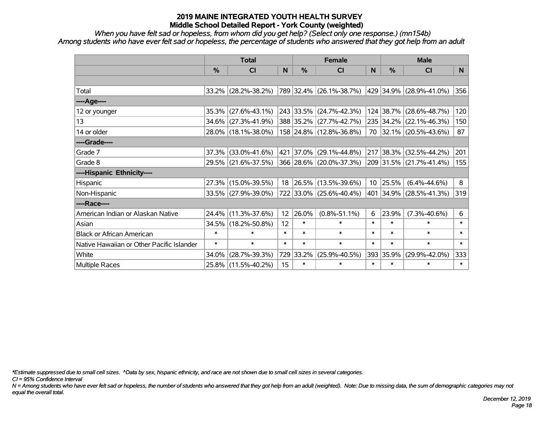*When you have felt sad or hopeless, from whom did you get help? (Select only one response.) (mn154b) Among students who have ever felt sad or hopeless, the percentage of students who answered that they got help from an adult*

|                                           | <b>Total</b>  |                        |        | <b>Female</b> | <b>Male</b>                                     |        |           |                         |        |
|-------------------------------------------|---------------|------------------------|--------|---------------|-------------------------------------------------|--------|-----------|-------------------------|--------|
|                                           | $\frac{0}{0}$ | <b>CI</b>              | N      | $\frac{0}{0}$ | <b>CI</b>                                       | N      | %         | <b>CI</b>               | N      |
|                                           |               |                        |        |               |                                                 |        |           |                         |        |
| Total                                     |               | $33.2\%$ (28.2%-38.2%) |        |               | 789 32.4% (26.1%-38.7%) 429 34.9% (28.9%-41.0%) |        |           |                         | 356    |
| ----Age----                               |               |                        |        |               |                                                 |        |           |                         |        |
| 12 or younger                             | 35.3%         | $(27.6\% - 43.1\%)$    |        |               | 243 33.5% (24.7%-42.3%)                         |        | 124 38.7% | $(28.6\% - 48.7\%)$     | 120    |
| 13                                        | 34.6%         | $(27.3\% - 41.9\%)$    |        |               | 388 35.2% (27.7%-42.7%)                         |        |           | 235 34.2% (22.1%-46.3%) | 150    |
| 14 or older                               |               | 28.0% (18.1%-38.0%)    |        |               | 158 24.8% (12.8%-36.8%)                         |        |           | 70 32.1% (20.5%-43.6%)  | 87     |
| ----Grade----                             |               |                        |        |               |                                                 |        |           |                         |        |
| Grade 7                                   | 37.3%         | $(33.0\% - 41.6\%)$    |        | 421 37.0%     | $(29.1\% - 44.8\%)$                             |        | 217 38.3% | $(32.5\% - 44.2\%)$     | 201    |
| Grade 8                                   |               | 29.5% (21.6%-37.5%)    |        |               | 366 28.6% (20.0%-37.3%)                         |        |           | 209 31.5% (21.7%-41.4%) | 155    |
| ----Hispanic Ethnicity----                |               |                        |        |               |                                                 |        |           |                         |        |
| Hispanic                                  | 27.3%         | $(15.0\% - 39.5\%)$    |        | 18 26.5%      | $(13.5\% - 39.6\%)$                             | 10     | 25.5%     | $(6.4\% - 44.6\%)$      | 8      |
| Non-Hispanic                              |               | 33.5% (27.9%-39.0%)    |        |               | 722 33.0% (25.6%-40.4%)                         |        |           | 401 34.9% (28.5%-41.3%) | 319    |
| ----Race----                              |               |                        |        |               |                                                 |        |           |                         |        |
| American Indian or Alaskan Native         | 24.4%         | $(11.3\% - 37.6\%)$    | 12     | 26.0%         | $(0.8\% - 51.1\%)$                              | 6      | 23.9%     | $(7.3\% - 40.6\%)$      | 6      |
| Asian                                     | 34.5%         | $(18.2\% - 50.8\%)$    | 12     | $\ast$        | $\ast$                                          | $\ast$ | $\ast$    | $\ast$                  | $\ast$ |
| <b>Black or African American</b>          | $\ast$        | $\ast$                 | $\ast$ | $\ast$        | $\ast$                                          | $\ast$ | $\ast$    | $\ast$                  | $\ast$ |
| Native Hawaiian or Other Pacific Islander | $\ast$        | $\ast$                 | $\ast$ | $\ast$        | $\ast$                                          | $\ast$ | $\ast$    | $\ast$                  | $\ast$ |
| White                                     | 34.0%         | $(28.7\% - 39.3\%)$    | 729    | $33.2\%$      | $(25.9\% - 40.5\%)$                             | 393    | 35.9%     | $(29.9\% - 42.0\%)$     | 333    |
| <b>Multiple Races</b>                     |               | 25.8% (11.5%-40.2%)    | 15     | $\ast$        | $\ast$                                          | $\ast$ | $\ast$    | $\ast$                  | $\ast$ |

*\*Estimate suppressed due to small cell sizes. ^Data by sex, hispanic ethnicity, and race are not shown due to small cell sizes in several categories.*

*CI = 95% Confidence Interval*

*N = Among students who have ever felt sad or hopeless, the number of students who answered that they got help from an adult (weighted). Note: Due to missing data, the sum of demographic categories may not equal the overall total.*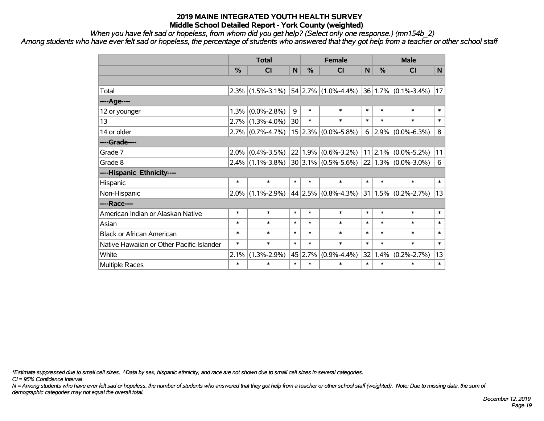*When you have felt sad or hopeless, from whom did you get help? (Select only one response.) (mn154b\_2)*

*Among students who have ever felt sad or hopeless, the percentage of students who answered that they got help from a teacher or other school staff*

|                                           | <b>Total</b> |                     |        | <b>Female</b> |                           |        | <b>Male</b>     |                              |        |
|-------------------------------------------|--------------|---------------------|--------|---------------|---------------------------|--------|-----------------|------------------------------|--------|
|                                           | %            | <b>CI</b>           | N      | %             | <b>CI</b>                 | N      | $\%$            | <b>CI</b>                    | N      |
|                                           |              |                     |        |               |                           |        |                 |                              |        |
| Total                                     | 2.3%         | $(1.5\% - 3.1\%)$   |        |               | $ 54 2.7\% $ (1.0%-4.4%)  |        |                 | $ 36 1.7\%  (0.1\% - 3.4\%)$ | 17     |
| ----Age----                               |              |                     |        |               |                           |        |                 |                              |        |
| 12 or younger                             | 1.3%         | $(0.0\% - 2.8\%)$   | 9      | $\ast$        | $\ast$                    | $\ast$ | $\ast$          | $\ast$                       | $\ast$ |
| 13                                        | 2.7%         | $(1.3\% - 4.0\%)$   | 30     | $\ast$        | $\ast$                    | $\ast$ | $\ast$          | $\ast$                       | $\ast$ |
| 14 or older                               |              | $2.7\%$ (0.7%-4.7%) |        |               | $15 2.3\% $ (0.0%-5.8%)   | 6      | 2.9%            | $(0.0\% - 6.3\%)$            | 8      |
| ----Grade----                             |              |                     |        |               |                           |        |                 |                              |        |
| Grade 7                                   | 2.0%         | $(0.4\% - 3.5\%)$   |        |               | $22 1.9\% $ (0.6%-3.2%)   |        | $11 \,   2.1\%$ | $(0.0\% - 5.2\%)$            | 11     |
| Grade 8                                   | $2.4\%$      | $(1.1\% - 3.8\%)$   |        |               | $30 3.1\% $ (0.5%-5.6%)   |        |                 | $ 22 1.3\% $ (0.0%-3.0%)     | 6      |
| ----Hispanic Ethnicity----                |              |                     |        |               |                           |        |                 |                              |        |
| Hispanic                                  | $\ast$       | $\ast$              | $\ast$ | $\ast$        | $\ast$                    | $\ast$ | $\ast$          | $\ast$                       | $\ast$ |
| Non-Hispanic                              | 2.0%         | $(1.1\% - 2.9\%)$   |        |               | 44 2.5% $(0.8\% - 4.3\%)$ |        | $31 \mid 1.5\%$ | $(0.2\% - 2.7\%)$            | 13     |
| ----Race----                              |              |                     |        |               |                           |        |                 |                              |        |
| American Indian or Alaskan Native         | $\ast$       | $\ast$              | $\ast$ | $\ast$        | $\ast$                    | $\ast$ | $\ast$          | $\ast$                       | $\ast$ |
| Asian                                     | $\ast$       | $\ast$              | $\ast$ | $\ast$        | $\ast$                    | $\ast$ | $\ast$          | $\ast$                       | $\ast$ |
| <b>Black or African American</b>          | $\ast$       | $\ast$              | $\ast$ | $\ast$        | $\ast$                    | $\ast$ | $\ast$          | $\ast$                       | $\ast$ |
| Native Hawaiian or Other Pacific Islander | $\ast$       | $\ast$              | $\ast$ | $\ast$        | $\ast$                    | $\ast$ | $\ast$          | $\ast$                       | $\ast$ |
| White                                     | 2.1%         | $(1.3\% - 2.9\%)$   | 45     | 2.7%          | $(0.9\% - 4.4\%)$         | 32     | 1.4%            | $(0.2\% - 2.7\%)$            | 13     |
| <b>Multiple Races</b>                     | $\ast$       | $\ast$              | $\ast$ | $\ast$        | $\ast$                    | $\ast$ | $\ast$          | $\ast$                       | $\ast$ |

*\*Estimate suppressed due to small cell sizes. ^Data by sex, hispanic ethnicity, and race are not shown due to small cell sizes in several categories.*

*CI = 95% Confidence Interval*

*N = Among students who have ever felt sad or hopeless, the number of students who answered that they got help from a teacher or other school staff (weighted). Note: Due to missing data, the sum of demographic categories may not equal the overall total.*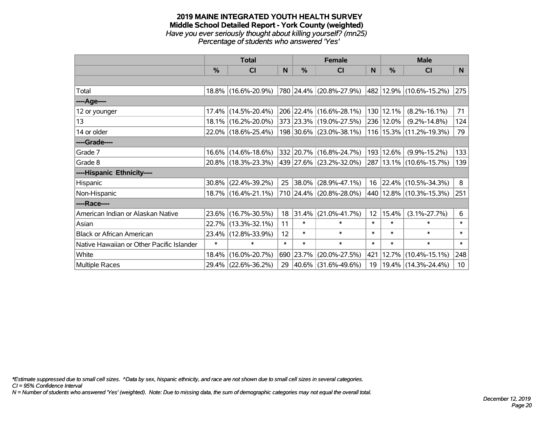#### **2019 MAINE INTEGRATED YOUTH HEALTH SURVEY Middle School Detailed Report - York County (weighted)** *Have you ever seriously thought about killing yourself? (mn25) Percentage of students who answered 'Yes'*

|                                           | <b>Total</b>  |                        |        |            | <b>Female</b>                                             |                 | <b>Male</b>   |                             |                 |  |
|-------------------------------------------|---------------|------------------------|--------|------------|-----------------------------------------------------------|-----------------|---------------|-----------------------------|-----------------|--|
|                                           | $\frac{0}{0}$ | CI                     | N      | $\%$       | <b>CI</b>                                                 | N               | $\frac{0}{0}$ | <b>CI</b>                   | <b>N</b>        |  |
|                                           |               |                        |        |            |                                                           |                 |               |                             |                 |  |
| Total                                     |               | 18.8% (16.6%-20.9%)    |        |            | 780   24.4%   (20.8%-27.9%)   482   12.9%   (10.6%-15.2%) |                 |               |                             | 275             |  |
| ----Age----                               |               |                        |        |            |                                                           |                 |               |                             |                 |  |
| 12 or younger                             |               | 17.4% (14.5%-20.4%)    |        |            | 206 22.4% (16.6%-28.1%)                                   |                 | 130 12.1%     | $(8.2\% - 16.1\%)$          | 71              |  |
| 13                                        |               | 18.1% (16.2%-20.0%)    |        |            | 373 23.3% (19.0%-27.5%)                                   |                 | 236 12.0%     | $(9.2\% - 14.8\%)$          | 124             |  |
| 14 or older                               |               | 22.0% (18.6%-25.4%)    |        |            | 198 30.6% (23.0%-38.1%)                                   |                 |               | 116 15.3% (11.2%-19.3%)     | 79              |  |
| ----Grade----                             |               |                        |        |            |                                                           |                 |               |                             |                 |  |
| Grade 7                                   |               | $16.6\%$ (14.6%-18.6%) |        |            | 332 20.7% (16.8%-24.7%)                                   | 193             | 12.6%         | $(9.9\% - 15.2\%)$          | 133             |  |
| Grade 8                                   |               | 20.8% (18.3%-23.3%)    |        |            | 439 27.6% (23.2%-32.0%)                                   |                 |               | 287   13.1%   (10.6%-15.7%) | 139             |  |
| ----Hispanic Ethnicity----                |               |                        |        |            |                                                           |                 |               |                             |                 |  |
| Hispanic                                  |               | $30.8\%$ (22.4%-39.2%) | 25     | $ 38.0\% $ | $(28.9\% - 47.1\%)$                                       | 16              |               | 22.4% (10.5%-34.3%)         | 8               |  |
| Non-Hispanic                              |               | 18.7% (16.4%-21.1%)    |        |            | 710 24.4% (20.8%-28.0%)                                   |                 |               | 440   12.8%   (10.3%-15.3%) | 251             |  |
| ----Race----                              |               |                        |        |            |                                                           |                 |               |                             |                 |  |
| American Indian or Alaskan Native         |               | 23.6% (16.7%-30.5%)    | 18     | $ 31.4\% $ | $(21.0\% - 41.7\%)$                                       | 12 <sup>2</sup> | 15.4%         | $(3.1\% - 27.7\%)$          | 6               |  |
| Asian                                     |               | 22.7% (13.3%-32.1%)    | 11     | $\ast$     | $\ast$                                                    | $\ast$          | $\ast$        | $\ast$                      | $\ast$          |  |
| <b>Black or African American</b>          |               | 23.4% (12.8%-33.9%)    | 12     | $\ast$     | $\ast$                                                    | $\ast$          | $\ast$        | $\ast$                      | $\ast$          |  |
| Native Hawaiian or Other Pacific Islander | $\ast$        | $\ast$                 | $\ast$ | $\ast$     | $\ast$                                                    | $\ast$          | $\ast$        | $\ast$                      | $\ast$          |  |
| White                                     | $18.4\%$      | $(16.0\% - 20.7\%)$    |        | 690 23.7%  | $(20.0\% - 27.5\%)$                                       | 421             |               | 12.7% (10.4%-15.1%)         | 248             |  |
| <b>Multiple Races</b>                     |               | 29.4% (22.6%-36.2%)    | 29     |            | $ 40.6\% $ (31.6%-49.6%)                                  | 19              |               | 19.4% (14.3%-24.4%)         | 10 <sup>°</sup> |  |

*\*Estimate suppressed due to small cell sizes. ^Data by sex, hispanic ethnicity, and race are not shown due to small cell sizes in several categories.*

*CI = 95% Confidence Interval*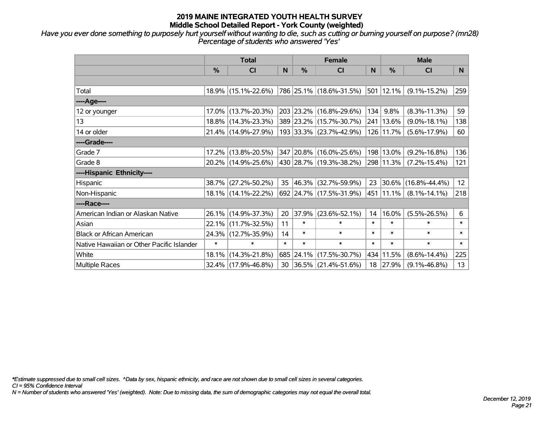*Have you ever done something to purposely hurt yourself without wanting to die, such as cutting or burning yourself on purpose? (mn28) Percentage of students who answered 'Yes'*

|                                           | <b>Total</b> |                     |        | <b>Female</b> | <b>Male</b>              |        |                |                     |                |
|-------------------------------------------|--------------|---------------------|--------|---------------|--------------------------|--------|----------------|---------------------|----------------|
|                                           | $\%$         | CI                  | N      | $\%$          | <b>CI</b>                | N      | $\frac{0}{0}$  | <b>CI</b>           | N <sub>1</sub> |
|                                           |              |                     |        |               |                          |        |                |                     |                |
| Total                                     |              | 18.9% (15.1%-22.6%) |        |               | 786 25.1% (18.6%-31.5%)  |        | $ 501 12.1\% $ | $(9.1\% - 15.2\%)$  | 259            |
| ----Age----                               |              |                     |        |               |                          |        |                |                     |                |
| 12 or younger                             | 17.0%        | $(13.7\% - 20.3\%)$ |        |               | 203 23.2% (16.8%-29.6%)  | 134    | 9.8%           | $(8.3\% - 11.3\%)$  | 59             |
| 13                                        |              | 18.8% (14.3%-23.3%) |        |               | 389 23.2% (15.7%-30.7%)  | 241    | 13.6%          | $(9.0\% - 18.1\%)$  | 138            |
| 14 or older                               |              | 21.4% (14.9%-27.9%) |        |               | 193 33.3% (23.7%-42.9%)  |        | 126 11.7%      | $(5.6\% - 17.9\%)$  | 60             |
| ----Grade----                             |              |                     |        |               |                          |        |                |                     |                |
| Grade 7                                   | 17.2%        | $(13.8\% - 20.5\%)$ |        |               | 347 20.8% (16.0%-25.6%)  | 198    | 13.0%          | $(9.2\% - 16.8\%)$  | 136            |
| Grade 8                                   |              | 20.2% (14.9%-25.6%) |        |               | 430 28.7% (19.3%-38.2%)  |        | 298 11.3%      | $(7.2\% - 15.4\%)$  | 121            |
| ----Hispanic Ethnicity----                |              |                     |        |               |                          |        |                |                     |                |
| <b>Hispanic</b>                           | 38.7%        | $(27.2\% - 50.2\%)$ | 35     | 46.3%         | $(32.7\% - 59.9\%)$      | 23     | 30.6%          | $(16.8\% - 44.4\%)$ | 12             |
| Non-Hispanic                              |              | 18.1% (14.1%-22.2%) |        |               | 692 24.7% (17.5%-31.9%)  |        | 451   11.1%    | $(8.1\% - 14.1\%)$  | 218            |
| ----Race----                              |              |                     |        |               |                          |        |                |                     |                |
| American Indian or Alaskan Native         |              | 26.1% (14.9%-37.3%) | 20     | 37.9%         | $(23.6\% - 52.1\%)$      | 14     | 16.0%          | $(5.5\% - 26.5\%)$  | 6              |
| Asian                                     | 22.1%        | $(11.7\% - 32.5\%)$ | 11     | $\ast$        | $\ast$                   | $\ast$ | $\ast$         | $\ast$              | $\ast$         |
| <b>Black or African American</b>          |              | 24.3% (12.7%-35.9%) | 14     | $\ast$        | $\ast$                   | $\ast$ | $\ast$         | $\ast$              | $\ast$         |
| Native Hawaiian or Other Pacific Islander | $\ast$       | $\ast$              | $\ast$ | $\ast$        | $\ast$                   | $\ast$ | $\ast$         | $\ast$              | $\ast$         |
| White                                     | 18.1%        | $(14.3\% - 21.8\%)$ |        | 685 24.1%     | $(17.5\% - 30.7\%)$      | 434    | 11.5%          | $(8.6\% - 14.4\%)$  | 225            |
| Multiple Races                            |              | 32.4% (17.9%-46.8%) | 30     |               | $ 36.5\% $ (21.4%-51.6%) |        | 18 27.9%       | $(9.1\% - 46.8\%)$  | 13             |

*\*Estimate suppressed due to small cell sizes. ^Data by sex, hispanic ethnicity, and race are not shown due to small cell sizes in several categories.*

*CI = 95% Confidence Interval*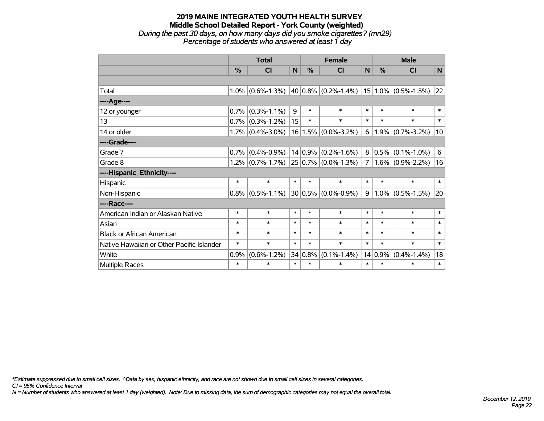#### **2019 MAINE INTEGRATED YOUTH HEALTH SURVEY Middle School Detailed Report - York County (weighted)** *During the past 30 days, on how many days did you smoke cigarettes? (mn29) Percentage of students who answered at least 1 day*

|                                           | <b>Total</b> |                     |        | <b>Female</b> |                                         |                | <b>Male</b> |                     |              |
|-------------------------------------------|--------------|---------------------|--------|---------------|-----------------------------------------|----------------|-------------|---------------------|--------------|
|                                           | $\%$         | <b>CI</b>           | N      | %             | <b>CI</b>                               | N              | $\%$        | <b>CI</b>           | N            |
|                                           |              |                     |        |               |                                         |                |             |                     |              |
| Total                                     |              | $1.0\%$ (0.6%-1.3%) |        |               | 40 0.8% (0.2%-1.4%) 15 1.0% (0.5%-1.5%) |                |             |                     | 22           |
| ----Age----                               |              |                     |        |               |                                         |                |             |                     |              |
| 12 or younger                             | 0.7%         | $(0.3\% - 1.1\%)$   | 9      | $\ast$        | $\ast$                                  | $\ast$         | $\ast$      | $\ast$              | $\ast$       |
| 13                                        |              | $0.7\%$ (0.3%-1.2%) | 15     | $\ast$        | $\ast$                                  | $\ast$         | $\ast$      | $\ast$              | $\ast$       |
| 14 or older                               |              | $1.7\%$ (0.4%-3.0%) |        | 16 1.5%       | $(0.0\% - 3.2\%)$                       | 6              |             | $1.9\%$ (0.7%-3.2%) | 10           |
| ----Grade----                             |              |                     |        |               |                                         |                |             |                     |              |
| Grade 7                                   | 0.7%         | $(0.4\% - 0.9\%)$   |        | $14 0.9\%$    | $(0.2\% - 1.6\%)$                       | 8              | 0.5%        | $(0.1\% - 1.0\%)$   | 6            |
| Grade 8                                   |              | $1.2\%$ (0.7%-1.7%) |        |               | $ 25 0.7\% $ (0.0%-1.3%)                | $\overline{7}$ |             | $1.6\%$ (0.9%-2.2%) | 16           |
| ----Hispanic Ethnicity----                |              |                     |        |               |                                         |                |             |                     |              |
| Hispanic                                  | $\ast$       | $\ast$              | $\ast$ | ∗             | $\ast$                                  | $\ast$         | $\ast$      | $\ast$              | $\ast$       |
| Non-Hispanic                              |              | $0.8\%$ (0.5%-1.1%) |        |               | 30 0.5% (0.0%-0.9%)                     | 9              |             | $1.0\%$ (0.5%-1.5%) | 20           |
| ----Race----                              |              |                     |        |               |                                         |                |             |                     |              |
| American Indian or Alaskan Native         | $\ast$       | $\ast$              | $\ast$ | $\ast$        | $\ast$                                  | $\ast$         | $\ast$      | $\ast$              | $\ast$       |
| Asian                                     | $\ast$       | $\ast$              | $\ast$ | $\ast$        | $\ast$                                  | $\ast$         | $\ast$      | $\ast$              | $\ast$       |
| <b>Black or African American</b>          | $\ast$       | $\ast$              | $\ast$ | $\ast$        | $\ast$                                  | $\ast$         | $\ast$      | $\ast$              | $\ast$       |
| Native Hawaiian or Other Pacific Islander | $\ast$       | $\ast$              | $\ast$ | $\ast$        | $\ast$                                  | $\ast$         | $\ast$      | $\ast$              | $\ast$       |
| White                                     | 0.9%         | $(0.6\% - 1.2\%)$   |        | 34 0.8%       | $(0.1\% - 1.4\%)$                       |                | 14 0.9%     | $(0.4\% - 1.4\%)$   | 18           |
| Multiple Races                            | $\ast$       | $\ast$              | $\ast$ | $\ast$        | $\ast$                                  | $\ast$         | $\ast$      | $\ast$              | $\pmb{\ast}$ |

*\*Estimate suppressed due to small cell sizes. ^Data by sex, hispanic ethnicity, and race are not shown due to small cell sizes in several categories.*

*CI = 95% Confidence Interval*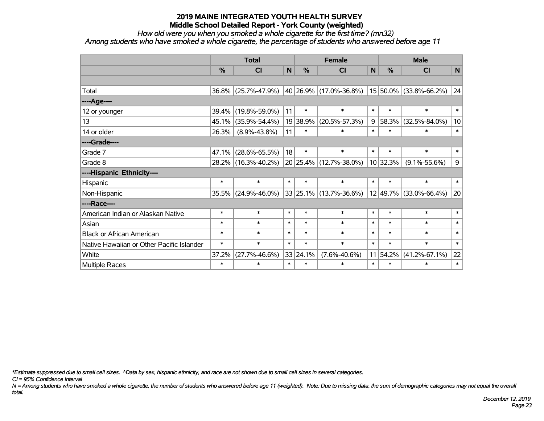*How old were you when you smoked a whole cigarette for the first time? (mn32)*

*Among students who have smoked a whole cigarette, the percentage of students who answered before age 11*

|                                           | <b>Total</b>  |                     |        | <b>Female</b> | <b>Male</b>                |              |               |                        |             |
|-------------------------------------------|---------------|---------------------|--------|---------------|----------------------------|--------------|---------------|------------------------|-------------|
|                                           | $\frac{0}{0}$ | <b>CI</b>           | N      | %             | <b>CI</b>                  | $\mathsf{N}$ | $\frac{0}{0}$ | <b>CI</b>              | $\mathbf N$ |
|                                           |               |                     |        |               |                            |              |               |                        |             |
| Total                                     |               | 36.8% (25.7%-47.9%) |        |               | 40   26.9%   (17.0%-36.8%) |              |               | 15 50.0% (33.8%-66.2%) | 24          |
| ----Age----                               |               |                     |        |               |                            |              |               |                        |             |
| 12 or younger                             | 39.4%         | $(19.8\% - 59.0\%)$ | 11     | $\ast$        | $\ast$                     | $\ast$       | $\ast$        | $\ast$                 | $\ast$      |
| 13                                        | 45.1%         | $(35.9\% - 54.4\%)$ |        | 19 38.9%      | $(20.5\% - 57.3\%)$        | 9            | 58.3%         | $(32.5\% - 84.0\%)$    | 10          |
| 14 or older                               | 26.3%         | $(8.9\% - 43.8\%)$  | 11     | $\ast$        | $\ast$                     | $\ast$       | $\ast$        | $\ast$                 | $\ast$      |
| ----Grade----                             |               |                     |        |               |                            |              |               |                        |             |
| Grade 7                                   | 47.1%         | $(28.6\% - 65.5\%)$ | 18     | $\ast$        | $\ast$                     | $\ast$       | $\ast$        | $\ast$                 | $\ast$      |
| Grade 8                                   |               | 28.2% (16.3%-40.2%) |        |               | 20 25.4% (12.7%-38.0%)     |              | 10 32.3%      | $(9.1\% - 55.6\%)$     | 9           |
| ----Hispanic Ethnicity----                |               |                     |        |               |                            |              |               |                        |             |
| Hispanic                                  | $\ast$        | $\ast$              | $\ast$ | $\ast$        | $\ast$                     | $\ast$       | $\ast$        | $\ast$                 | $\ast$      |
| Non-Hispanic                              |               | 35.5% (24.9%-46.0%) |        |               | 33 25.1% (13.7%-36.6%)     |              | 12 49.7%      | $(33.0\% - 66.4\%)$    | 20          |
| ----Race----                              |               |                     |        |               |                            |              |               |                        |             |
| American Indian or Alaskan Native         | $\ast$        | $\ast$              | $\ast$ | $\ast$        | $\ast$                     | $\ast$       | $\ast$        | $\ast$                 | $\ast$      |
| Asian                                     | $\ast$        | $\ast$              | $\ast$ | $\ast$        | $\ast$                     | $\ast$       | $\ast$        | $\ast$                 | $\ast$      |
| <b>Black or African American</b>          | $\ast$        | $\ast$              | $\ast$ | $\ast$        | $\ast$                     | $\ast$       | $\ast$        | $\ast$                 | $\ast$      |
| Native Hawaiian or Other Pacific Islander | $\ast$        | $\ast$              | $\ast$ | $\ast$        | $\ast$                     | $\ast$       | $\ast$        | $\ast$                 | $\ast$      |
| White                                     | 37.2%         | $(27.7\% - 46.6\%)$ |        | 33 24.1%      | $(7.6\% - 40.6\%)$         | 11           | 54.2%         | $(41.2\% - 67.1\%)$    | 22          |
| Multiple Races                            | $\ast$        | $\ast$              | $\ast$ | $\ast$        | $\ast$                     | $\ast$       | $\ast$        | $\ast$                 | $\ast$      |

*\*Estimate suppressed due to small cell sizes. ^Data by sex, hispanic ethnicity, and race are not shown due to small cell sizes in several categories.*

*CI = 95% Confidence Interval*

*N = Among students who have smoked a whole cigarette, the number of students who answered before age 11 (weighted). Note: Due to missing data, the sum of demographic categories may not equal the overall total.*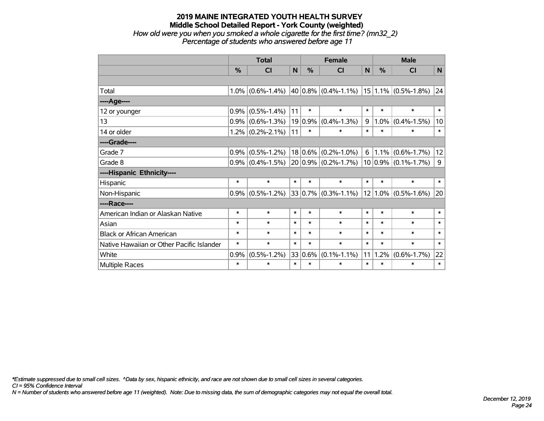#### **2019 MAINE INTEGRATED YOUTH HEALTH SURVEY Middle School Detailed Report - York County (weighted)** *How old were you when you smoked a whole cigarette for the first time? (mn32\_2) Percentage of students who answered before age 11*

|                                           | <b>Total</b> |                     |              | <b>Female</b> |                          |              | <b>Male</b> |                          |              |  |
|-------------------------------------------|--------------|---------------------|--------------|---------------|--------------------------|--------------|-------------|--------------------------|--------------|--|
|                                           | %            | <b>CI</b>           | $\mathsf{N}$ | %             | <b>CI</b>                | $\mathsf{N}$ | %           | <b>CI</b>                | N            |  |
|                                           |              |                     |              |               |                          |              |             |                          |              |  |
| Total                                     |              | $1.0\%$ (0.6%-1.4%) |              |               | $ 40 0.8\% $ (0.4%-1.1%) |              |             | $ 15 1.1\% $ (0.5%-1.8%) | 24           |  |
| ----Age----                               |              |                     |              |               |                          |              |             |                          |              |  |
| 12 or younger                             | 0.9%         | $(0.5\% - 1.4\%)$   | 11           | $\ast$        | $\ast$                   | $\ast$       | $\ast$      | $\ast$                   | $\ast$       |  |
| 13                                        |              | $0.9\%$ (0.6%-1.3%) |              | 19 0.9%       | $(0.4\% - 1.3\%)$        | 9            | 1.0%        | $(0.4\% - 1.5\%)$        | 10           |  |
| 14 or older                               |              | $1.2\%$ (0.2%-2.1%) | 11           | $\ast$        | $\ast$                   | $\ast$       | $\ast$      | $\ast$                   | $\ast$       |  |
| ----Grade----                             |              |                     |              |               |                          |              |             |                          |              |  |
| Grade 7                                   | $0.9\%$      | $(0.5\% - 1.2\%)$   |              |               | $18 0.6\% $ (0.2%-1.0%)  | 6            | 1.1%        | $(0.6\% - 1.7\%)$        | 12           |  |
| Grade 8                                   |              | $0.9\%$ (0.4%-1.5%) |              |               | $20 0.9\% $ (0.2%-1.7%)  |              |             | $10 0.9\% $ (0.1%-1.7%)  | 9            |  |
| ----Hispanic Ethnicity----                |              |                     |              |               |                          |              |             |                          |              |  |
| Hispanic                                  | $\ast$       | $\ast$              | $\ast$       | $\ast$        | $\ast$                   | $\ast$       | $\ast$      | $\ast$                   | $\ast$       |  |
| Non-Hispanic                              | $0.9\%$      | $(0.5\% - 1.2\%)$   |              |               | $33 0.7\% $ (0.3%-1.1%)  |              | $12 1.0\% $ | $(0.5\% - 1.6\%)$        | 20           |  |
| ----Race----                              |              |                     |              |               |                          |              |             |                          |              |  |
| American Indian or Alaskan Native         | $\ast$       | $\ast$              | $\ast$       | $\ast$        | $\ast$                   | $\ast$       | $\ast$      | $\ast$                   | $\ast$       |  |
| Asian                                     | $\ast$       | $\ast$              | $\ast$       | $\ast$        | $\ast$                   | $\ast$       | $\ast$      | $\ast$                   | $\ast$       |  |
| <b>Black or African American</b>          | $\ast$       | $\ast$              | $\ast$       | $\ast$        | $\ast$                   | $\ast$       | $\ast$      | $\ast$                   | $\ast$       |  |
| Native Hawaiian or Other Pacific Islander | $\ast$       | $\ast$              | $\ast$       | $\ast$        | $\ast$                   | $\ast$       | $\ast$      | $\ast$                   | $\ast$       |  |
| White                                     | 0.9%         | $(0.5\% - 1.2\%)$   | 33           | 0.6%          | $(0.1\% - 1.1\%)$        | 11           | 1.2%        | $(0.6\% - 1.7\%)$        | 22           |  |
| Multiple Races                            | $\ast$       | $\ast$              | $\ast$       | $\ast$        | $\ast$                   | $\ast$       | $\ast$      | $\ast$                   | $\pmb{\ast}$ |  |

*\*Estimate suppressed due to small cell sizes. ^Data by sex, hispanic ethnicity, and race are not shown due to small cell sizes in several categories.*

*CI = 95% Confidence Interval*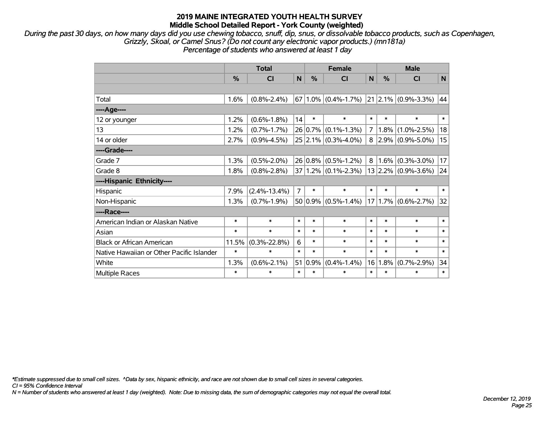*During the past 30 days, on how many days did you use chewing tobacco, snuff, dip, snus, or dissolvable tobacco products, such as Copenhagen, Grizzly, Skoal, or Camel Snus? (Do not count any electronic vapor products.) (mn181a) Percentage of students who answered at least 1 day*

|                                           | <b>Total</b>  |                    |                |               | <b>Female</b>                 |        | <b>Male</b> |                             |              |  |
|-------------------------------------------|---------------|--------------------|----------------|---------------|-------------------------------|--------|-------------|-----------------------------|--------------|--|
|                                           | $\frac{0}{0}$ | CI                 | N              | $\frac{0}{0}$ | CI                            | N      | %           | CI                          | $\mathsf{N}$ |  |
|                                           |               |                    |                |               |                               |        |             |                             |              |  |
| Total                                     | 1.6%          | $(0.8\% - 2.4\%)$  |                |               | 67   1.0%   $(0.4\% - 1.7\%)$ |        |             | $21 2.1\% $ (0.9%-3.3%)     | 44           |  |
| ----Age----                               |               |                    |                |               |                               |        |             |                             |              |  |
| 12 or younger                             | 1.2%          | $(0.6\% - 1.8\%)$  | 14             | $\ast$        | $\ast$                        | $\ast$ | $\ast$      | $\ast$                      | $\ast$       |  |
| 13                                        | 1.2%          | $(0.7\% - 1.7\%)$  |                |               | $26 0.7\% $ (0.1%-1.3%)       | 7      | 1.8%        | $(1.0\% - 2.5\%)$           | 18           |  |
| 14 or older                               | 2.7%          | $(0.9\% - 4.5\%)$  |                |               | $25 2.1\% $ (0.3%-4.0%)       |        |             | $8$  2.9% $(0.9\% - 5.0\%)$ | 15           |  |
| ----Grade----                             |               |                    |                |               |                               |        |             |                             |              |  |
| Grade 7                                   | 1.3%          | $(0.5\% - 2.0\%)$  |                | $26 0.8\% $   | $(0.5\% - 1.2\%)$             | 8      | 1.6%        | $(0.3\% - 3.0\%)$           | 17           |  |
| Grade 8                                   | 1.8%          | $(0.8\% - 2.8\%)$  |                |               | $37 1.2\% $ (0.1%-2.3%)       |        |             | $13 2.2\% $ (0.9%-3.6%)     | 24           |  |
| ----Hispanic Ethnicity----                |               |                    |                |               |                               |        |             |                             |              |  |
| Hispanic                                  | 7.9%          | $(2.4\% - 13.4\%)$ | $\overline{7}$ | $\ast$        | $\ast$                        | $\ast$ | $\ast$      | $\ast$                      | $\ast$       |  |
| Non-Hispanic                              | 1.3%          | $(0.7\% - 1.9\%)$  |                |               | $50 0.9\% $ (0.5%-1.4%)       |        |             | $17 1.7\% $ (0.6%-2.7%)     | 32           |  |
| ----Race----                              |               |                    |                |               |                               |        |             |                             |              |  |
| American Indian or Alaskan Native         | *             | $\ast$             | $\ast$         | $\ast$        | $\ast$                        | $\ast$ | $\ast$      | $\ast$                      | $\ast$       |  |
| Asian                                     | *             | $\ast$             | $\ast$         | $\ast$        | $\ast$                        | $\ast$ | $\ast$      | $\ast$                      | $\ast$       |  |
| <b>Black or African American</b>          | 11.5%         | $(0.3\% - 22.8\%)$ | 6              | $\ast$        | $\ast$                        | $\ast$ | $\ast$      | $\ast$                      | $\ast$       |  |
| Native Hawaiian or Other Pacific Islander | *             | $\ast$             | $\ast$         | $\ast$        | $\ast$                        | $\ast$ | $\ast$      | $\ast$                      | $\ast$       |  |
| White                                     | 1.3%          | $(0.6\% - 2.1\%)$  | 51             | 0.9%          | $(0.4\% - 1.4\%)$             | 16     | 1.8%        | $(0.7\% - 2.9\%)$           | 34           |  |
| Multiple Races                            | $\ast$        | $\ast$             | $\ast$         | $\ast$        | $\ast$                        | $\ast$ | $\ast$      | $\ast$                      | $\ast$       |  |

*\*Estimate suppressed due to small cell sizes. ^Data by sex, hispanic ethnicity, and race are not shown due to small cell sizes in several categories.*

*CI = 95% Confidence Interval*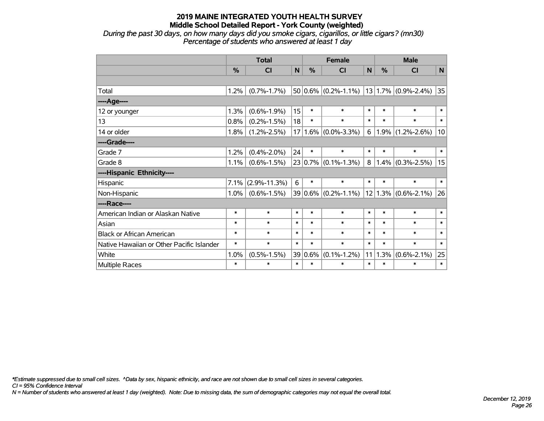*During the past 30 days, on how many days did you smoke cigars, cigarillos, or little cigars? (mn30) Percentage of students who answered at least 1 day*

|                                           |               | <b>Total</b>            | <b>Female</b> |               |                                                   | <b>Male</b> |        |                         |        |
|-------------------------------------------|---------------|-------------------------|---------------|---------------|---------------------------------------------------|-------------|--------|-------------------------|--------|
|                                           | $\frac{0}{0}$ | $\overline{\mathsf{C}}$ | N             | $\frac{0}{0}$ | <b>CI</b>                                         | N           | $\%$   | <b>CI</b>               | N      |
|                                           |               |                         |               |               |                                                   |             |        |                         |        |
| Total                                     | 1.2%          | $(0.7\% - 1.7\%)$       |               |               | $50 0.6\% $ (0.2%-1.1%)   13   1.7%   (0.9%-2.4%) |             |        |                         | 35     |
| ---- Age----                              |               |                         |               |               |                                                   |             |        |                         |        |
| 12 or younger                             | 1.3%          | $(0.6\% - 1.9\%)$       | 15            | $\ast$        | $\ast$                                            | $\ast$      | $\ast$ | $\ast$                  | $\ast$ |
| 13                                        | 0.8%          | $(0.2\% - 1.5\%)$       | 18            | $\ast$        | $\ast$                                            | $\ast$      | $\ast$ | $\ast$                  | $\ast$ |
| 14 or older                               | 1.8%          | $(1.2\% - 2.5\%)$       |               | $17 1.6\% $   | $(0.0\% - 3.3\%)$                                 | 6           |        | $1.9\%$ (1.2%-2.6%)     | 10     |
| ----Grade----                             |               |                         |               |               |                                                   |             |        |                         |        |
| Grade 7                                   | 1.2%          | $(0.4\% - 2.0\%)$       | 24            | $\ast$        | $\ast$                                            | $\ast$      | $\ast$ | $\ast$                  | $\ast$ |
| Grade 8                                   | 1.1%          | $(0.6\% - 1.5\%)$       |               |               | $23 0.7\% $ (0.1%-1.3%)                           | 8           | 1.4%   | $(0.3\% - 2.5\%)$       | 15     |
| ----Hispanic Ethnicity----                |               |                         |               |               |                                                   |             |        |                         |        |
| Hispanic                                  | 7.1%          | $(2.9\% - 11.3\%)$      | 6             | $\ast$        | $\ast$                                            | $\ast$      | $\ast$ | $\ast$                  | $\ast$ |
| Non-Hispanic                              | $1.0\%$       | $(0.6\% - 1.5\%)$       |               |               | $39 0.6\% $ (0.2%-1.1%)                           |             |        | $12 1.3\% $ (0.6%-2.1%) | 26     |
| ----Race----                              |               |                         |               |               |                                                   |             |        |                         |        |
| American Indian or Alaskan Native         | $\ast$        | $\ast$                  | $\ast$        | $\ast$        | $\ast$                                            | $\ast$      | $\ast$ | $\ast$                  | $\ast$ |
| Asian                                     | $\ast$        | $\ast$                  | $\ast$        | $\ast$        | $\ast$                                            | $\ast$      | $\ast$ | $\ast$                  | $\ast$ |
| <b>Black or African American</b>          | $\ast$        | $\ast$                  | $\ast$        | $\ast$        | $\ast$                                            | $\ast$      | $\ast$ | $\ast$                  | $\ast$ |
| Native Hawaiian or Other Pacific Islander | $\ast$        | $\ast$                  | $\ast$        | $\ast$        | $\ast$                                            | $\ast$      | $\ast$ | $\ast$                  | $\ast$ |
| White                                     | 1.0%          | $(0.5\% - 1.5\%)$       |               | 39 0.6%       | $(0.1\% - 1.2\%)$                                 | 11          | 1.3%   | $(0.6\% - 2.1\%)$       | 25     |
| Multiple Races                            | $\ast$        | $\ast$                  | $\ast$        | $\ast$        | $\ast$                                            | $\ast$      | $\ast$ | $\ast$                  | $\ast$ |

*\*Estimate suppressed due to small cell sizes. ^Data by sex, hispanic ethnicity, and race are not shown due to small cell sizes in several categories.*

*CI = 95% Confidence Interval*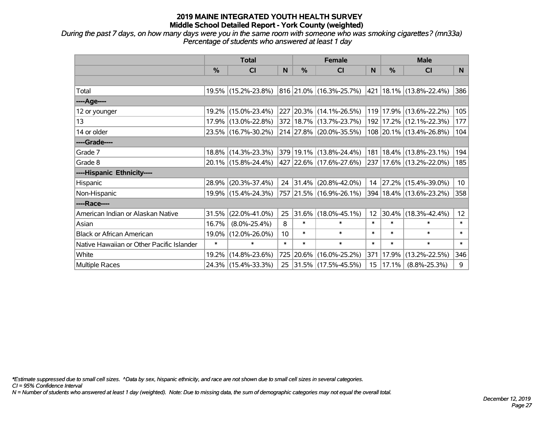*During the past 7 days, on how many days were you in the same room with someone who was smoking cigarettes? (mn33a) Percentage of students who answered at least 1 day*

|                                           | <b>Total</b> |                     |        |           | <b>Female</b>                                             |                 | <b>Male</b>   |                         |        |
|-------------------------------------------|--------------|---------------------|--------|-----------|-----------------------------------------------------------|-----------------|---------------|-------------------------|--------|
|                                           | $\%$         | <b>CI</b>           | N      | $\%$      | <b>CI</b>                                                 | N               | $\frac{0}{0}$ | <b>CI</b>               | N      |
|                                           |              |                     |        |           |                                                           |                 |               |                         |        |
| Total                                     |              | 19.5% (15.2%-23.8%) |        |           | $ 816 21.0\% $ (16.3%-25.7%) $ 421 18.1\% $ (13.8%-22.4%) |                 |               |                         | 386    |
| ----Age----                               |              |                     |        |           |                                                           |                 |               |                         |        |
| 12 or younger                             |              | 19.2% (15.0%-23.4%) |        |           | 227 20.3% (14.1%-26.5%)                                   | 119             | 17.9%         | $(13.6\% - 22.2\%)$     | 105    |
| 13                                        |              | 17.9% (13.0%-22.8%) |        |           | 372 18.7% (13.7%-23.7%)                                   |                 |               | 192 17.2% (12.1%-22.3%) | 177    |
| 14 or older                               |              | 23.5% (16.7%-30.2%) |        |           | 214 27.8% (20.0%-35.5%)                                   |                 |               | 108 20.1% (13.4%-26.8%) | 104    |
| ----Grade----                             |              |                     |        |           |                                                           |                 |               |                         |        |
| Grade 7                                   |              | 18.8% (14.3%-23.3%) |        |           | 379 19.1% (13.8%-24.4%)                                   | 181             |               | $18.4\%$ (13.8%-23.1%)  | 194    |
| Grade 8                                   |              | 20.1% (15.8%-24.4%) |        |           | 427 22.6% (17.6%-27.6%)                                   |                 |               | 237 17.6% (13.2%-22.0%) | 185    |
| ----Hispanic Ethnicity----                |              |                     |        |           |                                                           |                 |               |                         |        |
| Hispanic                                  | 28.9%        | $(20.3\% - 37.4\%)$ |        | 24 31.4%  | $(20.8\% - 42.0\%)$                                       | 14              |               | 27.2% (15.4%-39.0%)     | 10     |
| Non-Hispanic                              |              | 19.9% (15.4%-24.3%) |        |           | 757 21.5% (16.9%-26.1%)                                   |                 |               | 394 18.4% (13.6%-23.2%) | 358    |
| ----Race----                              |              |                     |        |           |                                                           |                 |               |                         |        |
| American Indian or Alaskan Native         | 31.5%        | $(22.0\% - 41.0\%)$ | 25     | 31.6%     | $(18.0\% - 45.1\%)$                                       | 12 <sub>2</sub> | 30.4%         | $(18.3\% - 42.4\%)$     | 12     |
| Asian                                     | 16.7%        | $(8.0\% - 25.4\%)$  | 8      | $\ast$    | $\ast$                                                    | $\ast$          | $\ast$        | $\ast$                  | $\ast$ |
| <b>Black or African American</b>          | 19.0%        | $(12.0\% - 26.0\%)$ | 10     | $\ast$    | $\ast$                                                    | $\ast$          | $\ast$        | $\ast$                  | $\ast$ |
| Native Hawaiian or Other Pacific Islander | $\ast$       | $\ast$              | $\ast$ | $\ast$    | $\ast$                                                    | $\ast$          | $\ast$        | $\ast$                  | $\ast$ |
| White                                     | 19.2%        | $(14.8\% - 23.6\%)$ |        | 725 20.6% | $(16.0\% - 25.2\%)$                                       | 371             | 17.9%         | $(13.2\% - 22.5\%)$     | 346    |
| Multiple Races                            |              | 24.3% (15.4%-33.3%) |        |           | 25 31.5% (17.5%-45.5%)                                    | 15              | 17.1%         | $(8.8\% - 25.3\%)$      | 9      |

*\*Estimate suppressed due to small cell sizes. ^Data by sex, hispanic ethnicity, and race are not shown due to small cell sizes in several categories.*

*CI = 95% Confidence Interval*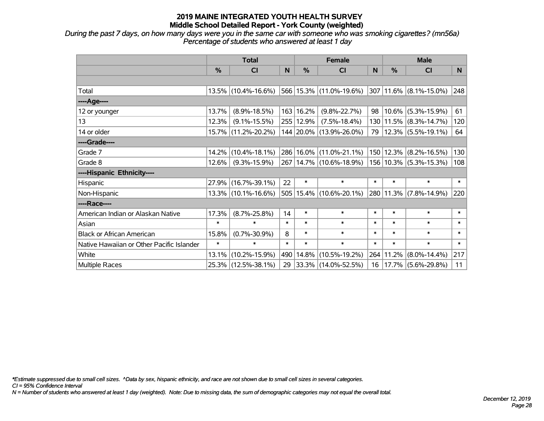*During the past 7 days, on how many days were you in the same car with someone who was smoking cigarettes? (mn56a) Percentage of students who answered at least 1 day*

|                                           | <b>Total</b> |                        |        |           | <b>Female</b>                                            | <b>Male</b> |               |                             |        |
|-------------------------------------------|--------------|------------------------|--------|-----------|----------------------------------------------------------|-------------|---------------|-----------------------------|--------|
|                                           | %            | <b>CI</b>              | N      | %         | <b>CI</b>                                                | N           | $\frac{0}{0}$ | <b>CI</b>                   | N      |
|                                           |              |                        |        |           |                                                          |             |               |                             |        |
| Total                                     |              | $13.5\%$ (10.4%-16.6%) |        |           | 566 15.3% (11.0%-19.6%)                                  |             |               | $ 307 11.6\% $ (8.1%-15.0%) | 248    |
| ----Age----                               |              |                        |        |           |                                                          |             |               |                             |        |
| 12 or younger                             | 13.7%        | $(8.9\% - 18.5\%)$     |        | 163 16.2% | $(9.8\% - 22.7\%)$                                       | 98          |               | $10.6\%$ (5.3%-15.9%)       | 61     |
| 13                                        | 12.3%        | $(9.1\% - 15.5\%)$     |        | 255 12.9% | $(7.5\% - 18.4\%)$                                       |             |               | 130 11.5% (8.3%-14.7%)      | 120    |
| 14 or older                               |              | 15.7% (11.2%-20.2%)    |        |           | 144 20.0% (13.9%-26.0%)                                  | 79          |               | $ 12.3\% $ (5.5%-19.1%)     | 64     |
| ----Grade----                             |              |                        |        |           |                                                          |             |               |                             |        |
| Grade 7                                   | 14.2%        | $(10.4\% - 18.1\%)$    |        | 286 16.0% | $(11.0\% - 21.1\%)$                                      |             |               | 150 12.3% (8.2%-16.5%)      | 130    |
| Grade 8                                   | 12.6%        | $(9.3\% - 15.9\%)$     |        |           | 267   14.7%   (10.6%-18.9%)   156   10.3%   (5.3%-15.3%) |             |               |                             | 108    |
| ----Hispanic Ethnicity----                |              |                        |        |           |                                                          |             |               |                             |        |
| Hispanic                                  | 27.9%        | $(16.7\% - 39.1\%)$    | 22     | $\ast$    | $\ast$                                                   | $\ast$      | $\ast$        | $\ast$                      | $\ast$ |
| Non-Hispanic                              |              | 13.3% (10.1%-16.6%)    |        |           | $505 15.4\%  (10.6\% - 20.1\%)$                          |             | 280   11.3%   | $(7.8\% - 14.9\%)$          | 220    |
| ----Race----                              |              |                        |        |           |                                                          |             |               |                             |        |
| American Indian or Alaskan Native         | 17.3%        | $(8.7\% - 25.8\%)$     | 14     | $\ast$    | $\ast$                                                   | $\ast$      | $\ast$        | $\ast$                      | $\ast$ |
| Asian                                     | $\ast$       | $\ast$                 | $\ast$ | $\ast$    | $\ast$                                                   | $\ast$      | $\ast$        | $\ast$                      | $\ast$ |
| <b>Black or African American</b>          | 15.8%        | $(0.7\% - 30.9\%)$     | 8      | $\ast$    | $\ast$                                                   | $\ast$      | $\ast$        | $\ast$                      | $\ast$ |
| Native Hawaiian or Other Pacific Islander | $\ast$       | $\ast$                 | $\ast$ | $\ast$    | $\ast$                                                   | $\ast$      | $\ast$        | $\ast$                      | $\ast$ |
| White                                     | 13.1%        | $(10.2\% - 15.9\%)$    | 490    | 14.8%     | $(10.5\% - 19.2\%)$                                      |             | 264 11.2%     | $(8.0\% - 14.4\%)$          | 217    |
| Multiple Races                            |              | 25.3% (12.5%-38.1%)    | 29     |           | $ 33.3\% $ (14.0%-52.5%)                                 | 16          |               | $ 17.7\% $ (5.6%-29.8%)     | 11     |

*\*Estimate suppressed due to small cell sizes. ^Data by sex, hispanic ethnicity, and race are not shown due to small cell sizes in several categories.*

*CI = 95% Confidence Interval*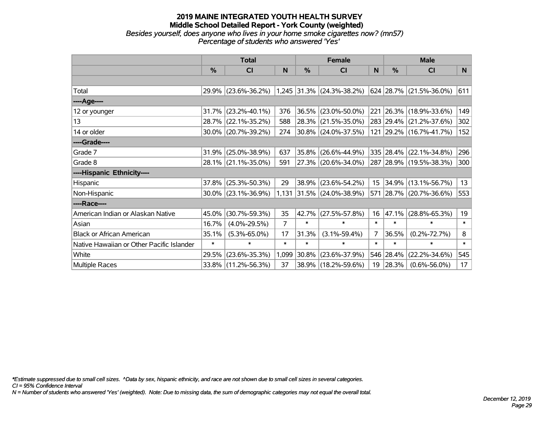#### **2019 MAINE INTEGRATED YOUTH HEALTH SURVEY Middle School Detailed Report - York County (weighted)** *Besides yourself, does anyone who lives in your home smoke cigarettes now? (mn57) Percentage of students who answered 'Yes'*

|                                           | <b>Total</b>  |                     |        |        | <b>Female</b>               |        |               | <b>Male</b>             |        |  |  |
|-------------------------------------------|---------------|---------------------|--------|--------|-----------------------------|--------|---------------|-------------------------|--------|--|--|
|                                           | $\frac{0}{0}$ | CI                  | N      | %      | CI                          | N      | $\frac{0}{0}$ | <b>CI</b>               | N.     |  |  |
|                                           |               |                     |        |        |                             |        |               |                         |        |  |  |
| Total                                     |               | 29.9% (23.6%-36.2%) |        |        | $1,245$ 31.3% (24.3%-38.2%) |        |               | 624 28.7% (21.5%-36.0%) | 611    |  |  |
| ----Age----                               |               |                     |        |        |                             |        |               |                         |        |  |  |
| 12 or younger                             | 31.7%         | $(23.2\% - 40.1\%)$ | 376    | 36.5%  | $(23.0\% - 50.0\%)$         |        |               | 221 26.3% (18.9%-33.6%) | 149    |  |  |
| 13                                        |               | 28.7% (22.1%-35.2%) | 588    |        | 28.3% (21.5%-35.0%)         |        |               | 283 29.4% (21.2%-37.6%) | 302    |  |  |
| 14 or older                               |               | 30.0% (20.7%-39.2%) | 274    |        | $ 30.8\% $ (24.0%-37.5%)    |        |               | 121 29.2% (16.7%-41.7%) | 152    |  |  |
| ----Grade----                             |               |                     |        |        |                             |        |               |                         |        |  |  |
| Grade 7                                   | 31.9%         | $(25.0\% - 38.9\%)$ | 637    | 35.8%  | $(26.6\% - 44.9\%)$         |        |               | 335 28.4% (22.1%-34.8%) | 296    |  |  |
| Grade 8                                   |               | 28.1% (21.1%-35.0%) | 591    |        | 27.3% (20.6%-34.0%)         |        |               | 287 28.9% (19.5%-38.3%) | 300    |  |  |
| ----Hispanic Ethnicity----                |               |                     |        |        |                             |        |               |                         |        |  |  |
| Hispanic                                  | 37.8%         | $(25.3\% - 50.3\%)$ | 29     | 38.9%  | $(23.6\% - 54.2\%)$         | 15     | $ 34.9\% $    | $(13.1\% - 56.7\%)$     | 13     |  |  |
| Non-Hispanic                              |               | 30.0% (23.1%-36.9%) |        |        | 1,131 31.5% (24.0%-38.9%)   |        |               | 571 28.7% (20.7%-36.6%) | 553    |  |  |
| ----Race----                              |               |                     |        |        |                             |        |               |                         |        |  |  |
| American Indian or Alaskan Native         | 45.0%         | $(30.7\% - 59.3\%)$ | 35     | 42.7%  | $(27.5\% - 57.8\%)$         | 16     | 47.1%         | $(28.8\% - 65.3\%)$     | 19     |  |  |
| Asian                                     | 16.7%         | $(4.0\% - 29.5\%)$  | 7      | $\ast$ | $\ast$                      | $\ast$ | $\ast$        | $\ast$                  | $\ast$ |  |  |
| <b>Black or African American</b>          | 35.1%         | $(5.3\% - 65.0\%)$  | 17     | 31.3%  | $(3.1\% - 59.4\%)$          | 7      | 36.5%         | $(0.2\% - 72.7\%)$      | 8      |  |  |
| Native Hawaiian or Other Pacific Islander | $\ast$        | $\ast$              | $\ast$ | $\ast$ | $\ast$                      | $\ast$ | $\ast$        | $\ast$                  | $\ast$ |  |  |
| White                                     | 29.5%         | $(23.6\% - 35.3\%)$ | 1,099  | 30.8%  | $(23.6\% - 37.9\%)$         |        | 546 28.4%     | $(22.2\% - 34.6\%)$     | 545    |  |  |
| Multiple Races                            |               | 33.8% (11.2%-56.3%) | 37     |        | 38.9% (18.2%-59.6%)         | 19     | 28.3%         | $(0.6\% - 56.0\%)$      | 17     |  |  |

*\*Estimate suppressed due to small cell sizes. ^Data by sex, hispanic ethnicity, and race are not shown due to small cell sizes in several categories.*

*CI = 95% Confidence Interval*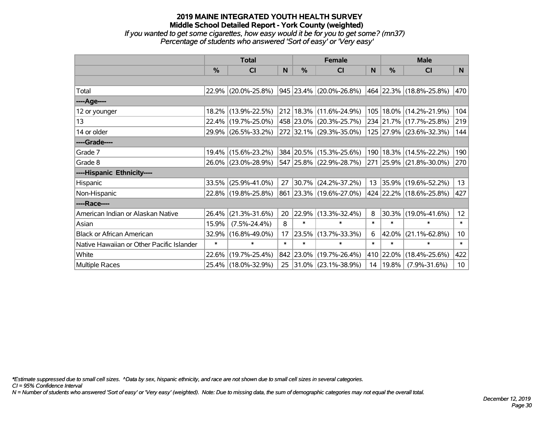#### **2019 MAINE INTEGRATED YOUTH HEALTH SURVEY Middle School Detailed Report - York County (weighted)** *If you wanted to get some cigarettes, how easy would it be for you to get some? (mn37)*

*Percentage of students who answered 'Sort of easy' or 'Very easy'*

|                                           | <b>Total</b>  |                     |        |        | <b>Female</b>                                   |        | <b>Male</b> |                             |                 |  |
|-------------------------------------------|---------------|---------------------|--------|--------|-------------------------------------------------|--------|-------------|-----------------------------|-----------------|--|
|                                           | $\frac{0}{0}$ | <b>CI</b>           | N      | $\%$   | <b>CI</b>                                       | N      | $\%$        | <b>CI</b>                   | N <sub>1</sub>  |  |
|                                           |               |                     |        |        |                                                 |        |             |                             |                 |  |
| Total                                     |               | 22.9% (20.0%-25.8%) |        |        | $\vert$ 945 $\vert$ 23.4% $\vert$ (20.0%-26.8%) |        |             | 464   22.3%   (18.8%-25.8%) | 470             |  |
| ----Age----                               |               |                     |        |        |                                                 |        |             |                             |                 |  |
| 12 or younger                             |               | 18.2% (13.9%-22.5%) |        |        | 212 18.3% (11.6%-24.9%)                         | 105    |             | 18.0% (14.2%-21.9%)         | 104             |  |
| 13                                        |               | 22.4% (19.7%-25.0%) |        |        | 458 23.0% (20.3%-25.7%)                         |        |             | 234 21.7% (17.7%-25.8%)     | 219             |  |
| 14 or older                               |               | 29.9% (26.5%-33.2%) |        |        | 272 32.1% (29.3%-35.0%)                         |        |             | 125 27.9% (23.6%-32.3%)     | 144             |  |
| ----Grade----                             |               |                     |        |        |                                                 |        |             |                             |                 |  |
| Grade 7                                   |               | 19.4% (15.6%-23.2%) |        |        | 384 20.5% (15.3%-25.6%)                         | 190    | 18.3%       | $(14.5\% - 22.2\%)$         | 190             |  |
| Grade 8                                   |               | 26.0% (23.0%-28.9%) |        |        | 547 25.8% (22.9%-28.7%)                         |        |             | 271 25.9% (21.8%-30.0%)     | 270             |  |
| ----Hispanic Ethnicity----                |               |                     |        |        |                                                 |        |             |                             |                 |  |
| Hispanic                                  | 33.5%         | $(25.9\% - 41.0\%)$ | 27     |        | 30.7% (24.2%-37.2%)                             |        | 13 35.9%    | $(19.6\% - 52.2\%)$         | 13              |  |
| Non-Hispanic                              |               | 22.8% (19.8%-25.8%) |        |        | 861 23.3% (19.6%-27.0%)                         |        |             | 424 22.2% (18.6%-25.8%)     | 427             |  |
| ----Race----                              |               |                     |        |        |                                                 |        |             |                             |                 |  |
| American Indian or Alaskan Native         | 26.4%         | $(21.3\% - 31.6\%)$ | 20     | 22.9%  | $(13.3\% - 32.4\%)$                             | 8      | 30.3%       | $(19.0\% - 41.6\%)$         | 12 <sub>2</sub> |  |
| Asian                                     | 15.9%         | $(7.5\% - 24.4\%)$  | 8      | $\ast$ | $\ast$                                          | $\ast$ | $\ast$      | $\ast$                      | $\ast$          |  |
| <b>Black or African American</b>          | 32.9%         | $(16.8\% - 49.0\%)$ | 17     | 23.5%  | $(13.7\% - 33.3\%)$                             | 6      | 42.0%       | $(21.1\% - 62.8\%)$         | 10 <sub>1</sub> |  |
| Native Hawaiian or Other Pacific Islander | $\ast$        | $\ast$              | $\ast$ | $\ast$ | $\ast$                                          | $\ast$ | $\ast$      | $\ast$                      | $\ast$          |  |
| White                                     | $22.6\%$      | $(19.7\% - 25.4\%)$ |        |        | 842 23.0% (19.7%-26.4%)                         | 410    | 22.0%       | $(18.4\% - 25.6\%)$         | 422             |  |
| Multiple Races                            |               | 25.4% (18.0%-32.9%) | 25     |        | $ 31.0\% $ (23.1%-38.9%)                        | 14     | 19.8%       | $(7.9\% - 31.6\%)$          | 10              |  |

*\*Estimate suppressed due to small cell sizes. ^Data by sex, hispanic ethnicity, and race are not shown due to small cell sizes in several categories.*

*CI = 95% Confidence Interval*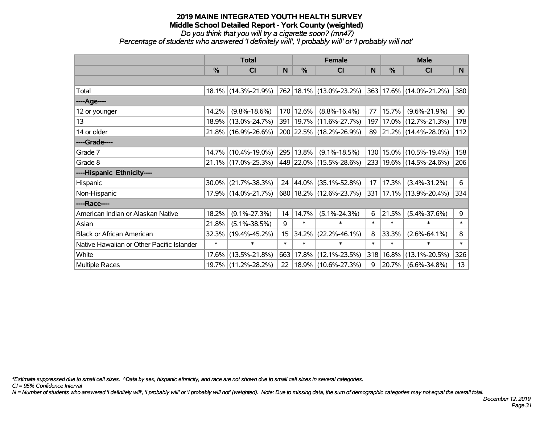#### *Do you think that you will try a cigarette soon? (mn47)*

*Percentage of students who answered 'I definitely will', 'I probably will' or 'I probably will not'*

|                                           | <b>Total</b> |                                             |             |           | <b>Female</b>               |        | <b>Male</b> |                         |        |  |
|-------------------------------------------|--------------|---------------------------------------------|-------------|-----------|-----------------------------|--------|-------------|-------------------------|--------|--|
|                                           | $\%$         | <b>CI</b>                                   | $\mathbf N$ | $\%$      | <b>CI</b>                   | N      | $\%$        | <b>CI</b>               | N      |  |
|                                           |              |                                             |             |           |                             |        |             |                         |        |  |
| Total                                     |              | 18.1% (14.3%-21.9%) 762 18.1% (13.0%-23.2%) |             |           |                             |        |             | 363 17.6% (14.0%-21.2%) | 380    |  |
| ----Age----                               |              |                                             |             |           |                             |        |             |                         |        |  |
| 12 or younger                             | 14.2%        | $(9.8\% - 18.6\%)$                          |             | 170 12.6% | $(8.8\% - 16.4\%)$          | 77     | 15.7%       | $(9.6\% - 21.9\%)$      | 90     |  |
| 13                                        |              | 18.9% (13.0%-24.7%)                         |             |           | 391   19.7%   (11.6%-27.7%) | 197    |             | 17.0% (12.7%-21.3%)     | 178    |  |
| 14 or older                               |              | 21.8% (16.9%-26.6%)                         |             |           | 200 22.5% (18.2%-26.9%)     |        |             | 89 21.2% (14.4%-28.0%)  | 112    |  |
| ----Grade----                             |              |                                             |             |           |                             |        |             |                         |        |  |
| Grade 7                                   |              | 14.7% (10.4%-19.0%)                         |             | 295 13.8% | $(9.1\% - 18.5\%)$          | 130    | $15.0\%$    | $(10.5\% - 19.4\%)$     | 158    |  |
| Grade 8                                   |              | 21.1% (17.0%-25.3%)                         |             |           | 449 22.0% (15.5%-28.6%)     |        |             | 233 19.6% (14.5%-24.6%) | 206    |  |
| ----Hispanic Ethnicity----                |              |                                             |             |           |                             |        |             |                         |        |  |
| Hispanic                                  |              | $30.0\%$ (21.7%-38.3%)                      | 24          |           | $ 44.0\% $ (35.1%-52.8%)    | 17     | 17.3%       | $(3.4\% - 31.2\%)$      | 6      |  |
| Non-Hispanic                              |              | 17.9% (14.0%-21.7%)                         |             |           | 680   18.2%   (12.6%-23.7%) | 331    |             | 17.1% (13.9%-20.4%)     | 334    |  |
| ----Race----                              |              |                                             |             |           |                             |        |             |                         |        |  |
| American Indian or Alaskan Native         | 18.2%        | $(9.1\% - 27.3\%)$                          | 14          | 14.7%     | $(5.1\% - 24.3\%)$          | 6      | 21.5%       | $(5.4\% - 37.6\%)$      | 9      |  |
| Asian                                     | 21.8%        | $(5.1\% - 38.5\%)$                          | 9           | $\ast$    | $\ast$                      | $\ast$ | $\ast$      | $\ast$                  | $\ast$ |  |
| <b>Black or African American</b>          | 32.3%        | $(19.4\% - 45.2\%)$                         | 15          | 34.2%     | $(22.2\% - 46.1\%)$         | 8      | 33.3%       | $(2.6\% - 64.1\%)$      | 8      |  |
| Native Hawaiian or Other Pacific Islander | $\ast$       | $\ast$                                      | $\ast$      | $\ast$    | $\ast$                      | $\ast$ | $\ast$      | $\ast$                  | $\ast$ |  |
| White                                     |              | 17.6% (13.5%-21.8%)                         | 663         |           | 17.8% (12.1%-23.5%)         | 318    | 16.8%       | $(13.1\% - 20.5\%)$     | 326    |  |
| <b>Multiple Races</b>                     |              | 19.7% (11.2%-28.2%)                         | 22          |           | $ 18.9\% $ (10.6%-27.3%)    | 9      | 20.7%       | $(6.6\% - 34.8\%)$      | 13     |  |

*\*Estimate suppressed due to small cell sizes. ^Data by sex, hispanic ethnicity, and race are not shown due to small cell sizes in several categories.*

*CI = 95% Confidence Interval*

*N = Number of students who answered 'I definitely will', 'I probably will' or 'I probably will not' (weighted). Note: Due to missing data, the sum of demographic categories may not equal the overall total.*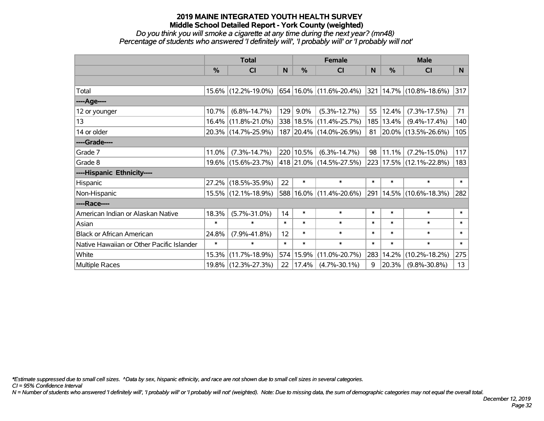#### *Do you think you will smoke a cigarette at any time during the next year? (mn48) Percentage of students who answered 'I definitely will', 'I probably will' or 'I probably will not'*

|                                           | <b>Total</b> |                     |        |               | <b>Female</b>               |        | <b>Male</b>   |                         |        |  |
|-------------------------------------------|--------------|---------------------|--------|---------------|-----------------------------|--------|---------------|-------------------------|--------|--|
|                                           | %            | <b>CI</b>           | N      | $\frac{9}{6}$ | <b>CI</b>                   | N      | $\frac{0}{0}$ | <b>CI</b>               | N.     |  |
|                                           |              |                     |        |               |                             |        |               |                         |        |  |
| Total                                     |              | 15.6% (12.2%-19.0%) |        |               | 654 16.0% (11.6%-20.4%)     |        |               | 321 14.7% (10.8%-18.6%) | 317    |  |
| ----Age----                               |              |                     |        |               |                             |        |               |                         |        |  |
| 12 or younger                             | 10.7%        | $(6.8\% - 14.7\%)$  | 129    | 9.0%          | $(5.3\% - 12.7\%)$          | 55     | 12.4%         | $(7.3\% - 17.5\%)$      | 71     |  |
| 13                                        |              | 16.4% (11.8%-21.0%) |        |               | 338   18.5%   (11.4%-25.7%) | 185    | 13.4%         | $(9.4\% - 17.4\%)$      | 140    |  |
| 14 or older                               |              | 20.3% (14.7%-25.9%) |        |               | 187 20.4% (14.0%-26.9%)     |        |               | 81 20.0% (13.5%-26.6%)  | 105    |  |
| ----Grade----                             |              |                     |        |               |                             |        |               |                         |        |  |
| Grade 7                                   | 11.0%        | $(7.3\% - 14.7\%)$  |        | 220 10.5%     | $(6.3\% - 14.7\%)$          | 98     | 11.1%         | $(7.2\% - 15.0\%)$      | 117    |  |
| Grade 8                                   |              | 19.6% (15.6%-23.7%) |        |               | 418 21.0% (14.5%-27.5%)     |        |               | 223 17.5% (12.1%-22.8%) | 183    |  |
| ----Hispanic Ethnicity----                |              |                     |        |               |                             |        |               |                         |        |  |
| Hispanic                                  |              | 27.2% (18.5%-35.9%) | 22     | $\ast$        | $\ast$                      | $\ast$ | $\ast$        | $\ast$                  | $\ast$ |  |
| Non-Hispanic                              |              | 15.5% (12.1%-18.9%) |        |               | 588 16.0% (11.4%-20.6%)     | 291    |               | 14.5% (10.6%-18.3%)     | 282    |  |
| ----Race----                              |              |                     |        |               |                             |        |               |                         |        |  |
| American Indian or Alaskan Native         | 18.3%        | $(5.7\% - 31.0\%)$  | 14     | $\ast$        | $\ast$                      | $\ast$ | $\ast$        | $\ast$                  | $\ast$ |  |
| Asian                                     | $\ast$       | $\ast$              | $\ast$ | $\ast$        | $\ast$                      | $\ast$ | $\ast$        | $\ast$                  | $\ast$ |  |
| <b>Black or African American</b>          | 24.8%        | $(7.9\% - 41.8\%)$  | 12     | $\ast$        | $\ast$                      | $\ast$ | $\ast$        | $\ast$                  | $\ast$ |  |
| Native Hawaiian or Other Pacific Islander | $\ast$       | $\ast$              | $\ast$ | $\ast$        | $\ast$                      | $\ast$ | $\ast$        | $\ast$                  | $\ast$ |  |
| White                                     |              | 15.3% (11.7%-18.9%) |        | 574 15.9%     | $(11.0\% - 20.7\%)$         | 283    | 14.2%         | $(10.2\% - 18.2\%)$     | 275    |  |
| <b>Multiple Races</b>                     |              | 19.8% (12.3%-27.3%) | 22     | 17.4%         | $(4.7\% - 30.1\%)$          | 9      | 20.3%         | $(9.8\% - 30.8\%)$      | 13     |  |

*\*Estimate suppressed due to small cell sizes. ^Data by sex, hispanic ethnicity, and race are not shown due to small cell sizes in several categories.*

*CI = 95% Confidence Interval*

*N = Number of students who answered 'I definitely will', 'I probably will' or 'I probably will not' (weighted). Note: Due to missing data, the sum of demographic categories may not equal the overall total.*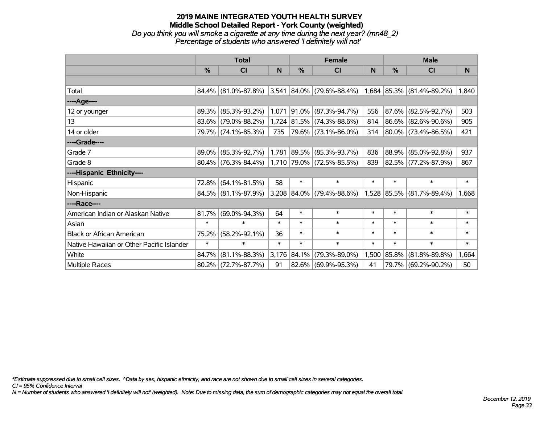#### **2019 MAINE INTEGRATED YOUTH HEALTH SURVEY Middle School Detailed Report - York County (weighted)** *Do you think you will smoke a cigarette at any time during the next year? (mn48\_2) Percentage of students who answered 'I definitely will not'*

|                                           | <b>Total</b> |                                                  |        |             | <b>Female</b>             |        | <b>Male</b> |                           |        |  |
|-------------------------------------------|--------------|--------------------------------------------------|--------|-------------|---------------------------|--------|-------------|---------------------------|--------|--|
|                                           | $\%$         | <b>CI</b>                                        | N      | $\%$        | <b>CI</b>                 | N      | $\%$        | <b>CI</b>                 | N      |  |
|                                           |              |                                                  |        |             |                           |        |             |                           |        |  |
| Total                                     |              | $84.4\%$ (81.0%-87.8%) 3,541 84.0% (79.6%-88.4%) |        |             |                           |        |             | 1,684 85.3% (81.4%-89.2%) | 1,840  |  |
| ----Age----                               |              |                                                  |        |             |                           |        |             |                           |        |  |
| 12 or younger                             | 89.3%        | $(85.3\% - 93.2\%)$                              | 1,071  |             | $ 91.0\% $ (87.3%-94.7%)  | 556    | 87.6%       | $(82.5\% - 92.7\%)$       | 503    |  |
| 13                                        |              | 83.6% (79.0%-88.2%)                              |        |             | 1,724 81.5% (74.3%-88.6%) | 814    |             | 86.6% (82.6%-90.6%)       | 905    |  |
| 14 or older                               |              | 79.7% (74.1%-85.3%)                              | 735    |             | 79.6% (73.1%-86.0%)       | 314    |             | 80.0% (73.4%-86.5%)       | 421    |  |
| ----Grade----                             |              |                                                  |        |             |                           |        |             |                           |        |  |
| Grade 7                                   | 89.0%        | $(85.3\% - 92.7\%)$                              | 1,781  |             | $ 89.5\% $ (85.3%-93.7%)  | 836    |             | 88.9% (85.0%-92.8%)       | 937    |  |
| Grade 8                                   |              | $80.4\%$ (76.3%-84.4%)                           |        |             | 1,710 79.0% (72.5%-85.5%) | 839    |             | 82.5% (77.2%-87.9%)       | 867    |  |
| ----Hispanic Ethnicity----                |              |                                                  |        |             |                           |        |             |                           |        |  |
| Hispanic                                  | 72.8%        | $(64.1\% - 81.5\%)$                              | 58     | $\ast$      | $\ast$                    | $\ast$ | $\ast$      | $\ast$                    | $\ast$ |  |
| Non-Hispanic                              |              | 84.5% (81.1%-87.9%)                              |        |             | 3,208 84.0% (79.4%-88.6%) |        |             | 1,528 85.5% (81.7%-89.4%) | 1,668  |  |
| ----Race----                              |              |                                                  |        |             |                           |        |             |                           |        |  |
| American Indian or Alaskan Native         | 81.7%        | $(69.0\% - 94.3\%)$                              | 64     | $\ast$      | $\ast$                    | $\ast$ | *           | $\ast$                    | $\ast$ |  |
| Asian                                     | $\ast$       | $\ast$                                           | $\ast$ | $\ast$      | $\ast$                    | $\ast$ | $\ast$      | $\ast$                    | $\ast$ |  |
| <b>Black or African American</b>          | 75.2%        | $(58.2\% - 92.1\%)$                              | 36     | $\ast$      | $\ast$                    | $\ast$ | $\ast$      | $\ast$                    | $\ast$ |  |
| Native Hawaiian or Other Pacific Islander | $\ast$       | $\ast$                                           | $\ast$ | $\ast$      | $\ast$                    | $\ast$ | $\ast$      | $\ast$                    | $\ast$ |  |
| White                                     | 84.7%        | $(81.1\% - 88.3\%)$                              |        | 3,176 84.1% | $(79.3\% - 89.0\%)$       | 1,500  | 85.8%       | $(81.8\% - 89.8\%)$       | 1,664  |  |
| Multiple Races                            |              | $80.2\%$ (72.7%-87.7%)                           | 91     |             | 82.6% (69.9%-95.3%)       | 41     |             | 79.7% (69.2%-90.2%)       | 50     |  |

*\*Estimate suppressed due to small cell sizes. ^Data by sex, hispanic ethnicity, and race are not shown due to small cell sizes in several categories.*

*CI = 95% Confidence Interval*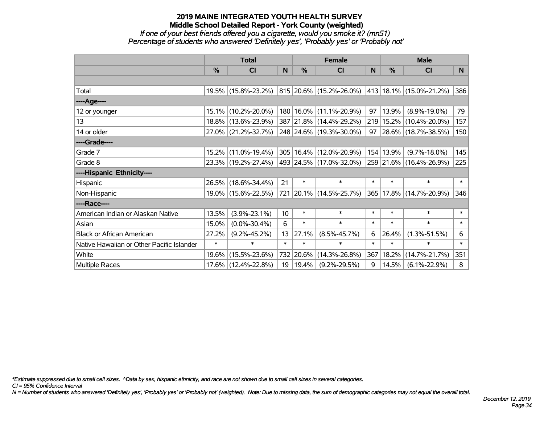#### **2019 MAINE INTEGRATED YOUTH HEALTH SURVEY Middle School Detailed Report - York County (weighted)** *If one of your best friends offered you a cigarette, would you smoke it? (mn51)*

# *Percentage of students who answered 'Definitely yes', 'Probably yes' or 'Probably not'*

|                                           | <b>Total</b>  |                                             |                 |            | <b>Female</b>               |        | <b>Male</b> |                             |                |  |
|-------------------------------------------|---------------|---------------------------------------------|-----------------|------------|-----------------------------|--------|-------------|-----------------------------|----------------|--|
|                                           | $\frac{0}{0}$ | <b>CI</b>                                   | N               | %          | <b>CI</b>                   | N      | %           | <b>CI</b>                   | N <sub>1</sub> |  |
|                                           |               |                                             |                 |            |                             |        |             |                             |                |  |
| Total                                     |               | 19.5% (15.8%-23.2%)                         |                 |            | 815 20.6% (15.2%-26.0%)     |        |             | 413   18.1%   (15.0%-21.2%) | 386            |  |
| ----Age----                               |               |                                             |                 |            |                             |        |             |                             |                |  |
| 12 or younger                             | $15.1\%$      | $(10.2\% - 20.0\%)$                         |                 |            | 180   16.0%   (11.1%-20.9%) | 97     | 13.9%       | $(8.9\% - 19.0\%)$          | 79             |  |
| 13                                        |               | 18.8% (13.6%-23.9%)                         |                 |            | 387 21.8% (14.4%-29.2%)     |        |             | 219   15.2%   (10.4%-20.0%) | 157            |  |
| 14 or older                               |               | 27.0% (21.2%-32.7%)                         |                 |            | 248 24.6% (19.3%-30.0%)     |        |             | 97 28.6% (18.7%-38.5%)      | 150            |  |
| ----Grade----                             |               |                                             |                 |            |                             |        |             |                             |                |  |
| Grade 7                                   | $15.2\%$      | $(11.0\% - 19.4\%)$                         |                 |            | 305 16.4% (12.0%-20.9%)     |        | 154 13.9%   | $(9.7\% - 18.0\%)$          | 145            |  |
| Grade 8                                   |               | 23.3% (19.2%-27.4%) 493 24.5% (17.0%-32.0%) |                 |            |                             |        |             | 259 21.6% (16.4%-26.9%)     | 225            |  |
| ----Hispanic Ethnicity----                |               |                                             |                 |            |                             |        |             |                             |                |  |
| Hispanic                                  |               | 26.5% (18.6%-34.4%)                         | 21              | $\ast$     | $\ast$                      | $\ast$ | $\ast$      | $\ast$                      | $\ast$         |  |
| Non-Hispanic                              |               | 19.0% (15.6%-22.5%)                         |                 |            | 721 20.1% (14.5%-25.7%)     | 365    |             | 17.8% (14.7%-20.9%)         | 346            |  |
| ----Race----                              |               |                                             |                 |            |                             |        |             |                             |                |  |
| American Indian or Alaskan Native         | 13.5%         | $(3.9\% - 23.1\%)$                          | 10 <sup>1</sup> | $\ast$     | $\ast$                      | $\ast$ | $\ast$      | $\ast$                      | $\ast$         |  |
| Asian                                     | 15.0%         | $(0.0\% - 30.4\%)$                          | 6               | $\ast$     | $\ast$                      | $\ast$ | $\ast$      | $\ast$                      | $\ast$         |  |
| <b>Black or African American</b>          | 27.2%         | $(9.2\% - 45.2\%)$                          | 13              | 27.1%      | $(8.5\% - 45.7\%)$          | 6      | 26.4%       | $(1.3\% - 51.5\%)$          | 6              |  |
| Native Hawaiian or Other Pacific Islander | $\ast$        | $\ast$                                      | $\ast$          | $\ast$     | $\ast$                      | $\ast$ | $\ast$      | $\ast$                      | $\ast$         |  |
| White                                     | $19.6\%$      | $(15.5\% - 23.6\%)$                         | 732             | 20.6%      | $(14.3\% - 26.8\%)$         | 367    | 18.2%       | $(14.7\% - 21.7\%)$         | 351            |  |
| <b>Multiple Races</b>                     |               | 17.6% (12.4%-22.8%)                         | 19              | $ 19.4\% $ | $(9.2\% - 29.5\%)$          | 9      | 14.5%       | $(6.1\% - 22.9\%)$          | 8              |  |

*\*Estimate suppressed due to small cell sizes. ^Data by sex, hispanic ethnicity, and race are not shown due to small cell sizes in several categories.*

*CI = 95% Confidence Interval*

*N = Number of students who answered 'Definitely yes', 'Probably yes' or 'Probably not' (weighted). Note: Due to missing data, the sum of demographic categories may not equal the overall total.*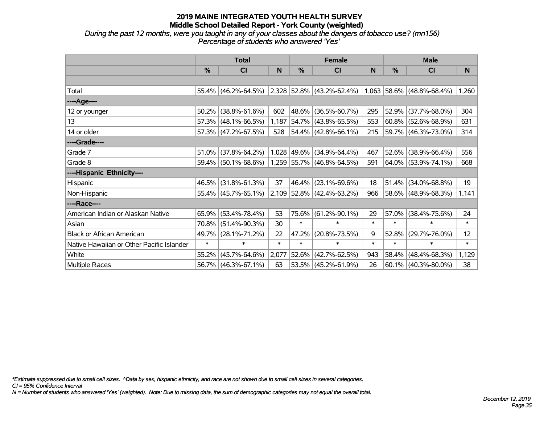*During the past 12 months, were you taught in any of your classes about the dangers of tobacco use? (mn156) Percentage of students who answered 'Yes'*

|                                           | <b>Total</b> |                                               |        |             | <b>Female</b>               |        | <b>Male</b> |                           |          |  |
|-------------------------------------------|--------------|-----------------------------------------------|--------|-------------|-----------------------------|--------|-------------|---------------------------|----------|--|
|                                           | $\%$         | <b>CI</b>                                     | N      | $\%$        | <b>CI</b>                   | N      | $\%$        | <b>CI</b>                 | <b>N</b> |  |
|                                           |              |                                               |        |             |                             |        |             |                           |          |  |
| Total                                     |              | 55.4% (46.2%-64.5%) 2,328 52.8% (43.2%-62.4%) |        |             |                             |        |             | 1,063 58.6% (48.8%-68.4%) | 1,260    |  |
| ----Age----                               |              |                                               |        |             |                             |        |             |                           |          |  |
| 12 or younger                             | 50.2%        | $(38.8\% - 61.6\%)$                           | 602    | 48.6%       | $(36.5\% - 60.7\%)$         | 295    | 52.9%       | $(37.7\% - 68.0\%)$       | 304      |  |
| 13                                        |              | $57.3\%$ (48.1%-66.5%)                        | 1,187  |             | 54.7% (43.8%-65.5%)         | 553    |             | $60.8\%$ (52.6%-68.9%)    | 631      |  |
| 14 or older                               |              | $57.3\%$ (47.2%-67.5%)                        | 528    |             | $ 54.4\% $ (42.8%-66.1%)    | 215    |             | 59.7% (46.3%-73.0%)       | 314      |  |
| ----Grade----                             |              |                                               |        |             |                             |        |             |                           |          |  |
| Grade 7                                   | 51.0%        | $(37.8\% - 64.2\%)$                           |        | 1,028 49.6% | $(34.9\% - 64.4\%)$         | 467    | $52.6\%$    | $(38.9\% - 66.4\%)$       | 556      |  |
| Grade 8                                   |              | $59.4\%$ (50.1%-68.6%)                        |        |             | 1,259 55.7% (46.8%-64.5%)   | 591    |             | 64.0% (53.9%-74.1%)       | 668      |  |
| ----Hispanic Ethnicity----                |              |                                               |        |             |                             |        |             |                           |          |  |
| Hispanic                                  | 46.5%        | $(31.8\% - 61.3\%)$                           | 37     | 46.4%       | $(23.1\% - 69.6\%)$         | 18     | 51.4%       | $(34.0\% - 68.8\%)$       | 19       |  |
| Non-Hispanic                              |              | 55.4% (45.7%-65.1%)                           |        |             | $2,109$ 52.8% (42.4%-63.2%) | 966    |             | 58.6% (48.9%-68.3%)       | 1,141    |  |
| ----Race----                              |              |                                               |        |             |                             |        |             |                           |          |  |
| American Indian or Alaskan Native         | 65.9%        | $(53.4\% - 78.4\%)$                           | 53     | 75.6%       | $(61.2\% - 90.1\%)$         | 29     | 57.0%       | $(38.4\% - 75.6\%)$       | 24       |  |
| Asian                                     | 70.8%        | $(51.4\% - 90.3\%)$                           | 30     | $\ast$      | $\ast$                      | $\ast$ | $\ast$      | $\ast$                    | $\ast$   |  |
| <b>Black or African American</b>          | 49.7%        | $(28.1\% - 71.2\%)$                           | 22     | 47.2%       | $(20.8\% - 73.5\%)$         | 9      | 52.8%       | $(29.7\% - 76.0\%)$       | 12       |  |
| Native Hawaiian or Other Pacific Islander | $\ast$       | $\ast$                                        | $\ast$ | $\ast$      | $\ast$                      | $\ast$ | $\ast$      | $\ast$                    | $\ast$   |  |
| White                                     | 55.2%        | $(45.7\% - 64.6\%)$                           | 2,077  | 52.6%       | $(42.7\% - 62.5\%)$         | 943    | 58.4%       | $(48.4\% - 68.3\%)$       | 1,129    |  |
| Multiple Races                            |              | $56.7\%$ (46.3%-67.1%)                        | 63     |             | $53.5\%$ (45.2%-61.9%)      | 26     |             | $60.1\%$ (40.3%-80.0%)    | 38       |  |

*\*Estimate suppressed due to small cell sizes. ^Data by sex, hispanic ethnicity, and race are not shown due to small cell sizes in several categories.*

*CI = 95% Confidence Interval*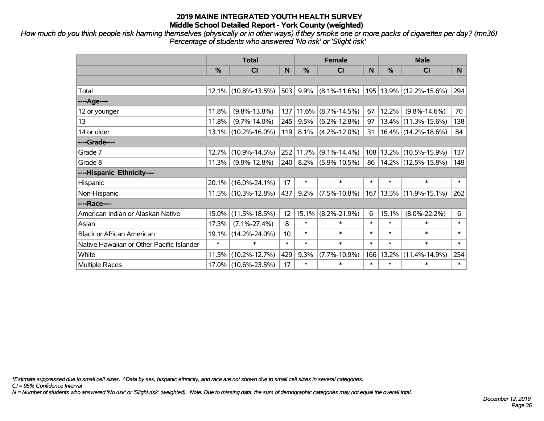*How much do you think people risk harming themselves (physically or in other ways) if they smoke one or more packs of cigarettes per day? (mn36) Percentage of students who answered 'No risk' or 'Slight risk'*

|                                           |        | <b>Total</b>        |        | <b>Female</b> |                    | <b>Male</b> |               |                                                  |        |
|-------------------------------------------|--------|---------------------|--------|---------------|--------------------|-------------|---------------|--------------------------------------------------|--------|
|                                           | %      | <b>CI</b>           | N      | %             | <b>CI</b>          | N           | $\frac{0}{0}$ | <b>CI</b>                                        | N.     |
|                                           |        |                     |        |               |                    |             |               |                                                  |        |
| Total                                     |        | 12.1% (10.8%-13.5%) | 503    | 9.9%          |                    |             |               | $(8.1\% - 11.6\%)$   195   13.9%   (12.2%-15.6%) | 294    |
| ----Age----                               |        |                     |        |               |                    |             |               |                                                  |        |
| 12 or younger                             | 11.8%  | $(9.8\% - 13.8\%)$  | 137    | 11.6%         | $(8.7\% - 14.5\%)$ | 67          | 12.2%         | $(9.8\% - 14.6\%)$                               | 70     |
| 13                                        | 11.8%  | $(9.7\% - 14.0\%)$  | 245    | 9.5%          | $(6.2\% - 12.8\%)$ | 97          |               | 13.4% (11.3%-15.6%)                              | 138    |
| 14 or older                               |        | 13.1% (10.2%-16.0%) | 119    | 8.1%          | $(4.2\% - 12.0\%)$ | 31          |               | 16.4% (14.2%-18.6%)                              | 84     |
| ----Grade----                             |        |                     |        |               |                    |             |               |                                                  |        |
| Grade 7                                   | 12.7%  | $(10.9\% - 14.5\%)$ | 252    | 11.7%         | $(9.1\% - 14.4\%)$ | 108         |               | 13.2% (10.5%-15.9%)                              | 137    |
| Grade 8                                   | 11.3%  | $(9.9\% - 12.8\%)$  | 240    | 8.2%          | $(5.9\% - 10.5\%)$ | 86          |               | 14.2% (12.5%-15.8%)                              | 149    |
| ----Hispanic Ethnicity----                |        |                     |        |               |                    |             |               |                                                  |        |
| Hispanic                                  | 20.1%  | $(16.0\% - 24.1\%)$ | 17     | $\ast$        | $\ast$             | $\ast$      | $\ast$        | $\ast$                                           | $\ast$ |
| Non-Hispanic                              |        | 11.5% (10.3%-12.8%) | 437    | 9.2%          | $(7.5\% - 10.8\%)$ | 167         |               | 13.5% (11.9%-15.1%)                              | 262    |
| ----Race----                              |        |                     |        |               |                    |             |               |                                                  |        |
| American Indian or Alaskan Native         | 15.0%  | $(11.5\% - 18.5\%)$ | 12     | 15.1%         | $(8.2\% - 21.9\%)$ | 6           | 15.1%         | $(8.0\% - 22.2\%)$                               | 6      |
| Asian                                     | 17.3%  | $(7.1\% - 27.4\%)$  | 8      | $\ast$        | $\ast$             | $\ast$      | $\ast$        | $\ast$                                           | $\ast$ |
| <b>Black or African American</b>          | 19.1%  | $(14.2\% - 24.0\%)$ | 10     | $\ast$        | $\ast$             | $\ast$      | $\ast$        | $\ast$                                           | $\ast$ |
| Native Hawaiian or Other Pacific Islander | $\ast$ | $\ast$              | $\ast$ | $\ast$        | $\ast$             | $\ast$      | $\ast$        | $\ast$                                           | $\ast$ |
| White                                     | 11.5%  | $(10.2\% - 12.7\%)$ | 429    | 9.3%          | $(7.7\% - 10.9\%)$ | 166         | 13.2%         | $(11.4\% - 14.9\%)$                              | 254    |
| <b>Multiple Races</b>                     |        | 17.0% (10.6%-23.5%) | 17     | $\ast$        | $\ast$             | $\ast$      | $\ast$        | $\ast$                                           | $\ast$ |

*\*Estimate suppressed due to small cell sizes. ^Data by sex, hispanic ethnicity, and race are not shown due to small cell sizes in several categories.*

*CI = 95% Confidence Interval*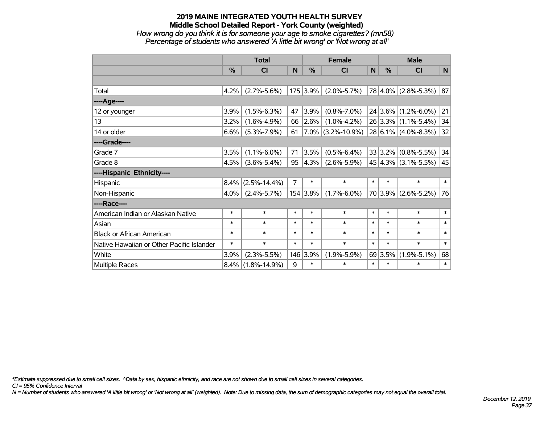#### **2019 MAINE INTEGRATED YOUTH HEALTH SURVEY Middle School Detailed Report - York County (weighted)** *How wrong do you think it is for someone your age to smoke cigarettes? (mn58) Percentage of students who answered 'A little bit wrong' or 'Not wrong at all'*

|                                           | <b>Total</b>  |                    |        |               | <b>Female</b>      | <b>Male</b> |               |                         |        |
|-------------------------------------------|---------------|--------------------|--------|---------------|--------------------|-------------|---------------|-------------------------|--------|
|                                           | $\frac{9}{6}$ | CI                 | N      | $\frac{0}{0}$ | <b>CI</b>          | N           | $\frac{0}{0}$ | <b>CI</b>               | N      |
|                                           |               |                    |        |               |                    |             |               |                         |        |
| Total                                     | 4.2%          | $(2.7\% - 5.6\%)$  | 175    | 3.9%          | $(2.0\% - 5.7\%)$  |             |               | 78 4.0% (2.8%-5.3%)     | 87     |
| ----Age----                               |               |                    |        |               |                    |             |               |                         |        |
| 12 or younger                             | 3.9%          | $(1.5\% - 6.3\%)$  | 47     | 3.9%          | $(0.8\% - 7.0\%)$  |             | 24 3.6%       | $(1.2\% - 6.0\%)$       | 21     |
| 13                                        | 3.2%          | $(1.6\% - 4.9\%)$  | 66     | 2.6%          | $(1.0\% - 4.2\%)$  |             |               | $26 3.3\% $ (1.1%-5.4%) | 34     |
| 14 or older                               | 6.6%          | $(5.3\% - 7.9\%)$  | 61     | $7.0\%$       | $(3.2\% - 10.9\%)$ |             |               | $28 6.1\% $ (4.0%-8.3%) | 32     |
| ----Grade----                             |               |                    |        |               |                    |             |               |                         |        |
| Grade 7                                   | 3.5%          | $(1.1\% - 6.0\%)$  | 71     | 3.5%          | $(0.5\% - 6.4\%)$  |             | 33 3.2%       | $(0.8\% - 5.5\%)$       | 34     |
| Grade 8                                   | 4.5%          | $(3.6\% - 5.4\%)$  | 95     | 4.3%          | $(2.6\% - 5.9\%)$  |             |               | $45 4.3\% $ (3.1%-5.5%) | 45     |
| ----Hispanic Ethnicity----                |               |                    |        |               |                    |             |               |                         |        |
| Hispanic                                  | 8.4%          | $(2.5\% - 14.4\%)$ | 7      | $\ast$        | $\ast$             | $\ast$      | $\ast$        | $\ast$                  | $\ast$ |
| Non-Hispanic                              | 4.0%          | $(2.4\% - 5.7\%)$  | 154    | 3.8%          | $(1.7\% - 6.0\%)$  |             | 70 3.9%       | $(2.6\% - 5.2\%)$       | 76     |
| ----Race----                              |               |                    |        |               |                    |             |               |                         |        |
| American Indian or Alaskan Native         | $\ast$        | $\ast$             | $\ast$ | $\ast$        | $\ast$             | $\ast$      | $\ast$        | $\ast$                  | $\ast$ |
| Asian                                     | $\ast$        | $\ast$             | $\ast$ | $\ast$        | $\ast$             | $\ast$      | $\ast$        | $\ast$                  | $\ast$ |
| <b>Black or African American</b>          | $\ast$        | $\ast$             | $\ast$ | $\ast$        | $\ast$             | $\ast$      | $\ast$        | $\ast$                  | $\ast$ |
| Native Hawaiian or Other Pacific Islander | *             | $\ast$             | $\ast$ | $\ast$        | $\ast$             | $\ast$      | $\ast$        | $\ast$                  | $\ast$ |
| White                                     | 3.9%          | $(2.3\% - 5.5\%)$  |        | 146 3.9%      | $(1.9\% - 5.9\%)$  |             | 69 3.5%       | $(1.9\% - 5.1\%)$       | 68     |
| <b>Multiple Races</b>                     | $8.4\%$       | $(1.8\% - 14.9\%)$ | 9      | $\ast$        | $\ast$             | $\ast$      | $\ast$        | $\ast$                  | $\ast$ |

*\*Estimate suppressed due to small cell sizes. ^Data by sex, hispanic ethnicity, and race are not shown due to small cell sizes in several categories.*

*CI = 95% Confidence Interval*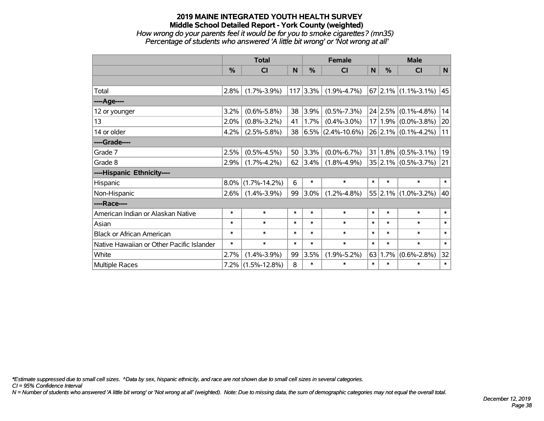# **2019 MAINE INTEGRATED YOUTH HEALTH SURVEY Middle School Detailed Report - York County (weighted)** *How wrong do your parents feel it would be for you to smoke cigarettes? (mn35)*

*Percentage of students who answered 'A little bit wrong' or 'Not wrong at all'*

|                                           | <b>Total</b> |                    |        |         | <b>Female</b>          | <b>Male</b> |               |                         |        |
|-------------------------------------------|--------------|--------------------|--------|---------|------------------------|-------------|---------------|-------------------------|--------|
|                                           | %            | <b>CI</b>          | N      | %       | C <sub>1</sub>         | N           | $\frac{0}{0}$ | <b>CI</b>               | N      |
|                                           |              |                    |        |         |                        |             |               |                         |        |
| Total                                     | 2.8%         | $(1.7\% - 3.9\%)$  | 117    | $3.3\%$ | $(1.9\% - 4.7\%)$      |             |               | $67$ 2.1% (1.1%-3.1%)   | 45     |
| ---- Age----                              |              |                    |        |         |                        |             |               |                         |        |
| 12 or younger                             | 3.2%         | $(0.6\% - 5.8\%)$  | 38     | 3.9%    | $(0.5\% - 7.3\%)$      |             | 24 2.5%       | $(0.1\% - 4.8\%)$       | 14     |
| 13                                        | 2.0%         | $(0.8\% - 3.2\%)$  | 41     | 1.7%    | $(0.4\% - 3.0\%)$      |             |               | $17 1.9\% $ (0.0%-3.8%) | 20     |
| 14 or older                               | 4.2%         | $(2.5\% - 5.8\%)$  | 38     |         | $ 6.5\% $ (2.4%-10.6%) |             |               | $26$ 2.1% (0.1%-4.2%)   | 11     |
| ----Grade----                             |              |                    |        |         |                        |             |               |                         |        |
| Grade 7                                   | 2.5%         | $(0.5\% - 4.5\%)$  | 50     | 3.3%    | $(0.0\% - 6.7\%)$      | 31          | 1.8%          | $(0.5\% - 3.1\%)$       | 19     |
| Grade 8                                   | 2.9%         | $(1.7\% - 4.2\%)$  | 62     | 3.4%    | $(1.8\% - 4.9\%)$      |             |               | $35 2.1\% $ (0.5%-3.7%) | 21     |
| ----Hispanic Ethnicity----                |              |                    |        |         |                        |             |               |                         |        |
| Hispanic                                  | $8.0\%$      | $(1.7\% - 14.2\%)$ | 6      | $\ast$  | $\ast$                 | $\ast$      | $\ast$        | $\ast$                  | $\ast$ |
| Non-Hispanic                              | 2.6%         | $(1.4\% - 3.9\%)$  | 99     | 3.0%    | $(1.2\% - 4.8\%)$      |             |               | $55$ 2.1% (1.0%-3.2%)   | 40     |
| ----Race----                              |              |                    |        |         |                        |             |               |                         |        |
| American Indian or Alaskan Native         | $\ast$       | $\ast$             | $\ast$ | $\ast$  | $\ast$                 | $\ast$      | $\ast$        | $\ast$                  | $\ast$ |
| Asian                                     | $\ast$       | $\ast$             | $\ast$ | $\ast$  | $\ast$                 | $\ast$      | $\ast$        | $\ast$                  | $\ast$ |
| <b>Black or African American</b>          | $\ast$       | $\ast$             | $\ast$ | $\ast$  | $\ast$                 | $\ast$      | $\ast$        | $\ast$                  | $\ast$ |
| Native Hawaiian or Other Pacific Islander | *            | $\ast$             | $\ast$ | $\ast$  | $\ast$                 | $\ast$      | $\ast$        | $\ast$                  | $\ast$ |
| White                                     | 2.7%         | $(1.4\% - 3.9\%)$  | 99     | 3.5%    | $(1.9\% - 5.2\%)$      | 63          | 1.7%          | $(0.6\% - 2.8\%)$       | 32     |
| Multiple Races                            | $7.2\%$      | $(1.5\% - 12.8\%)$ | 8      | $\ast$  | $\ast$                 | $\ast$      | $\ast$        | $\ast$                  | $\ast$ |

*\*Estimate suppressed due to small cell sizes. ^Data by sex, hispanic ethnicity, and race are not shown due to small cell sizes in several categories.*

*CI = 95% Confidence Interval*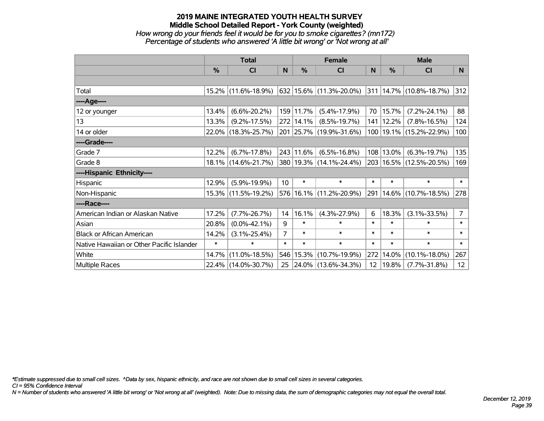#### **2019 MAINE INTEGRATED YOUTH HEALTH SURVEY Middle School Detailed Report - York County (weighted)** *How wrong do your friends feel it would be for you to smoke cigarettes? (mn172) Percentage of students who answered 'A little bit wrong' or 'Not wrong at all'*

|                                           | <b>Total</b>  |                     |                |             | <b>Female</b>               | <b>Male</b>     |        |                                  |                |
|-------------------------------------------|---------------|---------------------|----------------|-------------|-----------------------------|-----------------|--------|----------------------------------|----------------|
|                                           | $\frac{0}{0}$ | CI                  | N              | %           | <b>CI</b>                   | N               | %      | <b>CI</b>                        | N              |
|                                           |               |                     |                |             |                             |                 |        |                                  |                |
| Total                                     |               | 15.2% (11.6%-18.9%) |                |             | 632   15.6%   (11.3%-20.0%) |                 |        | $ 311 14.7\%  (10.8\% - 18.7\%)$ | 312            |
| ----Age----                               |               |                     |                |             |                             |                 |        |                                  |                |
| 12 or younger                             | 13.4%         | $(6.6\% - 20.2\%)$  |                | 159 11.7%   | $(5.4\% - 17.9\%)$          | 70              | 15.7%  | $(7.2\% - 24.1\%)$               | 88             |
| 13                                        | 13.3%         | $(9.2\% - 17.5\%)$  |                | $272$ 14.1% | $(8.5\% - 19.7\%)$          | 141             | 12.2%  | $(7.8\% - 16.5\%)$               | 124            |
| 14 or older                               |               | 22.0% (18.3%-25.7%) |                |             | 201 25.7% (19.9%-31.6%)     |                 |        | 100   19.1%   (15.2%-22.9%)      | 100            |
| ----Grade----                             |               |                     |                |             |                             |                 |        |                                  |                |
| Grade 7                                   | 12.2%         | $(6.7\% - 17.8\%)$  |                | 243 11.6%   | $(6.5\% - 16.8\%)$          | 108             | 13.0%  | $(6.3\% - 19.7\%)$               | 135            |
| Grade 8                                   |               | 18.1% (14.6%-21.7%) |                |             | 380 19.3% (14.1%-24.4%)     |                 |        | 203 16.5% (12.5%-20.5%)          | 169            |
| ----Hispanic Ethnicity----                |               |                     |                |             |                             |                 |        |                                  |                |
| Hispanic                                  | 12.9%         | $(5.9\% - 19.9\%)$  | 10             | $\ast$      | $\ast$                      | $\ast$          | $\ast$ | $\ast$                           | $\ast$         |
| Non-Hispanic                              |               | 15.3% (11.5%-19.2%) |                |             | 576 16.1% (11.2%-20.9%)     | 291             |        | $14.6\%$ (10.7%-18.5%)           | 278            |
| ----Race----                              |               |                     |                |             |                             |                 |        |                                  |                |
| American Indian or Alaskan Native         | 17.2%         | $(7.7\% - 26.7\%)$  | 14             | 16.1%       | $(4.3\% - 27.9\%)$          | 6               | 18.3%  | $(3.1\% - 33.5\%)$               | $\overline{7}$ |
| Asian                                     | 20.8%         | $(0.0\% - 42.1\%)$  | 9              | $\ast$      | $\ast$                      | $\ast$          | $\ast$ | $\ast$                           | $\ast$         |
| <b>Black or African American</b>          | 14.2%         | $(3.1\% - 25.4\%)$  | $\overline{7}$ | $\ast$      | $\ast$                      | $\ast$          | $\ast$ | $\ast$                           | $\ast$         |
| Native Hawaiian or Other Pacific Islander | $\ast$        | $\ast$              | $\ast$         | $\ast$      | $\ast$                      | $\ast$          | $\ast$ | $\ast$                           | $\ast$         |
| White                                     | 14.7%         | $(11.0\% - 18.5\%)$ |                | 546 15.3%   | $(10.7\% - 19.9\%)$         | 272             | 14.0%  | $(10.1\% - 18.0\%)$              | 267            |
| Multiple Races                            |               | 22.4% (14.0%-30.7%) |                |             | 25 24.0% (13.6%-34.3%)      | 12 <sup>2</sup> | 19.8%  | $(7.7\% - 31.8\%)$               | 12             |

*\*Estimate suppressed due to small cell sizes. ^Data by sex, hispanic ethnicity, and race are not shown due to small cell sizes in several categories.*

*CI = 95% Confidence Interval*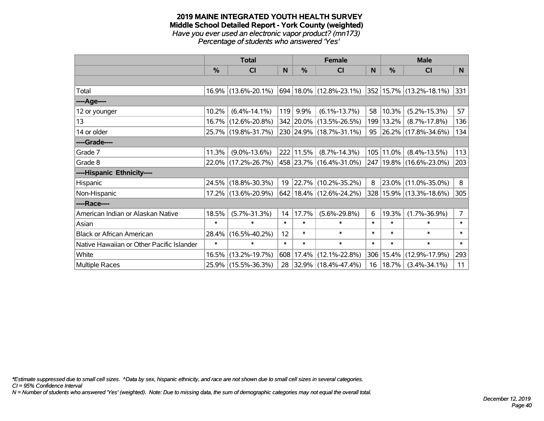#### **2019 MAINE INTEGRATED YOUTH HEALTH SURVEY Middle School Detailed Report - York County (weighted)** *Have you ever used an electronic vapor product? (mn173) Percentage of students who answered 'Yes'*

|                                           | <b>Total</b>  |                     |        |           | <b>Female</b>                                                     |        |             | <b>Male</b>                 |          |
|-------------------------------------------|---------------|---------------------|--------|-----------|-------------------------------------------------------------------|--------|-------------|-----------------------------|----------|
|                                           | $\frac{0}{0}$ | CI                  | N      | $\%$      | <b>CI</b>                                                         | N      | %           | <b>CI</b>                   | <b>N</b> |
|                                           |               |                     |        |           |                                                                   |        |             |                             |          |
| Total                                     |               | 16.9% (13.6%-20.1%) |        |           | $\vert$ 694   18.0%   (12.8%-23.1%)   352   15.7%   (13.2%-18.1%) |        |             |                             | 331      |
| ----Age----                               |               |                     |        |           |                                                                   |        |             |                             |          |
| 12 or younger                             | 10.2%         | $(6.4\% - 14.1\%)$  | 119    | 9.9%      | $(6.1\% - 13.7\%)$                                                | 58     | 10.3%       | $(5.2\% - 15.3\%)$          | 57       |
| 13                                        |               | 16.7% (12.6%-20.8%) |        |           | 342 20.0% (13.5%-26.5%)                                           |        | 199   13.2% | $(8.7\% - 17.8\%)$          | 136      |
| 14 or older                               |               | 25.7% (19.8%-31.7%) |        |           | 230 24.9% (18.7%-31.1%)                                           |        |             | 95 26.2% (17.8%-34.6%)      | 134      |
| ----Grade----                             |               |                     |        |           |                                                                   |        |             |                             |          |
| Grade 7                                   | 11.3%         | $(9.0\% - 13.6\%)$  |        | 222 11.5% | $(8.7\% - 14.3\%)$                                                | 105    | 11.0%       | $(8.4\% - 13.5\%)$          | 113      |
| Grade 8                                   |               | 22.0% (17.2%-26.7%) |        |           | 458 23.7% (16.4%-31.0%)                                           |        |             | 247   19.8%   (16.6%-23.0%) | 203      |
| ----Hispanic Ethnicity----                |               |                     |        |           |                                                                   |        |             |                             |          |
| Hispanic                                  |               | 24.5% (18.8%-30.3%) | 19     |           | $ 22.7\% $ (10.2%-35.2%)                                          | 8      | 23.0%       | $(11.0\% - 35.0\%)$         | 8        |
| Non-Hispanic                              |               | 17.2% (13.6%-20.9%) |        |           | $642 \mid 18.4\% \mid (12.6\% - 24.2\%)$                          |        |             | 328 15.9% (13.3%-18.6%)     | 305      |
| ----Race----                              |               |                     |        |           |                                                                   |        |             |                             |          |
| American Indian or Alaskan Native         | 18.5%         | $(5.7\% - 31.3\%)$  | 14     | 17.7%     | $(5.6\% - 29.8\%)$                                                | 6      | 19.3%       | $(1.7\% - 36.9\%)$          | 7        |
| Asian                                     | $\ast$        | $\ast$              | $\ast$ | $\ast$    | $\ast$                                                            | $\ast$ | $\ast$      | $\ast$                      | $\ast$   |
| <b>Black or African American</b>          | 28.4%         | $(16.5\% - 40.2\%)$ | 12     | $\ast$    | $\ast$                                                            | $\ast$ | $\ast$      | $\ast$                      | $\ast$   |
| Native Hawaiian or Other Pacific Islander | $\ast$        | $\ast$              | $\ast$ | $\ast$    | $\ast$                                                            | $\ast$ | $\ast$      | $\ast$                      | $\ast$   |
| White                                     |               | 16.5% (13.2%-19.7%) | 608    | 17.4%     | $(12.1\% - 22.8\%)$                                               | 306    | 15.4%       | $(12.9\% - 17.9\%)$         | 293      |
| <b>Multiple Races</b>                     |               | 25.9% (15.5%-36.3%) | 28     |           | $ 32.9\% $ (18.4%-47.4%)                                          | 16     | 18.7%       | $(3.4\% - 34.1\%)$          | 11       |

*\*Estimate suppressed due to small cell sizes. ^Data by sex, hispanic ethnicity, and race are not shown due to small cell sizes in several categories.*

*CI = 95% Confidence Interval*

*N = Number of students who answered 'Yes' (weighted). Note: Due to missing data, the sum of demographic categories may not equal the overall total.*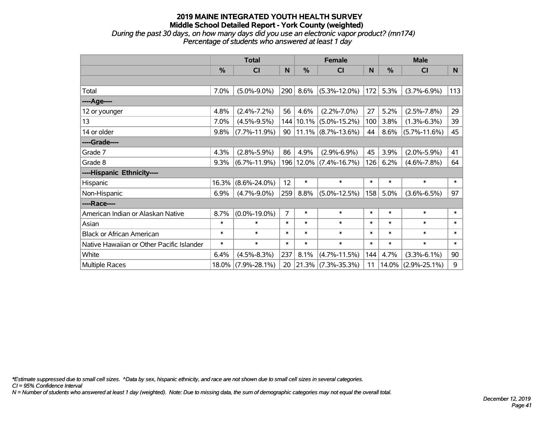*During the past 30 days, on how many days did you use an electronic vapor product? (mn174) Percentage of students who answered at least 1 day*

|                                           | <b>Total</b> |                    |                | <b>Female</b> |                       | <b>Male</b> |               |                    |        |
|-------------------------------------------|--------------|--------------------|----------------|---------------|-----------------------|-------------|---------------|--------------------|--------|
|                                           | $\%$         | <b>CI</b>          | N              | $\frac{0}{0}$ | <b>CI</b>             | N           | $\frac{0}{0}$ | <b>CI</b>          | N      |
|                                           |              |                    |                |               |                       |             |               |                    |        |
| Total                                     | 7.0%         | $(5.0\% - 9.0\%)$  | 290            | 8.6%          | $(5.3\% - 12.0\%)$    | 172         | 5.3%          | $(3.7\% - 6.9\%)$  | 113    |
| ---- Age----                              |              |                    |                |               |                       |             |               |                    |        |
| 12 or younger                             | 4.8%         | $(2.4\% - 7.2\%)$  | 56             | 4.6%          | $(2.2\% - 7.0\%)$     | 27          | 5.2%          | $(2.5\% - 7.8\%)$  | 29     |
| 13                                        | 7.0%         | $(4.5\% - 9.5\%)$  | 144            | 10.1%         | $(5.0\% - 15.2\%)$    | 100         | 3.8%          | $(1.3\% - 6.3\%)$  | 39     |
| 14 or older                               | 9.8%         | $(7.7\% - 11.9\%)$ | 90             |               | $11.1\%$ (8.7%-13.6%) | 44          | 8.6%          | $(5.7\% - 11.6\%)$ | 45     |
| ----Grade----                             |              |                    |                |               |                       |             |               |                    |        |
| Grade 7                                   | 4.3%         | $(2.8\% - 5.9\%)$  | 86             | 4.9%          | $(2.9\% - 6.9\%)$     | 45          | 3.9%          | $(2.0\% - 5.9\%)$  | 41     |
| Grade 8                                   | 9.3%         | $(6.7\% - 11.9\%)$ | 196            |               | $12.0\%$ (7.4%-16.7%) | 126         | 6.2%          | $(4.6\% - 7.8\%)$  | 64     |
| ----Hispanic Ethnicity----                |              |                    |                |               |                       |             |               |                    |        |
| Hispanic                                  | 16.3%        | $(8.6\% - 24.0\%)$ | 12             | $\ast$        | $\ast$                | $\ast$      | $\ast$        | $\ast$             | $\ast$ |
| Non-Hispanic                              | 6.9%         | $(4.7\% - 9.0\%)$  | 259            | 8.8%          | $(5.0\% - 12.5\%)$    | 158         | 5.0%          | $(3.6\% - 6.5\%)$  | 97     |
| ----Race----                              |              |                    |                |               |                       |             |               |                    |        |
| American Indian or Alaskan Native         | 8.7%         | $(0.0\% - 19.0\%)$ | $\overline{7}$ | $\ast$        | $\ast$                | $\ast$      | $\ast$        | $\ast$             | $\ast$ |
| Asian                                     | $\ast$       | $\ast$             | $\ast$         | $\ast$        | $\ast$                | $\ast$      | $\ast$        | $\ast$             | $\ast$ |
| <b>Black or African American</b>          | $\ast$       | $\ast$             | $\ast$         | $\ast$        | $\ast$                | $\ast$      | $\ast$        | $\ast$             | $\ast$ |
| Native Hawaiian or Other Pacific Islander | $\ast$       | $\ast$             | $\ast$         | $\ast$        | $\ast$                | $\ast$      | $\ast$        | $\ast$             | $\ast$ |
| White                                     | 6.4%         | $(4.5\% - 8.3\%)$  | 237            | 8.1%          | $(4.7\% - 11.5\%)$    | 144         | 4.7%          | $(3.3\% - 6.1\%)$  | 90     |
| <b>Multiple Races</b>                     | 18.0%        | $(7.9\% - 28.1\%)$ | 20             | 21.3%         | $(7.3\% - 35.3\%)$    | 11          | 14.0%         | $(2.9\% - 25.1\%)$ | 9      |

*\*Estimate suppressed due to small cell sizes. ^Data by sex, hispanic ethnicity, and race are not shown due to small cell sizes in several categories.*

*CI = 95% Confidence Interval*

*N = Number of students who answered at least 1 day (weighted). Note: Due to missing data, the sum of demographic categories may not equal the overall total.*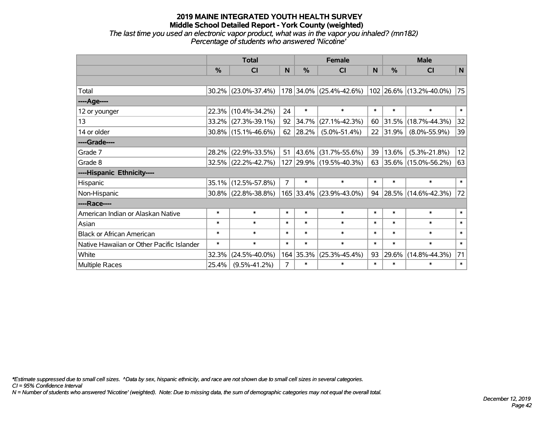*The last time you used an electronic vapor product, what was in the vapor you inhaled? (mn182) Percentage of students who answered 'Nicotine'*

|                                           | <b>Total</b> |                        |              |           | <b>Female</b>           |        | <b>Male</b>   |                         |        |  |
|-------------------------------------------|--------------|------------------------|--------------|-----------|-------------------------|--------|---------------|-------------------------|--------|--|
|                                           | %            | CI                     | $\mathsf{N}$ | %         | <b>CI</b>               | N      | $\frac{0}{0}$ | <b>CI</b>               | N      |  |
|                                           |              |                        |              |           |                         |        |               |                         |        |  |
| Total                                     | 30.2%        | $(23.0\% - 37.4\%)$    |              | 178 34.0% | $(25.4\% - 42.6\%)$     |        |               | 102 26.6% (13.2%-40.0%) | 75     |  |
| ----Age----                               |              |                        |              |           |                         |        |               |                         |        |  |
| 12 or younger                             | 22.3%        | $(10.4\% - 34.2\%)$    | 24           | $\ast$    | $\ast$                  | $\ast$ | $\ast$        | $\ast$                  | $\ast$ |  |
| 13                                        | 33.2%        | $(27.3\% - 39.1\%)$    | 92           | 34.7%     | $(27.1\% - 42.3\%)$     | 60     | 31.5%         | $(18.7\% - 44.3\%)$     | 32     |  |
| 14 or older                               |              | $30.8\%$ (15.1%-46.6%) | 62           | 28.2%     | $(5.0\% - 51.4\%)$      | 22     | 31.9%         | $(8.0\% - 55.9\%)$      | 39     |  |
| ----Grade----                             |              |                        |              |           |                         |        |               |                         |        |  |
| Grade 7                                   | 28.2%        | $(22.9\% - 33.5\%)$    | 51           | 43.6%     | $(31.7\% - 55.6\%)$     | 39     | 13.6%         | $(5.3\% - 21.8\%)$      | 12     |  |
| Grade 8                                   |              | 32.5% (22.2%-42.7%)    |              |           | 127 29.9% (19.5%-40.3%) | 63     |               | 35.6% (15.0%-56.2%)     | 63     |  |
| ----Hispanic Ethnicity----                |              |                        |              |           |                         |        |               |                         |        |  |
| Hispanic                                  | 35.1%        | $(12.5\% - 57.8\%)$    | 7            | $\ast$    | $\ast$                  | $\ast$ | $\ast$        | $\ast$                  | $\ast$ |  |
| Non-Hispanic                              | 30.8%        | $(22.8\% - 38.8\%)$    |              | 165 33.4% | $(23.9\% - 43.0\%)$     | 94     |               | 28.5% (14.6%-42.3%)     | 72     |  |
| ----Race----                              |              |                        |              |           |                         |        |               |                         |        |  |
| American Indian or Alaskan Native         | $\ast$       | $\ast$                 | $\ast$       | $\ast$    | $\ast$                  | $\ast$ | $\ast$        | $\ast$                  | $\ast$ |  |
| Asian                                     | $\ast$       | $\ast$                 | $\ast$       | $\ast$    | $\ast$                  | $\ast$ | $\ast$        | $\ast$                  | $\ast$ |  |
| <b>Black or African American</b>          | $\ast$       | $\ast$                 | $\ast$       | $\ast$    | $\ast$                  | $\ast$ | $\ast$        | $\ast$                  | $\ast$ |  |
| Native Hawaiian or Other Pacific Islander | $\ast$       | $\ast$                 | $\ast$       | $\ast$    | $\ast$                  | $\ast$ | $\ast$        | $\ast$                  | $\ast$ |  |
| White                                     | 32.3%        | $(24.5\% - 40.0\%)$    |              | 164 35.3% | $(25.3\% - 45.4\%)$     | 93     | 29.6%         | $(14.8\% - 44.3\%)$     | 71     |  |
| <b>Multiple Races</b>                     | 25.4%        | $(9.5\% - 41.2\%)$     | 7            | $\ast$    | $\ast$                  | $\ast$ | $\ast$        | $\ast$                  | $\ast$ |  |

*\*Estimate suppressed due to small cell sizes. ^Data by sex, hispanic ethnicity, and race are not shown due to small cell sizes in several categories.*

*CI = 95% Confidence Interval*

*N = Number of students who answered 'Nicotine' (weighted). Note: Due to missing data, the sum of demographic categories may not equal the overall total.*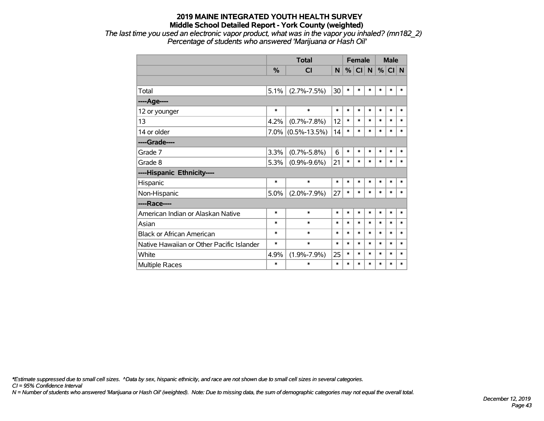*The last time you used an electronic vapor product, what was in the vapor you inhaled? (mn182\_2) Percentage of students who answered 'Marijuana or Hash Oil'*

|                                           |        | <b>Total</b>       |        | <b>Female</b> |        |        | <b>Male</b> |        |        |
|-------------------------------------------|--------|--------------------|--------|---------------|--------|--------|-------------|--------|--------|
|                                           | %      | <b>CI</b>          | N      | %             | CI     | N      | %           | CI N   |        |
|                                           |        |                    |        |               |        |        |             |        |        |
| Total                                     | 5.1%   | $(2.7\% - 7.5\%)$  | 30     | $\ast$        | $\ast$ | $\ast$ | $\ast$      | $\ast$ | *      |
| ---- Age----                              |        |                    |        |               |        |        |             |        |        |
| 12 or younger                             | $\ast$ | $\ast$             | $\ast$ | $\ast$        | $\ast$ | $\ast$ | $\ast$      | $\ast$ | $\ast$ |
| 13                                        | 4.2%   | $(0.7\% - 7.8\%)$  | 12     | $\ast$        | $\ast$ | $\ast$ | $\ast$      | $\ast$ | $\ast$ |
| 14 or older                               | 7.0%   | $(0.5\% - 13.5\%)$ | 14     | $\ast$        | $\ast$ | $\ast$ | $\ast$      | $\ast$ | $\ast$ |
| ----Grade----                             |        |                    |        |               |        |        |             |        |        |
| Grade 7                                   | 3.3%   | $(0.7\% - 5.8\%)$  | 6      | $\ast$        | $\ast$ | $\ast$ | $\ast$      | $\ast$ | *      |
| Grade 8                                   | 5.3%   | $(0.9\% - 9.6\%)$  | 21     | $\ast$        | $\ast$ | $\ast$ | *           | $\ast$ | *      |
| ----Hispanic Ethnicity----                |        |                    |        |               |        |        |             |        |        |
| Hispanic                                  | $\ast$ | $\ast$             | $\ast$ | $\ast$        | $\ast$ | $\ast$ | *           | $\ast$ | *      |
| Non-Hispanic                              | 5.0%   | $(2.0\% - 7.9\%)$  | 27     | $\ast$        | $\ast$ | $\ast$ | $\ast$      | $\ast$ | $\ast$ |
| ----Race----                              |        |                    |        |               |        |        |             |        |        |
| American Indian or Alaskan Native         | $\ast$ | $\ast$             | $\ast$ | $\ast$        | $\ast$ | $\ast$ | $\ast$      | $\ast$ | $\ast$ |
| Asian                                     | $\ast$ | $\ast$             | $\ast$ | $\ast$        | $\ast$ | $\ast$ | $\ast$      | $\ast$ | $\ast$ |
| <b>Black or African American</b>          | $\ast$ | $\ast$             | $\ast$ | $\ast$        | $\ast$ | $\ast$ | $\ast$      | $\ast$ | $\ast$ |
| Native Hawaiian or Other Pacific Islander | $\ast$ | $\ast$             | $\ast$ | $\ast$        | $\ast$ | $\ast$ | $\ast$      | $\ast$ | $\ast$ |
| White                                     | 4.9%   | $(1.9\% - 7.9\%)$  | 25     | $\ast$        | $\ast$ | $\ast$ | *           | $\ast$ | *      |
| <b>Multiple Races</b>                     | $\ast$ | $\ast$             | $\ast$ | $\ast$        | $\ast$ | $\ast$ | $\ast$      | $\ast$ | $\ast$ |

*\*Estimate suppressed due to small cell sizes. ^Data by sex, hispanic ethnicity, and race are not shown due to small cell sizes in several categories.*

*CI = 95% Confidence Interval*

*N = Number of students who answered 'Marijuana or Hash Oil' (weighted). Note: Due to missing data, the sum of demographic categories may not equal the overall total.*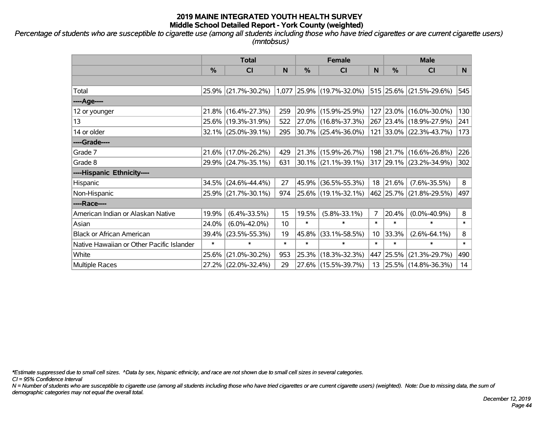*Percentage of students who are susceptible to cigarette use (among all students including those who have tried cigarettes or are current cigarette users) (mntobsus)*

|                                           | <b>Total</b> |                     |        | <b>Female</b> |                           | <b>Male</b>     |           |                         |        |
|-------------------------------------------|--------------|---------------------|--------|---------------|---------------------------|-----------------|-----------|-------------------------|--------|
|                                           | %            | C <sub>l</sub>      | N      | %             | CI                        | N               | %         | <b>CI</b>               | N      |
|                                           |              |                     |        |               |                           |                 |           |                         |        |
| Total                                     | 25.9%        | $(21.7\% - 30.2\%)$ |        |               | 1,077 25.9% (19.7%-32.0%) |                 |           | 515 25.6% (21.5%-29.6%) | 545    |
| ----Age----                               |              |                     |        |               |                           |                 |           |                         |        |
| 12 or younger                             | 21.8%        | $(16.4\% - 27.3\%)$ | 259    |               | 20.9% (15.9%-25.9%)       | 127             | 23.0%     | $(16.0\% - 30.0\%)$     | 130    |
| 13                                        |              | 25.6% (19.3%-31.9%) | 522    |               | 27.0% (16.8%-37.3%)       |                 |           | 267 23.4% (18.9%-27.9%) | 241    |
| 14 or older                               |              | 32.1% (25.0%-39.1%) | 295    |               | $30.7\%$ (25.4%-36.0%)    |                 |           | 121 33.0% (22.3%-43.7%) | 173    |
| ----Grade----                             |              |                     |        |               |                           |                 |           |                         |        |
| Grade 7                                   | 21.6%        | $(17.0\% - 26.2\%)$ | 429    |               | $21.3\%$ (15.9%-26.7%)    |                 | 198 21.7% | $(16.6\% - 26.8\%)$     | 226    |
| Grade 8                                   |              | 29.9% (24.7%-35.1%) | 631    |               | $30.1\%$ (21.1%-39.1%)    |                 |           | 317 29.1% (23.2%-34.9%) | 302    |
| ----Hispanic Ethnicity----                |              |                     |        |               |                           |                 |           |                         |        |
| Hispanic                                  | 34.5%        | $(24.6\% - 44.4\%)$ | 27     | 45.9%         | $(36.5\% - 55.3\%)$       | 18              | 21.6%     | $(7.6\% - 35.5\%)$      | 8      |
| Non-Hispanic                              |              | 25.9% (21.7%-30.1%) | 974    |               | 25.6% (19.1%-32.1%)       |                 |           | 462 25.7% (21.8%-29.5%) | 497    |
| ----Race----                              |              |                     |        |               |                           |                 |           |                         |        |
| American Indian or Alaskan Native         | 19.9%        | $(6.4\% - 33.5\%)$  | 15     | 19.5%         | $(5.8\% - 33.1\%)$        | $\overline{7}$  | 20.4%     | $(0.0\% - 40.9\%)$      | 8      |
| Asian                                     | 24.0%        | $(6.0\% - 42.0\%)$  | 10     | $\ast$        | $\ast$                    | $\ast$          | $\ast$    | $\ast$                  | $\ast$ |
| <b>Black or African American</b>          | 39.4%        | $(23.5\% - 55.3\%)$ | 19     | 45.8%         | $(33.1\% - 58.5\%)$       | 10 <sup>°</sup> | 33.3%     | $(2.6\% - 64.1\%)$      | 8      |
| Native Hawaiian or Other Pacific Islander | $\ast$       | $\ast$              | $\ast$ | $\ast$        | $\ast$                    | $\ast$          | $\ast$    | $\ast$                  | $\ast$ |
| White                                     | 25.6%        | $(21.0\% - 30.2\%)$ | 953    | 25.3%         | $(18.3\% - 32.3\%)$       | 447             | 25.5%     | $(21.3\% - 29.7\%)$     | 490    |
| Multiple Races                            |              | 27.2% (22.0%-32.4%) | 29     |               | 27.6% (15.5%-39.7%)       | 13              |           | 25.5% (14.8%-36.3%)     | 14     |

*\*Estimate suppressed due to small cell sizes. ^Data by sex, hispanic ethnicity, and race are not shown due to small cell sizes in several categories.*

*CI = 95% Confidence Interval*

*N = Number of students who are susceptible to cigarette use (among all students including those who have tried cigarettes or are current cigarette users) (weighted). Note: Due to missing data, the sum of demographic categories may not equal the overall total.*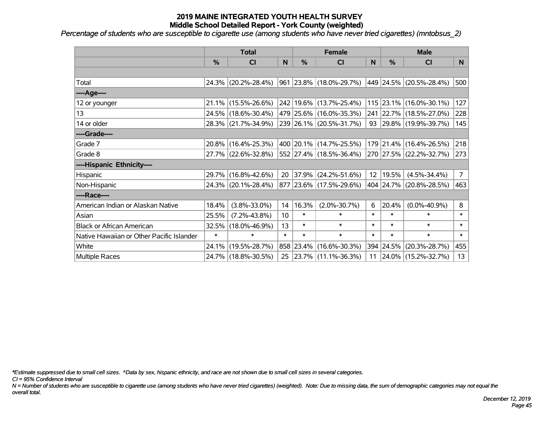*Percentage of students who are susceptible to cigarette use (among students who have never tried cigarettes) (mntobsus\_2)*

|                                           | <b>Total</b> |                        | <b>Female</b> |               |                           |        |           | <b>Male</b>              |             |
|-------------------------------------------|--------------|------------------------|---------------|---------------|---------------------------|--------|-----------|--------------------------|-------------|
|                                           | $\%$         | CI                     | N             | $\frac{0}{0}$ | CI                        | N      | %         | <b>CI</b>                | N           |
|                                           |              |                        |               |               |                           |        |           |                          |             |
| Total                                     |              | 24.3% (20.2%-28.4%)    |               |               | 961  23.8%  (18.0%-29.7%) |        |           | 449 24.5% (20.5%-28.4%)  | 500         |
| ----Age----                               |              |                        |               |               |                           |        |           |                          |             |
| 12 or younger                             |              | $21.1\%$ (15.5%-26.6%) |               |               | 242 19.6% (13.7%-25.4%)   |        | 115 23.1% | $(16.0\% - 30.1\%)$      | 127         |
| 13                                        |              | 24.5% (18.6%-30.4%)    |               |               | 479 25.6% (16.0%-35.3%)   |        |           | 241 22.7% (18.5%-27.0%)  | 228         |
| 14 or older                               |              | 28.3% (21.7%-34.9%)    |               |               | 239 26.1% (20.5%-31.7%)   |        |           | 93 29.8% (19.9%-39.7%)   | 145         |
| ----Grade----                             |              |                        |               |               |                           |        |           |                          |             |
| Grade 7                                   |              | 20.8% (16.4%-25.3%)    |               |               | 400 20.1% (14.7%-25.5%)   |        | 179 21.4% | $(16.4\% - 26.5\%)$      | 218         |
| Grade 8                                   |              | 27.7% (22.6%-32.8%)    |               |               | 552 27.4% (18.5%-36.4%)   |        |           | 270 27.5% (22.2%-32.7%)  | 273         |
| ----Hispanic Ethnicity----                |              |                        |               |               |                           |        |           |                          |             |
| Hispanic                                  |              | 29.7% (16.8%-42.6%)    | 20            | 37.9%         | $(24.2\% - 51.6\%)$       | 12     | 19.5%     | $(4.5\% - 34.4\%)$       | $7^{\circ}$ |
| Non-Hispanic                              |              | 24.3% (20.1%-28.4%)    |               |               | 877 23.6% (17.5%-29.6%)   |        |           | 404 24.7% (20.8%-28.5%)  | 463         |
| ----Race----                              |              |                        |               |               |                           |        |           |                          |             |
| American Indian or Alaskan Native         | 18.4%        | $(3.8\% - 33.0\%)$     | 14            | 16.3%         | $(2.0\% - 30.7\%)$        | 6      | 20.4%     | $(0.0\% - 40.9\%)$       | 8           |
| Asian                                     | 25.5%        | $(7.2\% - 43.8\%)$     | 10            | $\ast$        | $\ast$                    | $\ast$ | $\ast$    | $\ast$                   | $\ast$      |
| <b>Black or African American</b>          | 32.5%        | $(18.0\% - 46.9\%)$    | 13            | $\ast$        | $\ast$                    | $\ast$ | $\ast$    | $\ast$                   | $\ast$      |
| Native Hawaiian or Other Pacific Islander | $\ast$       | $\ast$                 | $\ast$        | $\ast$        | $\ast$                    | $\ast$ | $\ast$    | $\ast$                   | $\ast$      |
| White                                     | 24.1%        | $(19.5\% - 28.7\%)$    |               | 858 23.4%     | $(16.6\% - 30.3\%)$       | 394    | 24.5%     | $(20.3\% - 28.7\%)$      | 455         |
| <b>Multiple Races</b>                     |              | 24.7% (18.8%-30.5%)    |               |               | 25 23.7% (11.1%-36.3%)    | 11     |           | $ 24.0\% $ (15.2%-32.7%) | 13          |

*\*Estimate suppressed due to small cell sizes. ^Data by sex, hispanic ethnicity, and race are not shown due to small cell sizes in several categories.*

*CI = 95% Confidence Interval*

*N = Number of students who are susceptible to cigarette use (among students who have never tried cigarettes) (weighted). Note: Due to missing data, the sum of demographic categories may not equal the overall total.*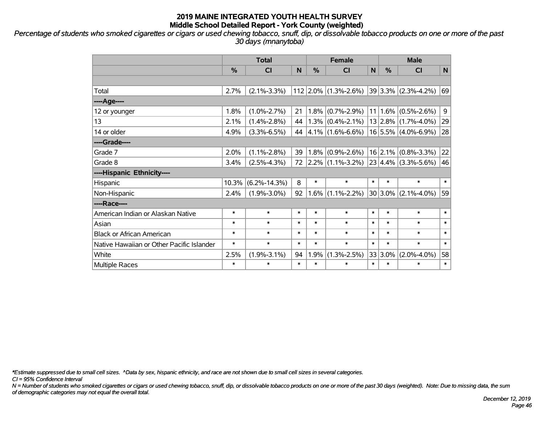*Percentage of students who smoked cigarettes or cigars or used chewing tobacco, snuff, dip, or dissolvable tobacco products on one or more of the past 30 days (mnanytoba)*

|                                           | <b>Total</b> |                    |        |        | <b>Female</b>                                                                               | <b>Male</b>  |             |                           |              |
|-------------------------------------------|--------------|--------------------|--------|--------|---------------------------------------------------------------------------------------------|--------------|-------------|---------------------------|--------------|
|                                           | %            | <b>CI</b>          | N      | %      | <b>CI</b>                                                                                   | $\mathsf{N}$ | %           | <b>CI</b>                 | N            |
|                                           |              |                    |        |        |                                                                                             |              |             |                           |              |
| Total                                     | 2.7%         | $(2.1\% - 3.3\%)$  |        |        | $112$   2.0%   (1.3%-2.6%)                                                                  |              |             | $ 39 3.3\% $ (2.3%-4.2%)  | 69           |
| ----Age----                               |              |                    |        |        |                                                                                             |              |             |                           |              |
| 12 or younger                             | 1.8%         | $(1.0\% - 2.7\%)$  | 21     |        | $1.8\%$ (0.7%-2.9%)                                                                         | 11           |             | $1.6\%$ (0.5%-2.6%)       | 9            |
| 13                                        | 2.1%         | $(1.4\% - 2.8\%)$  | 44     |        | $1.3\%$ (0.4%-2.1%)                                                                         |              |             | $13 2.8\% $ (1.7%-4.0%)   | 29           |
| 14 or older                               | 4.9%         | $(3.3\% - 6.5\%)$  | 44     |        | $4.1\%$ (1.6%-6.6%)                                                                         |              |             | $16 5.5\% $ (4.0%-6.9%)   | 28           |
| ----Grade----                             |              |                    |        |        |                                                                                             |              |             |                           |              |
| Grade 7                                   | 2.0%         | $(1.1\% - 2.8\%)$  | 39     |        | $1.8\%$ (0.9%-2.6%)                                                                         |              |             | $16$   2.1%   (0.8%-3.3%) | $ 22\rangle$ |
| Grade 8                                   | 3.4%         | $(2.5\% - 4.3\%)$  | 72     |        | $\left  2.2\% \right $ (1.1%-3.2%) $\left  23 \right  4.4\% \left  (3.3\% - 5.6\%) \right $ |              |             |                           | 46           |
| ----Hispanic Ethnicity----                |              |                    |        |        |                                                                                             |              |             |                           |              |
| Hispanic                                  | 10.3%        | $(6.2\% - 14.3\%)$ | 8      | $\ast$ | $\ast$                                                                                      | $\ast$       | $\ast$      | $\ast$                    | $\ast$       |
| Non-Hispanic                              | 2.4%         | $(1.9\% - 3.0\%)$  | 92     |        | $1.6\%$ (1.1%-2.2%)                                                                         |              | $30 3.0\% $ | $(2.1\% - 4.0\%)$         | 59           |
| ----Race----                              |              |                    |        |        |                                                                                             |              |             |                           |              |
| American Indian or Alaskan Native         | $\ast$       | $\ast$             | $\ast$ | $\ast$ | $\ast$                                                                                      | $\ast$       | $\ast$      | $\ast$                    | $\ast$       |
| Asian                                     | $\ast$       | $\ast$             | $\ast$ | $\ast$ | $\ast$                                                                                      | $\ast$       | $\ast$      | $\ast$                    | $\ast$       |
| <b>Black or African American</b>          | $\ast$       | $\ast$             | $\ast$ | $\ast$ | $\ast$                                                                                      | $\ast$       | $\ast$      | $\ast$                    | $\ast$       |
| Native Hawaiian or Other Pacific Islander | $\ast$       | $\ast$             | $\ast$ | $\ast$ | $\ast$                                                                                      | $\ast$       | $\ast$      | $\ast$                    | $\ast$       |
| White                                     | 2.5%         | $(1.9\% - 3.1\%)$  | 94     | 1.9%   | $(1.3\% - 2.5\%)$                                                                           |              | 33 3.0%     | $(2.0\% - 4.0\%)$         | 58           |
| Multiple Races                            | $\ast$       | $\ast$             | $\ast$ | $\ast$ | $\ast$                                                                                      | $\ast$       | $\ast$      | $\ast$                    | $\ast$       |

*\*Estimate suppressed due to small cell sizes. ^Data by sex, hispanic ethnicity, and race are not shown due to small cell sizes in several categories.*

*CI = 95% Confidence Interval*

*N = Number of students who smoked cigarettes or cigars or used chewing tobacco, snuff, dip, or dissolvable tobacco products on one or more of the past 30 days (weighted). Note: Due to missing data, the sum of demographic categories may not equal the overall total.*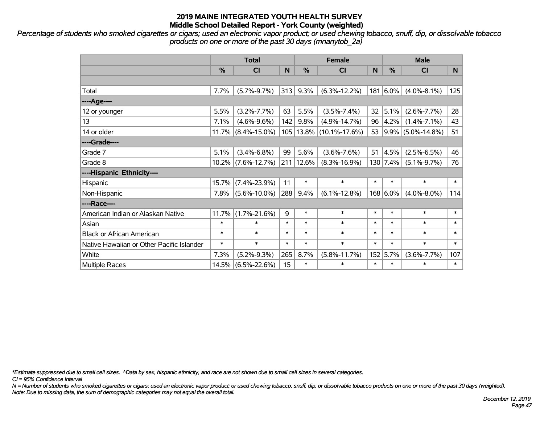*Percentage of students who smoked cigarettes or cigars; used an electronic vapor product; or used chewing tobacco, snuff, dip, or dissolvable tobacco products on one or more of the past 30 days (mnanytob\_2a)*

|                                           | <b>Total</b>  |                       |        | <b>Female</b> | <b>Male</b>         |        |                 |                      |                |
|-------------------------------------------|---------------|-----------------------|--------|---------------|---------------------|--------|-----------------|----------------------|----------------|
|                                           | $\frac{0}{0}$ | C <sub>l</sub>        | N      | %             | C <sub>l</sub>      | N      | $\frac{0}{0}$   | <b>CI</b>            | N <sub>1</sub> |
|                                           |               |                       |        |               |                     |        |                 |                      |                |
| Total                                     | 7.7%          | $(5.7\% - 9.7\%)$     | 313    | 9.3%          | $(6.3\% - 12.2\%)$  |        | 181 6.0%        | $(4.0\% - 8.1\%)$    | 125            |
| ----Age----                               |               |                       |        |               |                     |        |                 |                      |                |
| 12 or younger                             | 5.5%          | $(3.2\% - 7.7\%)$     | 63     | 5.5%          | $(3.5\% - 7.4\%)$   | 32     | 5.1%            | $(2.6\% - 7.7\%)$    | 28             |
| 13                                        | 7.1%          | $(4.6\% - 9.6\%)$     | 142    | 9.8%          | $(4.9\% - 14.7\%)$  |        | $96 \,   4.2\%$ | $(1.4\% - 7.1\%)$    | 43             |
| 14 or older                               |               | $11.7\%$ (8.4%-15.0%) |        | 105 13.8%     | $(10.1\% - 17.6\%)$ |        |                 | 53 9.9% (5.0%-14.8%) | 51             |
| ----Grade----                             |               |                       |        |               |                     |        |                 |                      |                |
| Grade 7                                   | 5.1%          | $(3.4\% - 6.8\%)$     | 99     | 5.6%          | $(3.6\% - 7.6\%)$   | 51     | 4.5%            | $(2.5\% - 6.5\%)$    | 46             |
| Grade 8                                   |               | $10.2\%$ (7.6%-12.7%) |        | 211 12.6%     | $(8.3\% - 16.9\%)$  |        | $130$   7.4%    | $(5.1\% - 9.7\%)$    | 76             |
| ----Hispanic Ethnicity----                |               |                       |        |               |                     |        |                 |                      |                |
| Hispanic                                  | 15.7%         | $(7.4\% - 23.9\%)$    | 11     | $\ast$        | $\ast$              | $\ast$ | $\ast$          | $\ast$               | $\ast$         |
| Non-Hispanic                              | 7.8%          | $(5.6\% - 10.0\%)$    | 288    | 9.4%          | $(6.1\% - 12.8\%)$  |        | 168 6.0%        | $(4.0\% - 8.0\%)$    | 114            |
| ----Race----                              |               |                       |        |               |                     |        |                 |                      |                |
| American Indian or Alaskan Native         | 11.7%         | $(1.7\% - 21.6\%)$    | 9      | $\ast$        | $\ast$              | $\ast$ | $\ast$          | $\ast$               | $\ast$         |
| Asian                                     | $\ast$        | $\ast$                | $\ast$ | $\ast$        | $\ast$              | $\ast$ | $\ast$          | $\ast$               | $\ast$         |
| <b>Black or African American</b>          | $\ast$        | $\ast$                | $\ast$ | $\ast$        | $\ast$              | $\ast$ | $\ast$          | $\ast$               | $\ast$         |
| Native Hawaiian or Other Pacific Islander | $\ast$        | $\ast$                | $\ast$ | $\ast$        | $\ast$              | $\ast$ | $\ast$          | $\ast$               | $\ast$         |
| White                                     | 7.3%          | $(5.2\% - 9.3\%)$     | 265    | 8.7%          | $(5.8\% - 11.7\%)$  |        | 152 5.7%        | $(3.6\% - 7.7\%)$    | 107            |
| <b>Multiple Races</b>                     | 14.5%         | $(6.5\% - 22.6\%)$    | 15     | $\ast$        | $\ast$              | $\ast$ | $\ast$          | $\ast$               | $\ast$         |

*\*Estimate suppressed due to small cell sizes. ^Data by sex, hispanic ethnicity, and race are not shown due to small cell sizes in several categories.*

*CI = 95% Confidence Interval*

*N = Number of students who smoked cigarettes or cigars; used an electronic vapor product; or used chewing tobacco, snuff, dip, or dissolvable tobacco products on one or more of the past 30 days (weighted). Note: Due to missing data, the sum of demographic categories may not equal the overall total.*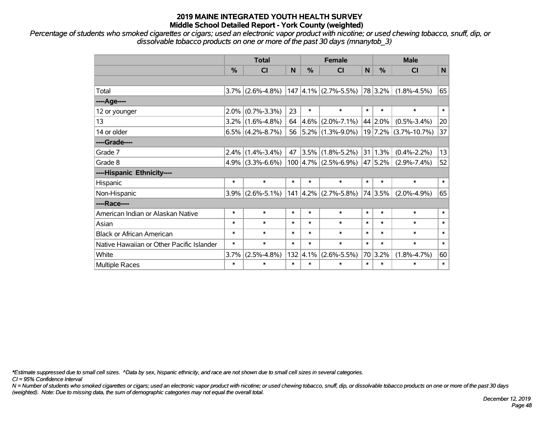*Percentage of students who smoked cigarettes or cigars; used an electronic vapor product with nicotine; or used chewing tobacco, snuff, dip, or dissolvable tobacco products on one or more of the past 30 days (mnanytob\_3)*

|                                           | <b>Total</b> |                     |          |            | <b>Female</b>                         |        | <b>Male</b> |                      |        |  |
|-------------------------------------------|--------------|---------------------|----------|------------|---------------------------------------|--------|-------------|----------------------|--------|--|
|                                           | %            | <b>CI</b>           | <b>N</b> | $\%$       | <b>CI</b>                             | N      | %           | <b>CI</b>            | N      |  |
|                                           |              |                     |          |            |                                       |        |             |                      |        |  |
| Total                                     |              | $3.7\%$ (2.6%-4.8%) |          |            | $147$ 4.1% (2.7%-5.5%)                |        | 78 3.2%     | $(1.8\% - 4.5\%)$    | 65     |  |
| ----Age----                               |              |                     |          |            |                                       |        |             |                      |        |  |
| 12 or younger                             | $2.0\%$      | $(0.7\% - 3.3\%)$   | 23       | $\ast$     | $\ast$                                | $\ast$ | $\ast$      | $\ast$               | $\ast$ |  |
| 13                                        |              | $3.2\%$ (1.6%-4.8%) | 64       | 4.6%       | $(2.0\% - 7.1\%)$                     |        | 44 2.0%     | $(0.5\% - 3.4\%)$    | 20     |  |
| 14 or older                               |              | $6.5\%$ (4.2%-8.7%) | 56       |            | $ 5.2\% $ (1.3%-9.0%)                 |        |             | 19 7.2% (3.7%-10.7%) | 37     |  |
| ----Grade----                             |              |                     |          |            |                                       |        |             |                      |        |  |
| Grade 7                                   | $2.4\%$      | $(1.4\% - 3.4\%)$   | 47       |            | $ 3.5\% $ (1.8%-5.2%)                 |        | 31 1.3%     | $(0.4\% - 2.2\%)$    | 13     |  |
| Grade 8                                   |              | $4.9\%$ (3.3%-6.6%) |          |            | $100$   4.7%   (2.5%-6.9%)            |        | 47 5.2%     | $(2.9\% - 7.4\%)$    | 52     |  |
| ----Hispanic Ethnicity----                |              |                     |          |            |                                       |        |             |                      |        |  |
| Hispanic                                  | $\ast$       | $\ast$              | $\ast$   | $\ast$     | $\ast$                                | $\ast$ | $\ast$      | $\ast$               | $\ast$ |  |
| Non-Hispanic                              | $3.9\%$      | $(2.6\% - 5.1\%)$   |          |            | $141 \mid 4.2\% \mid (2.7\% - 5.8\%)$ |        | 74 3.5%     | $(2.0\% - 4.9\%)$    | 65     |  |
| ----Race----                              |              |                     |          |            |                                       |        |             |                      |        |  |
| American Indian or Alaskan Native         | $\ast$       | $\ast$              | $\ast$   | $\ast$     | $\ast$                                | $\ast$ | $\ast$      | $\ast$               | $\ast$ |  |
| Asian                                     | $\ast$       | $\ast$              | $\ast$   | $\ast$     | $\ast$                                | $\ast$ | $\ast$      | $\ast$               | $\ast$ |  |
| <b>Black or African American</b>          | $\ast$       | $\ast$              | $\ast$   | $\ast$     | $\ast$                                | $\ast$ | $\ast$      | $\ast$               | $\ast$ |  |
| Native Hawaiian or Other Pacific Islander | $\ast$       | $\ast$              | $\ast$   | $\ast$     | $\ast$                                | $\ast$ | $\ast$      | $\ast$               | $\ast$ |  |
| White                                     | 3.7%         | $(2.5\% - 4.8\%)$   |          | 132   4.1% | $(2.6\% - 5.5\%)$                     |        | 70 3.2%     | $(1.8\% - 4.7\%)$    | 60     |  |
| <b>Multiple Races</b>                     | $\ast$       | $\ast$              | $\ast$   | $\ast$     | $\ast$                                | $\ast$ | $\ast$      | $\ast$               | $\ast$ |  |

*\*Estimate suppressed due to small cell sizes. ^Data by sex, hispanic ethnicity, and race are not shown due to small cell sizes in several categories.*

*CI = 95% Confidence Interval*

*N = Number of students who smoked cigarettes or cigars; used an electronic vapor product with nicotine; or used chewing tobacco, snuff, dip, or dissolvable tobacco products on one or more of the past 30 days (weighted). Note: Due to missing data, the sum of demographic categories may not equal the overall total.*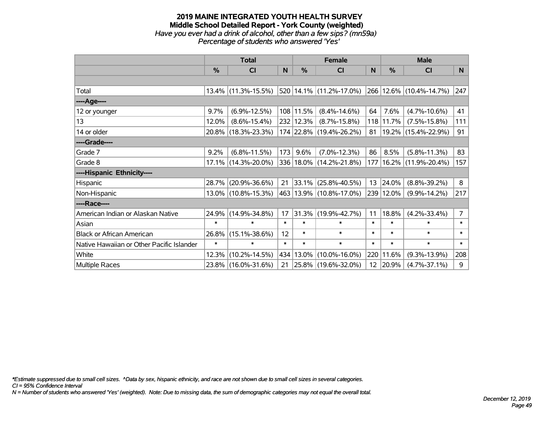#### **2019 MAINE INTEGRATED YOUTH HEALTH SURVEY Middle School Detailed Report - York County (weighted)** *Have you ever had a drink of alcohol, other than a few sips? (mn59a) Percentage of students who answered 'Yes'*

|                                           | <b>Total</b>  |                        |        | <b>Female</b> | <b>Male</b>                 |                 |           |                              |                |
|-------------------------------------------|---------------|------------------------|--------|---------------|-----------------------------|-----------------|-----------|------------------------------|----------------|
|                                           | $\frac{0}{0}$ | <b>CI</b>              | N      | $\frac{0}{0}$ | <b>CI</b>                   | <sub>N</sub>    | %         | <b>CI</b>                    | <b>N</b>       |
|                                           |               |                        |        |               |                             |                 |           |                              |                |
| Total                                     |               | $13.4\%$ (11.3%-15.5%) |        |               | 520   14.1%   (11.2%-17.0%) |                 |           | $ 266 12.6\% $ (10.4%-14.7%) | 247            |
| ----Age----                               |               |                        |        |               |                             |                 |           |                              |                |
| 12 or younger                             | 9.7%          | $(6.9\% - 12.5\%)$     |        | $108$ 11.5%   | $(8.4\% - 14.6\%)$          | 64              | 7.6%      | $(4.7\% - 10.6\%)$           | 41             |
| 13                                        | 12.0%         | $(8.6\% - 15.4\%)$     |        | $232$   12.3% | $(8.7\% - 15.8\%)$          |                 | 118 11.7% | $(7.5\% - 15.8\%)$           | 111            |
| 14 or older                               |               | 20.8% (18.3%-23.3%)    |        |               | 174 22.8% (19.4%-26.2%)     | 81              |           | 19.2% (15.4%-22.9%)          | 91             |
| ----Grade----                             |               |                        |        |               |                             |                 |           |                              |                |
| Grade 7                                   | 9.2%          | $(6.8\% - 11.5\%)$     | 173    | 9.6%          | $(7.0\% - 12.3\%)$          | 86              | 8.5%      | $(5.8\% - 11.3\%)$           | 83             |
| Grade 8                                   |               | $17.1\%$ (14.3%-20.0%) |        |               | 336 18.0% (14.2%-21.8%)     |                 |           | 177   16.2%   (11.9%-20.4%)  | 157            |
| ----Hispanic Ethnicity----                |               |                        |        |               |                             |                 |           |                              |                |
| Hispanic                                  | 28.7%         | $(20.9\% - 36.6\%)$    | 21     |               | $ 33.1\% $ (25.8%-40.5%)    | 13              | 24.0%     | $(8.8\% - 39.2\%)$           | 8              |
| Non-Hispanic                              |               | 13.0% (10.8%-15.3%)    |        |               | 463 13.9% (10.8%-17.0%)     |                 | 239 12.0% | $(9.9\% - 14.2\%)$           | 217            |
| ----Race----                              |               |                        |        |               |                             |                 |           |                              |                |
| American Indian or Alaskan Native         | 24.9%         | $(14.9\% - 34.8\%)$    | 17     | 31.3%         | $(19.9\% - 42.7\%)$         | 11              | 18.8%     | $(4.2\% - 33.4\%)$           | $\overline{7}$ |
| Asian                                     | $\ast$        | $\ast$                 | $\ast$ | $\ast$        | $\ast$                      | $\ast$          | $\ast$    | $\ast$                       | $\ast$         |
| <b>Black or African American</b>          | 26.8%         | $(15.1\% - 38.6\%)$    | 12     | $\ast$        | $\ast$                      | $\ast$          | $\ast$    | $\ast$                       | $\ast$         |
| Native Hawaiian or Other Pacific Islander | $\ast$        | $\ast$                 | $\ast$ | $\ast$        | $\ast$                      | $\ast$          | $\ast$    | $\ast$                       | $\ast$         |
| White                                     | 12.3%         | $(10.2\% - 14.5\%)$    |        | 434 13.0%     | $(10.0\% - 16.0\%)$         |                 | 220 11.6% | $(9.3\% - 13.9\%)$           | 208            |
| Multiple Races                            |               | 23.8% (16.0%-31.6%)    | 21     |               | 25.8% (19.6%-32.0%)         | 12 <sup>2</sup> | 20.9%     | $(4.7\% - 37.1\%)$           | 9              |

*\*Estimate suppressed due to small cell sizes. ^Data by sex, hispanic ethnicity, and race are not shown due to small cell sizes in several categories.*

*CI = 95% Confidence Interval*

*N = Number of students who answered 'Yes' (weighted). Note: Due to missing data, the sum of demographic categories may not equal the overall total.*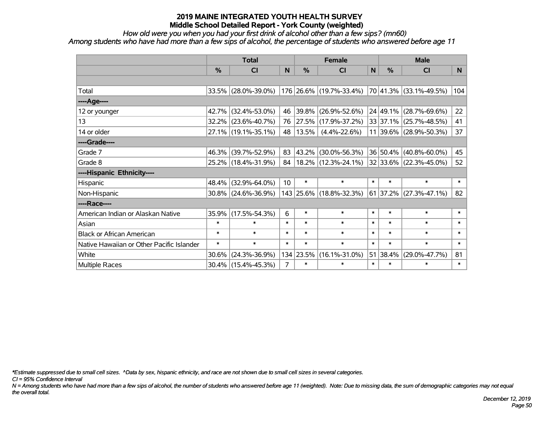*How old were you when you had your first drink of alcohol other than a few sips? (mn60)*

*Among students who have had more than a few sips of alcohol, the percentage of students who answered before age 11*

|                                           | <b>Total</b> |                        |        |           | <b>Female</b>           |        | <b>Male</b>      |                        |        |  |
|-------------------------------------------|--------------|------------------------|--------|-----------|-------------------------|--------|------------------|------------------------|--------|--|
|                                           | %            | <b>CI</b>              | N      | %         | <b>CI</b>               | N      | $\frac{0}{0}$    | <b>CI</b>              | N.     |  |
|                                           |              |                        |        |           |                         |        |                  |                        |        |  |
| Total                                     |              | 33.5% (28.0%-39.0%)    |        |           | 176 26.6% (19.7%-33.4%) |        |                  | 70 41.3% (33.1%-49.5%) | 104    |  |
| ----Age----                               |              |                        |        |           |                         |        |                  |                        |        |  |
| 12 or younger                             | 42.7%        | $(32.4\% - 53.0\%)$    | 46     | 39.8%     | $(26.9\% - 52.6\%)$     |        | $24 \mid 49.1\%$ | $(28.7\% - 69.6\%)$    | 22     |  |
| 13                                        |              | 32.2% (23.6%-40.7%)    | 76     | 27.5%     | $(17.9\% - 37.2\%)$     |        |                  | 33 37.1% (25.7%-48.5%) | 41     |  |
| 14 or older                               |              | 27.1% (19.1%-35.1%)    | 48     | 13.5%     | $(4.4\% - 22.6\%)$      |        |                  | 11 39.6% (28.9%-50.3%) | 37     |  |
| ----Grade----                             |              |                        |        |           |                         |        |                  |                        |        |  |
| Grade 7                                   | 46.3%        | $(39.7\% - 52.9\%)$    | 83     | 43.2%     | $(30.0\% - 56.3\%)$     |        | 36 50.4%         | $(40.8\% - 60.0\%)$    | 45     |  |
| Grade 8                                   |              | 25.2% (18.4%-31.9%)    | 84     |           | 18.2% (12.3%-24.1%)     |        |                  | 32 33.6% (22.3%-45.0%) | 52     |  |
| ----Hispanic Ethnicity----                |              |                        |        |           |                         |        |                  |                        |        |  |
| Hispanic                                  | 48.4%        | $(32.9\% - 64.0\%)$    | 10     | $\ast$    | $\ast$                  | $\ast$ | $\ast$           | $\ast$                 | $\ast$ |  |
| Non-Hispanic                              |              | $30.8\%$ (24.6%-36.9%) |        |           | 143 25.6% (18.8%-32.3%) |        | $61$ 37.2%       | $(27.3\% - 47.1\%)$    | 82     |  |
| ----Race----                              |              |                        |        |           |                         |        |                  |                        |        |  |
| American Indian or Alaskan Native         | 35.9%        | $(17.5\% - 54.3\%)$    | 6      | $\ast$    | $\ast$                  | $\ast$ | $\ast$           | $\ast$                 | $\ast$ |  |
| Asian                                     | $\ast$       | $\ast$                 | $\ast$ | $\ast$    | $\ast$                  | $\ast$ | $\ast$           | $\ast$                 | $\ast$ |  |
| <b>Black or African American</b>          | $\ast$       | $\ast$                 | $\ast$ | $\ast$    | $\ast$                  | $\ast$ | $\ast$           | $\ast$                 | $\ast$ |  |
| Native Hawaiian or Other Pacific Islander | $\ast$       | $\ast$                 | $\ast$ | $\ast$    | $\ast$                  | $\ast$ | $\ast$           | $\ast$                 | $\ast$ |  |
| White                                     | 30.6%        | $(24.3\% - 36.9\%)$    |        | 134 23.5% | $(16.1\% - 31.0\%)$     |        | 51 38.4%         | $(29.0\% - 47.7\%)$    | 81     |  |
| Multiple Races                            |              | 30.4% (15.4%-45.3%)    | 7      | $\ast$    | $\ast$                  | $\ast$ | $\ast$           | $\ast$                 | $\ast$ |  |

*\*Estimate suppressed due to small cell sizes. ^Data by sex, hispanic ethnicity, and race are not shown due to small cell sizes in several categories.*

*CI = 95% Confidence Interval*

*N = Among students who have had more than a few sips of alcohol, the number of students who answered before age 11 (weighted). Note: Due to missing data, the sum of demographic categories may not equal the overall total.*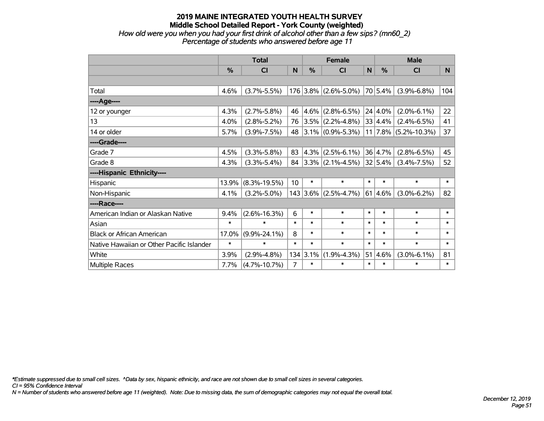#### **2019 MAINE INTEGRATED YOUTH HEALTH SURVEY Middle School Detailed Report - York County (weighted)** *How old were you when you had your first drink of alcohol other than a few sips? (mn60\_2)*

*Percentage of students who answered before age 11*

|                                           | <b>Total</b>  |                    |                |          | <b>Female</b>          |             | <b>Male</b>   |                            |        |  |
|-------------------------------------------|---------------|--------------------|----------------|----------|------------------------|-------------|---------------|----------------------------|--------|--|
|                                           | $\frac{0}{0}$ | CI                 | N              | %        | <b>CI</b>              | $\mathbf N$ | $\frac{0}{0}$ | <b>CI</b>                  | N.     |  |
|                                           |               |                    |                |          |                        |             |               |                            |        |  |
| Total                                     | 4.6%          | $(3.7\% - 5.5\%)$  |                |          | $176$ 3.8% (2.6%-5.0%) |             | 70 5.4%       | $(3.9\% - 6.8\%)$          | 104    |  |
| ----Age----                               |               |                    |                |          |                        |             |               |                            |        |  |
| 12 or younger                             | 4.3%          | $(2.7\% - 5.8\%)$  | 46             | 4.6%     | $(2.8\% - 6.5\%)$      |             | 24 4.0%       | $(2.0\% - 6.1\%)$          | 22     |  |
| 13                                        | 4.0%          | $(2.8\% - 5.2\%)$  | 76             |          | $3.5\%$ (2.2%-4.8%)    |             | 33 4.4%       | $(2.4\% - 6.5\%)$          | 41     |  |
| 14 or older                               | 5.7%          | $(3.9\% - 7.5\%)$  | 48             |          | $3.1\%$ (0.9%-5.3%)    |             |               | $11$   7.8%   (5.2%-10.3%) | 37     |  |
| ----Grade----                             |               |                    |                |          |                        |             |               |                            |        |  |
| Grade 7                                   | 4.5%          | $(3.3\% - 5.8\%)$  | 83             |          | $ 4.3\% $ (2.5%-6.1%)  |             | 36 4.7%       | $(2.8\% - 6.5\%)$          | 45     |  |
| Grade 8                                   | 4.3%          | $(3.3\% - 5.4\%)$  | 84             |          | $ 3.3\% $ (2.1%-4.5%)  |             | 32 5.4%       | $(3.4\% - 7.5\%)$          | 52     |  |
| ----Hispanic Ethnicity----                |               |                    |                |          |                        |             |               |                            |        |  |
| Hispanic                                  | 13.9%         | $(8.3\% - 19.5\%)$ | 10             | $\ast$   | $\ast$                 | $\ast$      | $\ast$        | $\ast$                     | $\ast$ |  |
| Non-Hispanic                              | 4.1%          | $(3.2\% - 5.0\%)$  |                | 143 3.6% | $(2.5\% - 4.7\%)$      |             | 61 4.6%       | $(3.0\% - 6.2\%)$          | 82     |  |
| ----Race----                              |               |                    |                |          |                        |             |               |                            |        |  |
| American Indian or Alaskan Native         | 9.4%          | $(2.6\% - 16.3\%)$ | 6              | $\ast$   | $\ast$                 | $\ast$      | $\ast$        | $\ast$                     | $\ast$ |  |
| Asian                                     | $\ast$        | $\ast$             | $\ast$         | $\ast$   | $\ast$                 | $\ast$      | $\ast$        | $\ast$                     | $\ast$ |  |
| <b>Black or African American</b>          | 17.0%         | $(9.9\% - 24.1\%)$ | 8              | $\ast$   | $\ast$                 | $\ast$      | $\ast$        | $\ast$                     | $\ast$ |  |
| Native Hawaiian or Other Pacific Islander | $\ast$        | $\ast$             | $\ast$         | $\ast$   | $\ast$                 | $\ast$      | $\ast$        | $\ast$                     | $\ast$ |  |
| White                                     | 3.9%          | $(2.9\% - 4.8\%)$  | 134            | 3.1%     | $(1.9\% - 4.3\%)$      | 51          | 4.6%          | $(3.0\% - 6.1\%)$          | 81     |  |
| Multiple Races                            | 7.7%          | $(4.7\% - 10.7\%)$ | $\overline{7}$ | $\ast$   | $\ast$                 | $\ast$      | $\ast$        | $\ast$                     | $\ast$ |  |

*\*Estimate suppressed due to small cell sizes. ^Data by sex, hispanic ethnicity, and race are not shown due to small cell sizes in several categories.*

*CI = 95% Confidence Interval*

*N = Number of students who answered before age 11 (weighted). Note: Due to missing data, the sum of demographic categories may not equal the overall total.*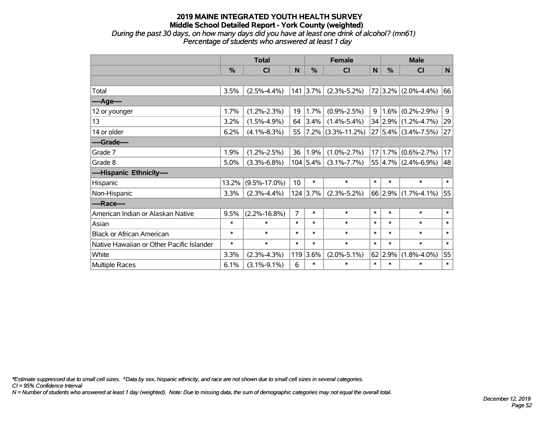*During the past 30 days, on how many days did you have at least one drink of alcohol? (mn61) Percentage of students who answered at least 1 day*

|                                           | <b>Total</b> |                    |                |                     | <b>Female</b>      |        | <b>Male</b> |                         |        |  |
|-------------------------------------------|--------------|--------------------|----------------|---------------------|--------------------|--------|-------------|-------------------------|--------|--|
|                                           | %            | CI                 | N              | %                   | CI                 | N      | %           | <b>CI</b>               | N      |  |
|                                           |              |                    |                |                     |                    |        |             |                         |        |  |
| Total                                     | 3.5%         | $(2.5\% - 4.4\%)$  |                | $141 \,   \, 3.7\%$ | $(2.3\% - 5.2\%)$  |        |             | $72 3.2\% $ (2.0%-4.4%) | 66     |  |
| ----Age----                               |              |                    |                |                     |                    |        |             |                         |        |  |
| 12 or younger                             | 1.7%         | $(1.2\% - 2.3\%)$  | 19             | 1.7%                | $(0.9\% - 2.5\%)$  | 9      |             | $1.6\%$ (0.2%-2.9%)     | 9      |  |
| 13                                        | 3.2%         | $(1.5\% - 4.9\%)$  | 64             | 3.4%                | $(1.4\% - 5.4\%)$  |        |             | 34 2.9% (1.2%-4.7%)     | 29     |  |
| 14 or older                               | 6.2%         | $(4.1\% - 8.3\%)$  | 55             | $ 7.2\% $           | $(3.3\% - 11.2\%)$ |        |             | $27 5.4\% $ (3.4%-7.5%) | 27     |  |
| ----Grade----                             |              |                    |                |                     |                    |        |             |                         |        |  |
| Grade 7                                   | 1.9%         | $(1.2\% - 2.5\%)$  | 36             | 1.9%                | $(1.0\% - 2.7\%)$  |        | 17 1.7%     | $(0.6\% - 2.7\%)$       | 17     |  |
| Grade 8                                   | 5.0%         | $(3.3\% - 6.8\%)$  |                | 104 5.4%            | $(3.1\% - 7.7\%)$  |        |             | $55 4.7\% $ (2.4%-6.9%) | 48     |  |
| ----Hispanic Ethnicity----                |              |                    |                |                     |                    |        |             |                         |        |  |
| Hispanic                                  | 13.2%        | $(9.5\% - 17.0\%)$ | 10             | $\ast$              | $\ast$             | $\ast$ | $\ast$      | $\ast$                  | $\ast$ |  |
| Non-Hispanic                              | 3.3%         | $(2.3\% - 4.4\%)$  |                | $124$ 3.7%          | $(2.3\% - 5.2\%)$  |        |             | 66 2.9% (1.7%-4.1%)     | 55     |  |
| ----Race----                              |              |                    |                |                     |                    |        |             |                         |        |  |
| American Indian or Alaskan Native         | 9.5%         | $(2.2\% - 16.8\%)$ | $\overline{7}$ | $\ast$              | $\ast$             | $\ast$ | $\ast$      | $\ast$                  | $\ast$ |  |
| Asian                                     | $\ast$       | $\ast$             | $\ast$         | $\ast$              | $\ast$             | $\ast$ | $\ast$      | $\ast$                  | $\ast$ |  |
| <b>Black or African American</b>          | $\ast$       | $\ast$             | $\ast$         | $\ast$              | $\ast$             | $\ast$ | $\ast$      | $\ast$                  | $\ast$ |  |
| Native Hawaiian or Other Pacific Islander | $\ast$       | $\ast$             | $\ast$         | $\ast$              | $\ast$             | $\ast$ | $\ast$      | $\ast$                  | $\ast$ |  |
| White                                     | 3.3%         | $(2.3\% - 4.3\%)$  | 119            | 3.6%                | $(2.0\% - 5.1\%)$  |        | 62 2.9%     | $(1.8\% - 4.0\%)$       | 55     |  |
| Multiple Races                            | 6.1%         | $(3.1\% - 9.1\%)$  | 6              | $\ast$              | $\ast$             | $\ast$ | $\ast$      | $\ast$                  | $\ast$ |  |

*\*Estimate suppressed due to small cell sizes. ^Data by sex, hispanic ethnicity, and race are not shown due to small cell sizes in several categories.*

*CI = 95% Confidence Interval*

*N = Number of students who answered at least 1 day (weighted). Note: Due to missing data, the sum of demographic categories may not equal the overall total.*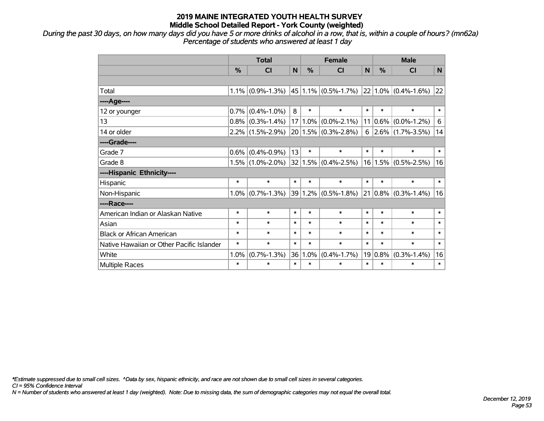*During the past 30 days, on how many days did you have 5 or more drinks of alcohol in a row, that is, within a couple of hours? (mn62a) Percentage of students who answered at least 1 day*

|                                           | <b>Total</b>  |                     |                 |               | <b>Female</b>           |        | <b>Male</b>   |                                                          |        |  |
|-------------------------------------------|---------------|---------------------|-----------------|---------------|-------------------------|--------|---------------|----------------------------------------------------------|--------|--|
|                                           | $\frac{0}{0}$ | <b>CI</b>           | N               | $\frac{0}{0}$ | <b>CI</b>               | N      | $\frac{0}{0}$ | <b>CI</b>                                                | N.     |  |
|                                           |               |                     |                 |               |                         |        |               |                                                          |        |  |
| Total                                     | 1.1%          | $(0.9\% - 1.3\%)$   |                 |               |                         |        |               | $ 45 1.1\% $ (0.5%-1.7%) $ 22 1.0\% $ (0.4%-1.6%) $ 22 $ |        |  |
| ----Age----                               |               |                     |                 |               |                         |        |               |                                                          |        |  |
| 12 or younger                             | 0.7%          | $(0.4\% - 1.0\%)$   | 8               | $\ast$        | $\ast$                  | $\ast$ | $\ast$        | $\ast$                                                   | $\ast$ |  |
| 13                                        | 0.8%          | $(0.3\% - 1.4\%)$   | 17 <sup>2</sup> | $1.0\%$       | $(0.0\% - 2.1\%)$       |        | $11 0.6\% $   | $(0.0\% - 1.2\%)$                                        | 6      |  |
| 14 or older                               |               | $2.2\%$ (1.5%-2.9%) |                 |               | $20 1.5\% $ (0.3%-2.8%) | 6      |               | $ 2.6\% $ (1.7%-3.5%)                                    | 14     |  |
| ----Grade----                             |               |                     |                 |               |                         |        |               |                                                          |        |  |
| Grade 7                                   | 0.6%          | $(0.4\% - 0.9\%)$   | 13              | $\ast$        | $\ast$                  | $\ast$ | $\ast$        | $\ast$                                                   | $\ast$ |  |
| Grade 8                                   | 1.5%          | $(1.0\% - 2.0\%)$   |                 |               | $32 1.5\% $ (0.4%-2.5%) |        |               | $16 1.5\% $ (0.5%-2.5%)                                  | 16     |  |
| ----Hispanic Ethnicity----                |               |                     |                 |               |                         |        |               |                                                          |        |  |
| Hispanic                                  | $\ast$        | $\ast$              | $\ast$          | $\ast$        | $\ast$                  | $\ast$ | $\ast$        | $\ast$                                                   | $\ast$ |  |
| Non-Hispanic                              | 1.0%          | $(0.7\% - 1.3\%)$   |                 | 39 1.2%       | $(0.5\% - 1.8\%)$       |        |               | $21   0.8\%   (0.3\% - 1.4\%)$                           | 16     |  |
| ----Race----                              |               |                     |                 |               |                         |        |               |                                                          |        |  |
| American Indian or Alaskan Native         | $\ast$        | $\ast$              | $\ast$          | $\ast$        | $\ast$                  | $\ast$ | $\ast$        | $\ast$                                                   | $\ast$ |  |
| Asian                                     | $\ast$        | $\ast$              | $\ast$          | $\ast$        | $\ast$                  | $\ast$ | $\ast$        | $\ast$                                                   | $\ast$ |  |
| <b>Black or African American</b>          | $\ast$        | $\ast$              | $\ast$          | $\ast$        | $\ast$                  | $\ast$ | $\ast$        | $\ast$                                                   | $\ast$ |  |
| Native Hawaiian or Other Pacific Islander | $\ast$        | $\ast$              | $\ast$          | $\ast$        | $\ast$                  | $\ast$ | $\ast$        | $\ast$                                                   | $\ast$ |  |
| White                                     | 1.0%          | $(0.7\% - 1.3\%)$   | 36              | 1.0%          | $(0.4\% - 1.7\%)$       |        | $19 0.8\%$    | $(0.3\% - 1.4\%)$                                        | 16     |  |
| Multiple Races                            | $\ast$        | $\ast$              | $\ast$          | $\ast$        | *                       | $\ast$ | $\ast$        | $\ast$                                                   | $\ast$ |  |

*\*Estimate suppressed due to small cell sizes. ^Data by sex, hispanic ethnicity, and race are not shown due to small cell sizes in several categories.*

*CI = 95% Confidence Interval*

*N = Number of students who answered at least 1 day (weighted). Note: Due to missing data, the sum of demographic categories may not equal the overall total.*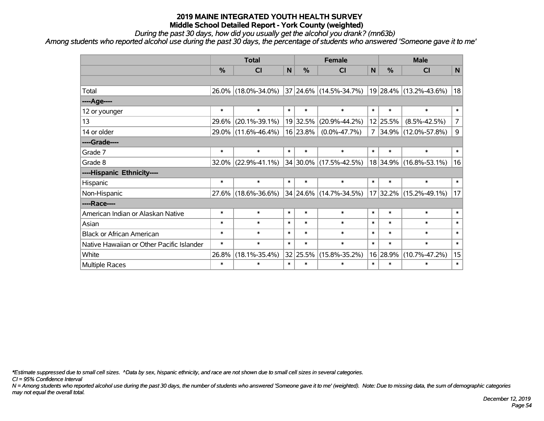*During the past 30 days, how did you usually get the alcohol you drank? (mn63b)*

*Among students who reported alcohol use during the past 30 days, the percentage of students who answered 'Someone gave it to me'*

|                                           | <b>Total</b>  |                     |        |               | <b>Female</b>                                           | <b>Male</b>    |               |                        |                |
|-------------------------------------------|---------------|---------------------|--------|---------------|---------------------------------------------------------|----------------|---------------|------------------------|----------------|
|                                           | $\frac{0}{0}$ | <b>CI</b>           | N      | $\frac{0}{0}$ | <b>CI</b>                                               | N              | $\frac{0}{0}$ | <b>CI</b>              | $\mathsf{N}$   |
|                                           |               |                     |        |               |                                                         |                |               |                        |                |
| Total                                     |               | 26.0% (18.0%-34.0%) |        |               | $ 37 24.6\% $ (14.5%-34.7%) $ 19 28.4\% $ (13.2%-43.6%) |                |               |                        | 18             |
| ---- Age----                              |               |                     |        |               |                                                         |                |               |                        |                |
| 12 or younger                             | $\ast$        | $\ast$              | $\ast$ | $\ast$        | $\ast$                                                  | $\ast$         | $\ast$        | $\ast$                 | $\ast$         |
| 13                                        | 29.6%         | $(20.1\% - 39.1\%)$ |        | 19 32.5%      | $(20.9\% - 44.2\%)$                                     |                | 12 25.5%      | $(8.5\% - 42.5\%)$     | $\overline{7}$ |
| 14 or older                               |               | 29.0% (11.6%-46.4%) |        | 16 23.8%      | $(0.0\% - 47.7\%)$                                      | $\overline{7}$ |               | 34.9% (12.0%-57.8%)    | $\mathsf 9$    |
| ----Grade----                             |               |                     |        |               |                                                         |                |               |                        |                |
| Grade 7                                   | $\ast$        | $\ast$              | $\ast$ | $\ast$        | $\ast$                                                  | $\ast$         | $\ast$        | $\ast$                 | $\ast$         |
| Grade 8                                   |               | 32.0% (22.9%-41.1%) |        |               | $ 34 30.0\% $ (17.5%-42.5%)                             |                |               | 18 34.9% (16.8%-53.1%) | 16             |
| ----Hispanic Ethnicity----                |               |                     |        |               |                                                         |                |               |                        |                |
| Hispanic                                  | $\ast$        | $\ast$              | $\ast$ | $\ast$        | $\ast$                                                  | $\ast$         | $\ast$        | $\ast$                 | $\ast$         |
| Non-Hispanic                              |               | 27.6% (18.6%-36.6%) |        |               | 34 24.6% (14.7%-34.5%)                                  |                |               | 17 32.2% (15.2%-49.1%) | 17             |
| ----Race----                              |               |                     |        |               |                                                         |                |               |                        |                |
| American Indian or Alaskan Native         | $\ast$        | $\ast$              | $\ast$ | $\ast$        | $\ast$                                                  | $\ast$         | $\ast$        | $\ast$                 | $\ast$         |
| Asian                                     | $\ast$        | $\ast$              | $\ast$ | $\ast$        | $\ast$                                                  | $\ast$         | $\ast$        | $\ast$                 | $\ast$         |
| <b>Black or African American</b>          | $\ast$        | $\ast$              | $\ast$ | $\ast$        | $\ast$                                                  | $\ast$         | $\ast$        | $\ast$                 | $\ast$         |
| Native Hawaiian or Other Pacific Islander | $\ast$        | $\ast$              | $\ast$ | $\ast$        | $\ast$                                                  | $\ast$         | $\ast$        | $\ast$                 | $\ast$         |
| White                                     | 26.8%         | $(18.1\% - 35.4\%)$ |        | 32 25.5%      | $(15.8\% - 35.2\%)$                                     |                | 16 28.9%      | $(10.7\% - 47.2\%)$    | 15             |
| Multiple Races                            | $\ast$        | $\ast$              | $\ast$ | $\ast$        | $\ast$                                                  | $\ast$         | $\ast$        | $\ast$                 | $\ast$         |

*\*Estimate suppressed due to small cell sizes. ^Data by sex, hispanic ethnicity, and race are not shown due to small cell sizes in several categories.*

*CI = 95% Confidence Interval*

*N = Among students who reported alcohol use during the past 30 days, the number of students who answered 'Someone gave it to me' (weighted). Note: Due to missing data, the sum of demographic categories may not equal the overall total.*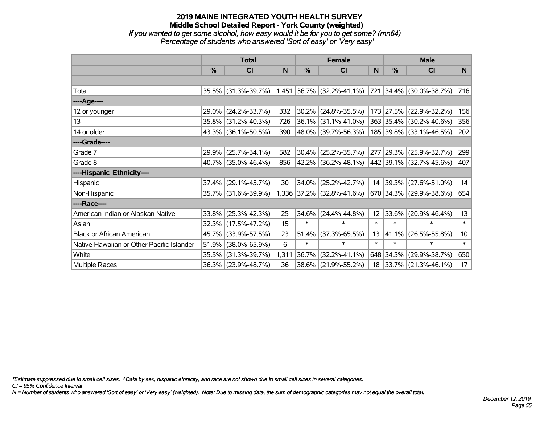### **2019 MAINE INTEGRATED YOUTH HEALTH SURVEY Middle School Detailed Report - York County (weighted)** *If you wanted to get some alcohol, how easy would it be for you to get some? (mn64)*

*Percentage of students who answered 'Sort of easy' or 'Very easy'*

|                                           | <b>Total</b>  |                     |       | <b>Female</b> |                             | <b>Male</b> |               |                          |                 |
|-------------------------------------------|---------------|---------------------|-------|---------------|-----------------------------|-------------|---------------|--------------------------|-----------------|
|                                           | $\frac{0}{0}$ | <b>CI</b>           | N     | $\frac{0}{0}$ | CI                          | ${\sf N}$   | $\frac{0}{0}$ | <b>CI</b>                | N               |
|                                           |               |                     |       |               |                             |             |               |                          |                 |
| Total                                     |               | 35.5% (31.3%-39.7%) |       |               | $1,451$ 36.7% (32.2%-41.1%) | 721         |               | $34.4\%$ (30.0%-38.7%)   | 716             |
| ----Age----                               |               |                     |       |               |                             |             |               |                          |                 |
| 12 or younger                             | 29.0%         | $(24.2\% - 33.7\%)$ | 332   | 30.2%         | $(24.8\% - 35.5\%)$         |             |               | 173 27.5% (22.9%-32.2%)  | 156             |
| 13                                        |               | 35.8% (31.2%-40.3%) | 726   |               | $36.1\%$ (31.1%-41.0%)      |             |               | 363 35.4% (30.2%-40.6%)  | 356             |
| 14 or older                               |               | 43.3% (36.1%-50.5%) | 390   |               | 48.0% (39.7%-56.3%)         |             |               | 185 39.8% (33.1%-46.5%)  | 202             |
| ----Grade----                             |               |                     |       |               |                             |             |               |                          |                 |
| Grade 7                                   | 29.9%         | $(25.7\% - 34.1\%)$ | 582   | 30.4%         | $(25.2\% - 35.7\%)$         |             |               | 277 29.3% (25.9%-32.7%)  | 299             |
| Grade 8                                   |               | 40.7% (35.0%-46.4%) | 856   |               | 42.2% (36.2%-48.1%)         |             |               | 442 39.1% (32.7%-45.6%)  | 407             |
| ----Hispanic Ethnicity----                |               |                     |       |               |                             |             |               |                          |                 |
| Hispanic                                  | 37.4%         | $(29.1\% - 45.7\%)$ | 30    | 34.0%         | $(25.2\% - 42.7\%)$         | 14          |               | $ 39.3\% $ (27.6%-51.0%) | 14              |
| Non-Hispanic                              |               | 35.7% (31.6%-39.9%) |       |               | 1,336 37.2% (32.8%-41.6%)   |             |               | 670 34.3% (29.9%-38.6%)  | 654             |
| ----Race----                              |               |                     |       |               |                             |             |               |                          |                 |
| American Indian or Alaskan Native         | 33.8%         | $(25.3\% - 42.3\%)$ | 25    | 34.6%         | $(24.4\% - 44.8\%)$         | 12          |               | $ 33.6\% $ (20.9%-46.4%) | 13              |
| Asian                                     | 32.3%         | $(17.5\% - 47.2\%)$ | 15    | $\ast$        | $\ast$                      | $\ast$      | $\ast$        | $\ast$                   | $\ast$          |
| <b>Black or African American</b>          | 45.7%         | $(33.9\% - 57.5\%)$ | 23    | 51.4%         | $(37.3\% - 65.5\%)$         | 13          | 41.1%         | $(26.5\% - 55.8\%)$      | 10 <sup>°</sup> |
| Native Hawaiian or Other Pacific Islander | 51.9%         | $(38.0\% - 65.9\%)$ | 6     | $\ast$        | $\ast$                      | $\ast$      | $\ast$        | $\ast$                   | $\ast$          |
| White                                     | 35.5%         | $(31.3\% - 39.7\%)$ | 1,311 | 36.7%         | $(32.2\% - 41.1\%)$         |             | 648 34.3%     | $(29.9\% - 38.7\%)$      | 650             |
| Multiple Races                            |               | 36.3% (23.9%-48.7%) | 36    |               | 38.6% (21.9%-55.2%)         | 18          |               | $ 33.7\% $ (21.3%-46.1%) | 17              |

*\*Estimate suppressed due to small cell sizes. ^Data by sex, hispanic ethnicity, and race are not shown due to small cell sizes in several categories.*

*CI = 95% Confidence Interval*

*N = Number of students who answered 'Sort of easy' or 'Very easy' (weighted). Note: Due to missing data, the sum of demographic categories may not equal the overall total.*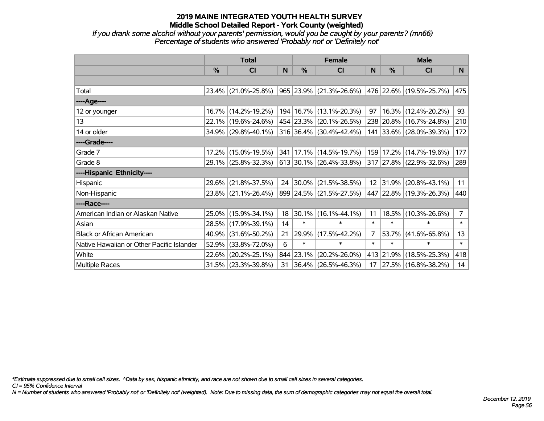*If you drank some alcohol without your parents' permission, would you be caught by your parents? (mn66) Percentage of students who answered 'Probably not' or 'Definitely not'*

|                                           | <b>Total</b> |                     |    | <b>Female</b> | <b>Male</b>                                     |        |           |                              |                |
|-------------------------------------------|--------------|---------------------|----|---------------|-------------------------------------------------|--------|-----------|------------------------------|----------------|
|                                           | $\%$         | <b>CI</b>           | N  | $\%$          | <b>CI</b>                                       | N      | $\%$      | <b>CI</b>                    | <b>N</b>       |
|                                           |              |                     |    |               |                                                 |        |           |                              |                |
| Total                                     |              | 23.4% (21.0%-25.8%) |    |               | $\vert$ 965 $\vert$ 23.9% $\vert$ (21.3%-26.6%) |        |           | $ 476 22.6\% $ (19.5%-25.7%) | 475            |
| ----Age----                               |              |                     |    |               |                                                 |        |           |                              |                |
| 12 or younger                             |              | 16.7% (14.2%-19.2%) |    |               | 194   16.7%   (13.1%-20.3%)                     | 97     |           | 16.3% (12.4%-20.2%)          | 93             |
| 13                                        |              | 22.1% (19.6%-24.6%) |    |               | 454 23.3% (20.1%-26.5%)                         |        |           | 238 20.8% (16.7%-24.8%)      | 210            |
| 14 or older                               |              | 34.9% (29.8%-40.1%) |    |               | 316 36.4% (30.4%-42.4%)                         |        |           | 141 33.6% (28.0%-39.3%)      | 172            |
| ----Grade----                             |              |                     |    |               |                                                 |        |           |                              |                |
| Grade 7                                   |              | 17.2% (15.0%-19.5%) |    |               | 341 17.1% (14.5%-19.7%)                         | 159    | 17.2%     | $(14.7\% - 19.6\%)$          | 177            |
| Grade 8                                   |              | 29.1% (25.8%-32.3%) |    |               | $ 613 30.1\% $ (26.4%-33.8%)                    |        |           | 317 27.8% (22.9%-32.6%)      | 289            |
| ----Hispanic Ethnicity----                |              |                     |    |               |                                                 |        |           |                              |                |
| Hispanic                                  | 29.6%        | $(21.8\% - 37.5\%)$ |    |               | 24 30.0% (21.5%-38.5%)                          |        | 12 31.9%  | $(20.8\% - 43.1\%)$          | 11             |
| Non-Hispanic                              |              | 23.8% (21.1%-26.4%) |    |               | 899 24.5% (21.5%-27.5%)                         |        |           | 447 22.8% (19.3%-26.3%)      | 440            |
| ----Race----                              |              |                     |    |               |                                                 |        |           |                              |                |
| American Indian or Alaskan Native         |              | 25.0% (15.9%-34.1%) | 18 |               | 30.1% (16.1%-44.1%)                             | 11     | 18.5%     | $(10.3\% - 26.6\%)$          | $\overline{7}$ |
| Asian                                     |              | 28.5% (17.9%-39.1%) | 14 | $\ast$        | $\ast$                                          | $\ast$ | $\ast$    | $\ast$                       | $\ast$         |
| <b>Black or African American</b>          | 40.9%        | $(31.6\% - 50.2\%)$ | 21 | 29.9%         | $(17.5\% - 42.2\%)$                             | 7      | 53.7%     | $(41.6\% - 65.8\%)$          | 13             |
| Native Hawaiian or Other Pacific Islander | 52.9%        | $(33.8\% - 72.0\%)$ | 6  | $\ast$        | $\ast$                                          | $\ast$ | $\ast$    | $\ast$                       | $\ast$         |
| White                                     | 22.6%        | $(20.2\% - 25.1\%)$ |    | 844 23.1%     | $(20.2\% - 26.0\%)$                             |        | 413 21.9% | $(18.5\% - 25.3\%)$          | 418            |
| Multiple Races                            |              | 31.5% (23.3%-39.8%) | 31 |               | $ 36.4\% $ (26.5%-46.3%)                        |        |           | 17 27.5% (16.8%-38.2%)       | 14             |

*\*Estimate suppressed due to small cell sizes. ^Data by sex, hispanic ethnicity, and race are not shown due to small cell sizes in several categories.*

*CI = 95% Confidence Interval*

*N = Number of students who answered 'Probably not' or 'Definitely not' (weighted). Note: Due to missing data, the sum of demographic categories may not equal the overall total.*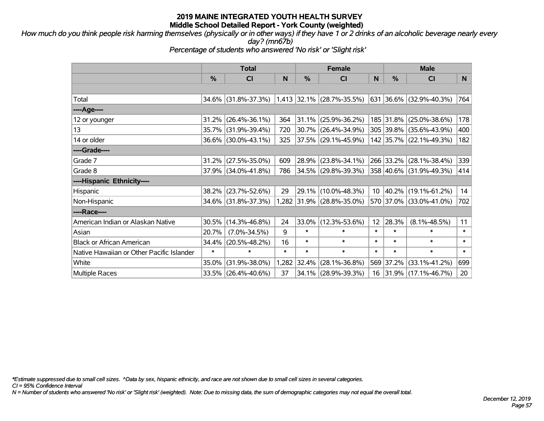*How much do you think people risk harming themselves (physically or in other ways) if they have 1 or 2 drinks of an alcoholic beverage nearly every day? (mn67b)*

*Percentage of students who answered 'No risk' or 'Slight risk'*

|                                           | <b>Total</b> |                     |        | <b>Female</b> |                           | <b>Male</b>     |               |                          |        |
|-------------------------------------------|--------------|---------------------|--------|---------------|---------------------------|-----------------|---------------|--------------------------|--------|
|                                           | %            | <b>CI</b>           | N      | %             | <b>CI</b>                 | N               | $\frac{0}{0}$ | <b>CI</b>                | N.     |
|                                           |              |                     |        |               |                           |                 |               |                          |        |
| Total                                     | $34.6\%$     | $(31.8\% - 37.3\%)$ |        |               | 1,413 32.1% (28.7%-35.5%) | 631             |               | 36.6% (32.9%-40.3%)      | 764    |
| ----Age----                               |              |                     |        |               |                           |                 |               |                          |        |
| 12 or younger                             | 31.2%        | $(26.4\% - 36.1\%)$ | 364    | 31.1%         | $(25.9\% - 36.2\%)$       |                 | 185 31.8%     | $(25.0\% - 38.6\%)$      | 178    |
| 13                                        | 35.7%        | $(31.9\% - 39.4\%)$ | 720    |               | 30.7% (26.4%-34.9%)       |                 |               | 305 39.8% (35.6%-43.9%)  | 400    |
| 14 or older                               |              | 36.6% (30.0%-43.1%) | 325    |               | $37.5\%$ (29.1%-45.9%)    |                 |               | 142 35.7% (22.1%-49.3%)  | 182    |
| ----Grade----                             |              |                     |        |               |                           |                 |               |                          |        |
| Grade 7                                   | 31.2%        | $(27.5\% - 35.0\%)$ | 609    | 28.9%         | $(23.8\% - 34.1\%)$       |                 |               | 266 33.2% (28.1%-38.4%)  | 339    |
| Grade 8                                   |              | 37.9% (34.0%-41.8%) | 786    |               | 34.5% (29.8%-39.3%)       |                 |               | 358 40.6% (31.9%-49.3%)  | 414    |
| ----Hispanic Ethnicity----                |              |                     |        |               |                           |                 |               |                          |        |
| Hispanic                                  | 38.2%        | $(23.7\% - 52.6\%)$ | 29     | 29.1%         | $(10.0\% - 48.3\%)$       | 10 <sup>°</sup> |               | 40.2% (19.1%-61.2%)      | 14     |
| Non-Hispanic                              |              | 34.6% (31.8%-37.3%) |        |               | 1,282 31.9% (28.8%-35.0%) |                 |               | 570 37.0% (33.0%-41.0%)  | 702    |
| ----Race----                              |              |                     |        |               |                           |                 |               |                          |        |
| American Indian or Alaskan Native         | 30.5%        | $(14.3\% - 46.8\%)$ | 24     | 33.0%         | $(12.3\% - 53.6\%)$       | 12 <sup>2</sup> | 28.3%         | $(8.1\% - 48.5\%)$       | 11     |
| Asian                                     | 20.7%        | $(7.0\% - 34.5\%)$  | 9      | $\ast$        | $\ast$                    | $\ast$          | $\ast$        | $\ast$                   | $\ast$ |
| <b>Black or African American</b>          | 34.4%        | $(20.5\% - 48.2\%)$ | 16     | $\ast$        | $\ast$                    | $\ast$          | $\ast$        | $\ast$                   | $\ast$ |
| Native Hawaiian or Other Pacific Islander | $\pmb{\ast}$ | $\ast$              | $\ast$ | $\ast$        | $\ast$                    | $\ast$          | $\ast$        | $\ast$                   | $\ast$ |
| White                                     | 35.0%        | $(31.9\% - 38.0\%)$ | 1,282  | 32.4%         | $(28.1\% - 36.8\%)$       |                 | 569 37.2%     | $(33.1\% - 41.2\%)$      | 699    |
| <b>Multiple Races</b>                     | 33.5%        | $(26.4\% - 40.6\%)$ | 37     | 34.1%         | $(28.9\% - 39.3\%)$       | 16              |               | $ 31.9\% $ (17.1%-46.7%) | 20     |

*\*Estimate suppressed due to small cell sizes. ^Data by sex, hispanic ethnicity, and race are not shown due to small cell sizes in several categories.*

*CI = 95% Confidence Interval*

*N = Number of students who answered 'No risk' or 'Slight risk' (weighted). Note: Due to missing data, the sum of demographic categories may not equal the overall total.*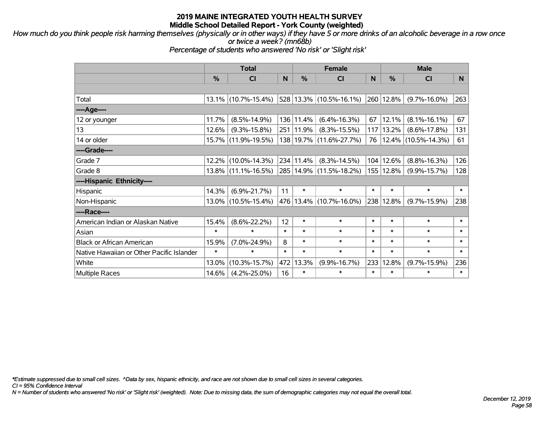*How much do you think people risk harming themselves (physically or in other ways) if they have 5 or more drinks of an alcoholic beverage in a row once or twice a week? (mn68b)*

*Percentage of students who answered 'No risk' or 'Slight risk'*

|                                           | <b>Total</b> |                     |        | <b>Female</b> | <b>Male</b>                 |        |               |                        |        |
|-------------------------------------------|--------------|---------------------|--------|---------------|-----------------------------|--------|---------------|------------------------|--------|
|                                           | %            | C <sub>l</sub>      | N      | $\frac{9}{6}$ | <b>CI</b>                   | N      | $\frac{0}{0}$ | <b>CI</b>              | N      |
|                                           |              |                     |        |               |                             |        |               |                        |        |
| Total                                     |              | 13.1% (10.7%-15.4%) |        |               | 528 13.3% (10.5%-16.1%)     | 260    | $12.8\%$      | $(9.7\% - 16.0\%)$     | 263    |
| ----Age----                               |              |                     |        |               |                             |        |               |                        |        |
| 12 or younger                             | 11.7%        | $(8.5\% - 14.9\%)$  |        | 136 11.4%     | $(6.4\% - 16.3\%)$          | 67     | 12.1%         | $(8.1\% - 16.1\%)$     | 67     |
| 13                                        | 12.6%        | $(9.3\% - 15.8\%)$  |        | 251 11.9%     | $(8.3\% - 15.5\%)$          | 117    | 13.2%         | $(8.6\% - 17.8\%)$     | 131    |
| 14 or older                               |              | 15.7% (11.9%-19.5%) |        |               | 138   19.7%   (11.6%-27.7%) | 76     |               | $12.4\%$ (10.5%-14.3%) | 61     |
| ----Grade----                             |              |                     |        |               |                             |        |               |                        |        |
| Grade 7                                   |              | 12.2% (10.0%-14.3%) |        | 234 11.4%     | $(8.3\% - 14.5\%)$          | 104    | 12.6%         | $(8.8\% - 16.3\%)$     | 126    |
| Grade 8                                   |              | 13.8% (11.1%-16.5%) |        |               | 285   14.9%   (11.5%-18.2%) | 155    | 12.8%         | $(9.9\% - 15.7\%)$     | 128    |
| ----Hispanic Ethnicity----                |              |                     |        |               |                             |        |               |                        |        |
| Hispanic                                  | 14.3%        | $(6.9\% - 21.7\%)$  | 11     | $\ast$        | $\ast$                      | $\ast$ | $\ast$        | $\ast$                 | $\ast$ |
| Non-Hispanic                              |              | 13.0% (10.5%-15.4%) |        |               | 476 13.4% (10.7%-16.0%)     | 238    | 12.8%         | $(9.7\% - 15.9\%)$     | 238    |
| ----Race----                              |              |                     |        |               |                             |        |               |                        |        |
| American Indian or Alaskan Native         | 15.4%        | $(8.6\% - 22.2\%)$  | 12     | $\ast$        | $\ast$                      | $\ast$ | $\ast$        | $\ast$                 | $\ast$ |
| Asian                                     | $\ast$       | $\ast$              | $\ast$ | $\ast$        | $\ast$                      | $\ast$ | $\ast$        | $\ast$                 | $\ast$ |
| <b>Black or African American</b>          | 15.9%        | $(7.0\% - 24.9\%)$  | 8      | $\ast$        | $\ast$                      | $\ast$ | $\ast$        | $\ast$                 | $\ast$ |
| Native Hawaiian or Other Pacific Islander | $\ast$       | $\ast$              | $\ast$ | $\ast$        | $\ast$                      | $\ast$ | $\ast$        | $\ast$                 | $\ast$ |
| White                                     | 13.0%        | $(10.3\% - 15.7\%)$ | 472    | 13.3%         | $(9.9\% - 16.7\%)$          | 233    | 12.8%         | $(9.7\% - 15.9\%)$     | 236    |
| <b>Multiple Races</b>                     | 14.6%        | $(4.2\% - 25.0\%)$  | 16     | $\ast$        | $\ast$                      | $\ast$ | $\ast$        | $\ast$                 | $\ast$ |

*\*Estimate suppressed due to small cell sizes. ^Data by sex, hispanic ethnicity, and race are not shown due to small cell sizes in several categories.*

*CI = 95% Confidence Interval*

*N = Number of students who answered 'No risk' or 'Slight risk' (weighted). Note: Due to missing data, the sum of demographic categories may not equal the overall total.*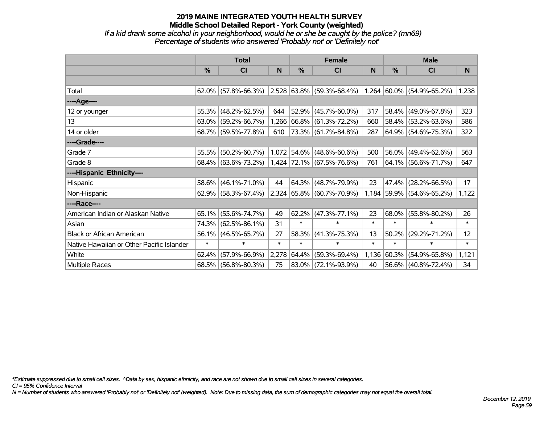*If a kid drank some alcohol in your neighborhood, would he or she be caught by the police? (mn69) Percentage of students who answered 'Probably not' or 'Definitely not'*

|                                           | <b>Total</b> |                        |        |               | <b>Female</b>                                                 |        | <b>Male</b> |                           |        |  |
|-------------------------------------------|--------------|------------------------|--------|---------------|---------------------------------------------------------------|--------|-------------|---------------------------|--------|--|
|                                           | $\%$         | C <sub>l</sub>         | N      | $\frac{0}{0}$ | <b>CI</b>                                                     | N      | %           | <b>CI</b>                 | N      |  |
|                                           |              |                        |        |               |                                                               |        |             |                           |        |  |
| Total                                     |              | $62.0\%$ (57.8%-66.3%) |        |               | $ 2,528 63.8\% 59.3\% - 68.4\% 1,264 60.0\% 54.9\% - 65.2\% $ |        |             |                           | 1,238  |  |
| ----Age----                               |              |                        |        |               |                                                               |        |             |                           |        |  |
| 12 or younger                             | 55.3%        | $(48.2\% - 62.5\%)$    | 644    |               | $52.9\%$ (45.7%-60.0%)                                        | 317    | 58.4%       | $(49.0\% - 67.8\%)$       | 323    |  |
| 13                                        |              | $63.0\%$ (59.2%-66.7%) |        |               | 1,266 66.8% (61.3%-72.2%)                                     | 660    |             | 58.4% (53.2%-63.6%)       | 586    |  |
| 14 or older                               |              | 68.7% (59.5%-77.8%)    | 610    |               | 73.3% (61.7%-84.8%)                                           | 287    |             | $64.9\%$ (54.6%-75.3%)    | 322    |  |
| ----Grade----                             |              |                        |        |               |                                                               |        |             |                           |        |  |
| Grade 7                                   | 55.5%        | $(50.2\% - 60.7\%)$    |        |               | 1,072 54.6% (48.6%-60.6%)                                     | 500    | 56.0%       | $(49.4\% - 62.6\%)$       | 563    |  |
| Grade 8                                   |              | 68.4% (63.6%-73.2%)    |        |               | 1,424 72.1% (67.5%-76.6%)                                     | 761    |             | $ 64.1\% $ (56.6%-71.7%)  | 647    |  |
| ----Hispanic Ethnicity----                |              |                        |        |               |                                                               |        |             |                           |        |  |
| Hispanic                                  | 58.6%        | $(46.1\% - 71.0\%)$    | 44     |               | 64.3% (48.7%-79.9%)                                           | 23     | 47.4%       | $(28.2\% - 66.5\%)$       | 17     |  |
| Non-Hispanic                              |              | 62.9% (58.3%-67.4%)    |        |               | 2,324 65.8% (60.7%-70.9%)                                     |        |             | 1,184 59.9% (54.6%-65.2%) | 1,122  |  |
| ----Race----                              |              |                        |        |               |                                                               |        |             |                           |        |  |
| American Indian or Alaskan Native         | 65.1%        | $(55.6\% - 74.7\%)$    | 49     |               | $62.2\%$ (47.3%-77.1%)                                        | 23     | 68.0%       | $(55.8\% - 80.2\%)$       | 26     |  |
| Asian                                     | 74.3%        | $(62.5\% - 86.1\%)$    | 31     | $\ast$        | $\ast$                                                        | $\ast$ | $\ast$      | $\ast$                    | $\ast$ |  |
| <b>Black or African American</b>          | 56.1%        | $(46.5\% - 65.7\%)$    | 27     | 58.3%         | $(41.3\% - 75.3\%)$                                           | 13     | 50.2%       | $(29.2\% - 71.2\%)$       | 12     |  |
| Native Hawaiian or Other Pacific Islander | $\ast$       | $\ast$                 | $\ast$ | $\ast$        | $\ast$                                                        | $\ast$ | $\ast$      | $\ast$                    | $\ast$ |  |
| White                                     | 62.4%        | $(57.9\% - 66.9\%)$    | 2,278  | 64.4%         | $(59.3\% - 69.4\%)$                                           | 1,136  | $60.3\%$    | $(54.9\% - 65.8\%)$       | 1,121  |  |
| Multiple Races                            | 68.5%        | $(56.8\% - 80.3\%)$    | 75     |               | 83.0% (72.1%-93.9%)                                           | 40     |             | 56.6% (40.8%-72.4%)       | 34     |  |

*\*Estimate suppressed due to small cell sizes. ^Data by sex, hispanic ethnicity, and race are not shown due to small cell sizes in several categories.*

*CI = 95% Confidence Interval*

*N = Number of students who answered 'Probably not' or 'Definitely not' (weighted). Note: Due to missing data, the sum of demographic categories may not equal the overall total.*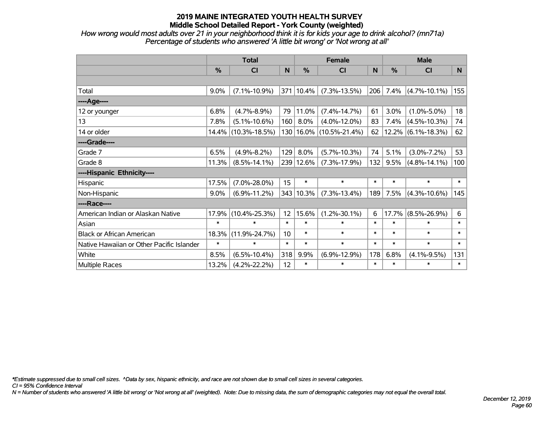*How wrong would most adults over 21 in your neighborhood think it is for kids your age to drink alcohol? (mn71a) Percentage of students who answered 'A little bit wrong' or 'Not wrong at all'*

|                                           | <b>Total</b> |                     |        |           | <b>Female</b>       | <b>Male</b> |               |                       |                |
|-------------------------------------------|--------------|---------------------|--------|-----------|---------------------|-------------|---------------|-----------------------|----------------|
|                                           | %            | <b>CI</b>           | N      | %         | <b>CI</b>           | N           | $\frac{0}{0}$ | <b>CI</b>             | N <sub>1</sub> |
|                                           |              |                     |        |           |                     |             |               |                       |                |
| Total                                     | 9.0%         | $(7.1\% - 10.9\%)$  |        | 371 10.4% | $(7.3\% - 13.5\%)$  | 206         | 7.4%          | $(4.7\% - 10.1\%)$    | 155            |
| ----Age----                               |              |                     |        |           |                     |             |               |                       |                |
| 12 or younger                             | 6.8%         | $(4.7\% - 8.9\%)$   | 79     | 11.0%     | $(7.4\% - 14.7\%)$  | 61          | 3.0%          | $(1.0\% - 5.0\%)$     | 18             |
| 13                                        | 7.8%         | $(5.1\% - 10.6\%)$  | 160    | 8.0%      | $(4.0\% - 12.0\%)$  | 83          | 7.4%          | $(4.5\% - 10.3\%)$    | 74             |
| 14 or older                               | 14.4%        | $(10.3\% - 18.5\%)$ |        | 130 16.0% | $(10.5\% - 21.4\%)$ | 62          |               | $12.2\%$ (6.1%-18.3%) | 62             |
| ----Grade----                             |              |                     |        |           |                     |             |               |                       |                |
| Grade 7                                   | 6.5%         | $(4.9% - 8.2%)$     | 129    | 8.0%      | $(5.7\% - 10.3\%)$  | 74          | 5.1%          | $(3.0\% - 7.2\%)$     | 53             |
| Grade 8                                   | 11.3%        | $(8.5\% - 14.1\%)$  |        | 239 12.6% | $(7.3\% - 17.9\%)$  | 132         | 9.5%          | $(4.8\% - 14.1\%)$    | 100            |
| ----Hispanic Ethnicity----                |              |                     |        |           |                     |             |               |                       |                |
| Hispanic                                  | 17.5%        | $(7.0\% - 28.0\%)$  | 15     | $\ast$    | $\ast$              | $\ast$      | $\ast$        | $\ast$                | $\ast$         |
| Non-Hispanic                              | 9.0%         | $(6.9\% - 11.2\%)$  |        | 343 10.3% | $(7.3\% - 13.4\%)$  | 189         | 7.5%          | $(4.3\% - 10.6\%)$    | 145            |
| ----Race----                              |              |                     |        |           |                     |             |               |                       |                |
| American Indian or Alaskan Native         | 17.9%        | $(10.4\% - 25.3\%)$ | 12     | 15.6%     | $(1.2\% - 30.1\%)$  | 6           | 17.7%         | $(8.5\% - 26.9\%)$    | 6              |
| Asian                                     | $\ast$       | $\ast$              | $\ast$ | $\ast$    | $\ast$              | $\ast$      | $\ast$        | $\ast$                | $\ast$         |
| <b>Black or African American</b>          | 18.3%        | $(11.9\% - 24.7\%)$ | 10     | $\ast$    | $\ast$              | $\ast$      | $\ast$        | $\ast$                | $\ast$         |
| Native Hawaiian or Other Pacific Islander | $\ast$       | $\ast$              | $\ast$ | $\ast$    | $\ast$              | $\ast$      | $\ast$        | $\ast$                | $\ast$         |
| White                                     | 8.5%         | $(6.5\% - 10.4\%)$  | 318    | 9.9%      | $(6.9\% - 12.9\%)$  | 178         | 6.8%          | $(4.1\% - 9.5\%)$     | 131            |
| <b>Multiple Races</b>                     | 13.2%        | $(4.2\% - 22.2\%)$  | 12     | $\ast$    | $\ast$              | $\ast$      | $\ast$        | $\ast$                | $\ast$         |

*\*Estimate suppressed due to small cell sizes. ^Data by sex, hispanic ethnicity, and race are not shown due to small cell sizes in several categories.*

*CI = 95% Confidence Interval*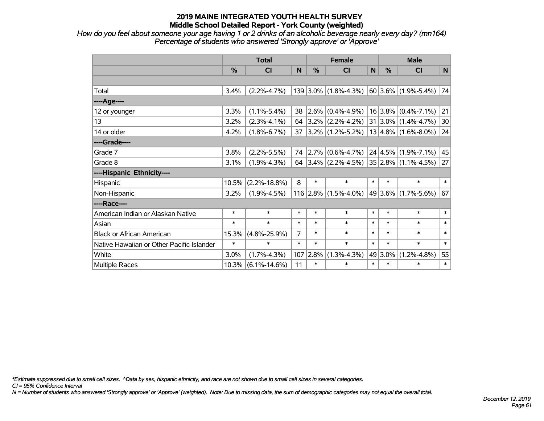*How do you feel about someone your age having 1 or 2 drinks of an alcoholic beverage nearly every day? (mn164) Percentage of students who answered 'Strongly approve' or 'Approve'*

|                                           | <b>Total</b> |                    |                | <b>Female</b> |                                                |        | <b>Male</b> |                            |        |  |
|-------------------------------------------|--------------|--------------------|----------------|---------------|------------------------------------------------|--------|-------------|----------------------------|--------|--|
|                                           | %            | CI                 | N              | %             | <b>CI</b>                                      | N      | %           | <b>CI</b>                  | N      |  |
|                                           |              |                    |                |               |                                                |        |             |                            |        |  |
| Total                                     | 3.4%         | $(2.2\% - 4.7\%)$  |                |               | 139 3.0% (1.8%-4.3%)                           |        |             | $60 3.6\% $ (1.9%-5.4%)    | 74     |  |
| ----Age----                               |              |                    |                |               |                                                |        |             |                            |        |  |
| 12 or younger                             | 3.3%         | $(1.1\% - 5.4\%)$  | 38             | $2.6\%$       | $(0.4\% - 4.9\%)$                              |        |             | $16 3.8\% $ (0.4%-7.1%)    | 21     |  |
| 13                                        | 3.2%         | $(2.3\% - 4.1\%)$  | 64             |               | $ 3.2\% $ (2.2%-4.2%)                          |        |             | $31 3.0\% (1.4\% - 4.7\%)$ | 30     |  |
| 14 or older                               | 4.2%         | $(1.8\% - 6.7\%)$  | 37             |               | $3.2\%$ (1.2%-5.2%)                            |        |             | $13 4.8\% $ (1.6%-8.0%)    | 24     |  |
| ----Grade----                             |              |                    |                |               |                                                |        |             |                            |        |  |
| Grade 7                                   | 3.8%         | $(2.2\% - 5.5\%)$  | 74             | $2.7\%$       | $(0.6\% - 4.7\%)$                              |        |             | $24$   4.5%   (1.9%-7.1%)  | 45     |  |
| Grade 8                                   | 3.1%         | $(1.9\% - 4.3\%)$  | 64             |               | $ 3.4\% $ (2.2%-4.5%) $ 35 2.8\% $ (1.1%-4.5%) |        |             |                            | 27     |  |
| ----Hispanic Ethnicity----                |              |                    |                |               |                                                |        |             |                            |        |  |
| Hispanic                                  | 10.5%        | $(2.2\% - 18.8\%)$ | 8              | $\ast$        | $\ast$                                         | $\ast$ | $\ast$      | $\ast$                     | $\ast$ |  |
| Non-Hispanic                              | 3.2%         | $(1.9\% - 4.5\%)$  |                | 116 2.8%      | $(1.5\% - 4.0\%)$                              |        |             | 49 3.6% (1.7%-5.6%)        | 67     |  |
| ----Race----                              |              |                    |                |               |                                                |        |             |                            |        |  |
| American Indian or Alaskan Native         | $\ast$       | $\ast$             | $\ast$         | $\ast$        | $\ast$                                         | $\ast$ | $\ast$      | $\ast$                     | $\ast$ |  |
| Asian                                     | $\ast$       | $\ast$             | $\ast$         | $\ast$        | $\ast$                                         | $\ast$ | $\ast$      | $\ast$                     | $\ast$ |  |
| <b>Black or African American</b>          | 15.3%        | $(4.8\% - 25.9\%)$ | $\overline{7}$ | $\ast$        | $\ast$                                         | $\ast$ | $\ast$      | $\ast$                     | $\ast$ |  |
| Native Hawaiian or Other Pacific Islander | $\ast$       | $\ast$             | $\ast$         | $\ast$        | $\ast$                                         | $\ast$ | $\ast$      | $\ast$                     | $\ast$ |  |
| White                                     | 3.0%         | $(1.7\% - 4.3\%)$  | 107            | 2.8%          | $(1.3\% - 4.3\%)$                              |        | 49 3.0%     | $(1.2\% - 4.8\%)$          | 55     |  |
| <b>Multiple Races</b>                     | 10.3%        | $(6.1\% - 14.6\%)$ | 11             | $\ast$        | $\ast$                                         | $\ast$ | $\ast$      | $\ast$                     | $\ast$ |  |

*\*Estimate suppressed due to small cell sizes. ^Data by sex, hispanic ethnicity, and race are not shown due to small cell sizes in several categories.*

*CI = 95% Confidence Interval*

*N = Number of students who answered 'Strongly approve' or 'Approve' (weighted). Note: Due to missing data, the sum of demographic categories may not equal the overall total.*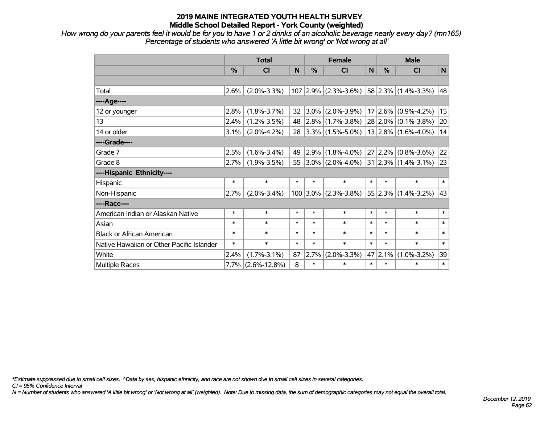*How wrong do your parents feel it would be for you to have 1 or 2 drinks of an alcoholic beverage nearly every day? (mn165) Percentage of students who answered 'A little bit wrong' or 'Not wrong at all'*

|                                           | <b>Total</b> |                    |        | <b>Female</b> |                          |        | <b>Male</b>   |                            |        |  |
|-------------------------------------------|--------------|--------------------|--------|---------------|--------------------------|--------|---------------|----------------------------|--------|--|
|                                           | %            | <b>CI</b>          | N      | %             | <b>CI</b>                | N      | $\frac{0}{0}$ | <b>CI</b>                  | N      |  |
|                                           |              |                    |        |               |                          |        |               |                            |        |  |
| Total                                     | 2.6%         | $(2.0\% - 3.3\%)$  |        |               | $107$ 2.9% (2.3%-3.6%)   |        |               | 58 2.3% (1.4%-3.3%)        | 48     |  |
| ---- Age----                              |              |                    |        |               |                          |        |               |                            |        |  |
| 12 or younger                             | 2.8%         | $(1.8\% - 3.7\%)$  | 32     |               | $3.0\%$ (2.0%-3.9%)      |        |               | $17 2.6\% $ (0.9%-4.2%)    | 15     |  |
| 13                                        | 2.4%         | $(1.2\% - 3.5\%)$  | 48     |               | $ 2.8\% $ (1.7%-3.8%)    |        |               | $28 2.0\% $ (0.1%-3.8%)    | 20     |  |
| 14 or older                               | 3.1%         | $(2.0\% - 4.2\%)$  | 28     |               | $ 3.3\% $ (1.5%-5.0%)    |        |               | $13 2.8\% $ (1.6%-4.0%)    | 14     |  |
| ----Grade----                             |              |                    |        |               |                          |        |               |                            |        |  |
| Grade 7                                   | 2.5%         | $(1.6\% - 3.4\%)$  | 49     |               | $2.9\%$ (1.8%-4.0%)      |        | 27 2.2%       | $(0.8\% - 3.6\%)$          | 22     |  |
| Grade 8                                   | 2.7%         | $(1.9\% - 3.5\%)$  |        |               | 55 $ 3.0\% $ (2.0%-4.0%) |        |               | 31 2.3% (1.4%-3.1%)        | 23     |  |
| ----Hispanic Ethnicity----                |              |                    |        |               |                          |        |               |                            |        |  |
| Hispanic                                  | $\ast$       | $\ast$             | $\ast$ | $\ast$        | $\ast$                   | $\ast$ | $\ast$        | $\ast$                     | $\ast$ |  |
| Non-Hispanic                              | 2.7%         | $(2.0\% - 3.4\%)$  |        | $100$ 3.0%    | $(2.3\% - 3.8\%)$        |        |               | $55 2.3\% (1.4\% - 3.2\%)$ | 43     |  |
| ----Race----                              |              |                    |        |               |                          |        |               |                            |        |  |
| American Indian or Alaskan Native         | $\ast$       | $\ast$             | $\ast$ | $\ast$        | $\ast$                   | $\ast$ | $\ast$        | $\ast$                     | $\ast$ |  |
| Asian                                     | $\ast$       | $\ast$             | $\ast$ | $\ast$        | $\ast$                   | $\ast$ | $\ast$        | $\ast$                     | $\ast$ |  |
| <b>Black or African American</b>          | $\ast$       | $\ast$             | $\ast$ | $\ast$        | $\ast$                   | $\ast$ | $\ast$        | $\ast$                     | $\ast$ |  |
| Native Hawaiian or Other Pacific Islander | $\ast$       | $\ast$             | $\ast$ | $\ast$        | $\ast$                   | $\ast$ | $\ast$        | $\ast$                     | $\ast$ |  |
| White                                     | 2.4%         | $(1.7\% - 3.1\%)$  | 87     | 2.7%          | $(2.0\% - 3.3\%)$        | 47     | 2.1%          | $(1.0\% - 3.2\%)$          | 39     |  |
| Multiple Races                            | $7.7\%$      | $(2.6\% - 12.8\%)$ | 8      | $\ast$        | $\ast$                   | $\ast$ | $\ast$        | $\ast$                     | $\ast$ |  |

*\*Estimate suppressed due to small cell sizes. ^Data by sex, hispanic ethnicity, and race are not shown due to small cell sizes in several categories.*

*CI = 95% Confidence Interval*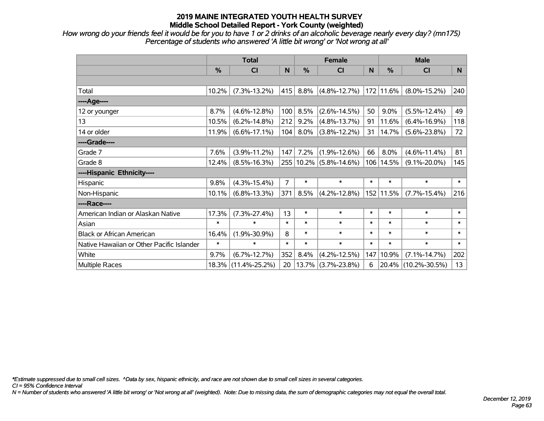*How wrong do your friends feel it would be for you to have 1 or 2 drinks of an alcoholic beverage nearly every day? (mn175) Percentage of students who answered 'A little bit wrong' or 'Not wrong at all'*

|                                           | <b>Total</b> |                     |                |        | <b>Female</b>          |        | <b>Male</b> |                     |        |  |
|-------------------------------------------|--------------|---------------------|----------------|--------|------------------------|--------|-------------|---------------------|--------|--|
|                                           | %            | CI                  | N              | %      | <b>CI</b>              | N      | %           | <b>CI</b>           | N.     |  |
|                                           |              |                     |                |        |                        |        |             |                     |        |  |
| Total                                     | 10.2%        | $(7.3\% - 13.2\%)$  | 415            | 8.8%   | $(4.8\% - 12.7\%)$     |        | 172 11.6%   | $(8.0\% - 15.2\%)$  | 240    |  |
| ----Age----                               |              |                     |                |        |                        |        |             |                     |        |  |
| 12 or younger                             | 8.7%         | $(4.6\% - 12.8\%)$  | 100            | 8.5%   | $(2.6\% - 14.5\%)$     | 50     | 9.0%        | $(5.5\% - 12.4\%)$  | 49     |  |
| 13                                        | 10.5%        | $(6.2\% - 14.8\%)$  | 212            | 9.2%   | $(4.8\% - 13.7\%)$     | 91     | 11.6%       | $(6.4\% - 16.9\%)$  | 118    |  |
| 14 or older                               | 11.9%        | $(6.6\% - 17.1\%)$  | 104            | 8.0%   | $(3.8\% - 12.2\%)$     | 31     | 14.7%       | $(5.6\% - 23.8\%)$  | 72     |  |
| ----Grade----                             |              |                     |                |        |                        |        |             |                     |        |  |
| Grade 7                                   | 7.6%         | $(3.9\% - 11.2\%)$  | 147            | 7.2%   | $(1.9\% - 12.6\%)$     | 66     | 8.0%        | $(4.6\% - 11.4\%)$  | 81     |  |
| Grade 8                                   | 12.4%        | $(8.5\% - 16.3\%)$  |                |        | 255 10.2% (5.8%-14.6%) |        | 106 14.5%   | $(9.1\% - 20.0\%)$  | 145    |  |
| ----Hispanic Ethnicity----                |              |                     |                |        |                        |        |             |                     |        |  |
| Hispanic                                  | 9.8%         | $(4.3\% - 15.4\%)$  | $\overline{7}$ | $\ast$ | $\ast$                 | $\ast$ | $\ast$      | $\ast$              | $\ast$ |  |
| Non-Hispanic                              | 10.1%        | $(6.8\% - 13.3\%)$  | 371            | 8.5%   | $(4.2\% - 12.8\%)$     |        | 152 11.5%   | $(7.7\% - 15.4\%)$  | 216    |  |
| ----Race----                              |              |                     |                |        |                        |        |             |                     |        |  |
| American Indian or Alaskan Native         | 17.3%        | $(7.3\% - 27.4\%)$  | 13             | $\ast$ | $\ast$                 | $\ast$ | $\ast$      | $\ast$              | $\ast$ |  |
| Asian                                     | $\ast$       | $\ast$              | $\ast$         | $\ast$ | $\ast$                 | $\ast$ | $\ast$      | $\ast$              | $\ast$ |  |
| <b>Black or African American</b>          | 16.4%        | $(1.9\% - 30.9\%)$  | 8              | $\ast$ | $\ast$                 | $\ast$ | $\ast$      | $\ast$              | $\ast$ |  |
| Native Hawaiian or Other Pacific Islander | $\ast$       | $\ast$              | $\ast$         | $\ast$ | $\ast$                 | $\ast$ | $\ast$      | $\ast$              | $\ast$ |  |
| White                                     | 9.7%         | $(6.7\% - 12.7\%)$  | 352            | 8.4%   | $(4.2\% - 12.5\%)$     | 147    | 10.9%       | $(7.1\% - 14.7\%)$  | 202    |  |
| <b>Multiple Races</b>                     | 18.3%        | $(11.4\% - 25.2\%)$ | 20             | 13.7%  | $(3.7\% - 23.8\%)$     | 6      | $ 20.4\% $  | $(10.2\% - 30.5\%)$ | 13     |  |

*\*Estimate suppressed due to small cell sizes. ^Data by sex, hispanic ethnicity, and race are not shown due to small cell sizes in several categories.*

*CI = 95% Confidence Interval*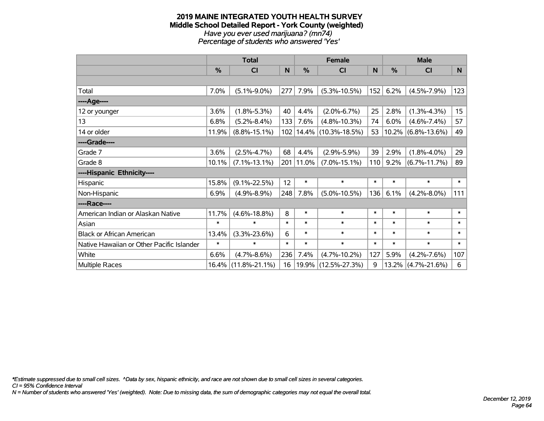#### **2019 MAINE INTEGRATED YOUTH HEALTH SURVEY Middle School Detailed Report - York County (weighted)** *Have you ever used marijuana? (mn74) Percentage of students who answered 'Yes'*

|                                           | <b>Total</b> |                     |        | <b>Female</b> |                             |        | <b>Male</b>   |                    |        |
|-------------------------------------------|--------------|---------------------|--------|---------------|-----------------------------|--------|---------------|--------------------|--------|
|                                           | %            | C <sub>l</sub>      | N      | %             | <b>CI</b>                   | N      | $\frac{0}{0}$ | <b>CI</b>          | N      |
|                                           |              |                     |        |               |                             |        |               |                    |        |
| Total                                     | 7.0%         | $(5.1\% - 9.0\%)$   | 277    | 7.9%          | $(5.3\% - 10.5\%)$          | 152    | 6.2%          | $(4.5\% - 7.9\%)$  | 123    |
| ----Age----                               |              |                     |        |               |                             |        |               |                    |        |
| 12 or younger                             | 3.6%         | $(1.8\% - 5.3\%)$   | 40     | 4.4%          | $(2.0\% - 6.7\%)$           | 25     | 2.8%          | $(1.3\% - 4.3\%)$  | 15     |
| 13                                        | 6.8%         | $(5.2\% - 8.4\%)$   | 133    | 7.6%          | $(4.8\% - 10.3\%)$          | 74     | 6.0%          | $(4.6\% - 7.4\%)$  | 57     |
| 14 or older                               | 11.9%        | $(8.8\% - 15.1\%)$  |        |               | 102   14.4%   (10.3%-18.5%) | 53     | $10.2\%$      | $(6.8\% - 13.6\%)$ | 49     |
| ----Grade----                             |              |                     |        |               |                             |        |               |                    |        |
| Grade 7                                   | 3.6%         | $(2.5\% - 4.7\%)$   | 68     | 4.4%          | $(2.9\% - 5.9\%)$           | 39     | 2.9%          | $(1.8\% - 4.0\%)$  | 29     |
| Grade 8                                   | 10.1%        | $(7.1\% - 13.1\%)$  |        | 201 11.0%     | $(7.0\% - 15.1\%)$          | 110    | 9.2%          | $(6.7\% - 11.7\%)$ | 89     |
| ----Hispanic Ethnicity----                |              |                     |        |               |                             |        |               |                    |        |
| Hispanic                                  | 15.8%        | $(9.1\% - 22.5\%)$  | 12     | $\ast$        | $\ast$                      | $\ast$ | $\ast$        | $\ast$             | $\ast$ |
| Non-Hispanic                              | 6.9%         | $(4.9\% - 8.9\%)$   | 248    | 7.8%          | $(5.0\% - 10.5\%)$          | 136    | 6.1%          | $(4.2\% - 8.0\%)$  | 111    |
| ----Race----                              |              |                     |        |               |                             |        |               |                    |        |
| American Indian or Alaskan Native         | 11.7%        | $(4.6\% - 18.8\%)$  | 8      | $\ast$        | $\ast$                      | $\ast$ | $\ast$        | $\ast$             | $\ast$ |
| Asian                                     | $\ast$       | $\ast$              | $\ast$ | $\ast$        | $\ast$                      | $\ast$ | $\ast$        | $\ast$             | $\ast$ |
| <b>Black or African American</b>          | 13.4%        | $(3.3\% - 23.6\%)$  | 6      | $\ast$        | $\ast$                      | $\ast$ | $\ast$        | $\ast$             | $\ast$ |
| Native Hawaiian or Other Pacific Islander | $\ast$       | $\ast$              | $\ast$ | $\ast$        | $\ast$                      | $\ast$ | $\ast$        | $\ast$             | $\ast$ |
| White                                     | 6.6%         | $(4.7\% - 8.6\%)$   | 236    | 7.4%          | $(4.7\% - 10.2\%)$          | 127    | 5.9%          | $(4.2\% - 7.6\%)$  | 107    |
| Multiple Races                            |              | 16.4% (11.8%-21.1%) | 16     | 19.9%         | $(12.5\% - 27.3\%)$         | 9      | 13.2%         | $(4.7\% - 21.6\%)$ | 6      |

*\*Estimate suppressed due to small cell sizes. ^Data by sex, hispanic ethnicity, and race are not shown due to small cell sizes in several categories.*

*CI = 95% Confidence Interval*

*N = Number of students who answered 'Yes' (weighted). Note: Due to missing data, the sum of demographic categories may not equal the overall total.*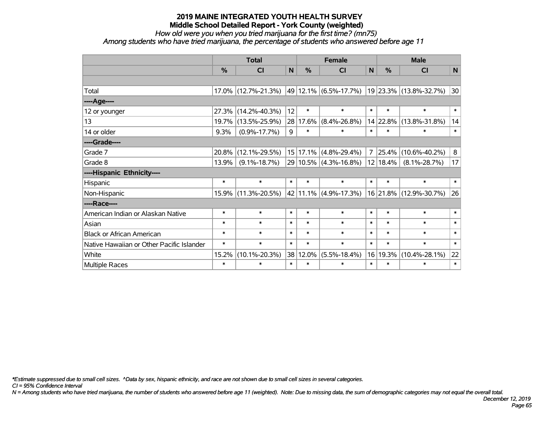# *How old were you when you tried marijuana for the first time? (mn75)*

*Among students who have tried marijuana, the percentage of students who answered before age 11*

|                                           | <b>Total</b>  |                     |        | <b>Female</b> |                           |        | <b>Male</b> |                                              |        |  |
|-------------------------------------------|---------------|---------------------|--------|---------------|---------------------------|--------|-------------|----------------------------------------------|--------|--|
|                                           | $\frac{0}{0}$ | <b>CI</b>           | N      | %             | <b>CI</b>                 | N      | %           | <b>CI</b>                                    | N      |  |
|                                           |               |                     |        |               |                           |        |             |                                              |        |  |
| Total                                     |               | 17.0% (12.7%-21.3%) |        |               |                           |        |             | 49 12.1% (6.5%-17.7%) 19 23.3% (13.8%-32.7%) | 30     |  |
| ----Age----                               |               |                     |        |               |                           |        |             |                                              |        |  |
| 12 or younger                             | 27.3%         | $(14.2\% - 40.3\%)$ | 12     | $\ast$        | $\ast$                    | $\ast$ | $\ast$      | $\ast$                                       | $\ast$ |  |
| 13                                        | 19.7%         | $(13.5\% - 25.9\%)$ |        | 28 17.6%      | $(8.4\% - 26.8\%)$        |        | 14 22.8%    | $(13.8\% - 31.8\%)$                          | 14     |  |
| 14 or older                               | 9.3%          | $(0.9\% - 17.7\%)$  | 9      | $\ast$        | $\ast$                    | $\ast$ | $\ast$      | $\ast$                                       | $\ast$ |  |
| ----Grade----                             |               |                     |        |               |                           |        |             |                                              |        |  |
| Grade 7                                   | 20.8%         | $(12.1\% - 29.5\%)$ |        |               | 15 17.1% (4.8%-29.4%)     |        | 7 25.4%     | $(10.6\% - 40.2\%)$                          | 8      |  |
| Grade 8                                   | 13.9%         | $(9.1\% - 18.7\%)$  |        |               | $29 10.5\% $ (4.3%-16.8%) |        | 12 18.4%    | $(8.1\% - 28.7\%)$                           | 17     |  |
| ----Hispanic Ethnicity----                |               |                     |        |               |                           |        |             |                                              |        |  |
| Hispanic                                  | $\ast$        | $\ast$              | $\ast$ | $\ast$        | $\ast$                    | $\ast$ | $\ast$      | $\ast$                                       | $\ast$ |  |
| Non-Hispanic                              |               | 15.9% (11.3%-20.5%) |        |               | 42 11.1% (4.9%-17.3%)     |        |             | 16 21.8% (12.9%-30.7%)                       | 26     |  |
| ----Race----                              |               |                     |        |               |                           |        |             |                                              |        |  |
| American Indian or Alaskan Native         | $\ast$        | $\ast$              | $\ast$ | $\ast$        | $\ast$                    | $\ast$ | $\ast$      | $\ast$                                       | $\ast$ |  |
| Asian                                     | $\ast$        | $\ast$              | $\ast$ | $\ast$        | $\ast$                    | $\ast$ | $\ast$      | $\ast$                                       | $\ast$ |  |
| <b>Black or African American</b>          | $\ast$        | $\ast$              | $\ast$ | $\ast$        | $\ast$                    | $\ast$ | $\ast$      | $\ast$                                       | $\ast$ |  |
| Native Hawaiian or Other Pacific Islander | $\ast$        | $\ast$              | $\ast$ | $\ast$        | $\ast$                    | $\ast$ | $\ast$      | $\ast$                                       | $\ast$ |  |
| White                                     | 15.2%         | $(10.1\% - 20.3\%)$ | 38     | 12.0%         | $(5.5\% - 18.4\%)$        | 16     | 19.3%       | $(10.4\% - 28.1\%)$                          | 22     |  |
| Multiple Races                            | $\ast$        | $\ast$              | $\ast$ | $\ast$        | $\ast$                    | $\ast$ | $\ast$      | $\ast$                                       | $\ast$ |  |

*\*Estimate suppressed due to small cell sizes. ^Data by sex, hispanic ethnicity, and race are not shown due to small cell sizes in several categories.*

*CI = 95% Confidence Interval*

*N = Among students who have tried marijuana, the number of students who answered before age 11 (weighted). Note: Due to missing data, the sum of demographic categories may not equal the overall total.*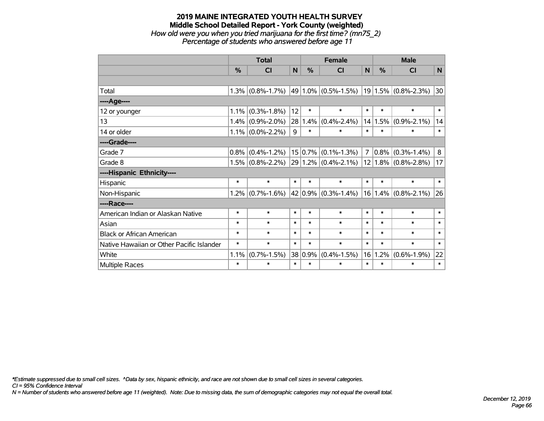# **2019 MAINE INTEGRATED YOUTH HEALTH SURVEY Middle School Detailed Report - York County (weighted)** *How old were you when you tried marijuana for the first time? (mn75\_2)*

*Percentage of students who answered before age 11*

|                                           |        | <b>Total</b>        |        | <b>Female</b> |                         |                | <b>Male</b> |                         |              |
|-------------------------------------------|--------|---------------------|--------|---------------|-------------------------|----------------|-------------|-------------------------|--------------|
|                                           | %      | <b>CI</b>           | N      | %             | <b>CI</b>               | N              | $\%$        | <b>CI</b>               | $\mathsf{N}$ |
|                                           |        |                     |        |               |                         |                |             |                         |              |
| Total                                     | 1.3%   | $(0.8\% - 1.7\%)$   |        |               | 49 1.0% (0.5%-1.5%)     |                |             | $19 1.5\% $ (0.8%-2.3%) | $ 30\rangle$ |
| ----Age----                               |        |                     |        |               |                         |                |             |                         |              |
| 12 or younger                             | 1.1%   | $(0.3\% - 1.8\%)$   | 12     | $\ast$        | $\ast$                  | $\ast$         | $\ast$      | $\ast$                  | $\ast$       |
| 13                                        | 1.4%   | $(0.9\% - 2.0\%)$   | 28     |               | $1.4\%$ (0.4%-2.4%)     | 14             | 1.5%        | $(0.9\% - 2.1\%)$       | 14           |
| 14 or older                               |        | $1.1\%$ (0.0%-2.2%) | 9      | $\ast$        | $\ast$                  | $\ast$         | $\ast$      | $\ast$                  | $\ast$       |
| ----Grade----                             |        |                     |        |               |                         |                |             |                         |              |
| Grade 7                                   | 0.8%   | $(0.4\% - 1.2\%)$   |        |               | $15 0.7\% $ (0.1%-1.3%) | 7 <sup>1</sup> | $0.8\%$     | $(0.3\% - 1.4\%)$       | 8            |
| Grade 8                                   | 1.5%   | $(0.8\% - 2.2\%)$   |        |               | $29 1.2\% $ (0.4%-2.1%) |                |             | $12 1.8\% $ (0.8%-2.8%) | 17           |
| ----Hispanic Ethnicity----                |        |                     |        |               |                         |                |             |                         |              |
| Hispanic                                  | $\ast$ | $\ast$              | $\ast$ | $\ast$        | $\ast$                  | $\ast$         | $\ast$      | $\ast$                  | $\ast$       |
| Non-Hispanic                              | 1.2%   | $(0.7\% - 1.6\%)$   |        |               | $42 0.9\% $ (0.3%-1.4%) | 16             |             | $1.4\%$ (0.8%-2.1%)     | 26           |
| ----Race----                              |        |                     |        |               |                         |                |             |                         |              |
| American Indian or Alaskan Native         | $\ast$ | $\ast$              | $\ast$ | $\ast$        | $\ast$                  | $\ast$         | $\ast$      | $\ast$                  | $\ast$       |
| Asian                                     | $\ast$ | $\ast$              | $\ast$ | $\ast$        | $\ast$                  | $\ast$         | $\ast$      | $\ast$                  | $\ast$       |
| <b>Black or African American</b>          | $\ast$ | $\ast$              | $\ast$ | $\ast$        | $\ast$                  | $\ast$         | $\ast$      | $\ast$                  | $\ast$       |
| Native Hawaiian or Other Pacific Islander | $\ast$ | $\ast$              | $\ast$ | $\ast$        | $\ast$                  | $\ast$         | $\ast$      | $\ast$                  | $\ast$       |
| White                                     | 1.1%   | $(0.7\% - 1.5\%)$   |        | 38 0.9%       | $(0.4\% - 1.5\%)$       | 16             | 1.2%        | $(0.6\% - 1.9\%)$       | 22           |
| Multiple Races                            | $\ast$ | $\ast$              | $\ast$ | $\ast$        | $\ast$                  | $\ast$         | $\ast$      | $\ast$                  | $\ast$       |

*\*Estimate suppressed due to small cell sizes. ^Data by sex, hispanic ethnicity, and race are not shown due to small cell sizes in several categories.*

*CI = 95% Confidence Interval*

*N = Number of students who answered before age 11 (weighted). Note: Due to missing data, the sum of demographic categories may not equal the overall total.*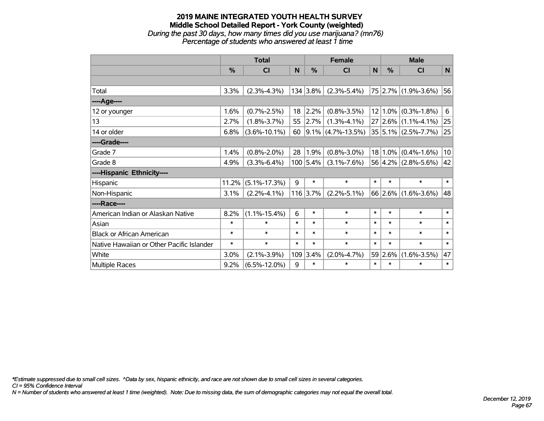#### **2019 MAINE INTEGRATED YOUTH HEALTH SURVEY Middle School Detailed Report - York County (weighted)** *During the past 30 days, how many times did you use marijuana? (mn76)*

*Percentage of students who answered at least 1 time*

|                                           | <b>Total</b>  |                    |        | <b>Female</b> |                        |        | <b>Male</b> |                         |        |  |
|-------------------------------------------|---------------|--------------------|--------|---------------|------------------------|--------|-------------|-------------------------|--------|--|
|                                           | $\frac{0}{0}$ | <b>CI</b>          | N      | $\frac{0}{0}$ | <b>CI</b>              | N      | %           | <b>CI</b>               | N      |  |
|                                           |               |                    |        |               |                        |        |             |                         |        |  |
| Total                                     | 3.3%          | $(2.3\% - 4.3\%)$  |        | 134 3.8%      | $(2.3\% - 5.4\%)$      |        |             | 75 2.7% (1.9%-3.6%)     | 56     |  |
| ---- Age----                              |               |                    |        |               |                        |        |             |                         |        |  |
| 12 or younger                             | 1.6%          | $(0.7\% - 2.5\%)$  | 18     | 2.2%          | $(0.8\% - 3.5\%)$      |        | $12 1.0\% $ | $(0.3\% - 1.8\%)$       | 6      |  |
| 13                                        | 2.7%          | $(1.8\% - 3.7\%)$  | 55     | 2.7%          | $(1.3\% - 4.1\%)$      |        |             | $27 2.6\% $ (1.1%-4.1%) | 25     |  |
| 14 or older                               | 6.8%          | $(3.6\% - 10.1\%)$ | 60     |               | $ 9.1\% $ (4.7%-13.5%) |        |             | $35 5.1\% $ (2.5%-7.7%) | 25     |  |
| ----Grade----                             |               |                    |        |               |                        |        |             |                         |        |  |
| Grade 7                                   | 1.4%          | $(0.8\% - 2.0\%)$  | 28     | 1.9%          | $(0.8\% - 3.0\%)$      |        | $18 1.0\%$  | $(0.4\% - 1.6\%)$       | 10     |  |
| Grade 8                                   | 4.9%          | $(3.3\% - 6.4\%)$  |        | $100$ 5.4%    | $(3.1\% - 7.6\%)$      |        |             | $56 4.2\% $ (2.8%-5.6%) | 42     |  |
| ----Hispanic Ethnicity----                |               |                    |        |               |                        |        |             |                         |        |  |
| Hispanic                                  | 11.2%         | $(5.1\% - 17.3\%)$ | 9      | $\ast$        | $\ast$                 | $\ast$ | $\ast$      | $\ast$                  | $\ast$ |  |
| Non-Hispanic                              | 3.1%          | $(2.2\% - 4.1\%)$  |        | 116 3.7%      | $(2.2\% - 5.1\%)$      |        |             | $66$ 2.6% (1.6%-3.6%)   | 48     |  |
| ----Race----                              |               |                    |        |               |                        |        |             |                         |        |  |
| American Indian or Alaskan Native         | 8.2%          | $(1.1\% - 15.4\%)$ | 6      | $\ast$        | $\ast$                 | $\ast$ | $\ast$      | $\ast$                  | $\ast$ |  |
| Asian                                     | $\ast$        | $\ast$             | $\ast$ | $\ast$        | $\ast$                 | $\ast$ | $\ast$      | $\ast$                  | $\ast$ |  |
| <b>Black or African American</b>          | $\ast$        | $\ast$             | $\ast$ | $\ast$        | $\ast$                 | $\ast$ | $\ast$      | $\ast$                  | $\ast$ |  |
| Native Hawaiian or Other Pacific Islander | $\ast$        | $\ast$             | $\ast$ | $\ast$        | $\ast$                 | $\ast$ | $\ast$      | $\ast$                  | $\ast$ |  |
| White                                     | 3.0%          | $(2.1\% - 3.9\%)$  | 109    | 3.4%          | $(2.0\% - 4.7\%)$      |        | 59 2.6%     | $(1.6\% - 3.5\%)$       | 47     |  |
| Multiple Races                            | 9.2%          | $(6.5\% - 12.0\%)$ | 9      | $\ast$        | $\ast$                 | $\ast$ | $\ast$      | $\ast$                  | $\ast$ |  |

*\*Estimate suppressed due to small cell sizes. ^Data by sex, hispanic ethnicity, and race are not shown due to small cell sizes in several categories.*

*CI = 95% Confidence Interval*

*N = Number of students who answered at least 1 time (weighted). Note: Due to missing data, the sum of demographic categories may not equal the overall total.*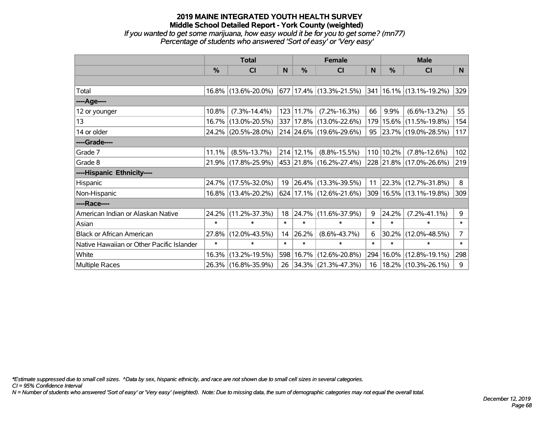*If you wanted to get some marijuana, how easy would it be for you to get some? (mn77) Percentage of students who answered 'Sort of easy' or 'Very easy'*

|                                           | <b>Total</b> |                     |        |               | <b>Female</b>                      |              | <b>Male</b> |                             |                |
|-------------------------------------------|--------------|---------------------|--------|---------------|------------------------------------|--------------|-------------|-----------------------------|----------------|
|                                           | %            | <b>CI</b>           | N      | $\frac{9}{6}$ | <b>CI</b>                          | <sub>N</sub> | %           | <b>CI</b>                   | N.             |
|                                           |              |                     |        |               |                                    |              |             |                             |                |
| Total                                     |              | 16.8% (13.6%-20.0%) |        |               | 677 17.4% (13.3%-21.5%)            |              |             | 341   16.1%   (13.1%-19.2%) | 329            |
| ----Age----                               |              |                     |        |               |                                    |              |             |                             |                |
| 12 or younger                             | 10.8%        | $(7.3\% - 14.4\%)$  |        | 123 11.7%     | $(7.2\% - 16.3\%)$                 | 66           | 9.9%        | $(6.6\% - 13.2\%)$          | 55             |
| 13                                        |              | 16.7% (13.0%-20.5%) |        |               | 337 17.8% (13.0%-22.6%)            | 179          | 15.6%       | $(11.5\% - 19.8\%)$         | 154            |
| 14 or older                               |              | 24.2% (20.5%-28.0%) |        |               | 214 24.6% (19.6%-29.6%)            |              |             | 95 23.7% (19.0%-28.5%)      | 117            |
| ----Grade----                             |              |                     |        |               |                                    |              |             |                             |                |
| Grade 7                                   | 11.1%        | $(8.5\% - 13.7\%)$  |        | 214 12.1%     | $(8.8\% - 15.5\%)$                 | 110          | 10.2%       | $(7.8\% - 12.6\%)$          | 102            |
| Grade 8                                   |              | 21.9% (17.8%-25.9%) |        |               | 453 21.8% (16.2%-27.4%)            |              |             | 228 21.8% (17.0%-26.6%)     | 219            |
| ----Hispanic Ethnicity----                |              |                     |        |               |                                    |              |             |                             |                |
| Hispanic                                  | 24.7%        | $(17.5\% - 32.0\%)$ | 19     |               | $ 26.4\% $ (13.3%-39.5%)           | 11           | 22.3%       | $(12.7\% - 31.8\%)$         | 8              |
| Non-Hispanic                              |              | 16.8% (13.4%-20.2%) |        |               | $624   17.1\%   (12.6\% - 21.6\%)$ |              |             | 309   16.5%   (13.1%-19.8%) | 309            |
| ----Race----                              |              |                     |        |               |                                    |              |             |                             |                |
| American Indian or Alaskan Native         | 24.2%        | $(11.2\% - 37.3\%)$ | 18     | 24.7%         | $(11.6\% - 37.9\%)$                | 9            | 24.2%       | $(7.2\% - 41.1\%)$          | 9              |
| Asian                                     | $\ast$       | $\ast$              | $\ast$ | $\ast$        | $\ast$                             | $\ast$       | $\ast$      | $\ast$                      | $\ast$         |
| <b>Black or African American</b>          | 27.8%        | $(12.0\% - 43.5\%)$ | 14     | 26.2%         | $(8.6\% - 43.7\%)$                 | 6            | 30.2%       | $(12.0\% - 48.5\%)$         | $\overline{7}$ |
| Native Hawaiian or Other Pacific Islander | $\ast$       | $\ast$              | $\ast$ | $\ast$        | $\ast$                             | $\ast$       | $\ast$      | $\ast$                      | $\ast$         |
| White                                     | 16.3%        | $(13.2\% - 19.5\%)$ |        |               | 598 16.7% (12.6%-20.8%)            | 294          | 16.0%       | $(12.8\% - 19.1\%)$         | 298            |
| <b>Multiple Races</b>                     |              | 26.3% (16.8%-35.9%) |        |               | 26 34.3% (21.3%-47.3%)             | 16           |             | 18.2% (10.3%-26.1%)         | 9              |

*\*Estimate suppressed due to small cell sizes. ^Data by sex, hispanic ethnicity, and race are not shown due to small cell sizes in several categories.*

*CI = 95% Confidence Interval*

*N = Number of students who answered 'Sort of easy' or 'Very easy' (weighted). Note: Due to missing data, the sum of demographic categories may not equal the overall total.*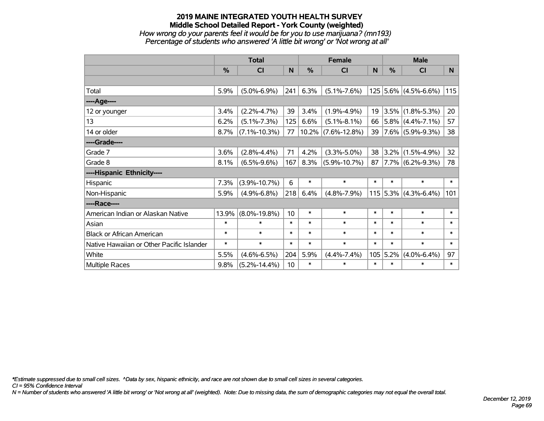#### **2019 MAINE INTEGRATED YOUTH HEALTH SURVEY Middle School Detailed Report - York County (weighted)** *How wrong do your parents feel it would be for you to use marijuana? (mn193)*

*Percentage of students who answered 'A little bit wrong' or 'Not wrong at all'*

|                                           | <b>Total</b> |                    |        | <b>Female</b> |                       |        | <b>Male</b>   |                        |        |  |
|-------------------------------------------|--------------|--------------------|--------|---------------|-----------------------|--------|---------------|------------------------|--------|--|
|                                           | $\%$         | <b>CI</b>          | N      | $\frac{0}{0}$ | <b>CI</b>             | N      | $\frac{0}{0}$ | <b>CI</b>              | N.     |  |
|                                           |              |                    |        |               |                       |        |               |                        |        |  |
| Total                                     | 5.9%         | $(5.0\% - 6.9\%)$  | 241    | 6.3%          | $(5.1\% - 7.6\%)$     |        |               | $125$ 5.6% (4.5%-6.6%) | 115    |  |
| ----Age----                               |              |                    |        |               |                       |        |               |                        |        |  |
| 12 or younger                             | 3.4%         | $(2.2\% - 4.7\%)$  | 39     | 3.4%          | $(1.9\% - 4.9\%)$     | 19     | 3.5%          | $(1.8\% - 5.3\%)$      | 20     |  |
| 13                                        | 6.2%         | $(5.1\% - 7.3\%)$  | 125    | 6.6%          | $(5.1\% - 8.1\%)$     | 66     |               | $ 5.8\% $ (4.4%-7.1%)  | 57     |  |
| 14 or older                               | 8.7%         | $(7.1\% - 10.3\%)$ | 77     |               | $10.2\%$ (7.6%-12.8%) | 39     |               | $ 7.6\% $ (5.9%-9.3%)  | 38     |  |
| ----Grade----                             |              |                    |        |               |                       |        |               |                        |        |  |
| Grade 7                                   | 3.6%         | $(2.8\% - 4.4\%)$  | 71     | 4.2%          | $(3.3\% - 5.0\%)$     | 38     | $3.2\%$       | $(1.5\% - 4.9\%)$      | 32     |  |
| Grade 8                                   | 8.1%         | $(6.5\% - 9.6\%)$  | 167    | 8.3%          | $(5.9\% - 10.7\%)$    | 87     |               | $7.7\%$ (6.2%-9.3%)    | 78     |  |
| ----Hispanic Ethnicity----                |              |                    |        |               |                       |        |               |                        |        |  |
| Hispanic                                  | 7.3%         | $(3.9\% - 10.7\%)$ | 6      | $\ast$        | $\ast$                | $\ast$ | $\ast$        | $\ast$                 | $\ast$ |  |
| Non-Hispanic                              | 5.9%         | $(4.9\% - 6.8\%)$  | 218    | 6.4%          | $(4.8\% - 7.9\%)$     |        | $115$ 5.3%    | $(4.3\% - 6.4\%)$      | 101    |  |
| ----Race----                              |              |                    |        |               |                       |        |               |                        |        |  |
| American Indian or Alaskan Native         | 13.9%        | $(8.0\% - 19.8\%)$ | 10     | $\ast$        | $\ast$                | $\ast$ | $\ast$        | $\ast$                 | $\ast$ |  |
| Asian                                     | $\ast$       | $\ast$             | $\ast$ | $\ast$        | $\ast$                | $\ast$ | $\ast$        | $\ast$                 | $\ast$ |  |
| <b>Black or African American</b>          | $\ast$       | $\ast$             | $\ast$ | $\ast$        | $\ast$                | $\ast$ | $\ast$        | $\ast$                 | $\ast$ |  |
| Native Hawaiian or Other Pacific Islander | $\ast$       | $\ast$             | $\ast$ | $\ast$        | $\ast$                | $\ast$ | $\ast$        | $\ast$                 | $\ast$ |  |
| White                                     | 5.5%         | $(4.6\% - 6.5\%)$  | 204    | 5.9%          | $(4.4\% - 7.4\%)$     | 105    | 5.2%          | $(4.0\% - 6.4\%)$      | 97     |  |
| <b>Multiple Races</b>                     | 9.8%         | $(5.2\% - 14.4\%)$ | 10     | $\ast$        | $\ast$                | $\ast$ | $\ast$        | $\ast$                 | $\ast$ |  |

*\*Estimate suppressed due to small cell sizes. ^Data by sex, hispanic ethnicity, and race are not shown due to small cell sizes in several categories.*

*CI = 95% Confidence Interval*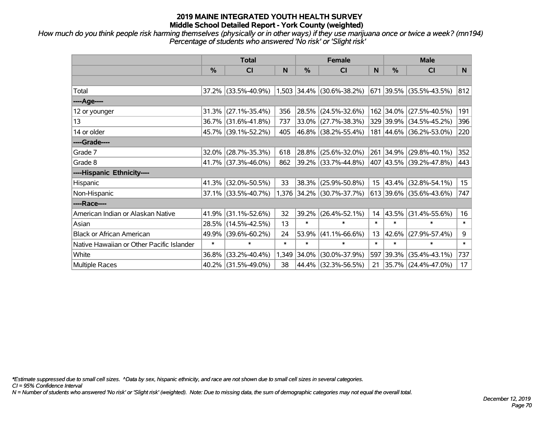*How much do you think people risk harming themselves (physically or in other ways) if they use marijuana once or twice a week? (mn194) Percentage of students who answered 'No risk' or 'Slight risk'*

|                                           | <b>Total</b>  |                     |        | <b>Female</b> |                             |        | <b>Male</b>   |                          |        |
|-------------------------------------------|---------------|---------------------|--------|---------------|-----------------------------|--------|---------------|--------------------------|--------|
|                                           | $\frac{0}{0}$ | <b>CI</b>           | N      | %             | <b>CI</b>                   | N      | $\frac{0}{0}$ | <b>CI</b>                | N.     |
|                                           |               |                     |        |               |                             |        |               |                          |        |
| Total                                     |               | 37.2% (33.5%-40.9%) |        |               | $1,503$ 34.4% (30.6%-38.2%) | 671    |               | $ 39.5\% $ (35.5%-43.5%) | 812    |
| ----Age----                               |               |                     |        |               |                             |        |               |                          |        |
| 12 or younger                             | 31.3%         | $(27.1\% - 35.4\%)$ | 356    | 28.5%         | $(24.5\% - 32.6\%)$         |        | 162 34.0%     | $(27.5\% - 40.5\%)$      | 191    |
| 13                                        |               | 36.7% (31.6%-41.8%) | 737    | 33.0%         | $(27.7\% - 38.3\%)$         |        |               | 329 39.9% (34.5%-45.2%)  | 396    |
| 14 or older                               |               | 45.7% (39.1%-52.2%) | 405    |               | 46.8% (38.2%-55.4%)         |        |               | 181 44.6% (36.2%-53.0%)  | 220    |
| ----Grade----                             |               |                     |        |               |                             |        |               |                          |        |
| Grade 7                                   | 32.0%         | $(28.7\% - 35.3\%)$ | 618    | 28.8%         | $(25.6\% - 32.0\%)$         | 261    | 34.9%         | $(29.8\% - 40.1\%)$      | 352    |
| Grade 8                                   |               | 41.7% (37.3%-46.0%) | 862    |               | $ 39.2\% $ (33.7%-44.8%)    |        |               | 407 43.5% (39.2%-47.8%)  | 443    |
| ----Hispanic Ethnicity----                |               |                     |        |               |                             |        |               |                          |        |
| Hispanic                                  | 41.3%         | $(32.0\% - 50.5\%)$ | 33     | 38.3%         | $(25.9\% - 50.8\%)$         | 15     | 43.4%         | $(32.8\% - 54.1\%)$      | 15     |
| Non-Hispanic                              |               | 37.1% (33.5%-40.7%) |        |               | 1,376 34.2% (30.7%-37.7%)   |        |               | 613 39.6% (35.6%-43.6%)  | 747    |
| ----Race----                              |               |                     |        |               |                             |        |               |                          |        |
| American Indian or Alaskan Native         | 41.9%         | $(31.1\% - 52.6\%)$ | 32     | 39.2%         | $(26.4\% - 52.1\%)$         | 14     | 43.5%         | $(31.4\% - 55.6\%)$      | 16     |
| Asian                                     | 28.5%         | $(14.5\% - 42.5\%)$ | 13     | $\ast$        | $\ast$                      | $\ast$ | $\ast$        | $\ast$                   | $\ast$ |
| <b>Black or African American</b>          | 49.9%         | $(39.6\% - 60.2\%)$ | 24     | 53.9%         | $(41.1\% - 66.6\%)$         | 13     | 42.6%         | $(27.9\% - 57.4\%)$      | 9      |
| Native Hawaiian or Other Pacific Islander | $\ast$        | $\ast$              | $\ast$ | $\ast$        | $\ast$                      | $\ast$ | $\ast$        | $\ast$                   | $\ast$ |
| White                                     | 36.8%         | $(33.2\% - 40.4\%)$ | 1,349  | 34.0%         | $(30.0\% - 37.9\%)$         | 597    | 39.3%         | $(35.4\% - 43.1\%)$      | 737    |
| Multiple Races                            |               | 40.2% (31.5%-49.0%) | 38     | 44.4%         | $(32.3\% - 56.5\%)$         | 21     |               | 35.7% (24.4%-47.0%)      | 17     |

*\*Estimate suppressed due to small cell sizes. ^Data by sex, hispanic ethnicity, and race are not shown due to small cell sizes in several categories.*

*CI = 95% Confidence Interval*

*N = Number of students who answered 'No risk' or 'Slight risk' (weighted). Note: Due to missing data, the sum of demographic categories may not equal the overall total.*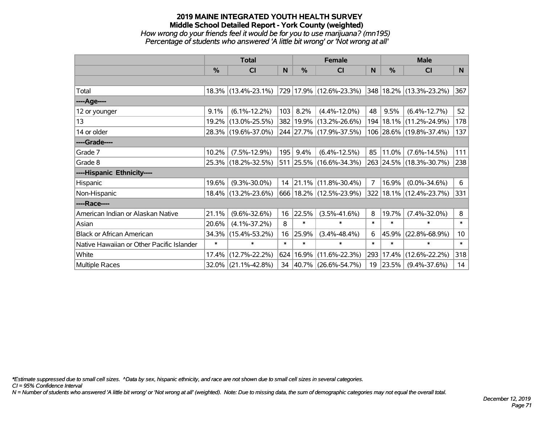### **2019 MAINE INTEGRATED YOUTH HEALTH SURVEY Middle School Detailed Report - York County (weighted)** *How wrong do your friends feel it would be for you to use marijuana? (mn195) Percentage of students who answered 'A little bit wrong' or 'Not wrong at all'*

|                                           | <b>Total</b> |                        |        |        | <b>Female</b>               |                | <b>Male</b> |                         |                 |  |
|-------------------------------------------|--------------|------------------------|--------|--------|-----------------------------|----------------|-------------|-------------------------|-----------------|--|
|                                           | %            | CI                     | N      | $\%$   | <b>CI</b>                   | N              | $\%$        | <b>CI</b>               | N               |  |
|                                           |              |                        |        |        |                             |                |             |                         |                 |  |
| Total                                     |              | $18.3\%$ (13.4%-23.1%) |        |        | 729   17.9%   (12.6%-23.3%) |                |             | 348 18.2% (13.3%-23.2%) | 367             |  |
| ----Age----                               |              |                        |        |        |                             |                |             |                         |                 |  |
| 12 or younger                             | 9.1%         | $(6.1\% - 12.2\%)$     | 103    | 8.2%   | $(4.4\% - 12.0\%)$          | 48             | 9.5%        | $(6.4\% - 12.7\%)$      | 52              |  |
| 13                                        |              | 19.2% (13.0%-25.5%)    |        |        | 382 19.9% (13.2%-26.6%)     | 194            |             | $18.1\%$ (11.2%-24.9%)  | 178             |  |
| 14 or older                               |              | 28.3% (19.6%-37.0%)    |        |        | 244 27.7% (17.9%-37.5%)     |                |             | 106 28.6% (19.8%-37.4%) | 137             |  |
| ----Grade----                             |              |                        |        |        |                             |                |             |                         |                 |  |
| Grade 7                                   | 10.2%        | $(7.5\% - 12.9\%)$     | 195    | 9.4%   | $(6.4\% - 12.5\%)$          | 85             | 11.0%       | $(7.6\% - 14.5\%)$      | 111             |  |
| Grade 8                                   |              | 25.3% (18.2%-32.5%)    |        |        | 511 25.5% (16.6%-34.3%)     |                |             | 263 24.5% (18.3%-30.7%) | 238             |  |
| ----Hispanic Ethnicity----                |              |                        |        |        |                             |                |             |                         |                 |  |
| Hispanic                                  | 19.6%        | $(9.3\% - 30.0\%)$     |        |        | 14 21.1% (11.8%-30.4%)      | $\overline{7}$ | 16.9%       | $(0.0\% - 34.6\%)$      | 6               |  |
| Non-Hispanic                              |              | 18.4% (13.2%-23.6%)    |        |        | 666 18.2% (12.5%-23.9%)     | 322            |             | $18.1\%$ (12.4%-23.7%)  | 331             |  |
| ----Race----                              |              |                        |        |        |                             |                |             |                         |                 |  |
| American Indian or Alaskan Native         | 21.1%        | $(9.6\% - 32.6\%)$     | 16     | 22.5%  | $(3.5\% - 41.6\%)$          | 8              | 19.7%       | $(7.4\% - 32.0\%)$      | 8               |  |
| Asian                                     | 20.6%        | $(4.1\% - 37.2\%)$     | 8      | $\ast$ | $\ast$                      | $\ast$         | $\ast$      | $\ast$                  | $\ast$          |  |
| <b>Black or African American</b>          | 34.3%        | $(15.4\% - 53.2\%)$    | 16     | 25.9%  | $(3.4\% - 48.4\%)$          | 6              | 45.9%       | $(22.8\% - 68.9\%)$     | 10 <sub>1</sub> |  |
| Native Hawaiian or Other Pacific Islander | $\ast$       | ∗                      | $\ast$ | $\ast$ | $\ast$                      | $\ast$         | $\ast$      | $\ast$                  | $\ast$          |  |
| White                                     | 17.4%        | $(12.7\% - 22.2\%)$    |        |        | 624 16.9% (11.6%-22.3%)     | 293            | 17.4%       | $(12.6\% - 22.2\%)$     | 318             |  |
| Multiple Races                            |              | $32.0\%$ (21.1%-42.8%) |        |        | 34 40.7% (26.6%-54.7%)      | 19             | 23.5%       | $(9.4\% - 37.6\%)$      | 14              |  |

*\*Estimate suppressed due to small cell sizes. ^Data by sex, hispanic ethnicity, and race are not shown due to small cell sizes in several categories.*

*CI = 95% Confidence Interval*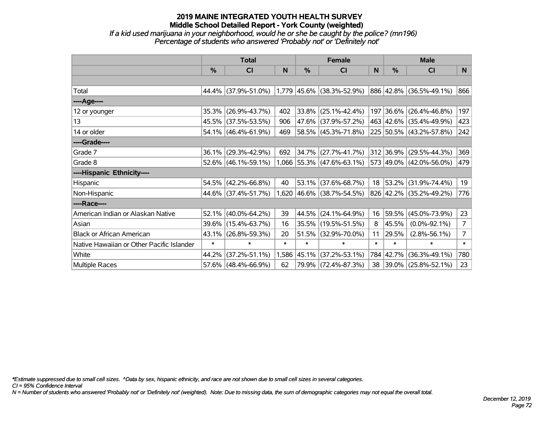# **2019 MAINE INTEGRATED YOUTH HEALTH SURVEY Middle School Detailed Report - York County (weighted)** *If a kid used marijuana in your neighborhood, would he or she be caught by the police? (mn196)*

| Percentage of students who answered 'Probably not' or 'Definitely not' |  |  |
|------------------------------------------------------------------------|--|--|
|                                                                        |  |  |

|                                           | <b>Total</b>  |                                               |        | <b>Female</b> |                             |        | <b>Male</b>   |                         |                |
|-------------------------------------------|---------------|-----------------------------------------------|--------|---------------|-----------------------------|--------|---------------|-------------------------|----------------|
|                                           | $\frac{0}{0}$ | <b>CI</b>                                     | N      | $\frac{0}{0}$ | <b>CI</b>                   | N      | $\frac{0}{0}$ | <b>CI</b>               | N <sub>1</sub> |
|                                           |               |                                               |        |               |                             |        |               |                         |                |
| Total                                     |               | 44.4% (37.9%-51.0%) 1,779 45.6% (38.3%-52.9%) |        |               |                             |        |               | 886 42.8% (36.5%-49.1%) | 866            |
| ----Age----                               |               |                                               |        |               |                             |        |               |                         |                |
| 12 or younger                             | 35.3%         | $(26.9\% - 43.7\%)$                           | 402    | 33.8%         | $(25.1\% - 42.4\%)$         | 197    |               | 36.6% (26.4%-46.8%)     | 197            |
| 13                                        |               | 45.5% (37.5%-53.5%)                           | 906    |               | 47.6% (37.9%-57.2%)         |        |               | 463 42.6% (35.4%-49.9%) | 423            |
| 14 or older                               |               | $54.1\%$ (46.4%-61.9%)                        | 469    |               | 58.5% (45.3%-71.8%)         |        |               | 225 50.5% (43.2%-57.8%) | 242            |
| ----Grade----                             |               |                                               |        |               |                             |        |               |                         |                |
| Grade 7                                   | 36.1%         | $(29.3\% - 42.9\%)$                           | 692    | 34.7%         | $(27.7\% - 41.7\%)$         |        | 312 36.9%     | $(29.5\% - 44.3\%)$     | 369            |
| Grade 8                                   |               | $52.6\%$ (46.1%-59.1%)                        |        |               | $1,066$ 55.3% (47.6%-63.1%) |        |               | 573 49.0% (42.0%-56.0%) | 479            |
| ----Hispanic Ethnicity----                |               |                                               |        |               |                             |        |               |                         |                |
| Hispanic                                  | 54.5%         | $(42.2\% - 66.8\%)$                           | 40     | 53.1%         | $(37.6\% - 68.7\%)$         | 18     | 53.2%         | $(31.9\% - 74.4\%)$     | 19             |
| Non-Hispanic                              |               | 44.6% (37.4%-51.7%)                           |        |               | 1,620 46.6% (38.7%-54.5%)   |        |               | 826 42.2% (35.2%-49.2%) | 776            |
| ----Race----                              |               |                                               |        |               |                             |        |               |                         |                |
| American Indian or Alaskan Native         | 52.1%         | $(40.0\% - 64.2\%)$                           | 39     | 44.5%         | $(24.1\% - 64.9\%)$         | 16     | 59.5%         | $(45.0\% - 73.9\%)$     | 23             |
| Asian                                     | 39.6%         | $(15.4\% - 63.7\%)$                           | 16     | 35.5%         | $(19.5\% - 51.5\%)$         | 8      | 45.5%         | $(0.0\% - 92.1\%)$      | $\overline{7}$ |
| <b>Black or African American</b>          | 43.1%         | $(26.8\% - 59.3\%)$                           | 20     | 51.5%         | $(32.9\% - 70.0\%)$         | 11     | 29.5%         | $(2.8\% - 56.1\%)$      | $\overline{7}$ |
| Native Hawaiian or Other Pacific Islander | $\ast$        | $\ast$                                        | $\ast$ | $\ast$        | $\ast$                      | $\ast$ | $\ast$        | $\ast$                  | $\ast$         |
| White                                     | 44.2%         | $(37.2\% - 51.1\%)$                           | 1,586  | 45.1%         | $(37.2\% - 53.1\%)$         |        | 784 42.7%     | $(36.3\% - 49.1\%)$     | 780            |
| Multiple Races                            |               | 57.6% (48.4%-66.9%)                           | 62     |               | 79.9% (72.4%-87.3%)         | 38     |               | 39.0% (25.8%-52.1%)     | 23             |

*\*Estimate suppressed due to small cell sizes. ^Data by sex, hispanic ethnicity, and race are not shown due to small cell sizes in several categories.*

*CI = 95% Confidence Interval*

*N = Number of students who answered 'Probably not' or 'Definitely not' (weighted). Note: Due to missing data, the sum of demographic categories may not equal the overall total.*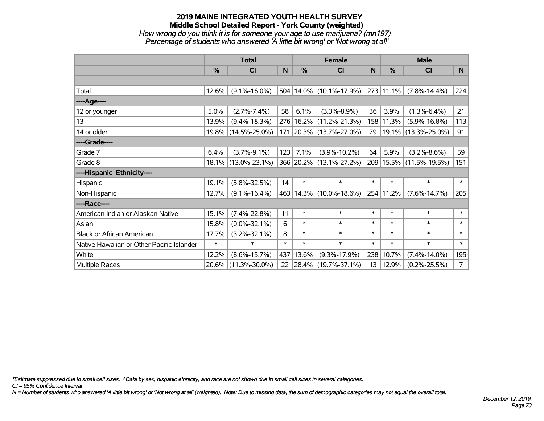*How wrong do you think it is for someone your age to use marijuana? (mn197) Percentage of students who answered 'A little bit wrong' or 'Not wrong at all'*

|                                           | <b>Total</b> |                     |        | <b>Female</b> | <b>Male</b>                 |        |           |                             |                |
|-------------------------------------------|--------------|---------------------|--------|---------------|-----------------------------|--------|-----------|-----------------------------|----------------|
|                                           | %            | CI                  | N      | %             | <b>CI</b>                   | N      | %         | <b>CI</b>                   | N              |
|                                           |              |                     |        |               |                             |        |           |                             |                |
| Total                                     | 12.6%        | $(9.1\% - 16.0\%)$  |        |               | $504 14.0\% $ (10.1%-17.9%) |        | 273 11.1% | $(7.8\% - 14.4\%)$          | 224            |
| ----Age----                               |              |                     |        |               |                             |        |           |                             |                |
| 12 or younger                             | 5.0%         | $(2.7\% - 7.4\%)$   | 58     | 6.1%          | $(3.3\% - 8.9\%)$           | 36     | 3.9%      | $(1.3\% - 6.4\%)$           | 21             |
| 13                                        | 13.9%        | $(9.4\% - 18.3\%)$  |        |               | 276 16.2% (11.2%-21.3%)     | 158    | 11.3%     | $(5.9\% - 16.8\%)$          | 113            |
| 14 or older                               |              | 19.8% (14.5%-25.0%) |        |               | 171 20.3% (13.7%-27.0%)     | 79     |           | 19.1% (13.3%-25.0%)         | 91             |
| ----Grade----                             |              |                     |        |               |                             |        |           |                             |                |
| Grade 7                                   | 6.4%         | $(3.7\% - 9.1\%)$   | 123    | 7.1%          | $(3.9\% - 10.2\%)$          | 64     | 5.9%      | $(3.2\% - 8.6\%)$           | 59             |
| Grade 8                                   |              | 18.1% (13.0%-23.1%) |        |               | 366 20.2% (13.1%-27.2%)     |        |           | 209   15.5%   (11.5%-19.5%) | 151            |
| ----Hispanic Ethnicity----                |              |                     |        |               |                             |        |           |                             |                |
| Hispanic                                  | 19.1%        | $(5.8\% - 32.5\%)$  | 14     | $\ast$        | $\ast$                      | $\ast$ | $\ast$    | $\ast$                      | $\ast$         |
| Non-Hispanic                              | 12.7%        | $(9.1\% - 16.4\%)$  |        |               | 463 14.3% (10.0%-18.6%)     |        | 254 11.2% | $(7.6\% - 14.7\%)$          | 205            |
| ----Race----                              |              |                     |        |               |                             |        |           |                             |                |
| American Indian or Alaskan Native         | 15.1%        | $(7.4\% - 22.8\%)$  | 11     | $\ast$        | $\ast$                      | $\ast$ | $\ast$    | $\ast$                      | $\ast$         |
| Asian                                     | 15.8%        | $(0.0\% - 32.1\%)$  | 6      | $\ast$        | $\ast$                      | $\ast$ | $\ast$    | $\ast$                      | $\ast$         |
| <b>Black or African American</b>          | 17.7%        | $(3.2\% - 32.1\%)$  | 8      | $\ast$        | $\ast$                      | $\ast$ | $\ast$    | $\ast$                      | $\ast$         |
| Native Hawaiian or Other Pacific Islander | $\ast$       | $\ast$              | $\ast$ | $\ast$        | $\ast$                      | $\ast$ | $\ast$    | $\ast$                      | $\ast$         |
| White                                     | 12.2%        | $(8.6\% - 15.7\%)$  | 437    | 13.6%         | $(9.3\% - 17.9\%)$          | 238    | 10.7%     | $(7.4\% - 14.0\%)$          | 195            |
| Multiple Races                            |              | 20.6% (11.3%-30.0%) | 22     |               | $ 28.4\% $ (19.7%-37.1%)    | 13     | 12.9%     | $(0.2\% - 25.5\%)$          | $\overline{7}$ |

*\*Estimate suppressed due to small cell sizes. ^Data by sex, hispanic ethnicity, and race are not shown due to small cell sizes in several categories.*

*CI = 95% Confidence Interval*

*N = Number of students who answered 'A little bit wrong' or 'Not wrong at all' (weighted). Note: Due to missing data, the sum of demographic categories may not equal the overall total.*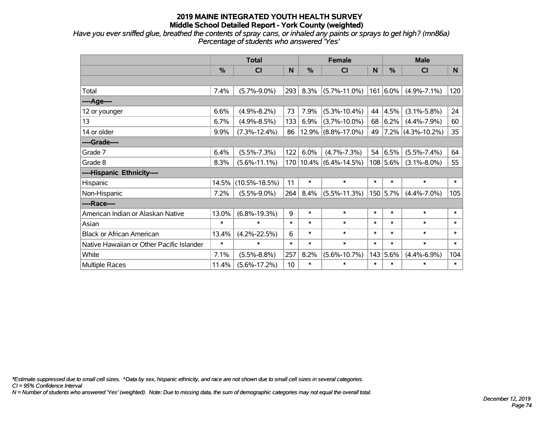*Have you ever sniffed glue, breathed the contents of spray cans, or inhaled any paints or sprays to get high? (mn86a) Percentage of students who answered 'Yes'*

|                                           | <b>Total</b> |                     |        |        | <b>Female</b>          | <b>Male</b>  |              |                      |        |
|-------------------------------------------|--------------|---------------------|--------|--------|------------------------|--------------|--------------|----------------------|--------|
|                                           | %            | <b>CI</b>           | N      | %      | <b>CI</b>              | <sub>N</sub> | %            | <b>CI</b>            | N      |
|                                           |              |                     |        |        |                        |              |              |                      |        |
| Total                                     | 7.4%         | $(5.7\% - 9.0\%)$   | 293    | 8.3%   | $(5.7\% - 11.0\%)$     |              | $161 6.0\% $ | $(4.9\% - 7.1\%)$    | 120    |
| ---- Age----                              |              |                     |        |        |                        |              |              |                      |        |
| 12 or younger                             | 6.6%         | $(4.9\% - 8.2\%)$   | 73     | 7.9%   | $(5.3\% - 10.4\%)$     | 44           | 4.5%         | $(3.1\% - 5.8\%)$    | 24     |
| 13                                        | 6.7%         | $(4.9\% - 8.5\%)$   | 133    | 6.9%   | $(3.7\% - 10.0\%)$     | 68           | 6.2%         | $(4.4\% - 7.9\%)$    | 60     |
| 14 or older                               | 9.9%         | $(7.3\% - 12.4\%)$  | 86     |        | $12.9\%$ (8.8%-17.0%)  | 49           |              | $7.2\%$ (4.3%-10.2%) | 35     |
| ----Grade----                             |              |                     |        |        |                        |              |              |                      |        |
| Grade 7                                   | 6.4%         | $(5.5\% - 7.3\%)$   | 122    | 6.0%   | $(4.7\% - 7.3\%)$      |              | 54 6.5%      | $(5.5\% - 7.4\%)$    | 64     |
| Grade 8                                   | 8.3%         | $(5.6\% - 11.1\%)$  |        |        | 170 10.4% (6.4%-14.5%) |              | $108$ 5.6%   | $(3.1\% - 8.0\%)$    | 55     |
| ----Hispanic Ethnicity----                |              |                     |        |        |                        |              |              |                      |        |
| Hispanic                                  | 14.5%        | $(10.5\% - 18.5\%)$ | 11     | $\ast$ | $\ast$                 | $\ast$       | $\ast$       | $\ast$               | $\ast$ |
| Non-Hispanic                              | 7.2%         | $(5.5\% - 9.0\%)$   | 264    | 8.4%   | $(5.5\% - 11.3\%)$     |              | 150 5.7%     | $(4.4\% - 7.0\%)$    | 105    |
| ----Race----                              |              |                     |        |        |                        |              |              |                      |        |
| American Indian or Alaskan Native         | 13.0%        | $(6.8\% - 19.3\%)$  | 9      | $\ast$ | $\ast$                 | $\ast$       | $\ast$       | $\ast$               | $\ast$ |
| Asian                                     | $\ast$       | $\ast$              | $\ast$ | $\ast$ | $\ast$                 | $\ast$       | $\ast$       | $\ast$               | $\ast$ |
| <b>Black or African American</b>          | 13.4%        | $(4.2\% - 22.5\%)$  | 6      | $\ast$ | $\ast$                 | $\ast$       | $\ast$       | $\ast$               | $\ast$ |
| Native Hawaiian or Other Pacific Islander | $\ast$       | $\ast$              | $\ast$ | $\ast$ | $\ast$                 | $\ast$       | $\ast$       | $\ast$               | $\ast$ |
| White                                     | 7.1%         | $(5.5\% - 8.8\%)$   | 257    | 8.2%   | $(5.6\% - 10.7\%)$     |              | 143 5.6%     | $(4.4\% - 6.9\%)$    | 104    |
| Multiple Races                            | 11.4%        | $(5.6\% - 17.2\%)$  | 10     | $\ast$ | $\ast$                 | $\ast$       | $\ast$       | $\ast$               | $\ast$ |

*\*Estimate suppressed due to small cell sizes. ^Data by sex, hispanic ethnicity, and race are not shown due to small cell sizes in several categories.*

*CI = 95% Confidence Interval*

*N = Number of students who answered 'Yes' (weighted). Note: Due to missing data, the sum of demographic categories may not equal the overall total.*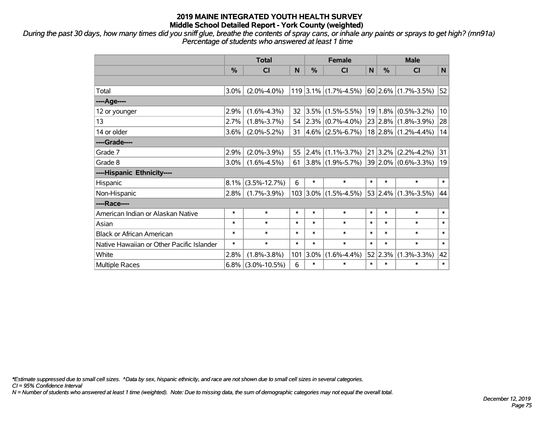*During the past 30 days, how many times did you sniff glue, breathe the contents of spray cans, or inhale any paints or sprays to get high? (mn91a) Percentage of students who answered at least 1 time*

|                                           | <b>Total</b>  |                    |        | <b>Female</b> |                                     |                 | <b>Male</b> |                                             |        |
|-------------------------------------------|---------------|--------------------|--------|---------------|-------------------------------------|-----------------|-------------|---------------------------------------------|--------|
|                                           | $\frac{0}{2}$ | <b>CI</b>          | N      | $\frac{0}{0}$ | <b>CI</b>                           | N               | $\%$        | <b>CI</b>                                   | N      |
|                                           |               |                    |        |               |                                     |                 |             |                                             |        |
| Total                                     | 3.0%          | $(2.0\% - 4.0\%)$  |        |               | 119 3.1% $(1.7\% - 4.5\%)$          |                 |             | $\vert$ 60 $\vert$ 2.6% $\vert$ (1.7%-3.5%) | 52     |
| ----Age----                               |               |                    |        |               |                                     |                 |             |                                             |        |
| 12 or younger                             | 2.9%          | $(1.6\% - 4.3\%)$  | 32     |               | $ 3.5\% $ (1.5%-5.5%)               | 19 <sub>1</sub> | 1.8%        | $(0.5\% - 3.2\%)$                           | 10     |
| 13                                        | 2.7%          | $(1.8\% - 3.7\%)$  | 54     |               | $ 2.3\% $ (0.7%-4.0%)               |                 |             | $23 2.8\% $ (1.8%-3.9%)                     | 28     |
| 14 or older                               | 3.6%          | $(2.0\% - 5.2\%)$  | 31     |               | $4.6\%$ (2.5%-6.7%)                 |                 |             | $18$ 2.8% (1.2%-4.4%)                       | 14     |
| ----Grade----                             |               |                    |        |               |                                     |                 |             |                                             |        |
| Grade 7                                   | 2.9%          | $(2.0\% - 3.9\%)$  | 55     |               | $\vert 2.4\% \vert (1.1\% - 3.7\%)$ |                 |             | $21 3.2\% $ (2.2%-4.2%)                     | 31     |
| Grade 8                                   | 3.0%          | $(1.6\% - 4.5\%)$  | 61     |               | $ 3.8\% $ (1.9%-5.7%)               |                 |             | $ 39 2.0\%  (0.6\% - 3.3\%)$                | 19     |
| ----Hispanic Ethnicity----                |               |                    |        |               |                                     |                 |             |                                             |        |
| Hispanic                                  | 8.1%          | $(3.5\% - 12.7\%)$ | 6      | $\ast$        | $\ast$                              | $\ast$          | $\ast$      | $\ast$                                      | $\ast$ |
| Non-Hispanic                              | 2.8%          | $(1.7\% - 3.9\%)$  |        |               | $103$ 3.0% (1.5%-4.5%)              |                 | 53 2.4%     | $(1.3\% - 3.5\%)$                           | 44     |
| ----Race----                              |               |                    |        |               |                                     |                 |             |                                             |        |
| American Indian or Alaskan Native         | $\ast$        | $\ast$             | $\ast$ | $\ast$        | $\ast$                              | $\ast$          | $\ast$      | $\ast$                                      | $\ast$ |
| Asian                                     | $\ast$        | $\ast$             | $\ast$ | $\ast$        | $\ast$                              | $\ast$          | $\ast$      | $\ast$                                      | $\ast$ |
| <b>Black or African American</b>          | $\ast$        | $\ast$             | $\ast$ | $\ast$        | $\ast$                              | $\ast$          | $\ast$      | $\ast$                                      | $\ast$ |
| Native Hawaiian or Other Pacific Islander | $\ast$        | $\ast$             | $\ast$ | $\ast$        | $\ast$                              | $\ast$          | $\ast$      | $\ast$                                      | $\ast$ |
| White                                     | 2.8%          | $(1.8\% - 3.8\%)$  | 101    | $3.0\%$       | $(1.6\% - 4.4\%)$                   |                 | 52 2.3%     | $(1.3\% - 3.3\%)$                           | 42     |
| Multiple Races                            | $6.8\%$       | $(3.0\% - 10.5\%)$ | 6      | $\ast$        | $\ast$                              | $\ast$          | $\ast$      | $\ast$                                      | $\ast$ |

*\*Estimate suppressed due to small cell sizes. ^Data by sex, hispanic ethnicity, and race are not shown due to small cell sizes in several categories.*

*CI = 95% Confidence Interval*

*N = Number of students who answered at least 1 time (weighted). Note: Due to missing data, the sum of demographic categories may not equal the overall total.*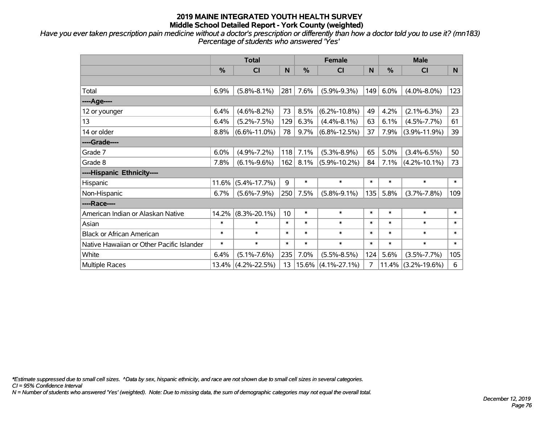*Have you ever taken prescription pain medicine without a doctor's prescription or differently than how a doctor told you to use it? (mn183) Percentage of students who answered 'Yes'*

|                                           | <b>Total</b> |                    |        | <b>Female</b> | <b>Male</b>        |        |        |                    |        |
|-------------------------------------------|--------------|--------------------|--------|---------------|--------------------|--------|--------|--------------------|--------|
|                                           | $\%$         | <b>CI</b>          | N      | %             | CI                 | N      | %      | <b>CI</b>          | N.     |
|                                           |              |                    |        |               |                    |        |        |                    |        |
| Total                                     | 6.9%         | $(5.8\% - 8.1\%)$  | 281    | 7.6%          | $(5.9\% - 9.3\%)$  | 149    | 6.0%   | $(4.0\% - 8.0\%)$  | 123    |
| ----Age----                               |              |                    |        |               |                    |        |        |                    |        |
| 12 or younger                             | 6.4%         | $(4.6\% - 8.2\%)$  | 73     | 8.5%          | $(6.2\% - 10.8\%)$ | 49     | 4.2%   | $(2.1\% - 6.3\%)$  | 23     |
| 13                                        | 6.4%         | $(5.2\% - 7.5\%)$  | 129    | 6.3%          | $(4.4\% - 8.1\%)$  | 63     | 6.1%   | $(4.5\% - 7.7\%)$  | 61     |
| 14 or older                               | 8.8%         | $(6.6\% - 11.0\%)$ | 78     | 9.7%          | $(6.8\% - 12.5\%)$ | 37     | 7.9%   | $(3.9\% - 11.9\%)$ | 39     |
| ----Grade----                             |              |                    |        |               |                    |        |        |                    |        |
| Grade 7                                   | 6.0%         | $(4.9\% - 7.2\%)$  | 118    | 7.1%          | $(5.3\% - 8.9\%)$  | 65     | 5.0%   | $(3.4\% - 6.5\%)$  | 50     |
| Grade 8                                   | 7.8%         | $(6.1\% - 9.6\%)$  | 162    | 8.1%          | $(5.9\% - 10.2\%)$ | 84     | 7.1%   | $(4.2\% - 10.1\%)$ | 73     |
| ----Hispanic Ethnicity----                |              |                    |        |               |                    |        |        |                    |        |
| Hispanic                                  | 11.6%        | $(5.4\% - 17.7\%)$ | 9      | $\ast$        | $\ast$             | $\ast$ | $\ast$ | $\ast$             | $\ast$ |
| Non-Hispanic                              | 6.7%         | $(5.6\% - 7.9\%)$  | 250    | 7.5%          | $(5.8\% - 9.1\%)$  | 135    | 5.8%   | $(3.7\% - 7.8\%)$  | 109    |
| ----Race----                              |              |                    |        |               |                    |        |        |                    |        |
| American Indian or Alaskan Native         | 14.2%        | $(8.3\% - 20.1\%)$ | 10     | $\ast$        | $\ast$             | $\ast$ | $\ast$ | $\ast$             | $\ast$ |
| Asian                                     | $\ast$       | $\ast$             | $\ast$ | $\ast$        | $\ast$             | $\ast$ | $\ast$ | $\ast$             | $\ast$ |
| <b>Black or African American</b>          | $\ast$       | $\ast$             | $\ast$ | $\ast$        | $\ast$             | $\ast$ | $\ast$ | $\ast$             | $\ast$ |
| Native Hawaiian or Other Pacific Islander | $\ast$       | $\ast$             | $\ast$ | $\ast$        | $\ast$             | $\ast$ | $\ast$ | $\ast$             | $\ast$ |
| White                                     | 6.4%         | $(5.1\% - 7.6\%)$  | 235    | 7.0%          | $(5.5\% - 8.5\%)$  | 124    | 5.6%   | $(3.5\% - 7.7\%)$  | 105    |
| Multiple Races                            | $13.4\%$     | $(4.2\% - 22.5\%)$ | 13     | $ 15.6\% $    | $(4.1\% - 27.1\%)$ | 7      | 11.4%  | $(3.2\% - 19.6\%)$ | 6      |

*\*Estimate suppressed due to small cell sizes. ^Data by sex, hispanic ethnicity, and race are not shown due to small cell sizes in several categories.*

*CI = 95% Confidence Interval*

*N = Number of students who answered 'Yes' (weighted). Note: Due to missing data, the sum of demographic categories may not equal the overall total.*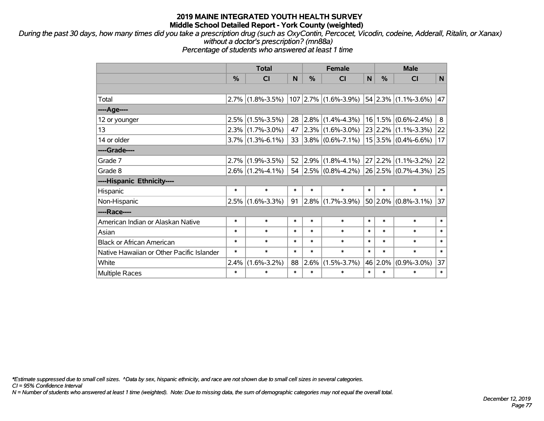*During the past 30 days, how many times did you take a prescription drug (such as OxyContin, Percocet, Vicodin, codeine, Adderall, Ritalin, or Xanax) without a doctor's prescription? (mn88a)*

*Percentage of students who answered at least 1 time*

|                                           | <b>Total</b> |                     |        | <b>Female</b> |                                                                                |        | <b>Male</b>   |                          |        |
|-------------------------------------------|--------------|---------------------|--------|---------------|--------------------------------------------------------------------------------|--------|---------------|--------------------------|--------|
|                                           | %            | <b>CI</b>           | N      | %             | <b>CI</b>                                                                      | N      | $\frac{0}{0}$ | <b>CI</b>                | N      |
|                                           |              |                     |        |               |                                                                                |        |               |                          |        |
| Total                                     |              | $2.7\%$ (1.8%-3.5%) |        |               | $107$ 2.7% (1.6%-3.9%) 54 2.3% (1.1%-3.6%)                                     |        |               |                          | 47     |
| ----Age----                               |              |                     |        |               |                                                                                |        |               |                          |        |
| 12 or younger                             |              | $2.5\%$ (1.5%-3.5%) | 28     |               | $ 2.8\% $ (1.4%-4.3%)                                                          |        |               | $16 1.5\% $ (0.6%-2.4%)  | 8      |
| 13                                        |              | $2.3\%$ (1.7%-3.0%) | 47     |               | $\vert 2.3\% \vert (1.6\% - 3.0\%) \vert 23 \vert 2.2\% \vert (1.1\% - 3.3\%)$ |        |               |                          | 22     |
| 14 or older                               |              | $3.7\%$ (1.3%-6.1%) | 33     |               | $ 3.8\% $ (0.6%-7.1%)                                                          |        |               | $15 3.5\% $ (0.4%-6.6%)  | 17     |
| ----Grade----                             |              |                     |        |               |                                                                                |        |               |                          |        |
| Grade 7                                   |              | $2.7\%$ (1.9%-3.5%) | 52     |               | $2.9\%$ (1.8%-4.1%) 27 2.2%                                                    |        |               | $(1.1\% - 3.2\%)$        | 22     |
| Grade 8                                   |              | $2.6\%$ (1.2%-4.1%) |        |               | 54 2.5% $(0.8\% - 4.2\%)$ 26 2.5% $(0.7\% - 4.3\%)$                            |        |               |                          | 25     |
| ----Hispanic Ethnicity----                |              |                     |        |               |                                                                                |        |               |                          |        |
| Hispanic                                  | $\ast$       | $\ast$              | $\ast$ | $\ast$        | $\ast$                                                                         | $\ast$ | $\ast$        | $\ast$                   | $\ast$ |
| Non-Hispanic                              |              | $2.5\%$ (1.6%-3.3%) | 91     | $2.8\%$       | $(1.7\% - 3.9\%)$                                                              |        |               | $ 50 2.0\% $ (0.8%-3.1%) | 37     |
| ----Race----                              |              |                     |        |               |                                                                                |        |               |                          |        |
| American Indian or Alaskan Native         | $\ast$       | $\ast$              | $\ast$ | $\ast$        | $\ast$                                                                         | $\ast$ | $\ast$        | $\ast$                   | $\ast$ |
| Asian                                     | $\ast$       | $\ast$              | $\ast$ | $\ast$        | $\ast$                                                                         | $\ast$ | $\ast$        | $\ast$                   | $\ast$ |
| <b>Black or African American</b>          | $\ast$       | $\ast$              | $\ast$ | $\ast$        | $\ast$                                                                         | $\ast$ | $\ast$        | $\ast$                   | $\ast$ |
| Native Hawaiian or Other Pacific Islander | $\ast$       | $\ast$              | $\ast$ | $\ast$        | $\ast$                                                                         | $\ast$ | $\ast$        | $\ast$                   | $\ast$ |
| White                                     | 2.4%         | $(1.6\% - 3.2\%)$   | 88     | 2.6%          | $(1.5\% - 3.7\%)$                                                              |        | 46 2.0%       | $(0.9\% - 3.0\%)$        | 37     |
| <b>Multiple Races</b>                     | $\ast$       | $\ast$              | $\ast$ | $\ast$        | $\ast$                                                                         | $\ast$ | $\ast$        | $\ast$                   | $\ast$ |

*\*Estimate suppressed due to small cell sizes. ^Data by sex, hispanic ethnicity, and race are not shown due to small cell sizes in several categories.*

*CI = 95% Confidence Interval*

*N = Number of students who answered at least 1 time (weighted). Note: Due to missing data, the sum of demographic categories may not equal the overall total.*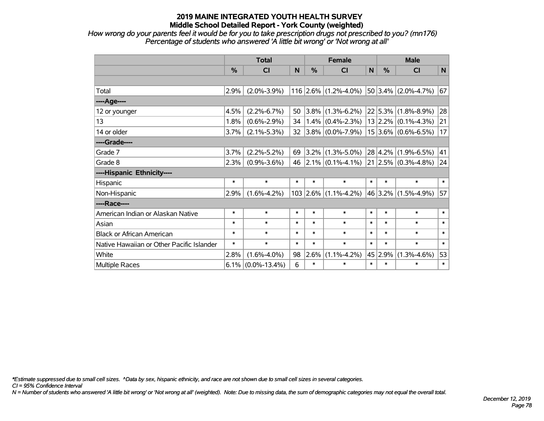*How wrong do your parents feel it would be for you to take prescription drugs not prescribed to you? (mn176) Percentage of students who answered 'A little bit wrong' or 'Not wrong at all'*

|                                           | <b>Total</b> |                    |        |        | <b>Female</b>                         |              |               | <b>Male</b>                    |        |  |  |
|-------------------------------------------|--------------|--------------------|--------|--------|---------------------------------------|--------------|---------------|--------------------------------|--------|--|--|
|                                           | %            | CI                 | N      | %      | <b>CI</b>                             | $\mathsf{N}$ | $\frac{0}{0}$ | <b>CI</b>                      | N      |  |  |
|                                           |              |                    |        |        |                                       |              |               |                                |        |  |  |
| Total                                     | 2.9%         | $(2.0\% - 3.9\%)$  |        |        | 116 2.6% (1.2%-4.0%)                  |              |               | 50 3.4% $(2.0\% - 4.7\%)$      | 67     |  |  |
| ---- Age----                              |              |                    |        |        |                                       |              |               |                                |        |  |  |
| 12 or younger                             | 4.5%         | $(2.2\% - 6.7\%)$  | 50     |        | $ 3.8\% $ (1.3%-6.2%)                 |              |               | $22 5.3\% $ (1.8%-8.9%)        | 28     |  |  |
| 13                                        | 1.8%         | $(0.6\% - 2.9\%)$  | 34     |        | $(1.4\%)(0.4\% - 2.3\%)$              |              |               | $13$   2.2%   (0.1%-4.3%)      | 21     |  |  |
| 14 or older                               | 3.7%         | $(2.1\% - 5.3\%)$  | 32     |        | $3.8\%$ (0.0%-7.9%)                   |              |               | $15 3.6\% $ (0.6%-6.5%)        | 17     |  |  |
| ----Grade----                             |              |                    |        |        |                                       |              |               |                                |        |  |  |
| Grade 7                                   | 3.7%         | $(2.2\% - 5.2\%)$  | 69     |        | $ 3.2\% $ (1.3%-5.0%)                 |              |               | $28 4.2\% $ (1.9%-6.5%)        | 41     |  |  |
| Grade 8                                   | 2.3%         | $(0.9\% - 3.6\%)$  |        |        | 46 $\left  2.1\% \right $ (0.1%-4.1%) |              |               | $21   2.5\%   (0.3\% - 4.8\%)$ | 24     |  |  |
| ----Hispanic Ethnicity----                |              |                    |        |        |                                       |              |               |                                |        |  |  |
| Hispanic                                  | $\ast$       | $\ast$             | $\ast$ | $\ast$ | $\ast$                                | $\ast$       | $\ast$        | $\ast$                         | $\ast$ |  |  |
| Non-Hispanic                              | 2.9%         | $(1.6\% - 4.2\%)$  |        |        | $103$ 2.6% (1.1%-4.2%)                |              | 46 3.2%       | $(1.5\% - 4.9\%)$              | 57     |  |  |
| ----Race----                              |              |                    |        |        |                                       |              |               |                                |        |  |  |
| American Indian or Alaskan Native         | $\ast$       | $\ast$             | $\ast$ | $\ast$ | $\ast$                                | $\ast$       | $\ast$        | $\ast$                         | $\ast$ |  |  |
| Asian                                     | $\ast$       | $\ast$             | $\ast$ | $\ast$ | $\ast$                                | $\ast$       | $\ast$        | $\ast$                         | $\ast$ |  |  |
| <b>Black or African American</b>          | $\ast$       | $\ast$             | $\ast$ | $\ast$ | $\ast$                                | $\ast$       | $\ast$        | $\ast$                         | $\ast$ |  |  |
| Native Hawaiian or Other Pacific Islander | $\ast$       | $\ast$             | $\ast$ | $\ast$ | $\ast$                                | $\ast$       | $\ast$        | $\ast$                         | $\ast$ |  |  |
| White                                     | 2.8%         | $(1.6\% - 4.0\%)$  | 98     | 2.6%   | $(1.1\% - 4.2\%)$                     |              | 45 2.9%       | $(1.3\% - 4.6\%)$              | 53     |  |  |
| <b>Multiple Races</b>                     | $6.1\%$      | $(0.0\% - 13.4\%)$ | 6      | $\ast$ | $\ast$                                | $\ast$       | $\ast$        | $\ast$                         | $\ast$ |  |  |

*\*Estimate suppressed due to small cell sizes. ^Data by sex, hispanic ethnicity, and race are not shown due to small cell sizes in several categories.*

*CI = 95% Confidence Interval*

*N = Number of students who answered 'A little bit wrong' or 'Not wrong at all' (weighted). Note: Due to missing data, the sum of demographic categories may not equal the overall total.*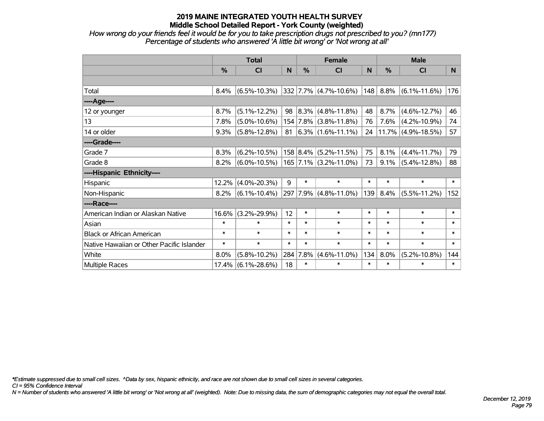*How wrong do your friends feel it would be for you to take prescription drugs not prescribed to you? (mn177) Percentage of students who answered 'A little bit wrong' or 'Not wrong at all'*

|                                           | <b>Total</b> |                    |        | <b>Female</b> |                            |        | <b>Male</b> |                         |        |  |
|-------------------------------------------|--------------|--------------------|--------|---------------|----------------------------|--------|-------------|-------------------------|--------|--|
|                                           | %            | <b>CI</b>          | N      | %             | <b>CI</b>                  | N      | %           | <b>CI</b>               | N.     |  |
|                                           |              |                    |        |               |                            |        |             |                         |        |  |
| Total                                     | 8.4%         | $(6.5\% - 10.3\%)$ |        |               | $ 332 7.7\% $ (4.7%-10.6%) | 148    | 8.8%        | $(6.1\% - 11.6\%)$      | 176    |  |
| ----Age----                               |              |                    |        |               |                            |        |             |                         |        |  |
| 12 or younger                             | 8.7%         | $(5.1\% - 12.2\%)$ | 98     |               | $ 8.3\% $ (4.8%-11.8%)     | 48     | 8.7%        | $(4.6\% - 12.7\%)$      | 46     |  |
| 13                                        | 7.8%         | $(5.0\% - 10.6\%)$ |        |               | 154 7.8% (3.8%-11.8%)      | 76     | 7.6%        | $(4.2\% - 10.9\%)$      | 74     |  |
| 14 or older                               | 9.3%         | $(5.8\% - 12.8\%)$ | 81     |               | $ 6.3\% $ (1.6%-11.1%)     | 24     |             | $ 11.7\% $ (4.9%-18.5%) | 57     |  |
| ----Grade----                             |              |                    |        |               |                            |        |             |                         |        |  |
| Grade 7                                   | 8.3%         | $(6.2\% - 10.5\%)$ |        |               | 158 8.4% (5.2%-11.5%)      | 75     | 8.1%        | $(4.4\% - 11.7\%)$      | 79     |  |
| Grade 8                                   | 8.2%         | $(6.0\% - 10.5\%)$ |        |               | $165$ 7.1% (3.2%-11.0%)    | 73     | 9.1%        | $(5.4\% - 12.8\%)$      | 88     |  |
| ----Hispanic Ethnicity----                |              |                    |        |               |                            |        |             |                         |        |  |
| Hispanic                                  | 12.2%        | $(4.0\% - 20.3\%)$ | 9      | $\ast$        | $\ast$                     | $\ast$ | $\ast$      | $\ast$                  | $\ast$ |  |
| Non-Hispanic                              | 8.2%         | $(6.1\% - 10.4\%)$ |        | 297 7.9%      | $(4.8\% - 11.0\%)$         | 139    | 8.4%        | $(5.5\% - 11.2\%)$      | 152    |  |
| ----Race----                              |              |                    |        |               |                            |        |             |                         |        |  |
| American Indian or Alaskan Native         | 16.6%        | $(3.2\% - 29.9\%)$ | 12     | $\ast$        | $\ast$                     | $\ast$ | $\ast$      | $\ast$                  | $\ast$ |  |
| Asian                                     | $\ast$       | $\ast$             | $\ast$ | $\ast$        | $\ast$                     | $\ast$ | $\ast$      | $\ast$                  | $\ast$ |  |
| <b>Black or African American</b>          | $\ast$       | $\ast$             | $\ast$ | $\ast$        | $\ast$                     | $\ast$ | $\ast$      | $\ast$                  | $\ast$ |  |
| Native Hawaiian or Other Pacific Islander | $\ast$       | $\ast$             | $\ast$ | $\ast$        | $\ast$                     | $\ast$ | $\ast$      | $\ast$                  | $\ast$ |  |
| White                                     | 8.0%         | $(5.8\% - 10.2\%)$ |        | 284 7.8%      | $(4.6\% - 11.0\%)$         | 134    | 8.0%        | $(5.2\% - 10.8\%)$      | 144    |  |
| <b>Multiple Races</b>                     | 17.4%        | $(6.1\% - 28.6\%)$ | 18     | $\ast$        | $\ast$                     | $\ast$ | $\ast$      | $\ast$                  | $\ast$ |  |

*\*Estimate suppressed due to small cell sizes. ^Data by sex, hispanic ethnicity, and race are not shown due to small cell sizes in several categories.*

*CI = 95% Confidence Interval*

*N = Number of students who answered 'A little bit wrong' or 'Not wrong at all' (weighted). Note: Due to missing data, the sum of demographic categories may not equal the overall total.*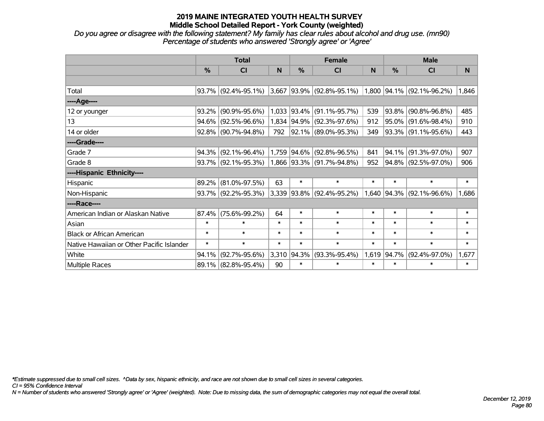*Do you agree or disagree with the following statement? My family has clear rules about alcohol and drug use. (mn90) Percentage of students who answered 'Strongly agree' or 'Agree'*

|                                           | <b>Total</b> |                        |        |               | <b>Female</b>             |              | <b>Male</b> |                           |        |  |
|-------------------------------------------|--------------|------------------------|--------|---------------|---------------------------|--------------|-------------|---------------------------|--------|--|
|                                           | $\%$         | <b>CI</b>              | N      | $\frac{0}{0}$ | <b>CI</b>                 | <sub>N</sub> | %           | <b>CI</b>                 | N      |  |
|                                           |              |                        |        |               |                           |              |             |                           |        |  |
| Total                                     |              | $93.7\%$ (92.4%-95.1%) | 3,667  |               | $ 93.9\% $ (92.8%-95.1%)  |              |             | 1,800 94.1% (92.1%-96.2%) | 1,846  |  |
| ----Age----                               |              |                        |        |               |                           |              |             |                           |        |  |
| 12 or younger                             | 93.2%        | $(90.9\% - 95.6\%)$    | 1,033  | $ 93.4\% $    | $(91.1\% - 95.7\%)$       | 539          | $93.8\%$    | $(90.8\% - 96.8\%)$       | 485    |  |
| 13                                        | 94.6%        | $(92.5\% - 96.6\%)$    |        | 1,834 94.9%   | $(92.3\% - 97.6\%)$       | 912          |             | 95.0% (91.6%-98.4%)       | 910    |  |
| 14 or older                               |              | $92.8\%$ (90.7%-94.8%) | 792    |               | 92.1% (89.0%-95.3%)       | 349          |             | 93.3% (91.1%-95.6%)       | 443    |  |
| ----Grade----                             |              |                        |        |               |                           |              |             |                           |        |  |
| Grade 7                                   | 94.3%        | $(92.1\% - 96.4\%)$    |        | 1,759 94.6%   | $(92.8\% - 96.5\%)$       | 841          | $94.1\%$    | $(91.3\% - 97.0\%)$       | 907    |  |
| Grade 8                                   |              | 93.7% (92.1%-95.3%)    |        |               | 1,866 93.3% (91.7%-94.8%) | 952          |             | 94.8% (92.5%-97.0%)       | 906    |  |
| ----Hispanic Ethnicity----                |              |                        |        |               |                           |              |             |                           |        |  |
| Hispanic                                  | 89.2%        | $(81.0\% - 97.5\%)$    | 63     | $\ast$        | $\ast$                    | $\ast$       | $\ast$      | $\ast$                    | $\ast$ |  |
| Non-Hispanic                              |              | 93.7% (92.2%-95.3%)    |        |               | 3,339 93.8% (92.4%-95.2%) | 1,640        | $ 94.3\% $  | $(92.1\% - 96.6\%)$       | 1,686  |  |
| ----Race----                              |              |                        |        |               |                           |              |             |                           |        |  |
| American Indian or Alaskan Native         | 87.4%        | $(75.6\% - 99.2\%)$    | 64     | $\ast$        | $\ast$                    | $\ast$       | $\ast$      | $\ast$                    | $\ast$ |  |
| Asian                                     | $\ast$       | $\ast$                 | $\ast$ | $\ast$        | $\ast$                    | $\ast$       | $\ast$      | $\ast$                    | $\ast$ |  |
| <b>Black or African American</b>          | $\ast$       | $\ast$                 | $\ast$ | $\ast$        | $\ast$                    | $\ast$       | $\ast$      | $\ast$                    | $\ast$ |  |
| Native Hawaiian or Other Pacific Islander | $\ast$       | $\ast$                 | $\ast$ | $\ast$        | $\ast$                    | $\ast$       | $\ast$      | $\ast$                    | $\ast$ |  |
| White                                     | 94.1%        | $(92.7\% - 95.6\%)$    | 3,310  | 94.3%         | $(93.3\% - 95.4\%)$       | 1,619        | $ 94.7\% $  | $(92.4\% - 97.0\%)$       | 1,677  |  |
| <b>Multiple Races</b>                     |              | 89.1% (82.8%-95.4%)    | 90     | $\ast$        | $\ast$                    | $\ast$       | $\ast$      | $\ast$                    | $\ast$ |  |

*\*Estimate suppressed due to small cell sizes. ^Data by sex, hispanic ethnicity, and race are not shown due to small cell sizes in several categories.*

*CI = 95% Confidence Interval*

*N = Number of students who answered 'Strongly agree' or 'Agree' (weighted). Note: Due to missing data, the sum of demographic categories may not equal the overall total.*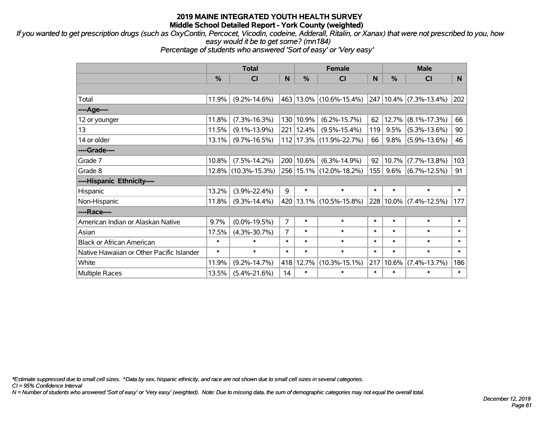*If you wanted to get prescription drugs (such as OxyContin, Percocet, Vicodin, codeine, Adderall, Ritalin, or Xanax) that were not prescribed to you, how easy would it be to get some? (mn184)*

*Percentage of students who answered 'Sort of easy' or 'Very easy'*

|                                           | <b>Total</b>  |                     |                | <b>Female</b> | <b>Male</b>             |        |        |                        |        |
|-------------------------------------------|---------------|---------------------|----------------|---------------|-------------------------|--------|--------|------------------------|--------|
|                                           | $\frac{0}{0}$ | <b>CI</b>           | N              | %             | <b>CI</b>               | N      | $\%$   | <b>CI</b>              | N      |
|                                           |               |                     |                |               |                         |        |        |                        |        |
| Total                                     | 11.9%         | $(9.2\% - 14.6\%)$  |                |               | 463 13.0% (10.6%-15.4%) |        |        | 247 10.4% (7.3%-13.4%) | 202    |
| ----Age----                               |               |                     |                |               |                         |        |        |                        |        |
| 12 or younger                             | 11.8%         | $(7.3\% - 16.3\%)$  | 130            | 10.9%         | $(6.2\% - 15.7\%)$      | 62     |        | $12.7\%$ (8.1%-17.3%)  | 66     |
| 13                                        | 11.5%         | $(9.1\% - 13.9\%)$  | 221            | 12.4%         | $(9.5\% - 15.4\%)$      | 119    | 9.5%   | $(5.3\% - 13.6\%)$     | 90     |
| 14 or older                               | 13.1%         | $(9.7\% - 16.5\%)$  |                |               | 112 17.3% (11.9%-22.7%) | 66     | 9.8%   | $(5.9\% - 13.6\%)$     | 46     |
| ----Grade----                             |               |                     |                |               |                         |        |        |                        |        |
| Grade 7                                   | 10.8%         | $(7.5\% - 14.2\%)$  | 200            | 10.6%         | $(6.3\% - 14.9\%)$      | 92     | 10.7%  | $(7.7\% - 13.8\%)$     | 103    |
| Grade 8                                   | $12.8\%$      | $(10.3\% - 15.3\%)$ |                |               | 256 15.1% (12.0%-18.2%) | 155    | 9.6%   | $(6.7\% - 12.5\%)$     | 91     |
| ----Hispanic Ethnicity----                |               |                     |                |               |                         |        |        |                        |        |
| Hispanic                                  | 13.2%         | $(3.9\% - 22.4\%)$  | $\overline{9}$ | $\ast$        | $\ast$                  | $\ast$ | $\ast$ | $\ast$                 | $\ast$ |
| Non-Hispanic                              | 11.8%         | $(9.3\% - 14.4\%)$  |                |               | 420 13.1% (10.5%-15.8%) |        |        | 228 10.0% (7.4%-12.5%) | 177    |
| ----Race----                              |               |                     |                |               |                         |        |        |                        |        |
| American Indian or Alaskan Native         | 9.7%          | $(0.0\% - 19.5\%)$  | $\overline{7}$ | $\ast$        | $\ast$                  | $\ast$ | $\ast$ | $\ast$                 | $\ast$ |
| Asian                                     | 17.5%         | $(4.3\% - 30.7\%)$  | 7              | $\ast$        | $\ast$                  | $\ast$ | $\ast$ | $\ast$                 | $\ast$ |
| <b>Black or African American</b>          | $\ast$        | *                   | $\ast$         | $\ast$        | $\ast$                  | $\ast$ | $\ast$ | $\ast$                 | $\ast$ |
| Native Hawaiian or Other Pacific Islander | $\ast$        | $\ast$              | $\ast$         | $\ast$        | $\ast$                  | $\ast$ | $\ast$ | $\ast$                 | $\ast$ |
| White                                     | 11.9%         | $(9.2\% - 14.7\%)$  | 418            | 12.7%         | $(10.3\% - 15.1\%)$     | 217    | 10.6%  | $(7.4\% - 13.7\%)$     | 186    |
| <b>Multiple Races</b>                     | 13.5%         | $(5.4\% - 21.6\%)$  | 14             | $\ast$        | $\ast$                  | $\ast$ | $\ast$ | $\ast$                 | $\ast$ |

*\*Estimate suppressed due to small cell sizes. ^Data by sex, hispanic ethnicity, and race are not shown due to small cell sizes in several categories.*

*CI = 95% Confidence Interval*

*N = Number of students who answered 'Sort of easy' or 'Very easy' (weighted). Note: Due to missing data, the sum of demographic categories may not equal the overall total.*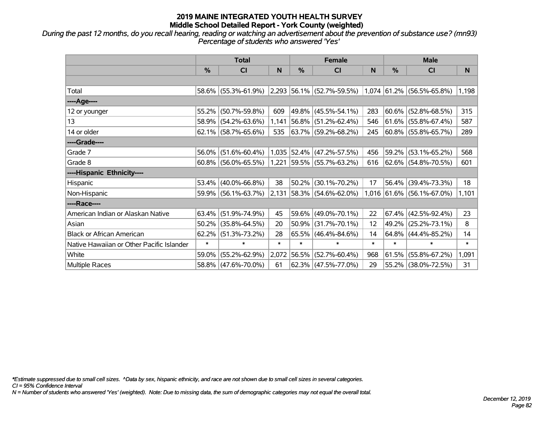*During the past 12 months, do you recall hearing, reading or watching an advertisement about the prevention of substance use? (mn93) Percentage of students who answered 'Yes'*

|                                           | <b>Total</b>  |                        |        |               | <b>Female</b>                      |        | <b>Male</b>   |                           |        |  |
|-------------------------------------------|---------------|------------------------|--------|---------------|------------------------------------|--------|---------------|---------------------------|--------|--|
|                                           | $\frac{0}{0}$ | C <sub>l</sub>         | N      | $\frac{0}{0}$ | C <sub>l</sub>                     | N      | $\frac{0}{0}$ | <b>CI</b>                 | N      |  |
|                                           |               |                        |        |               |                                    |        |               |                           |        |  |
| Total                                     |               | 58.6% (55.3%-61.9%)    |        |               | $ 2,293 56.1\%  (52.7\% - 59.5\%)$ |        |               | 1,074 61.2% (56.5%-65.8%) | 1,198  |  |
| ----Age----                               |               |                        |        |               |                                    |        |               |                           |        |  |
| 12 or younger                             | 55.2%         | $(50.7\% - 59.8\%)$    | 609    |               | 49.8% (45.5%-54.1%)                | 283    | 60.6%         | $(52.8\% - 68.5\%)$       | 315    |  |
| 13                                        |               | $58.9\%$ (54.2%-63.6%) | 1,141  |               | $ 56.8\% $ (51.2%-62.4%)           | 546    |               | $61.6\%$ (55.8%-67.4%)    | 587    |  |
| 14 or older                               |               | $62.1\%$ (58.7%-65.6%) | 535    |               | $ 63.7\% $ (59.2%-68.2%)           | 245    |               | $ 60.8\% $ (55.8%-65.7%)  | 289    |  |
| ----Grade----                             |               |                        |        |               |                                    |        |               |                           |        |  |
| Grade 7                                   | 56.0%         | $(51.6\% - 60.4\%)$    |        |               | $1,035$ 52.4% (47.2%-57.5%)        | 456    | 59.2%         | $(53.1\% - 65.2\%)$       | 568    |  |
| Grade 8                                   |               | $60.8\%$ (56.0%-65.5%) |        |               | $1,221$ 59.5% (55.7%-63.2%)        | 616    |               | 62.6% (54.8%-70.5%)       | 601    |  |
| ----Hispanic Ethnicity----                |               |                        |        |               |                                    |        |               |                           |        |  |
| Hispanic                                  | 53.4%         | $(40.0\% - 66.8\%)$    | 38     | 50.2%         | $(30.1\% - 70.2\%)$                | 17     | 56.4%         | $(39.4\% - 73.3\%)$       | 18     |  |
| Non-Hispanic                              |               | $59.9\%$ (56.1%-63.7%) | 2,131  |               | $ 58.3\% $ (54.6%-62.0%)           |        |               | 1,016 61.6% (56.1%-67.0%) | 1,101  |  |
| ----Race----                              |               |                        |        |               |                                    |        |               |                           |        |  |
| American Indian or Alaskan Native         |               | $63.4\%$ (51.9%-74.9%) | 45     |               | 59.6% (49.0%-70.1%)                | 22     | 67.4%         | $(42.5\% - 92.4\%)$       | 23     |  |
| Asian                                     | $50.2\%$      | $(35.8\% - 64.5\%)$    | 20     | 50.9%         | $(31.7\% - 70.1\%)$                | 12     | 49.2%         | $(25.2\% - 73.1\%)$       | 8      |  |
| <b>Black or African American</b>          | 62.2%         | $(51.3\% - 73.2\%)$    | 28     |               | $65.5\%$ (46.4%-84.6%)             | 14     | $64.8\%$      | $(44.4\% - 85.2\%)$       | 14     |  |
| Native Hawaiian or Other Pacific Islander | $\ast$        | $\ast$                 | $\ast$ | $\ast$        | $\ast$                             | $\ast$ | $\ast$        | $\ast$                    | $\ast$ |  |
| White                                     | 59.0%         | $(55.2\% - 62.9\%)$    | 2,072  | 56.5%         | $(52.7\% - 60.4\%)$                | 968    | 61.5%         | $(55.8\% - 67.2\%)$       | 1,091  |  |
| <b>Multiple Races</b>                     |               | 58.8% (47.6%-70.0%)    | 61     |               | $62.3\%$ (47.5%-77.0%)             | 29     |               | 55.2% (38.0%-72.5%)       | 31     |  |

*\*Estimate suppressed due to small cell sizes. ^Data by sex, hispanic ethnicity, and race are not shown due to small cell sizes in several categories.*

*CI = 95% Confidence Interval*

*N = Number of students who answered 'Yes' (weighted). Note: Due to missing data, the sum of demographic categories may not equal the overall total.*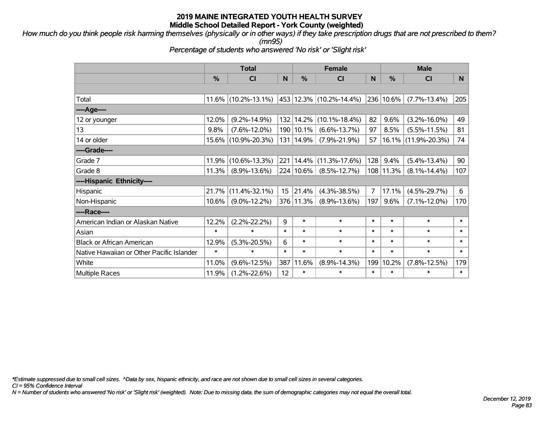*How much do you think people risk harming themselves (physically or in other ways) if they take prescription drugs that are not prescribed to them? (mn95)*

*Percentage of students who answered 'No risk' or 'Slight risk'*

|                                           | <b>Total</b> |                        |        | <b>Female</b> | <b>Male</b>             |                |               |                     |        |
|-------------------------------------------|--------------|------------------------|--------|---------------|-------------------------|----------------|---------------|---------------------|--------|
|                                           | %            | C <sub>l</sub>         | N      | %             | <b>CI</b>               | N              | $\frac{0}{0}$ | <b>CI</b>           | N      |
|                                           |              |                        |        |               |                         |                |               |                     |        |
| Total                                     |              | $11.6\%$ (10.2%-13.1%) |        |               | 453 12.3% (10.2%-14.4%) | 236            | 10.6%         | $(7.7\% - 13.4\%)$  | 205    |
| ----Age----                               |              |                        |        |               |                         |                |               |                     |        |
| 12 or younger                             | 12.0%        | $(9.2\% - 14.9\%)$     |        | 132 14.2%     | $(10.1\% - 18.4\%)$     | 82             | 9.6%          | $(3.2\% - 16.0\%)$  | 49     |
| 13                                        | 9.8%         | $(7.6\% - 12.0\%)$     |        | 190 10.1%     | $(6.6\% - 13.7\%)$      | 97             | 8.5%          | $(5.5\% - 11.5\%)$  | 81     |
| 14 or older                               |              | 15.6% (10.9%-20.3%)    |        | 131 14.9%     | $(7.9\% - 21.9\%)$      | 57             |               | 16.1% (11.9%-20.3%) | 74     |
| ----Grade----                             |              |                        |        |               |                         |                |               |                     |        |
| Grade 7                                   | 11.9%        | $(10.6\% - 13.3\%)$    |        | 221 14.4%     | $(11.3\% - 17.6\%)$     | 128            | 9.4%          | $(5.4\% - 13.4\%)$  | 90     |
| Grade 8                                   | 11.3%        | $(8.9\% - 13.6\%)$     |        | 224 10.6%     | $(8.5\% - 12.7\%)$      | 108            | 11.3%         | $(8.1\% - 14.4\%)$  | 107    |
| ----Hispanic Ethnicity----                |              |                        |        |               |                         |                |               |                     |        |
| Hispanic                                  | 21.7%        | $(11.4\% - 32.1\%)$    | 15     | 21.4%         | $(4.3\% - 38.5\%)$      | $\overline{7}$ | 17.1%         | $(4.5\% - 29.7\%)$  | 6      |
| Non-Hispanic                              | 10.6%        | $(9.0\% - 12.2\%)$     |        | 376 11.3%     | $(8.9\% - 13.6\%)$      | 197            | 9.6%          | $(7.1\% - 12.0\%)$  | 170    |
| ----Race----                              |              |                        |        |               |                         |                |               |                     |        |
| American Indian or Alaskan Native         | 12.2%        | $(2.2\% - 22.2\%)$     | 9      | $\ast$        | $\ast$                  | $\ast$         | $\ast$        | $\ast$              | $\ast$ |
| Asian                                     | $\ast$       | $\ast$                 | $\ast$ | $\ast$        | $\ast$                  | $\ast$         | $\ast$        | $\ast$              | $\ast$ |
| <b>Black or African American</b>          | 12.9%        | $(5.3\% - 20.5\%)$     | 6      | $\ast$        | $\ast$                  | $\ast$         | $\ast$        | $\ast$              | $\ast$ |
| Native Hawaiian or Other Pacific Islander | $\ast$       | $\ast$                 | $\ast$ | $\ast$        | $\ast$                  | $\ast$         | $\ast$        | $\ast$              | $\ast$ |
| White                                     | 11.0%        | $(9.6\% - 12.5\%)$     | 387    | 11.6%         | $(8.9\% - 14.3\%)$      | 199            | 10.2%         | $(7.8\% - 12.5\%)$  | 179    |
| <b>Multiple Races</b>                     | 11.9%        | $(1.2\% - 22.6\%)$     | 12     | $\ast$        | $\ast$                  | $\ast$         | $\ast$        | $\ast$              | $\ast$ |

*\*Estimate suppressed due to small cell sizes. ^Data by sex, hispanic ethnicity, and race are not shown due to small cell sizes in several categories.*

*CI = 95% Confidence Interval*

*N = Number of students who answered 'No risk' or 'Slight risk' (weighted). Note: Due to missing data, the sum of demographic categories may not equal the overall total.*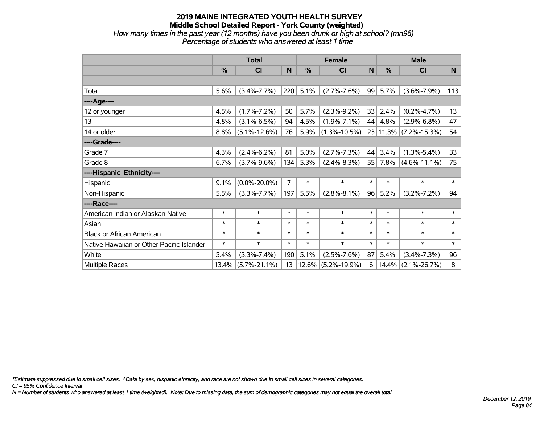# **2019 MAINE INTEGRATED YOUTH HEALTH SURVEY Middle School Detailed Report - York County (weighted)** *How many times in the past year (12 months) have you been drunk or high at school? (mn96)*

*Percentage of students who answered at least 1 time*

|                                           | <b>Total</b> |                    |                |          | <b>Female</b>      |        | <b>Male</b> |                       |        |  |
|-------------------------------------------|--------------|--------------------|----------------|----------|--------------------|--------|-------------|-----------------------|--------|--|
|                                           | %            | <b>CI</b>          | N              | %        | <b>CI</b>          | N      | %           | <b>CI</b>             | N      |  |
|                                           |              |                    |                |          |                    |        |             |                       |        |  |
| Total                                     | 5.6%         | $(3.4\% - 7.7\%)$  | 220            | 5.1%     | $(2.7\% - 7.6\%)$  | 99     | 5.7%        | $(3.6\% - 7.9\%)$     | 113    |  |
| ---- Age----                              |              |                    |                |          |                    |        |             |                       |        |  |
| 12 or younger                             | 4.5%         | $(1.7\% - 7.2\%)$  | 50             | 5.7%     | $(2.3\% - 9.2\%)$  | 33     | 2.4%        | $(0.2\% - 4.7\%)$     | 13     |  |
| 13                                        | 4.8%         | $(3.1\% - 6.5\%)$  | 94             | 4.5%     | $(1.9\% - 7.1\%)$  | 44     | 4.8%        | $(2.9\% - 6.8\%)$     | 47     |  |
| 14 or older                               | 8.8%         | $(5.1\% - 12.6\%)$ | 76             | 5.9%     | $(1.3\% - 10.5\%)$ |        |             | 23 11.3% (7.2%-15.3%) | 54     |  |
| ----Grade----                             |              |                    |                |          |                    |        |             |                       |        |  |
| Grade 7                                   | 4.3%         | $(2.4\% - 6.2\%)$  | 81             | 5.0%     | $(2.7\% - 7.3\%)$  | 44     | 3.4%        | $(1.3\% - 5.4\%)$     | 33     |  |
| Grade 8                                   | 6.7%         | $(3.7\% - 9.6\%)$  | 134            | 5.3%     | $(2.4\% - 8.3\%)$  | 55     | 7.8%        | $(4.6\% - 11.1\%)$    | 75     |  |
| ----Hispanic Ethnicity----                |              |                    |                |          |                    |        |             |                       |        |  |
| Hispanic                                  | 9.1%         | $(0.0\% - 20.0\%)$ | $\overline{7}$ | $\ast$   | $\ast$             | $\ast$ | $\ast$      | $\ast$                | $\ast$ |  |
| Non-Hispanic                              | 5.5%         | $(3.3\% - 7.7\%)$  | 197            | 5.5%     | $(2.8\% - 8.1\%)$  | 96     | 5.2%        | $(3.2\% - 7.2\%)$     | 94     |  |
| ----Race----                              |              |                    |                |          |                    |        |             |                       |        |  |
| American Indian or Alaskan Native         | $\ast$       | $\ast$             | $\ast$         | $\ast$   | $\ast$             | $\ast$ | $\ast$      | $\ast$                | $\ast$ |  |
| Asian                                     | $\ast$       | $\ast$             | $\ast$         | $\ast$   | $\ast$             | $\ast$ | $\ast$      | $\ast$                | $\ast$ |  |
| <b>Black or African American</b>          | $\ast$       | $\ast$             | $\ast$         | $\ast$   | $\ast$             | $\ast$ | $\ast$      | $\ast$                | $\ast$ |  |
| Native Hawaiian or Other Pacific Islander | $\ast$       | $\ast$             | $\ast$         | $\ast$   | $\ast$             | $\ast$ | $\ast$      | $\ast$                | $\ast$ |  |
| White                                     | 5.4%         | $(3.3\% - 7.4\%)$  | 190            | 5.1%     | $(2.5\% - 7.6\%)$  | 87     | 5.4%        | $(3.4\% - 7.3\%)$     | 96     |  |
| Multiple Races                            | 13.4%        | $(5.7\% - 21.1\%)$ | 13             | $12.6\%$ | $(5.2\% - 19.9\%)$ | 6      | 14.4%       | $(2.1\% - 26.7\%)$    | 8      |  |

*\*Estimate suppressed due to small cell sizes. ^Data by sex, hispanic ethnicity, and race are not shown due to small cell sizes in several categories.*

*CI = 95% Confidence Interval*

*N = Number of students who answered at least 1 time (weighted). Note: Due to missing data, the sum of demographic categories may not equal the overall total.*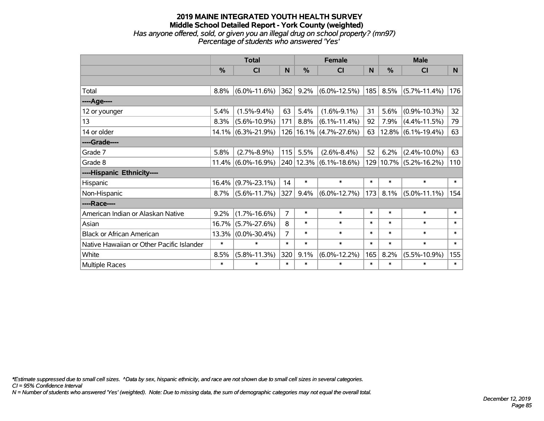# **2019 MAINE INTEGRATED YOUTH HEALTH SURVEY Middle School Detailed Report - York County (weighted)** *Has anyone offered, sold, or given you an illegal drug on school property? (mn97) Percentage of students who answered 'Yes'*

|                                           | <b>Total</b>  |                       | <b>Female</b>  |               |                            | <b>Male</b> |                  |                        |                 |
|-------------------------------------------|---------------|-----------------------|----------------|---------------|----------------------------|-------------|------------------|------------------------|-----------------|
|                                           | $\frac{0}{0}$ | <b>CI</b>             | N              | $\frac{0}{0}$ | <b>CI</b>                  | N           | $\frac{0}{0}$    | <b>CI</b>              | N               |
|                                           |               |                       |                |               |                            |             |                  |                        |                 |
| Total                                     | 8.8%          | $(6.0\% - 11.6\%)$    | 362            | 9.2%          | $(6.0\% - 12.5\%)$         |             | $185 \mid 8.5\%$ | $(5.7\% - 11.4\%)$     | 176             |
| ----Age----                               |               |                       |                |               |                            |             |                  |                        |                 |
| 12 or younger                             | 5.4%          | $(1.5\% - 9.4\%)$     | 63             | 5.4%          | $(1.6\% - 9.1\%)$          | 31          | 5.6%             | $(0.9\% - 10.3\%)$     | 32 <sub>2</sub> |
| 13                                        | 8.3%          | $(5.6\% - 10.9\%)$    | 171            | 8.8%          | $(6.1\% - 11.4\%)$         | 92          | 7.9%             | $(4.4\% - 11.5\%)$     | 79              |
| 14 or older                               |               | $14.1\%$ (6.3%-21.9%) |                |               | 126   16.1%   (4.7%-27.6%) | 63          |                  | $12.8\%$ (6.1%-19.4%)  | 63              |
| ----Grade----                             |               |                       |                |               |                            |             |                  |                        |                 |
| Grade 7                                   | 5.8%          | $(2.7\% - 8.9\%)$     | 115            | 5.5%          | $(2.6\% - 8.4\%)$          | 52          | 6.2%             | $(2.4\% - 10.0\%)$     | 63              |
| Grade 8                                   |               | $11.4\%$ (6.0%-16.9%) |                |               | 240   12.3%   (6.1%-18.6%) |             |                  | 129 10.7% (5.2%-16.2%) | 110             |
| ----Hispanic Ethnicity----                |               |                       |                |               |                            |             |                  |                        |                 |
| Hispanic                                  | 16.4%         | $(9.7\% - 23.1\%)$    | 14             | $\ast$        | $\ast$                     | $\ast$      | $\ast$           | $\ast$                 | $\ast$          |
| Non-Hispanic                              | 8.7%          | $(5.6\% - 11.7\%)$    | 327            | 9.4%          | $(6.0\% - 12.7\%)$         | 173         | 8.1%             | $(5.0\% - 11.1\%)$     | 154             |
| ----Race----                              |               |                       |                |               |                            |             |                  |                        |                 |
| American Indian or Alaskan Native         | 9.2%          | $(1.7\% - 16.6\%)$    | $\overline{7}$ | $\ast$        | $\ast$                     | $\ast$      | $\ast$           | $\ast$                 | $\ast$          |
| Asian                                     | 16.7%         | $(5.7\% - 27.6\%)$    | 8              | $\ast$        | $\ast$                     | $\ast$      | $\ast$           | $\ast$                 | $\ast$          |
| <b>Black or African American</b>          | 13.3%         | $(0.0\% - 30.4\%)$    | $\overline{7}$ | $\ast$        | $\ast$                     | $\ast$      | $\ast$           | $\ast$                 | $\ast$          |
| Native Hawaiian or Other Pacific Islander | $\ast$        | $\ast$                | $\ast$         | $\ast$        | $\ast$                     | $\ast$      | $\ast$           | $\ast$                 | $\ast$          |
| White                                     | 8.5%          | $(5.8\% - 11.3\%)$    | 320            | 9.1%          | $(6.0\% - 12.2\%)$         | 165         | 8.2%             | $(5.5\% - 10.9\%)$     | 155             |
| Multiple Races                            | $\ast$        | $\ast$                | $\ast$         | $\ast$        | $\ast$                     | $\ast$      | $\ast$           | $\ast$                 | $\ast$          |

*\*Estimate suppressed due to small cell sizes. ^Data by sex, hispanic ethnicity, and race are not shown due to small cell sizes in several categories.*

*CI = 95% Confidence Interval*

*N = Number of students who answered 'Yes' (weighted). Note: Due to missing data, the sum of demographic categories may not equal the overall total.*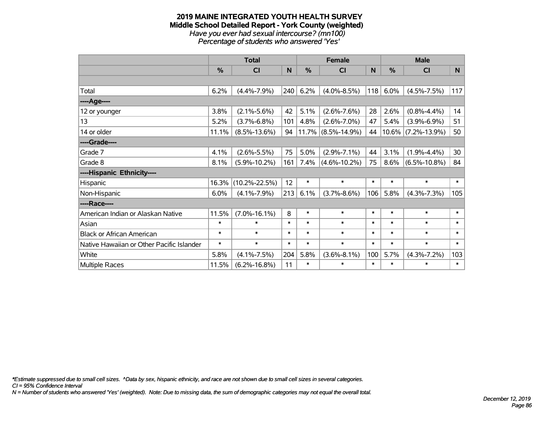#### **2019 MAINE INTEGRATED YOUTH HEALTH SURVEY Middle School Detailed Report - York County (weighted)** *Have you ever had sexual intercourse? (mn100) Percentage of students who answered 'Yes'*

|                                           | <b>Total</b>  |                     |        |               | <b>Female</b>         |        | <b>Male</b> |                       |        |  |
|-------------------------------------------|---------------|---------------------|--------|---------------|-----------------------|--------|-------------|-----------------------|--------|--|
|                                           | $\frac{0}{0}$ | <b>CI</b>           | N      | $\frac{0}{0}$ | <b>CI</b>             | N      | %           | <b>CI</b>             | N      |  |
|                                           |               |                     |        |               |                       |        |             |                       |        |  |
| Total                                     | 6.2%          | $(4.4\% - 7.9\%)$   | 240    | 6.2%          | $(4.0\% - 8.5\%)$     | 118    | 6.0%        | $(4.5\% - 7.5\%)$     | 117    |  |
| ----Age----                               |               |                     |        |               |                       |        |             |                       |        |  |
| 12 or younger                             | 3.8%          | $(2.1\% - 5.6\%)$   | 42     | 5.1%          | $(2.6\% - 7.6\%)$     | 28     | 2.6%        | $(0.8\% - 4.4\%)$     | 14     |  |
| 13                                        | 5.2%          | $(3.7\% - 6.8\%)$   | 101    | 4.8%          | $(2.6\% - 7.0\%)$     | 47     | 5.4%        | $(3.9\% - 6.9\%)$     | 51     |  |
| 14 or older                               | 11.1%         | $(8.5\% - 13.6\%)$  | 94     |               | $11.7\%$ (8.5%-14.9%) | 44     |             | $10.6\%$ (7.2%-13.9%) | 50     |  |
| ----Grade----                             |               |                     |        |               |                       |        |             |                       |        |  |
| Grade 7                                   | 4.1%          | $(2.6\% - 5.5\%)$   | 75     | 5.0%          | $(2.9\% - 7.1\%)$     | 44     | 3.1%        | $(1.9\% - 4.4\%)$     | 30     |  |
| Grade 8                                   | 8.1%          | $(5.9\% - 10.2\%)$  | 161    | 7.4%          | $(4.6\% - 10.2\%)$    | 75     | 8.6%        | $(6.5\% - 10.8\%)$    | 84     |  |
| ----Hispanic Ethnicity----                |               |                     |        |               |                       |        |             |                       |        |  |
| Hispanic                                  | 16.3%         | $(10.2\% - 22.5\%)$ | 12     | $\ast$        | $\ast$                | $\ast$ | $\ast$      | $\ast$                | $\ast$ |  |
| Non-Hispanic                              | 6.0%          | $(4.1\% - 7.9\%)$   | 213    | 6.1%          | $(3.7\% - 8.6\%)$     | 106    | 5.8%        | $(4.3\% - 7.3\%)$     | 105    |  |
| ----Race----                              |               |                     |        |               |                       |        |             |                       |        |  |
| American Indian or Alaskan Native         | 11.5%         | $(7.0\% - 16.1\%)$  | 8      | $\ast$        | $\ast$                | $\ast$ | $\ast$      | $\ast$                | $\ast$ |  |
| Asian                                     | $\ast$        | $\ast$              | $\ast$ | $\ast$        | $\ast$                | $\ast$ | $\ast$      | $\ast$                | $\ast$ |  |
| <b>Black or African American</b>          | $\ast$        | $\ast$              | $\ast$ | $\ast$        | $\ast$                | $\ast$ | $\ast$      | $\ast$                | $\ast$ |  |
| Native Hawaiian or Other Pacific Islander | $\ast$        | $\ast$              | $\ast$ | $\ast$        | $\ast$                | $\ast$ | $\ast$      | $\ast$                | $\ast$ |  |
| White                                     | 5.8%          | $(4.1\% - 7.5\%)$   | 204    | 5.8%          | $(3.6\% - 8.1\%)$     | 100    | 5.7%        | $(4.3\% - 7.2\%)$     | 103    |  |
| Multiple Races                            | 11.5%         | $(6.2\% - 16.8\%)$  | 11     | $\ast$        | $\ast$                | $\ast$ | $\ast$      | $\ast$                | $\ast$ |  |

*\*Estimate suppressed due to small cell sizes. ^Data by sex, hispanic ethnicity, and race are not shown due to small cell sizes in several categories.*

*CI = 95% Confidence Interval*

*N = Number of students who answered 'Yes' (weighted). Note: Due to missing data, the sum of demographic categories may not equal the overall total.*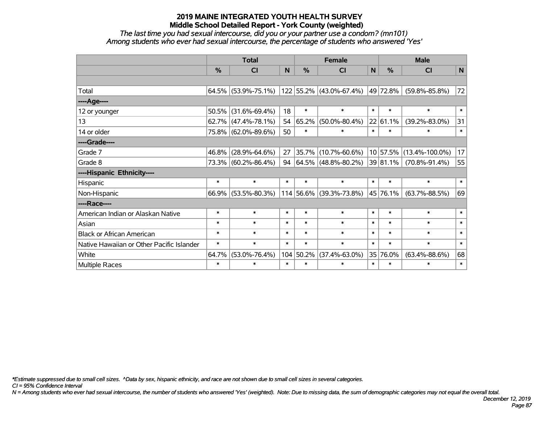*The last time you had sexual intercourse, did you or your partner use a condom? (mn101) Among students who ever had sexual intercourse, the percentage of students who answered 'Yes'*

|                                           | <b>Total</b>  |                     |        |           | <b>Female</b>            | <b>Male</b> |               |                      |        |
|-------------------------------------------|---------------|---------------------|--------|-----------|--------------------------|-------------|---------------|----------------------|--------|
|                                           | $\frac{0}{0}$ | <b>CI</b>           | N      | %         | <b>CI</b>                | N           | $\frac{0}{0}$ | <b>CI</b>            | N      |
|                                           |               |                     |        |           |                          |             |               |                      |        |
| Total                                     |               | 64.5% (53.9%-75.1%) |        |           | 122 55.2% (43.0%-67.4%)  |             | 49 72.8%      | $(59.8\% - 85.8\%)$  | 72     |
| ----Age----                               |               |                     |        |           |                          |             |               |                      |        |
| 12 or younger                             | 50.5%         | $(31.6\% - 69.4\%)$ | 18     | $\ast$    | $\ast$                   | $\ast$      | $\ast$        | $\ast$               | $\ast$ |
| 13                                        | 62.7%         | $(47.4\% - 78.1\%)$ | 54     | 65.2%     | $(50.0\% - 80.4\%)$      |             | 22 61.1%      | $(39.2\% - 83.0\%)$  | 31     |
| 14 or older                               |               | 75.8% (62.0%-89.6%) | 50     | $\ast$    | $\ast$                   | $\ast$      | $\ast$        | $\ast$               | $\ast$ |
| ----Grade----                             |               |                     |        |           |                          |             |               |                      |        |
| Grade 7                                   | 46.8%         | $(28.9\% - 64.6\%)$ | 27     | 35.7%     | $(10.7\% - 60.6\%)$      |             | 10 57.5%      | $(13.4\% - 100.0\%)$ | 17     |
| Grade 8                                   |               | 73.3% (60.2%-86.4%) | 94     |           | $ 64.5\% $ (48.8%-80.2%) |             | 39 81.1%      | $(70.8\% - 91.4\%)$  | 55     |
| ----Hispanic Ethnicity----                |               |                     |        |           |                          |             |               |                      |        |
| Hispanic                                  | $\ast$        | $\ast$              | $\ast$ | $\ast$    | $\ast$                   | $\ast$      | $\ast$        | $\ast$               | $\ast$ |
| Non-Hispanic                              |               | 66.9% (53.5%-80.3%) |        |           | 114 56.6% (39.3%-73.8%)  |             | 45 76.1%      | $(63.7\% - 88.5\%)$  | 69     |
| ----Race----                              |               |                     |        |           |                          |             |               |                      |        |
| American Indian or Alaskan Native         | $\ast$        | $\ast$              | $\ast$ | $\ast$    | $\ast$                   | $\ast$      | $\ast$        | $\ast$               | $\ast$ |
| Asian                                     | $\ast$        | $\ast$              | $\ast$ | $\ast$    | $\ast$                   | $\ast$      | $\ast$        | $\ast$               | $\ast$ |
| <b>Black or African American</b>          | $\ast$        | $\ast$              | $\ast$ | $\ast$    | $\ast$                   | $\ast$      | $\ast$        | $\ast$               | $\ast$ |
| Native Hawaiian or Other Pacific Islander | $\ast$        | $\ast$              | $\ast$ | $\ast$    | $\ast$                   | $\ast$      | $\ast$        | $\ast$               | $\ast$ |
| White                                     | 64.7%         | $(53.0\% - 76.4\%)$ |        | 104 50.2% | $(37.4\% - 63.0\%)$      |             | 35 76.0%      | $(63.4\% - 88.6\%)$  | 68     |
| Multiple Races                            | $\ast$        | $\ast$              | $\ast$ | $\ast$    | $\ast$                   | $\ast$      | $\ast$        | $\ast$               | $\ast$ |

*\*Estimate suppressed due to small cell sizes. ^Data by sex, hispanic ethnicity, and race are not shown due to small cell sizes in several categories.*

*CI = 95% Confidence Interval*

*N = Among students who ever had sexual intercourse, the number of students who answered 'Yes' (weighted). Note: Due to missing data, the sum of demographic categories may not equal the overall total.*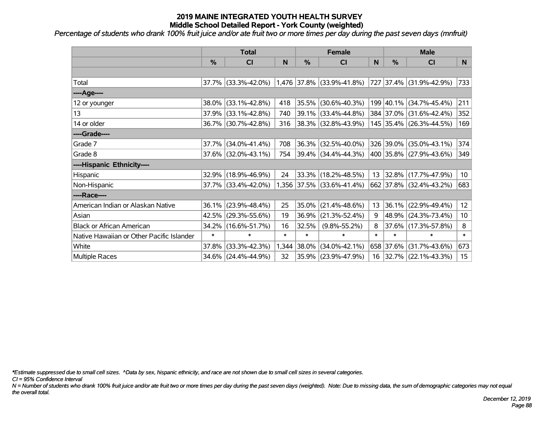*Percentage of students who drank 100% fruit juice and/or ate fruit two or more times per day during the past seven days (mnfruit)*

|                                           | <b>Total</b>  |                     |        | <b>Female</b> | <b>Male</b>               |        |           |                          |                   |
|-------------------------------------------|---------------|---------------------|--------|---------------|---------------------------|--------|-----------|--------------------------|-------------------|
|                                           | $\frac{0}{0}$ | <b>CI</b>           | N      | %             | <b>CI</b>                 | N      | %         | <b>CI</b>                | N                 |
|                                           |               |                     |        |               |                           |        |           |                          |                   |
| Total                                     |               | 37.7% (33.3%-42.0%) |        |               | 1,476 37.8% (33.9%-41.8%) |        |           | 727 37.4% (31.9%-42.9%)  | 733               |
| ----Age----                               |               |                     |        |               |                           |        |           |                          |                   |
| 12 or younger                             | 38.0%         | $(33.1\% - 42.8\%)$ | 418    | 35.5%         | $(30.6\% - 40.3\%)$       |        | 199 40.1% | $(34.7\% - 45.4\%)$      | 211               |
| 13                                        | 37.9%         | $(33.1\% - 42.8\%)$ | 740    | 39.1%         | $(33.4\% - 44.8\%)$       |        |           | 384 37.0% (31.6%-42.4%)  | 352               |
| 14 or older                               |               | 36.7% (30.7%-42.8%) | 316    |               | $ 38.3\% $ (32.8%-43.9%)  |        |           | 145 35.4% (26.3%-44.5%)  | 169               |
| ----Grade----                             |               |                     |        |               |                           |        |           |                          |                   |
| Grade 7                                   | 37.7%         | $(34.0\% - 41.4\%)$ | 708    | 36.3%         | $(32.5\% - 40.0\%)$       |        | 326 39.0% | $(35.0\% - 43.1\%)$      | 374               |
| Grade 8                                   |               | 37.6% (32.0%-43.1%) | 754    |               | $ 39.4\% $ (34.4%-44.3%)  |        |           | 400 35.8% (27.9%-43.6%)  | 349               |
| ----Hispanic Ethnicity----                |               |                     |        |               |                           |        |           |                          |                   |
| Hispanic                                  | 32.9%         | $(18.9\% - 46.9\%)$ | 24     | 33.3%         | $(18.2\% - 48.5\%)$       | 13     |           | $ 32.8\% $ (17.7%-47.9%) | 10 <sup>°</sup>   |
| Non-Hispanic                              |               | 37.7% (33.4%-42.0%) |        |               | 1,356 37.5% (33.6%-41.4%) |        |           | 662 37.8% (32.4%-43.2%)  | 683               |
| ----Race----                              |               |                     |        |               |                           |        |           |                          |                   |
| American Indian or Alaskan Native         | 36.1%         | $(23.9\% - 48.4\%)$ | 25     | 35.0%         | $(21.4\% - 48.6\%)$       | 13     |           | $ 36.1\% $ (22.9%-49.4%) | $12 \overline{ }$ |
| Asian                                     | 42.5%         | $(29.3\% - 55.6\%)$ | 19     | 36.9%         | $(21.3\% - 52.4\%)$       | 9      | 48.9%     | $(24.3\% - 73.4\%)$      | 10 <sup>°</sup>   |
| <b>Black or African American</b>          | 34.2%         | $(16.6\% - 51.7\%)$ | 16     | 32.5%         | $(9.8\% - 55.2\%)$        | 8      | $37.6\%$  | $(17.3\% - 57.8\%)$      | 8                 |
| Native Hawaiian or Other Pacific Islander | $\ast$        | $\ast$              | $\ast$ | $\ast$        | $\ast$                    | $\ast$ | $\ast$    | $\ast$                   | $\ast$            |
| White                                     | 37.8%         | $(33.3\% - 42.3\%)$ | 1,344  | 38.0%         | $(34.0\% - 42.1\%)$       |        | 658 37.6% | $(31.7\% - 43.6\%)$      | 673               |
| Multiple Races                            |               | 34.6% (24.4%-44.9%) | 32     |               | 35.9% (23.9%-47.9%)       |        |           | 16 32.7% (22.1%-43.3%)   | 15 <sub>15</sub>  |

*\*Estimate suppressed due to small cell sizes. ^Data by sex, hispanic ethnicity, and race are not shown due to small cell sizes in several categories.*

*CI = 95% Confidence Interval*

*N = Number of students who drank 100% fruit juice and/or ate fruit two or more times per day during the past seven days (weighted). Note: Due to missing data, the sum of demographic categories may not equal the overall total.*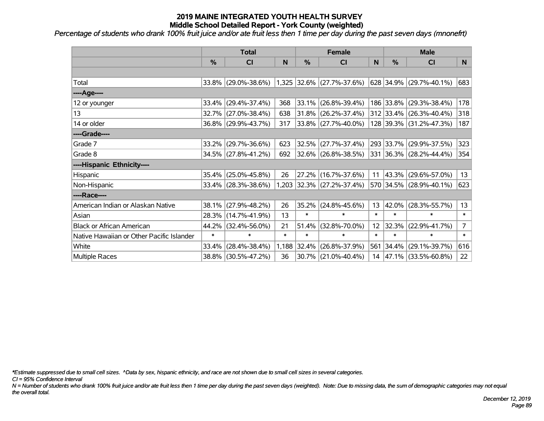*Percentage of students who drank 100% fruit juice and/or ate fruit less then 1 time per day during the past seven days (mnonefrt)*

|                                           | <b>Total</b> |                     | <b>Female</b> |        |                             | <b>Male</b> |            |                         |             |
|-------------------------------------------|--------------|---------------------|---------------|--------|-----------------------------|-------------|------------|-------------------------|-------------|
|                                           | %            | CI                  | N             | %      | <b>CI</b>                   | N           | %          | <b>CI</b>               | N           |
|                                           |              |                     |               |        |                             |             |            |                         |             |
| Total                                     |              | 33.8% (29.0%-38.6%) |               |        | $1,325$ 32.6% (27.7%-37.6%) |             |            | 628 34.9% (29.7%-40.1%) | 683         |
| ----Age----                               |              |                     |               |        |                             |             |            |                         |             |
| 12 or younger                             | 33.4%        | $(29.4\% - 37.4\%)$ | 368           | 33.1%  | $(26.8\% - 39.4\%)$         |             | 186 33.8%  | $(29.3\% - 38.4\%)$     | 178         |
| 13                                        | 32.7%        | $(27.0\% - 38.4\%)$ | 638           | 31.8%  | $(26.2\% - 37.4\%)$         |             |            | 312 33.4% (26.3%-40.4%) | 318         |
| 14 or older                               |              | 36.8% (29.9%-43.7%) | 317           |        | $ 33.8\% $ (27.7%-40.0%)    |             |            | 128 39.3% (31.2%-47.3%) | 187         |
| ----Grade----                             |              |                     |               |        |                             |             |            |                         |             |
| Grade 7                                   | 33.2%        | $(29.7\% - 36.6\%)$ | 623           | 32.5%  | $(27.7\% - 37.4\%)$         |             | 293 33.7%  | $(29.9\% - 37.5\%)$     | 323         |
| Grade 8                                   |              | 34.5% (27.8%-41.2%) | 692           |        | $ 32.6\% $ (26.8%-38.5%)    |             |            | 331 36.3% (28.2%-44.4%) | 354         |
| ----Hispanic Ethnicity----                |              |                     |               |        |                             |             |            |                         |             |
| Hispanic                                  | 35.4%        | $(25.0\% - 45.8\%)$ | 26            | 27.2%  | $(16.7\% - 37.6\%)$         | 11          | $ 43.3\% $ | $(29.6\% - 57.0\%)$     | 13          |
| Non-Hispanic                              |              | 33.4% (28.3%-38.6%) |               |        | 1,203 32.3% (27.2%-37.4%)   |             |            | 570 34.5% (28.9%-40.1%) | 623         |
| ----Race----                              |              |                     |               |        |                             |             |            |                         |             |
| American Indian or Alaskan Native         | 38.1%        | $(27.9\% - 48.2\%)$ | 26            | 35.2%  | $(24.8\% - 45.6\%)$         | 13          | $ 42.0\% $ | $(28.3\% - 55.7\%)$     | 13          |
| Asian                                     | 28.3%        | $(14.7\% - 41.9\%)$ | 13            | $\ast$ | $\ast$                      | $\ast$      | $\ast$     | $\ast$                  | $\ast$      |
| <b>Black or African American</b>          | 44.2%        | $(32.4\% - 56.0\%)$ | 21            | 51.4%  | $(32.8\% - 70.0\%)$         | 12          | 32.3%      | $(22.9\% - 41.7\%)$     | $7^{\circ}$ |
| Native Hawaiian or Other Pacific Islander | $\ast$       | $\ast$              | $\ast$        | $\ast$ | $\ast$                      | $\ast$      | $\ast$     | $\ast$                  | $\ast$      |
| White                                     | 33.4%        | $(28.4\% - 38.4\%)$ | 1,188         | 32.4%  | $(26.8\% - 37.9\%)$         |             | 561 34.4%  | $(29.1\% - 39.7\%)$     | 616         |
| Multiple Races                            |              | 38.8% (30.5%-47.2%) | 36            |        | $30.7\%$ (21.0%-40.4%)      |             |            | 14 47.1% (33.5%-60.8%)  | 22          |

*\*Estimate suppressed due to small cell sizes. ^Data by sex, hispanic ethnicity, and race are not shown due to small cell sizes in several categories.*

*CI = 95% Confidence Interval*

*N = Number of students who drank 100% fruit juice and/or ate fruit less then 1 time per day during the past seven days (weighted). Note: Due to missing data, the sum of demographic categories may not equal the overall total.*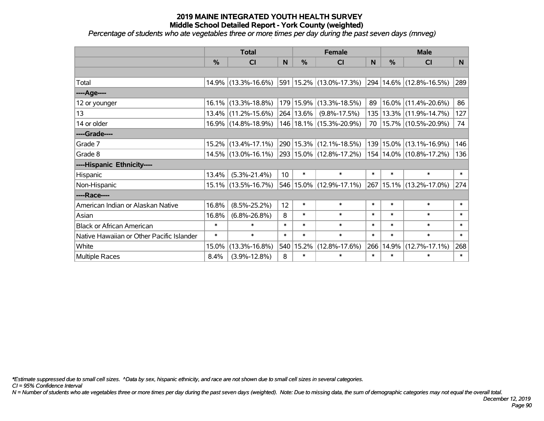*Percentage of students who ate vegetables three or more times per day during the past seven days (mnveg)*

|                                           | <b>Total</b> |                        | <b>Female</b>   |             |                         | <b>Male</b> |               |                             |                |
|-------------------------------------------|--------------|------------------------|-----------------|-------------|-------------------------|-------------|---------------|-----------------------------|----------------|
|                                           | %            | CI                     | N               | %           | <b>CI</b>               | N           | $\frac{0}{0}$ | <b>CI</b>                   | N <sub>1</sub> |
|                                           |              |                        |                 |             |                         |             |               |                             |                |
| Total                                     |              | 14.9% (13.3%-16.6%)    |                 |             | 591 15.2% (13.0%-17.3%) |             |               | 294 14.6% (12.8%-16.5%)     | 289            |
| ----Age----                               |              |                        |                 |             |                         |             |               |                             |                |
| 12 or younger                             |              | 16.1% (13.3%-18.8%)    |                 |             | 179 15.9% (13.3%-18.5%) | 89          | 16.0%         | $(11.4\% - 20.6\%)$         | 86             |
| 13                                        |              | $13.4\%$ (11.2%-15.6%) |                 | $264$ 13.6% | $(9.8\% - 17.5\%)$      | 135         |               | $13.3\%$ (11.9%-14.7%)      | 127            |
| 14 or older                               |              | 16.9% (14.8%-18.9%)    |                 |             | 146 18.1% (15.3%-20.9%) | 70          |               | 15.7% (10.5%-20.9%)         | 74             |
| ----Grade----                             |              |                        |                 |             |                         |             |               |                             |                |
| Grade 7                                   |              | $15.2\%$ (13.4%-17.1%) |                 |             | 290 15.3% (12.1%-18.5%) | 139         | 15.0%         | $(13.1\% - 16.9\%)$         | 146            |
| Grade 8                                   |              | 14.5% (13.0%-16.1%)    |                 |             | 293 15.0% (12.8%-17.2%) |             |               | 154   14.0%   (10.8%-17.2%) | 136            |
| ----Hispanic Ethnicity----                |              |                        |                 |             |                         |             |               |                             |                |
| Hispanic                                  | 13.4%        | $(5.3\% - 21.4\%)$     | 10 <sup>°</sup> | $\ast$      | $\ast$                  | $\ast$      | $\ast$        | $\ast$                      | $\ast$         |
| Non-Hispanic                              |              | 15.1% (13.5%-16.7%)    |                 |             | 546 15.0% (12.9%-17.1%) | 267         |               | 15.1% (13.2%-17.0%)         | 274            |
| ----Race----                              |              |                        |                 |             |                         |             |               |                             |                |
| American Indian or Alaskan Native         | 16.8%        | $(8.5\% - 25.2\%)$     | 12              | $\ast$      | $\ast$                  | $\ast$      | $\ast$        | $\ast$                      | $\ast$         |
| Asian                                     | 16.8%        | $(6.8\% - 26.8\%)$     | 8               | $\ast$      | $\ast$                  | $\ast$      | $\ast$        | $\ast$                      | $\ast$         |
| <b>Black or African American</b>          | $\ast$       | $\ast$                 | $\ast$          | $\ast$      | $\ast$                  | $\ast$      | $\ast$        | $\ast$                      | $\ast$         |
| Native Hawaiian or Other Pacific Islander | $\ast$       | $\ast$                 | $\ast$          | $\ast$      | $\ast$                  | $\ast$      | $\ast$        | $\ast$                      | $\ast$         |
| White                                     | 15.0%        | $(13.3\% - 16.8\%)$    |                 | 540 15.2%   | $(12.8\% - 17.6\%)$     | 266         | 14.9%         | $(12.7\% - 17.1\%)$         | 268            |
| Multiple Races                            | 8.4%         | $(3.9\% - 12.8\%)$     | 8               | $\ast$      | $\ast$                  | $\ast$      | $\ast$        | *                           | $\ast$         |

*\*Estimate suppressed due to small cell sizes. ^Data by sex, hispanic ethnicity, and race are not shown due to small cell sizes in several categories.*

*CI = 95% Confidence Interval*

*N = Number of students who ate vegetables three or more times per day during the past seven days (weighted). Note: Due to missing data, the sum of demographic categories may not equal the overall total.*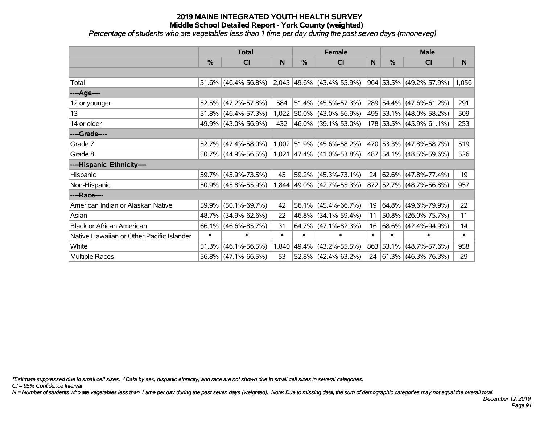*Percentage of students who ate vegetables less than 1 time per day during the past seven days (mnoneveg)*

|                                           | <b>Total</b> |                     |        |               | <b>Female</b>                    |        | <b>Male</b>   |                                  |        |  |
|-------------------------------------------|--------------|---------------------|--------|---------------|----------------------------------|--------|---------------|----------------------------------|--------|--|
|                                           | %            | <b>CI</b>           | N      | $\frac{0}{0}$ | <b>CI</b>                        | N      | $\frac{0}{0}$ | <b>CI</b>                        | N      |  |
|                                           |              |                     |        |               |                                  |        |               |                                  |        |  |
| Total                                     | 51.6%        | $(46.4\% - 56.8\%)$ |        |               | $2,043$ 49.6% (43.4%-55.9%)      |        |               | $ 964 53.5\% $ (49.2%-57.9%)     | 1,056  |  |
| ----Age----                               |              |                     |        |               |                                  |        |               |                                  |        |  |
| 12 or younger                             | 52.5%        | $(47.2\% - 57.8\%)$ | 584    |               | 51.4% (45.5%-57.3%)              |        |               | 289 54.4% (47.6%-61.2%)          | 291    |  |
| 13                                        | 51.8%        | $(46.4\% - 57.3\%)$ | 1,022  |               | 50.0% (43.0%-56.9%)              |        |               | 495 53.1% (48.0%-58.2%)          | 509    |  |
| 14 or older                               | 49.9%        | $(43.0\% - 56.9\%)$ | 432    |               | $ 46.0\% $ (39.1%-53.0%)         |        |               | $178$ 53.5% (45.9%-61.1%)        | 253    |  |
| ----Grade----                             |              |                     |        |               |                                  |        |               |                                  |        |  |
| Grade 7                                   | 52.7%        | $(47.4\% - 58.0\%)$ |        |               | $1,002$ 51.9% (45.6%-58.2%)      |        |               | 470 53.3% (47.8%-58.7%)          | 519    |  |
| Grade 8                                   |              | 50.7% (44.9%-56.5%) |        |               | $1,021$ $ 47.4\% $ (41.0%-53.8%) |        |               | $ 487 54.1\%  (48.5\% - 59.6\%)$ | 526    |  |
| ----Hispanic Ethnicity----                |              |                     |        |               |                                  |        |               |                                  |        |  |
| <b>Hispanic</b>                           | 59.7%        | $(45.9\% - 73.5\%)$ | 45     | 59.2%         | $(45.3\% - 73.1\%)$              | 24     |               | $ 62.6\% $ (47.8%-77.4%)         | 19     |  |
| Non-Hispanic                              | 50.9%        | $(45.8\% - 55.9\%)$ |        |               | 1,844 49.0% (42.7%-55.3%)        |        |               | 872 52.7% (48.7%-56.8%)          | 957    |  |
| ----Race----                              |              |                     |        |               |                                  |        |               |                                  |        |  |
| American Indian or Alaskan Native         | 59.9%        | $(50.1\% - 69.7\%)$ | 42     |               | $56.1\%$ (45.4%-66.7%)           | 19     |               | 64.8% (49.6%-79.9%)              | 22     |  |
| Asian                                     | 48.7%        | $(34.9\% - 62.6\%)$ | 22     |               | 46.8% (34.1%-59.4%)              | 11     |               | $50.8\%$ (26.0%-75.7%)           | 11     |  |
| <b>Black or African American</b>          | 66.1%        | $(46.6\% - 85.7\%)$ | 31     |               | $64.7\%$ (47.1%-82.3%)           | 16     |               | $68.6\%$ (42.4%-94.9%)           | 14     |  |
| Native Hawaiian or Other Pacific Islander | $\ast$       | $\ast$              | $\ast$ | $\ast$        | $\ast$                           | $\ast$ | $\ast$        | $\ast$                           | $\ast$ |  |
| White                                     | 51.3%        | $(46.1\% - 56.5\%)$ | 1,840  | 49.4%         | $(43.2\% - 55.5\%)$              |        | 863 53.1%     | $(48.7\% - 57.6\%)$              | 958    |  |
| <b>Multiple Races</b>                     | 56.8%        | $(47.1\% - 66.5\%)$ | 53     |               | 52.8% (42.4%-63.2%)              |        |               | 24 61.3% (46.3%-76.3%)           | 29     |  |

*\*Estimate suppressed due to small cell sizes. ^Data by sex, hispanic ethnicity, and race are not shown due to small cell sizes in several categories.*

*CI = 95% Confidence Interval*

*N = Number of students who ate vegetables less than 1 time per day during the past seven days (weighted). Note: Due to missing data, the sum of demographic categories may not equal the overall total.*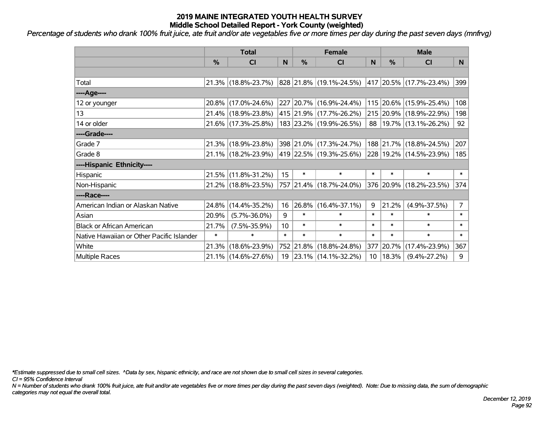*Percentage of students who drank 100% fruit juice, ate fruit and/or ate vegetables five or more times per day during the past seven days (mnfrvg)*

|                                           | <b>Total</b>  |                        |        |           | <b>Female</b>            | <b>Male</b> |           |                            |                |
|-------------------------------------------|---------------|------------------------|--------|-----------|--------------------------|-------------|-----------|----------------------------|----------------|
|                                           | $\frac{0}{0}$ | CI                     | N      | %         | <b>CI</b>                | N           | %         | <b>CI</b>                  | N.             |
|                                           |               |                        |        |           |                          |             |           |                            |                |
| Total                                     |               | 21.3% (18.8%-23.7%)    |        |           | 828 21.8% (19.1%-24.5%)  |             |           | 417 20.5% (17.7%-23.4%)    | 399            |
| ----Age----                               |               |                        |        |           |                          |             |           |                            |                |
| 12 or younger                             |               | 20.8% (17.0%-24.6%)    |        |           | 227 20.7% (16.9%-24.4%)  |             |           | 115 20.6% (15.9%-25.4%)    | 108            |
| 13                                        |               | 21.4% (18.9%-23.8%)    |        |           | 415 21.9% (17.7%-26.2%)  |             |           | 215 20.9% (18.9%-22.9%)    | 198            |
| 14 or older                               |               | 21.6% (17.3%-25.8%)    |        |           | 183 23.2% (19.9%-26.5%)  |             |           | 88   19.7%   (13.1%-26.2%) | 92             |
| ----Grade----                             |               |                        |        |           |                          |             |           |                            |                |
| Grade 7                                   |               | 21.3% (18.9%-23.8%)    |        |           | 398 21.0% (17.3%-24.7%)  |             |           | 188 21.7% (18.8%-24.5%)    | 207            |
| Grade 8                                   |               | 21.1% (18.2%-23.9%)    |        |           | 419 22.5% (19.3%-25.6%)  |             |           | 228 19.2% (14.5%-23.9%)    | 185            |
| ----Hispanic Ethnicity----                |               |                        |        |           |                          |             |           |                            |                |
| Hispanic                                  |               | 21.5% (11.8%-31.2%)    | 15     | $\ast$    | $\ast$                   | $\ast$      | $\ast$    | $\ast$                     | $\ast$         |
| Non-Hispanic                              |               | 21.2% (18.8%-23.5%)    |        |           | 757 21.4% (18.7%-24.0%)  |             |           | 376 20.9% (18.2%-23.5%)    | 374            |
| ----Race----                              |               |                        |        |           |                          |             |           |                            |                |
| American Indian or Alaskan Native         |               | 24.8% (14.4%-35.2%)    | 16     | 26.8%     | $(16.4\% - 37.1\%)$      | 9           | 21.2%     | $(4.9\% - 37.5\%)$         | $\overline{7}$ |
| Asian                                     | 20.9%         | $(5.7\% - 36.0\%)$     | 9      | $\ast$    | $\ast$                   | $\ast$      | $\ast$    | $\ast$                     | $\ast$         |
| <b>Black or African American</b>          | 21.7%         | $(7.5\% - 35.9\%)$     | 10     | $\ast$    | $\ast$                   | $\ast$      | $\ast$    | $\ast$                     | $\ast$         |
| Native Hawaiian or Other Pacific Islander | $\ast$        | $\ast$                 | $\ast$ | $\ast$    | $\ast$                   | $\ast$      | $\ast$    | $\ast$                     | $\ast$         |
| White                                     | 21.3%         | $(18.6\% - 23.9\%)$    |        | 752 21.8% | $(18.8\% - 24.8\%)$      |             | 377 20.7% | $(17.4\% - 23.9\%)$        | 367            |
| <b>Multiple Races</b>                     |               | $21.1\%$ (14.6%-27.6%) | 19     |           | $ 23.1\% $ (14.1%-32.2%) |             | 10 18.3%  | $(9.4\% - 27.2\%)$         | 9              |

*\*Estimate suppressed due to small cell sizes. ^Data by sex, hispanic ethnicity, and race are not shown due to small cell sizes in several categories.*

*CI = 95% Confidence Interval*

*N = Number of students who drank 100% fruit juice, ate fruit and/or ate vegetables five or more times per day during the past seven days (weighted). Note: Due to missing data, the sum of demographic categories may not equal the overall total.*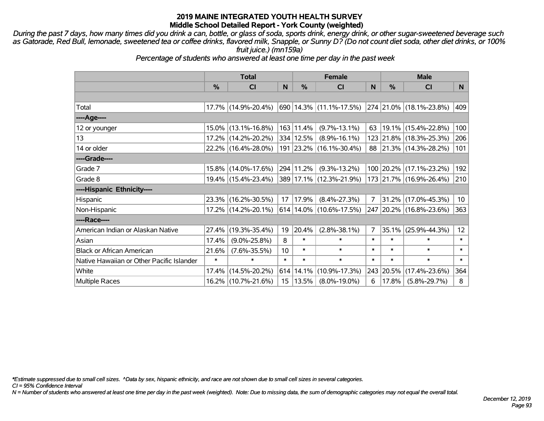*During the past 7 days, how many times did you drink a can, bottle, or glass of soda, sports drink, energy drink, or other sugar-sweetened beverage such as Gatorade, Red Bull, lemonade, sweetened tea or coffee drinks, flavored milk, Snapple, or Sunny D? (Do not count diet soda, other diet drinks, or 100% fruit juice.) (mn159a)*

*Percentage of students who answered at least one time per day in the past week*

|                                           | <b>Total</b>  |                     |        | <b>Female</b> | <b>Male</b>                                                       |        |               |                         |                 |
|-------------------------------------------|---------------|---------------------|--------|---------------|-------------------------------------------------------------------|--------|---------------|-------------------------|-----------------|
|                                           | $\frac{0}{0}$ | <b>CI</b>           | N      | %             | <b>CI</b>                                                         | N      | $\frac{0}{0}$ | <b>CI</b>               | N.              |
|                                           |               |                     |        |               |                                                                   |        |               |                         |                 |
| Total                                     |               | 17.7% (14.9%-20.4%) |        |               | $\vert$ 690   14.3%   (11.1%-17.5%)   274   21.0%   (18.1%-23.8%) |        |               |                         | 409             |
| ----Age----                               |               |                     |        |               |                                                                   |        |               |                         |                 |
| 12 or younger                             | 15.0%         | $(13.1\% - 16.8\%)$ |        | 163 11.4%     | $(9.7\% - 13.1\%)$                                                | 63     | $19.1\%$      | $(15.4\% - 22.8\%)$     | 100             |
| 13                                        |               | 17.2% (14.2%-20.2%) |        | 334 12.5%     | $(8.9\% - 16.1\%)$                                                |        |               | 123 21.8% (18.3%-25.3%) | 206             |
| 14 or older                               |               | 22.2% (16.4%-28.0%) |        |               | 191 23.2% (16.1%-30.4%)                                           |        |               | 88 21.3% (14.3%-28.2%)  | 101             |
| ----Grade----                             |               |                     |        |               |                                                                   |        |               |                         |                 |
| Grade 7                                   |               | 15.8% (14.0%-17.6%) |        | 294 11.2%     | $(9.3\% - 13.2\%)$                                                |        |               | 100 20.2% (17.1%-23.2%) | 192             |
| Grade 8                                   |               | 19.4% (15.4%-23.4%) |        |               | 389   17.1%   (12.3%-21.9%)                                       |        |               | 173 21.7% (16.9%-26.4%) | 210             |
| ----Hispanic Ethnicity----                |               |                     |        |               |                                                                   |        |               |                         |                 |
| Hispanic                                  | $23.3\%$      | $(16.2\% - 30.5\%)$ | 17     | 17.9%         | $(8.4\% - 27.3\%)$                                                | 7      | 31.2%         | $(17.0\% - 45.3\%)$     | 10 <sup>°</sup> |
| Non-Hispanic                              |               | 17.2% (14.2%-20.1%) |        |               | $614 14.0\%  (10.6\% - 17.5\%)$                                   |        |               | 247 20.2% (16.8%-23.6%) | 363             |
| ----Race----                              |               |                     |        |               |                                                                   |        |               |                         |                 |
| American Indian or Alaskan Native         | 27.4%         | $(19.3\% - 35.4\%)$ | 19     | 20.4%         | $(2.8\% - 38.1\%)$                                                | 7      | 35.1%         | $(25.9\% - 44.3\%)$     | 12 <sup>2</sup> |
| Asian                                     | 17.4%         | $(9.0\% - 25.8\%)$  | 8      | $\ast$        | $\ast$                                                            | $\ast$ | $\ast$        | *                       | $\ast$          |
| <b>Black or African American</b>          | 21.6%         | $(7.6\% - 35.5\%)$  | 10     | $\ast$        | $\ast$                                                            | $\ast$ | $\ast$        | $\ast$                  | $\ast$          |
| Native Hawaiian or Other Pacific Islander | $\ast$        | $\ast$              | $\ast$ | $\ast$        | $\ast$                                                            | $\ast$ | $\ast$        | $\ast$                  | $\ast$          |
| White                                     | 17.4%         | $(14.5\% - 20.2\%)$ |        | 614 14.1%     | $(10.9\% - 17.3\%)$                                               | 243    | 20.5%         | $(17.4\% - 23.6\%)$     | 364             |
| <b>Multiple Races</b>                     |               | 16.2% (10.7%-21.6%) |        | 15   13.5%    | $(8.0\% - 19.0\%)$                                                | 6      | 17.8%         | $(5.8\% - 29.7\%)$      | 8               |

*\*Estimate suppressed due to small cell sizes. ^Data by sex, hispanic ethnicity, and race are not shown due to small cell sizes in several categories.*

*CI = 95% Confidence Interval*

*N = Number of students who answered at least one time per day in the past week (weighted). Note: Due to missing data, the sum of demographic categories may not equal the overall total.*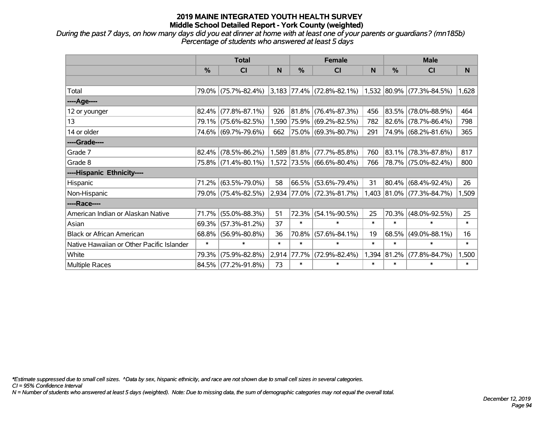*During the past 7 days, on how many days did you eat dinner at home with at least one of your parents or guardians? (mn185b) Percentage of students who answered at least 5 days*

|                                           | <b>Total</b> |                     |        |             | <b>Female</b>               |        | <b>Male</b> |                           |        |  |
|-------------------------------------------|--------------|---------------------|--------|-------------|-----------------------------|--------|-------------|---------------------------|--------|--|
|                                           | $\%$         | CI                  | N      | $\%$        | CI                          | N      | %           | CI                        | N      |  |
|                                           |              |                     |        |             |                             |        |             |                           |        |  |
| Total                                     |              | 79.0% (75.7%-82.4%) |        |             | $3,183$ 77.4% (72.8%-82.1%) |        | 1,532 80.9% | $(77.3\% - 84.5\%)$       | 1,628  |  |
| ----Age----                               |              |                     |        |             |                             |        |             |                           |        |  |
| 12 or younger                             | 82.4%        | $(77.8\% - 87.1\%)$ | 926    | 81.8%       | $(76.4\% - 87.3\%)$         | 456    | 83.5%       | $(78.0\% - 88.9\%)$       | 464    |  |
| 13                                        |              | 79.1% (75.6%-82.5%) | 1,590  | 75.9%       | $(69.2\% - 82.5\%)$         | 782    | $ 82.6\% $  | $(78.7\% - 86.4\%)$       | 798    |  |
| 14 or older                               |              | 74.6% (69.7%-79.6%) | 662    |             | 75.0% (69.3%-80.7%)         | 291    |             | 74.9% (68.2%-81.6%)       | 365    |  |
| ----Grade----                             |              |                     |        |             |                             |        |             |                           |        |  |
| Grade 7                                   | 82.4%        | $(78.5\% - 86.2\%)$ |        | 1,589 81.8% | $(77.7\% - 85.8\%)$         | 760    | 83.1%       | $(78.3\% - 87.8\%)$       | 817    |  |
| Grade 8                                   |              | 75.8% (71.4%-80.1%) |        |             | 1,572 73.5% (66.6%-80.4%)   | 766    |             | 78.7% (75.0%-82.4%)       | 800    |  |
| ----Hispanic Ethnicity----                |              |                     |        |             |                             |        |             |                           |        |  |
| <b>Hispanic</b>                           | 71.2%        | $(63.5\% - 79.0\%)$ | 58     | 66.5%       | $(53.6\% - 79.4\%)$         | 31     | $ 80.4\% $  | $(68.4\% - 92.4\%)$       | 26     |  |
| Non-Hispanic                              |              | 79.0% (75.4%-82.5%) |        |             | 2,934 77.0% (72.3%-81.7%)   |        |             | 1,403 81.0% (77.3%-84.7%) | 1,509  |  |
| ----Race----                              |              |                     |        |             |                             |        |             |                           |        |  |
| American Indian or Alaskan Native         | 71.7%        | $(55.0\% - 88.3\%)$ | 51     | 72.3%       | $(54.1\% - 90.5\%)$         | 25     | 70.3%       | $(48.0\% - 92.5\%)$       | 25     |  |
| Asian                                     | 69.3%        | $(57.3\% - 81.2\%)$ | 37     | $\ast$      | $\ast$                      | $\ast$ | $\ast$      | $\ast$                    | $\ast$ |  |
| <b>Black or African American</b>          | 68.8%        | $(56.9\% - 80.8\%)$ | 36     | 70.8%       | $(57.6\% - 84.1\%)$         | 19     | 68.5%       | $(49.0\% - 88.1\%)$       | 16     |  |
| Native Hawaiian or Other Pacific Islander | $\ast$       | $\ast$              | $\ast$ | $\ast$      | $\ast$                      | $\ast$ | $\ast$      | $\ast$                    | $\ast$ |  |
| White                                     | 79.3%        | $(75.9\% - 82.8\%)$ | 2,914  | 77.7%       | $(72.9\% - 82.4\%)$         | 1,394  | $ 81.2\% $  | $(77.8\% - 84.7\%)$       | 1,500  |  |
| <b>Multiple Races</b>                     |              | 84.5% (77.2%-91.8%) | 73     | *           | $\ast$                      | $\ast$ | $\ast$      | $\ast$                    | $\ast$ |  |

*\*Estimate suppressed due to small cell sizes. ^Data by sex, hispanic ethnicity, and race are not shown due to small cell sizes in several categories.*

*CI = 95% Confidence Interval*

*N = Number of students who answered at least 5 days (weighted). Note: Due to missing data, the sum of demographic categories may not equal the overall total.*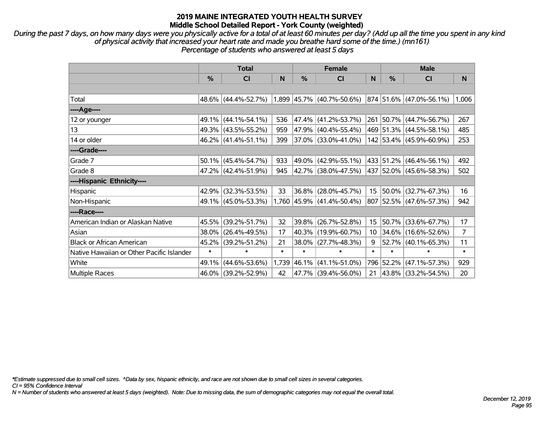*During the past 7 days, on how many days were you physically active for a total of at least 60 minutes per day? (Add up all the time you spent in any kind of physical activity that increased your heart rate and made you breathe hard some of the time.) (mn161) Percentage of students who answered at least 5 days*

|                                           | <b>Total</b> |                     |        |               | <b>Female</b>               |              | <b>Male</b>   |                              |       |  |
|-------------------------------------------|--------------|---------------------|--------|---------------|-----------------------------|--------------|---------------|------------------------------|-------|--|
|                                           | %            | CI                  | N      | $\frac{0}{0}$ | <b>CI</b>                   | $\mathsf{N}$ | $\frac{0}{0}$ | <b>CI</b>                    | N     |  |
|                                           |              |                     |        |               |                             |              |               |                              |       |  |
| Total                                     |              | 48.6% (44.4%-52.7%) |        |               | $1,899$ 45.7% (40.7%-50.6%) |              |               | $ 874 51.6\% $ (47.0%-56.1%) | 1,006 |  |
| ----Age----                               |              |                     |        |               |                             |              |               |                              |       |  |
| 12 or younger                             | 49.1%        | $(44.1\% - 54.1\%)$ | 536    |               | 47.4% (41.2%-53.7%)         |              |               | 261 50.7% (44.7%-56.7%)      | 267   |  |
| 13                                        |              | 49.3% (43.5%-55.2%) | 959    |               | 47.9% (40.4%-55.4%)         |              |               | 469 51.3% (44.5%-58.1%)      | 485   |  |
| 14 or older                               |              | 46.2% (41.4%-51.1%) | 399    |               | $37.0\%$ (33.0%-41.0%)      |              |               | 142 53.4% (45.9%-60.9%)      | 253   |  |
| ----Grade----                             |              |                     |        |               |                             |              |               |                              |       |  |
| Grade 7                                   | 50.1%        | $(45.4\% - 54.7\%)$ | 933    | 49.0%         | $(42.9\% - 55.1\%)$         |              |               | 433 51.2% (46.4%-56.1%)      | 492   |  |
| Grade 8                                   |              | 47.2% (42.4%-51.9%) | 945    |               | 42.7% (38.0%-47.5%)         |              |               | 437 52.0% (45.6%-58.3%)      | 502   |  |
| ----Hispanic Ethnicity----                |              |                     |        |               |                             |              |               |                              |       |  |
| Hispanic                                  | 42.9%        | $(32.3\% - 53.5\%)$ | 33     | $36.8\%$      | $(28.0\% - 45.7\%)$         | 15           |               | $50.0\%$ (32.7%-67.3%)       | 16    |  |
| Non-Hispanic                              |              | 49.1% (45.0%-53.3%) |        |               | 1,760 45.9% (41.4%-50.4%)   |              |               | 807 52.5% (47.6%-57.3%)      | 942   |  |
| ----Race----                              |              |                     |        |               |                             |              |               |                              |       |  |
| American Indian or Alaskan Native         | 45.5%        | $(39.2\% - 51.7\%)$ | 32     |               | 39.8% (26.7%-52.8%)         | 15           | 50.7%         | $(33.6\% - 67.7\%)$          | 17    |  |
| Asian                                     | 38.0%        | $(26.4\% - 49.5\%)$ | 17     |               | 40.3% (19.9%-60.7%)         | 10           | 34.6%         | $(16.6\% - 52.6\%)$          | 7     |  |
| <b>Black or African American</b>          | 45.2%        | $(39.2\% - 51.2\%)$ | 21     |               | 38.0% (27.7%-48.3%)         | 9            |               | 52.7% (40.1%-65.3%)          | 11    |  |
| Native Hawaiian or Other Pacific Islander | $\ast$       | $\ast$              | $\ast$ | $\ast$        | $\ast$                      | $\ast$       | $\ast$        | $\ast$                       | *     |  |
| White                                     | 49.1%        | $(44.6\% - 53.6\%)$ | 1,739  | 46.1%         | $(41.1\% - 51.0\%)$         | 796          | 52.2%         | $(47.1\% - 57.3\%)$          | 929   |  |
| Multiple Races                            | 46.0%        | $(39.2\% - 52.9\%)$ | 42     |               | 47.7% (39.4%-56.0%)         | 21           |               | 43.8% (33.2%-54.5%)          | 20    |  |

*\*Estimate suppressed due to small cell sizes. ^Data by sex, hispanic ethnicity, and race are not shown due to small cell sizes in several categories.*

*CI = 95% Confidence Interval*

*N = Number of students who answered at least 5 days (weighted). Note: Due to missing data, the sum of demographic categories may not equal the overall total.*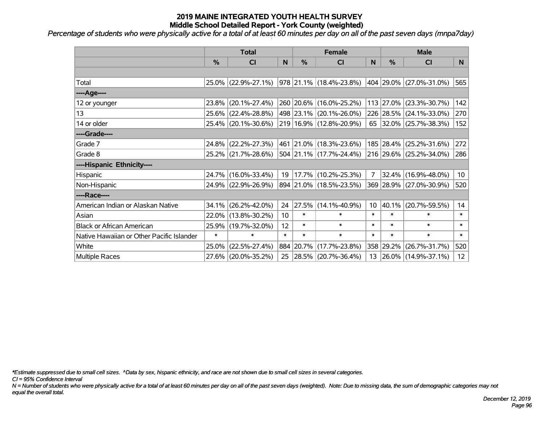*Percentage of students who were physically active for a total of at least 60 minutes per day on all of the past seven days (mnpa7day)*

|                                           | <b>Total</b>  |                     |                   | <b>Female</b> | <b>Male</b>                     |                 |           |                         |                 |
|-------------------------------------------|---------------|---------------------|-------------------|---------------|---------------------------------|-----------------|-----------|-------------------------|-----------------|
|                                           | $\frac{0}{0}$ | <b>CI</b>           | N                 | $\%$          | <b>CI</b>                       | N               | %         | <b>CI</b>               | N.              |
|                                           |               |                     |                   |               |                                 |                 |           |                         |                 |
| Total                                     |               | 25.0% (22.9%-27.1%) |                   |               | $ 978 21.1\% (18.4\% - 23.8\%)$ |                 |           | 404 29.0% (27.0%-31.0%) | 565             |
| ----Age----                               |               |                     |                   |               |                                 |                 |           |                         |                 |
| 12 or younger                             | 23.8%         | $(20.1\% - 27.4\%)$ |                   |               | 260 20.6% (16.0%-25.2%)         |                 | 113 27.0% | $(23.3\% - 30.7\%)$     | 142             |
| 13                                        |               | 25.6% (22.4%-28.8%) |                   |               | 498 23.1% (20.1%-26.0%)         |                 |           | 226 28.5% (24.1%-33.0%) | 270             |
| 14 or older                               |               | 25.4% (20.1%-30.6%) |                   |               | 219 16.9% (12.8%-20.9%)         |                 |           | 65 32.0% (25.7%-38.3%)  | 152             |
| ----Grade----                             |               |                     |                   |               |                                 |                 |           |                         |                 |
| Grade 7                                   | 24.8%         | $(22.2\% - 27.3\%)$ |                   |               | 461 21.0% (18.3%-23.6%)         |                 | 185 28.4% | $(25.2\% - 31.6\%)$     | 272             |
| Grade 8                                   |               | 25.2% (21.7%-28.6%) |                   |               | $ 504 21.1\% (17.7\% - 24.4\%)$ |                 |           | 216 29.6% (25.2%-34.0%) | 286             |
| ----Hispanic Ethnicity----                |               |                     |                   |               |                                 |                 |           |                         |                 |
| Hispanic                                  |               | 24.7% (16.0%-33.4%) | 19                |               | $ 17.7\% $ (10.2%-25.3%)        | 7               | 32.4%     | $(16.9\% - 48.0\%)$     | 10 <sup>°</sup> |
| Non-Hispanic                              |               | 24.9% (22.9%-26.9%) |                   |               | 894 21.0% (18.5%-23.5%)         |                 |           | 369 28.9% (27.0%-30.9%) | 520             |
| ----Race----                              |               |                     |                   |               |                                 |                 |           |                         |                 |
| American Indian or Alaskan Native         | 34.1%         | $(26.2\% - 42.0\%)$ | 24                |               | $ 27.5\% $ (14.1%-40.9%)        | 10 <sup>1</sup> | 40.1%     | $(20.7\% - 59.5\%)$     | 14              |
| Asian                                     |               | 22.0% (13.8%-30.2%) | 10                | $\ast$        | $\ast$                          | $\ast$          | $\ast$    | $\ast$                  | $\ast$          |
| <b>Black or African American</b>          | 25.9%         | $(19.7\% - 32.0\%)$ | $12 \overline{ }$ | $\ast$        | $\ast$                          | $\ast$          | $\ast$    | $\ast$                  | $\ast$          |
| Native Hawaiian or Other Pacific Islander | $\ast$        | $\ast$              | $\ast$            | $\ast$        | $\ast$                          | $\ast$          | $\ast$    | $\ast$                  | $\ast$          |
| White                                     | 25.0%         | $(22.5\% - 27.4\%)$ |                   | 884 20.7%     | $(17.7\% - 23.8\%)$             | 358             | 29.2%     | $(26.7\% - 31.7\%)$     | 520             |
| Multiple Races                            |               | 27.6% (20.0%-35.2%) |                   |               | 25 28.5% (20.7%-36.4%)          |                 |           | 13 26.0% (14.9%-37.1%)  | 12 <sup>2</sup> |

*\*Estimate suppressed due to small cell sizes. ^Data by sex, hispanic ethnicity, and race are not shown due to small cell sizes in several categories.*

*CI = 95% Confidence Interval*

*N = Number of students who were physically active for a total of at least 60 minutes per day on all of the past seven days (weighted). Note: Due to missing data, the sum of demographic categories may not equal the overall total.*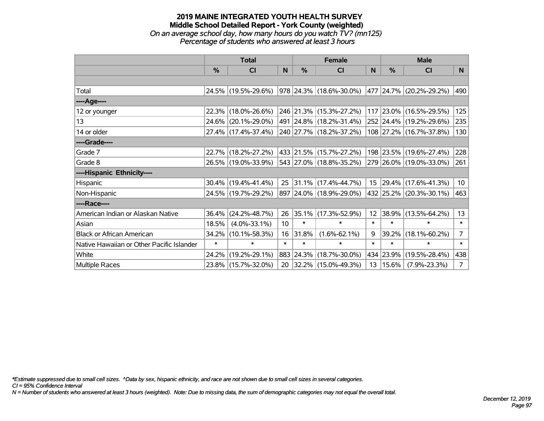# **2019 MAINE INTEGRATED YOUTH HEALTH SURVEY Middle School Detailed Report - York County (weighted)** *On an average school day, how many hours do you watch TV? (mn125) Percentage of students who answered at least 3 hours*

|                                           | <b>Total</b>  |                     |                 | <b>Female</b> | <b>Male</b>              |                 |           |                         |                |
|-------------------------------------------|---------------|---------------------|-----------------|---------------|--------------------------|-----------------|-----------|-------------------------|----------------|
|                                           | $\frac{0}{0}$ | CI                  | N               | %             | CI                       | <sub>N</sub>    | %         | <b>CI</b>               | N              |
|                                           |               |                     |                 |               |                          |                 |           |                         |                |
| Total                                     |               | 24.5% (19.5%-29.6%) |                 |               | 978 24.3% (18.6%-30.0%)  |                 |           | 477 24.7% (20.2%-29.2%) | 490            |
| ----Age----                               |               |                     |                 |               |                          |                 |           |                         |                |
| 12 or younger                             | $22.3\%$      | $(18.0\% - 26.6\%)$ |                 |               | 246 21.3% (15.3%-27.2%)  |                 | 117 23.0% | $(16.5\% - 29.5\%)$     | 125            |
| 13                                        | 24.6%         | $(20.1\% - 29.0\%)$ |                 |               | 491 24.8% (18.2%-31.4%)  |                 |           | 252 24.4% (19.2%-29.6%) | 235            |
| 14 or older                               |               | 27.4% (17.4%-37.4%) |                 |               | 240 27.7% (18.2%-37.2%)  |                 |           | 108 27.2% (16.7%-37.8%) | 130            |
| ----Grade----                             |               |                     |                 |               |                          |                 |           |                         |                |
| Grade 7                                   |               | 22.7% (18.2%-27.2%) |                 |               | 433 21.5% (15.7%-27.2%)  |                 | 198 23.5% | $(19.6\% - 27.4\%)$     | 228            |
| Grade 8                                   |               | 26.5% (19.0%-33.9%) |                 |               | 543 27.0% (18.8%-35.2%)  |                 |           | 279 26.0% (19.0%-33.0%) | 261            |
| ----Hispanic Ethnicity----                |               |                     |                 |               |                          |                 |           |                         |                |
| Hispanic                                  |               | 30.4% (19.4%-41.4%) | 25              |               | 31.1% (17.4%-44.7%)      | 15              | 29.4%     | $(17.6\% - 41.3\%)$     | 10             |
| Non-Hispanic                              |               | 24.5% (19.7%-29.2%) |                 |               | 897 24.0% (18.9%-29.0%)  |                 |           | 432 25.2% (20.3%-30.1%) | 463            |
| ----Race----                              |               |                     |                 |               |                          |                 |           |                         |                |
| American Indian or Alaskan Native         | 36.4%         | $(24.2\% - 48.7\%)$ | 26              |               | 35.1% (17.3%-52.9%)      | 12 <sup>2</sup> | 38.9%     | $(13.5\% - 64.2\%)$     | 13             |
| Asian                                     | 18.5%         | $(4.0\% - 33.1\%)$  | 10 <sup>1</sup> | $\ast$        | $\ast$                   | $\ast$          | $\ast$    | $\ast$                  | $\ast$         |
| <b>Black or African American</b>          | 34.2%         | $(10.1\% - 58.3\%)$ | 16              | 31.8%         | $(1.6\% - 62.1\%)$       | 9               | 39.2%     | $(18.1\% - 60.2\%)$     | $\overline{7}$ |
| Native Hawaiian or Other Pacific Islander | $\ast$        |                     | $\ast$          | $\ast$        | $\ast$                   | $\ast$          | $\ast$    | $\ast$                  | $\ast$         |
| White                                     | 24.2%         | $(19.2\% - 29.1\%)$ |                 | 883 24.3%     | $(18.7\% - 30.0\%)$      | 434             | 23.9%     | $(19.5\% - 28.4\%)$     | 438            |
| Multiple Races                            |               | 23.8% (15.7%-32.0%) | 20              |               | $ 32.2\% $ (15.0%-49.3%) | 13              | 15.6%     | $(7.9\% - 23.3\%)$      | 7 <sup>1</sup> |

*\*Estimate suppressed due to small cell sizes. ^Data by sex, hispanic ethnicity, and race are not shown due to small cell sizes in several categories.*

*CI = 95% Confidence Interval*

*N = Number of students who answered at least 3 hours (weighted). Note: Due to missing data, the sum of demographic categories may not equal the overall total.*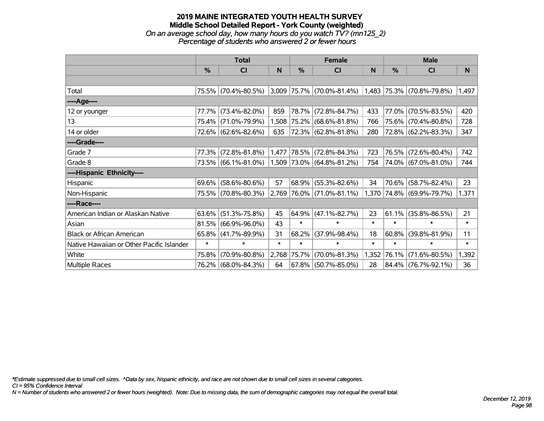# **2019 MAINE INTEGRATED YOUTH HEALTH SURVEY Middle School Detailed Report - York County (weighted)** *On an average school day, how many hours do you watch TV? (mn125\_2) Percentage of students who answered 2 or fewer hours*

|                                           | <b>Total</b> |                     |        | <b>Female</b> |                                    | <b>Male</b> |        |                           |        |
|-------------------------------------------|--------------|---------------------|--------|---------------|------------------------------------|-------------|--------|---------------------------|--------|
|                                           | %            | CI                  | N      | %             | C <sub>l</sub>                     | N           | %      | <b>CI</b>                 | N      |
|                                           |              |                     |        |               |                                    |             |        |                           |        |
| Total                                     |              | 75.5% (70.4%-80.5%) |        |               | $ 3,009 75.7\%  (70.0\% - 81.4\%)$ |             |        | 1,483 75.3% (70.8%-79.8%) | 1,497  |
| ----Age----                               |              |                     |        |               |                                    |             |        |                           |        |
| 12 or younger                             | 77.7%        | $(73.4\% - 82.0\%)$ | 859    |               | 78.7% (72.8%-84.7%)                | 433         | 77.0%  | $(70.5\% - 83.5\%)$       | 420    |
| 13                                        | 75.4%        | $(71.0\% - 79.9\%)$ |        |               | 1,508 75.2% (68.6%-81.8%)          | 766         |        | 75.6% (70.4%-80.8%)       | 728    |
| 14 or older                               |              | 72.6% (62.6%-82.6%) | 635    |               | 72.3% (62.8%-81.8%)                | 280         |        | 72.8% (62.2%-83.3%)       | 347    |
| ----Grade----                             |              |                     |        |               |                                    |             |        |                           |        |
| Grade 7                                   | 77.3%        | $(72.8\% - 81.8\%)$ | 1,477  |               | $ 78.5\% $ (72.8%-84.3%)           | 723         | 76.5%  | $(72.6\% - 80.4\%)$       | 742    |
| Grade 8                                   |              | 73.5% (66.1%-81.0%) |        |               | 1,509 73.0% (64.8%-81.2%)          | 754         |        | 74.0% (67.0%-81.0%)       | 744    |
| ----Hispanic Ethnicity----                |              |                     |        |               |                                    |             |        |                           |        |
| Hispanic                                  | 69.6%        | $(58.6\% - 80.6\%)$ | 57     |               | $68.9\%$ (55.3%-82.6%)             | 34          | 70.6%  | $(58.7\% - 82.4\%)$       | 23     |
| Non-Hispanic                              |              | 75.5% (70.8%-80.3%) |        |               | 2,769 76.0% (71.0%-81.1%)          |             |        | 1,370 74.8% (69.9%-79.7%) | 1,371  |
| ----Race----                              |              |                     |        |               |                                    |             |        |                           |        |
| American Indian or Alaskan Native         | 63.6%        | $(51.3\% - 75.8\%)$ | 45     |               | $64.9\%$ (47.1%-82.7%)             | 23          | 61.1%  | $(35.8\% - 86.5\%)$       | 21     |
| Asian                                     | 81.5%        | $(66.9\% - 96.0\%)$ | 43     | $\ast$        | $\ast$                             | $\ast$      | $\ast$ | $\ast$                    | $\ast$ |
| <b>Black or African American</b>          | 65.8%        | $(41.7\% - 89.9\%)$ | 31     | 68.2%         | $(37.9\% - 98.4\%)$                | 18          | 60.8%  | $(39.8\% - 81.9\%)$       | 11     |
| Native Hawaiian or Other Pacific Islander | $\ast$       | $\ast$              | $\ast$ | $\ast$        | $\ast$                             | $\ast$      | $\ast$ | $\ast$                    | $\ast$ |
| White                                     | 75.8%        | $(70.9\% - 80.8\%)$ | 2,768  | 75.7%         | $(70.0\% - 81.3\%)$                | 1,352       | 76.1%  | $(71.6\% - 80.5\%)$       | 1,392  |
| Multiple Races                            | 76.2%        | $(68.0\% - 84.3\%)$ | 64     |               | 67.8%   (50.7%-85.0%)              | 28          |        | 84.4% (76.7%-92.1%)       | 36     |

*\*Estimate suppressed due to small cell sizes. ^Data by sex, hispanic ethnicity, and race are not shown due to small cell sizes in several categories.*

*CI = 95% Confidence Interval*

*N = Number of students who answered 2 or fewer hours (weighted). Note: Due to missing data, the sum of demographic categories may not equal the overall total.*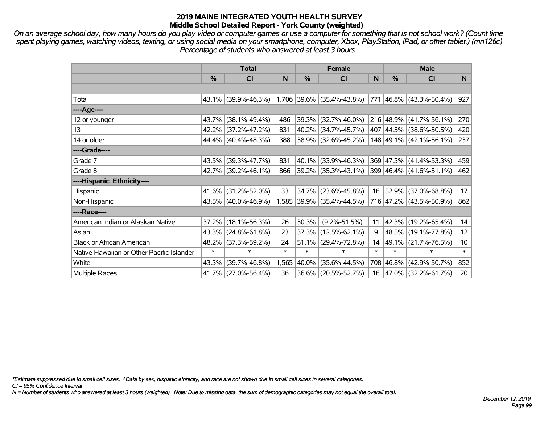*On an average school day, how many hours do you play video or computer games or use a computer for something that is not school work? (Count time spent playing games, watching videos, texting, or using social media on your smartphone, computer, Xbox, PlayStation, iPad, or other tablet.) (mn126c) Percentage of students who answered at least 3 hours*

|                                           | <b>Total</b> |                     |        |        | <b>Female</b>             |        | <b>Male</b> |                          |                 |  |
|-------------------------------------------|--------------|---------------------|--------|--------|---------------------------|--------|-------------|--------------------------|-----------------|--|
|                                           | %            | <b>CI</b>           | N      | %      | <b>CI</b>                 | N      | %           | <b>CI</b>                | N.              |  |
|                                           |              |                     |        |        |                           |        |             |                          |                 |  |
| Total                                     |              | 43.1% (39.9%-46.3%) |        |        | 1,706 39.6% (35.4%-43.8%) | 771    |             | $ 46.8\% $ (43.3%-50.4%) | 927             |  |
| ----Age----                               |              |                     |        |        |                           |        |             |                          |                 |  |
| 12 or younger                             | 43.7%        | $(38.1\% - 49.4\%)$ | 486    | 39.3%  | $(32.7\% - 46.0\%)$       |        |             | 216 48.9% (41.7%-56.1%)  | 270             |  |
| 13                                        |              | 42.2% (37.2%-47.2%) | 831    | 40.2%  | $(34.7\% - 45.7\%)$       |        |             | 407 44.5% (38.6%-50.5%)  | 420             |  |
| 14 or older                               |              | 44.4% (40.4%-48.3%) | 388    |        | 38.9% (32.6%-45.2%)       |        |             | 148 49.1% (42.1%-56.1%)  | 237             |  |
| ----Grade----                             |              |                     |        |        |                           |        |             |                          |                 |  |
| Grade 7                                   | 43.5%        | $(39.3\% - 47.7\%)$ | 831    | 40.1%  | $(33.9\% - 46.3\%)$       |        |             | 369 47.3% (41.4%-53.3%)  | 459             |  |
| Grade 8                                   |              | 42.7% (39.2%-46.1%) | 866    |        | $39.2\%$ (35.3%-43.1%)    |        |             | 399 46.4% (41.6%-51.1%)  | 462             |  |
| ----Hispanic Ethnicity----                |              |                     |        |        |                           |        |             |                          |                 |  |
| Hispanic                                  | 41.6%        | $(31.2\% - 52.0\%)$ | 33     | 34.7%  | $(23.6\% - 45.8\%)$       | 16     | 52.9%       | $(37.0\% - 68.8\%)$      | 17              |  |
| Non-Hispanic                              |              | 43.5% (40.0%-46.9%) |        |        | 1,585 39.9% (35.4%-44.5%) |        |             | 716 47.2% (43.5%-50.9%)  | 862             |  |
| ----Race----                              |              |                     |        |        |                           |        |             |                          |                 |  |
| American Indian or Alaskan Native         | 37.2%        | $(18.1\% - 56.3\%)$ | 26     | 30.3%  | $(9.2\% - 51.5\%)$        | 11     |             | 42.3% (19.2%-65.4%)      | 14              |  |
| Asian                                     |              | 43.3% (24.8%-61.8%) | 23     | 37.3%  | $(12.5\% - 62.1\%)$       | 9      |             | 48.5% (19.1%-77.8%)      | 12              |  |
| <b>Black or African American</b>          | 48.2%        | $(37.3\% - 59.2\%)$ | 24     | 51.1%  | $(29.4\% - 72.8\%)$       | 14     |             | 49.1% (21.7%-76.5%)      | 10 <sup>°</sup> |  |
| Native Hawaiian or Other Pacific Islander | $\ast$       | $\ast$              | $\ast$ | $\ast$ | $\ast$                    | $\ast$ | $\ast$      | $\ast$                   | $\ast$          |  |
| White                                     | 43.3%        | $(39.7\% - 46.8\%)$ | 1,565  | 40.0%  | $(35.6\% - 44.5\%)$       |        | 708 46.8%   | $(42.9\% - 50.7\%)$      | 852             |  |
| <b>Multiple Races</b>                     |              | 41.7% (27.0%-56.4%) | 36     |        | 36.6% (20.5%-52.7%)       |        |             | 16 47.0% (32.2%-61.7%)   | 20 <sub>2</sub> |  |

*\*Estimate suppressed due to small cell sizes. ^Data by sex, hispanic ethnicity, and race are not shown due to small cell sizes in several categories.*

*CI = 95% Confidence Interval*

*N = Number of students who answered at least 3 hours (weighted). Note: Due to missing data, the sum of demographic categories may not equal the overall total.*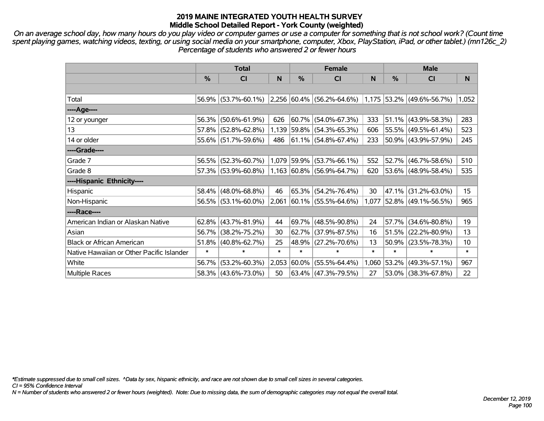*On an average school day, how many hours do you play video or computer games or use a computer for something that is not school work? (Count time spent playing games, watching videos, texting, or using social media on your smartphone, computer, Xbox, PlayStation, iPad, or other tablet.) (mn126c\_2) Percentage of students who answered 2 or fewer hours*

|                                           | <b>Total</b> |                        |          | <b>Female</b> |                                                                         | <b>Male</b> |            |                          |        |
|-------------------------------------------|--------------|------------------------|----------|---------------|-------------------------------------------------------------------------|-------------|------------|--------------------------|--------|
|                                           | $\%$         | CI                     | <b>N</b> | $\%$          | <b>CI</b>                                                               | <b>N</b>    | $\%$       | <b>CI</b>                | N      |
|                                           |              |                        |          |               |                                                                         |             |            |                          |        |
| Total                                     |              |                        |          |               | 56.9% (53.7%-60.1%) 2,256 60.4% (56.2%-64.6%) 1,175 53.2% (49.6%-56.7%) |             |            |                          | 1,052  |
| ----Age----                               |              |                        |          |               |                                                                         |             |            |                          |        |
| 12 or younger                             | 56.3%        | $(50.6\% - 61.9\%)$    | 626      |               | $60.7\%$ (54.0%-67.3%)                                                  | 333         |            | $51.1\%$ (43.9%-58.3%)   | 283    |
| 13                                        |              | 57.8% (52.8%-62.8%)    |          |               | 1,139 59.8% (54.3%-65.3%)                                               | 606         |            | 55.5% (49.5%-61.4%)      | 523    |
| 14 or older                               |              | 55.6% (51.7%-59.6%)    | 486      |               | $61.1\%$ (54.8%-67.4%)                                                  | 233         |            | $50.9\%$ (43.9%-57.9%)   | 245    |
| ----Grade----                             |              |                        |          |               |                                                                         |             |            |                          |        |
| Grade 7                                   | 56.5%        | $(52.3\% - 60.7\%)$    |          |               | $1,079$ 59.9% (53.7%-66.1%)                                             | 552         |            | 52.7% (46.7%-58.6%)      | 510    |
| Grade 8                                   |              | $57.3\%$ (53.9%-60.8%) |          |               | $1,163$ 60.8% (56.9%-64.7%)                                             | 620         |            | 53.6% (48.9%-58.4%)      | 535    |
| ----Hispanic Ethnicity----                |              |                        |          |               |                                                                         |             |            |                          |        |
| Hispanic                                  | 58.4%        | $(48.0\% - 68.8\%)$    | 46       |               | $65.3\%$ (54.2%-76.4%)                                                  | 30          |            | 47.1% (31.2%-63.0%)      | 15     |
| Non-Hispanic                              |              | 56.5% (53.1%-60.0%)    | 2,061    |               | $ 60.1\% $ (55.5%-64.6%)                                                | 1,077       |            | $ 52.8\% $ (49.1%-56.5%) | 965    |
| ----Race----                              |              |                        |          |               |                                                                         |             |            |                          |        |
| American Indian or Alaskan Native         | 62.8%        | $(43.7\% - 81.9\%)$    | 44       |               | 69.7% (48.5%-90.8%)                                                     | 24          | 57.7%      | $(34.6\% - 80.8\%)$      | 19     |
| Asian                                     | 56.7%        | $(38.2\% - 75.2\%)$    | 30       |               | $62.7\%$ (37.9%-87.5%)                                                  | 16          |            | $51.5\%$ (22.2%-80.9%)   | 13     |
| <b>Black or African American</b>          | 51.8%        | $(40.8\% - 62.7\%)$    | 25       |               | 48.9% (27.2%-70.6%)                                                     | 13          |            | $50.9\%$ (23.5%-78.3%)   | 10     |
| Native Hawaiian or Other Pacific Islander | $\ast$       | $\ast$                 | $\ast$   | $\ast$        | $\ast$                                                                  | $\ast$      | $\ast$     | $\ast$                   | $\ast$ |
| White                                     | 56.7%        | $(53.2\% - 60.3\%)$    | 2,053    | $ 60.0\% $    | $(55.5\% - 64.4\%)$                                                     | 1,060       | $ 53.2\% $ | $(49.3\% - 57.1\%)$      | 967    |
| Multiple Races                            |              | 58.3% (43.6%-73.0%)    | 50       |               | $63.4\%$ (47.3%-79.5%)                                                  | 27          |            | $53.0\%$ (38.3%-67.8%)   | 22     |

*\*Estimate suppressed due to small cell sizes. ^Data by sex, hispanic ethnicity, and race are not shown due to small cell sizes in several categories.*

*CI = 95% Confidence Interval*

*N = Number of students who answered 2 or fewer hours (weighted). Note: Due to missing data, the sum of demographic categories may not equal the overall total.*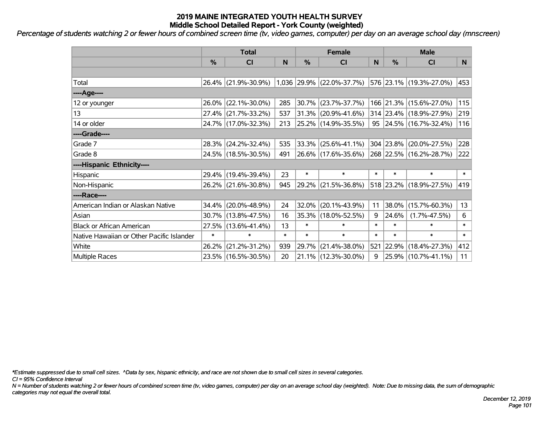*Percentage of students watching 2 or fewer hours of combined screen time (tv, video games, computer) per day on an average school day (mnscreen)*

|                                           | <b>Total</b>  |                        |        |               | <b>Female</b>                                                                                     | <b>Male</b> |           |                          |        |
|-------------------------------------------|---------------|------------------------|--------|---------------|---------------------------------------------------------------------------------------------------|-------------|-----------|--------------------------|--------|
|                                           | $\frac{0}{0}$ | <b>CI</b>              | N      | $\frac{0}{0}$ | <b>CI</b>                                                                                         | N           | %         | <b>CI</b>                | N.     |
|                                           |               |                        |        |               |                                                                                                   |             |           |                          |        |
| Total                                     |               | 26.4% (21.9%-30.9%)    |        |               | $\vert 1,036 \vert 29.9\% \vert (22.0\% - 37.7\%) \vert 576 \vert 23.1\% \vert (19.3\% - 27.0\%)$ |             |           |                          | 453    |
| ----Age----                               |               |                        |        |               |                                                                                                   |             |           |                          |        |
| 12 or younger                             | 26.0%         | $(22.1\% - 30.0\%)$    | 285    | $ 30.7\% $    | $(23.7\% - 37.7\%)$                                                                               |             | 166 21.3% | $(15.6\% - 27.0\%)$      | 115    |
| 13                                        |               | 27.4% (21.7%-33.2%)    | 537    |               | 31.3% (20.9%-41.6%)                                                                               |             |           | 314 23.4% (18.9%-27.9%)  | 219    |
| 14 or older                               |               | 24.7% (17.0%-32.3%)    | 213    |               | $ 25.2\% $ (14.9%-35.5%)                                                                          |             |           | $95$ 24.5% (16.7%-32.4%) | 116    |
| ----Grade----                             |               |                        |        |               |                                                                                                   |             |           |                          |        |
| Grade 7                                   |               | 28.3% (24.2%-32.4%)    | 535    |               | $ 33.3\% $ (25.6%-41.1%)                                                                          |             | 304 23.8% | $(20.0\% - 27.5\%)$      | 228    |
| Grade 8                                   |               | 24.5% (18.5%-30.5%)    | 491    |               | 26.6% (17.6%-35.6%)                                                                               |             |           | 268 22.5% (16.2%-28.7%)  | 222    |
| ----Hispanic Ethnicity----                |               |                        |        |               |                                                                                                   |             |           |                          |        |
| Hispanic                                  | $29.4\%$      | $(19.4\% - 39.4\%)$    | 23     | $\ast$        | $\ast$                                                                                            | $\ast$      | $\ast$    | $\ast$                   | $\ast$ |
| Non-Hispanic                              |               | 26.2% (21.6%-30.8%)    | 945    | $ 29.2\% $    | $(21.5\% - 36.8\%)$                                                                               |             |           | 518 23.2% (18.9%-27.5%)  | 419    |
| ----Race----                              |               |                        |        |               |                                                                                                   |             |           |                          |        |
| American Indian or Alaskan Native         |               | $34.4\%$ (20.0%-48.9%) | 24     | $32.0\%$      | $(20.1\% - 43.9\%)$                                                                               | 11          | 38.0%     | $(15.7\% - 60.3\%)$      | 13     |
| Asian                                     |               | 30.7% (13.8%-47.5%)    | 16     | 35.3%         | $(18.0\% - 52.5\%)$                                                                               | 9           | 24.6%     | $(1.7\% - 47.5\%)$       | 6      |
| <b>Black or African American</b>          | 27.5%         | $(13.6\% - 41.4\%)$    | 13     | $\ast$        | $\ast$                                                                                            | $\ast$      | $\ast$    | $\ast$                   | $\ast$ |
| Native Hawaiian or Other Pacific Islander | $\ast$        | $\ast$                 | $\ast$ | $\ast$        | $\ast$                                                                                            | $\ast$      | $\ast$    | $\ast$                   | $\ast$ |
| White                                     | 26.2%         | $(21.2\% - 31.2\%)$    | 939    | 29.7%         | $(21.4\% - 38.0\%)$                                                                               | 521         | 22.9%     | $(18.4\% - 27.3\%)$      | 412    |
| <b>Multiple Races</b>                     |               | 23.5% (16.5%-30.5%)    | 20     |               | $21.1\%$ (12.3%-30.0%)                                                                            | 9           |           | 25.9% (10.7%-41.1%)      | 11     |

*\*Estimate suppressed due to small cell sizes. ^Data by sex, hispanic ethnicity, and race are not shown due to small cell sizes in several categories.*

*CI = 95% Confidence Interval*

*N = Number of students watching 2 or fewer hours of combined screen time (tv, video games, computer) per day on an average school day (weighted). Note: Due to missing data, the sum of demographic categories may not equal the overall total.*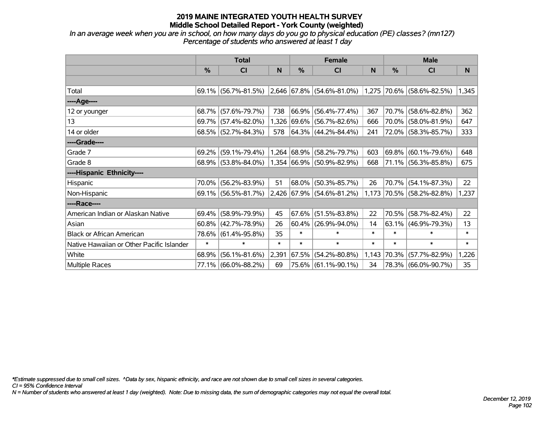*In an average week when you are in school, on how many days do you go to physical education (PE) classes? (mn127) Percentage of students who answered at least 1 day*

|                                           | <b>Total</b> |                                                  |        | <b>Female</b> |                             | <b>Male</b> |               |                           |        |
|-------------------------------------------|--------------|--------------------------------------------------|--------|---------------|-----------------------------|-------------|---------------|---------------------------|--------|
|                                           | $\%$         | CI                                               | N      | $\%$          | C <sub>l</sub>              | N           | $\frac{0}{0}$ | <b>CI</b>                 | N      |
|                                           |              |                                                  |        |               |                             |             |               |                           |        |
| Total                                     |              | $69.1\%$ (56.7%-81.5%) 2,646 67.8% (54.6%-81.0%) |        |               |                             |             |               | 1,275 70.6% (58.6%-82.5%) | 1,345  |
| ----Age----                               |              |                                                  |        |               |                             |             |               |                           |        |
| 12 or younger                             |              | 68.7% (57.6%-79.7%)                              | 738    | 66.9%         | $(56.4\% - 77.4\%)$         | 367         | 70.7%         | $(58.6\% - 82.8\%)$       | 362    |
| 13                                        |              | 69.7% (57.4%-82.0%)                              |        |               | 1,326 69.6% (56.7%-82.6%)   | 666         |               | 70.0% (58.0%-81.9%)       | 647    |
| 14 or older                               |              | $68.5\%$ (52.7%-84.3%)                           | 578    |               | $ 64.3\% $ (44.2%-84.4%)    | 241         |               | 72.0% (58.3%-85.7%)       | 333    |
| ----Grade----                             |              |                                                  |        |               |                             |             |               |                           |        |
| Grade 7                                   | 69.2%        | $(59.1\% - 79.4\%)$                              |        |               | 1,264 68.9% (58.2%-79.7%)   | 603         | 69.8%         | $(60.1\% - 79.6\%)$       | 648    |
| Grade 8                                   |              | 68.9% (53.8%-84.0%)                              |        |               | $1,354$ 66.9% (50.9%-82.9%) | 668         |               | 71.1% (56.3%-85.8%)       | 675    |
| ----Hispanic Ethnicity----                |              |                                                  |        |               |                             |             |               |                           |        |
| Hispanic                                  | 70.0%        | $(56.2\% - 83.9\%)$                              | 51     | 68.0%         | $(50.3\% - 85.7\%)$         | 26          | 70.7%         | $(54.1\% - 87.3\%)$       | 22     |
| Non-Hispanic                              |              | 69.1% (56.5%-81.7%)                              |        |               | $2,426$ 67.9% (54.6%-81.2%) | 1,173       |               | $ 70.5\% $ (58.2%-82.8%)  | 1,237  |
| ----Race----                              |              |                                                  |        |               |                             |             |               |                           |        |
| American Indian or Alaskan Native         | 69.4%        | $(58.9\% - 79.9\%)$                              | 45     | 67.6%         | $(51.5\% - 83.8\%)$         | 22          | 70.5%         | $(58.7\% - 82.4\%)$       | 22     |
| Asian                                     |              | $60.8\%$ (42.7%-78.9%)                           | 26     |               | $60.4\%$ (26.9%-94.0%)      | 14          |               | $63.1\%$ (46.9%-79.3%)    | 13     |
| <b>Black or African American</b>          | 78.6%        | $(61.4\% - 95.8\%)$                              | 35     | $\ast$        | $\ast$                      | $\ast$      | *             | $\ast$                    | $\ast$ |
| Native Hawaiian or Other Pacific Islander | $\ast$       | $\ast$                                           | $\ast$ | $\ast$        | $\ast$                      | $\ast$      | $\ast$        | $\ast$                    | $\ast$ |
| White                                     | 68.9%        | $(56.1\% - 81.6\%)$                              | 2,391  | 67.5%         | $(54.2\% - 80.8\%)$         | 1,143       | 70.3%         | $(57.7\% - 82.9\%)$       | 1,226  |
| Multiple Races                            |              | 77.1% (66.0%-88.2%)                              | 69     |               | 75.6% (61.1%-90.1%)         | 34          |               | 78.3% (66.0%-90.7%)       | 35     |

*\*Estimate suppressed due to small cell sizes. ^Data by sex, hispanic ethnicity, and race are not shown due to small cell sizes in several categories.*

*CI = 95% Confidence Interval*

*N = Number of students who answered at least 1 day (weighted). Note: Due to missing data, the sum of demographic categories may not equal the overall total.*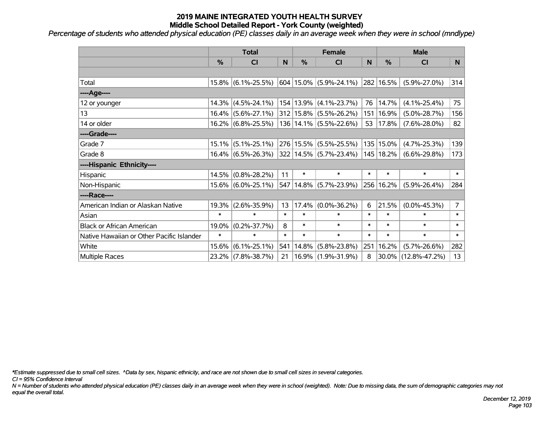*Percentage of students who attended physical education (PE) classes daily in an average week when they were in school (mndlype)*

|                                           | <b>Total</b>  |                       | <b>Female</b> |               |                                            | <b>Male</b> |           |                     |                |
|-------------------------------------------|---------------|-----------------------|---------------|---------------|--------------------------------------------|-------------|-----------|---------------------|----------------|
|                                           | $\frac{0}{0}$ | <b>CI</b>             | N             | $\frac{0}{0}$ | <b>CI</b>                                  | N           | %         | <b>CI</b>           | N.             |
|                                           |               |                       |               |               |                                            |             |           |                     |                |
| Total                                     |               | $15.8\%$ (6.1%-25.5%) |               |               | $ 604 15.0\%  (5.9\% - 24.1\%)$            |             | 282 16.5% | $(5.9\% - 27.0\%)$  | 314            |
| ----Age----                               |               |                       |               |               |                                            |             |           |                     |                |
| 12 or younger                             |               | $14.3\%$ (4.5%-24.1%) |               |               | $154 13.9\% $ (4.1%-23.7%)                 | 76          | 14.7%     | $(4.1\% - 25.4\%)$  | 75             |
| 13                                        |               | $16.4\%$ (5.6%-27.1%) |               |               | $312 15.8\%  (5.5\% - 26.2\%)$             | 151         | 16.9%     | $(5.0\% - 28.7\%)$  | 156            |
| 14 or older                               |               | $16.2\%$ (6.8%-25.5%) |               |               | $136 14.1\%  (5.5\% - 22.6\%)$             | 53          | 17.8%     | $(7.6\% - 28.0\%)$  | 82             |
| ----Grade----                             |               |                       |               |               |                                            |             |           |                     |                |
| Grade 7                                   |               | $15.1\%$ (5.1%-25.1%) |               |               | 276 15.5% (5.5%-25.5%)                     |             | 135 15.0% | $(4.7\% - 25.3\%)$  | 139            |
| Grade 8                                   |               | $16.4\%$ (6.5%-26.3%) |               |               | $ 322 14.5\% $ (5.7%-23.4%) $ 145 18.2\% $ |             |           | $(6.6\% - 29.8\%)$  | 173            |
| ----Hispanic Ethnicity----                |               |                       |               |               |                                            |             |           |                     |                |
| Hispanic                                  |               | 14.5% (0.8%-28.2%)    | 11            | $\ast$        | $\ast$                                     | $\ast$      | $\ast$    | $\ast$              | $\ast$         |
| Non-Hispanic                              |               | $15.6\%$ (6.0%-25.1%) | 547           |               | $14.8\%$ (5.7%-23.9%)                      |             | 256 16.2% | $(5.9\% - 26.4\%)$  | 284            |
| ----Race----                              |               |                       |               |               |                                            |             |           |                     |                |
| American Indian or Alaskan Native         | 19.3%         | $(2.6\% - 35.9\%)$    | 13            | 17.4%         | $(0.0\% - 36.2\%)$                         | 6           | 21.5%     | $(0.0\% - 45.3\%)$  | $\overline{7}$ |
| Asian                                     | $\ast$        | $\ast$                | $\ast$        | $\ast$        | $\ast$                                     | $\ast$      | $\ast$    | $\ast$              | $\ast$         |
| <b>Black or African American</b>          | 19.0%         | $(0.2\% - 37.7\%)$    | 8             | $\ast$        | $\ast$                                     | $\ast$      | $\ast$    | $\ast$              | $\ast$         |
| Native Hawaiian or Other Pacific Islander | $\ast$        | $\ast$                | $\ast$        | $\ast$        | $\ast$                                     | $\ast$      | $\ast$    | $\ast$              | $\ast$         |
| White                                     | 15.6%         | $(6.1\% - 25.1\%)$    | 541           | 14.8%         | $(5.8\% - 23.8\%)$                         | 251         | 16.2%     | $(5.7\% - 26.6\%)$  | 282            |
| <b>Multiple Races</b>                     |               | 23.2% (7.8%-38.7%)    | 21            |               | 16.9% (1.9%-31.9%)                         | 8           | 30.0%     | $(12.8\% - 47.2\%)$ | 13             |

*\*Estimate suppressed due to small cell sizes. ^Data by sex, hispanic ethnicity, and race are not shown due to small cell sizes in several categories.*

*CI = 95% Confidence Interval*

*N = Number of students who attended physical education (PE) classes daily in an average week when they were in school (weighted). Note: Due to missing data, the sum of demographic categories may not equal the overall total.*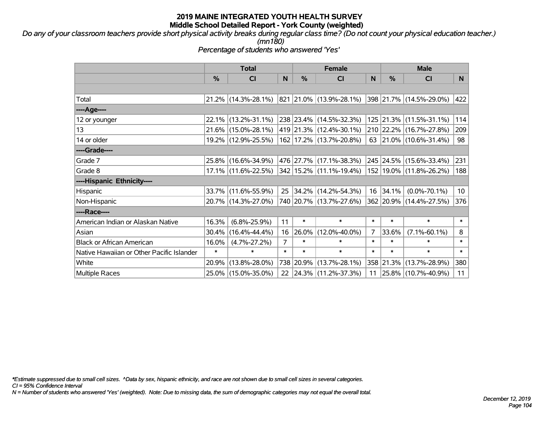*Do any of your classroom teachers provide short physical activity breaks during regular class time? (Do not count your physical education teacher.) (mn180)*

*Percentage of students who answered 'Yes'*

|                                           | <b>Total</b> |                                                | <b>Female</b>  |        |                             | <b>Male</b> |               |                                 |                 |
|-------------------------------------------|--------------|------------------------------------------------|----------------|--------|-----------------------------|-------------|---------------|---------------------------------|-----------------|
|                                           | $\%$         | <b>CI</b>                                      | N              | %      | <b>CI</b>                   | N           | $\frac{0}{0}$ | <b>CI</b>                       | N.              |
|                                           |              |                                                |                |        |                             |             |               |                                 |                 |
| Total                                     |              | $21.2\%$ (14.3%-28.1%) 821 21.0% (13.9%-28.1%) |                |        |                             |             |               | $ 398 21.7\% (14.5\% - 29.0\%)$ | 422             |
| ----Age----                               |              |                                                |                |        |                             |             |               |                                 |                 |
| 12 or younger                             | $22.1\%$     | $(13.2\% - 31.1\%)$                            |                |        | 238 23.4% (14.5%-32.3%)     |             | 125 21.3%     | $(11.5\% - 31.1\%)$             | 114             |
| 13                                        |              | 21.6% (15.0%-28.1%)                            |                |        | 419 21.3% (12.4%-30.1%)     |             |               | 210 22.2% (16.7%-27.8%)         | 209             |
| 14 or older                               |              | 19.2% (12.9%-25.5%)                            |                |        | 162 17.2% (13.7%-20.8%)     |             |               | 63 21.0% (10.6%-31.4%)          | 98              |
| ----Grade----                             |              |                                                |                |        |                             |             |               |                                 |                 |
| Grade 7                                   |              | 25.8% (16.6%-34.9%)                            |                |        | 476   27.7%   (17.1%-38.3%) |             | 245 24.5%     | $(15.6\% - 33.4\%)$             | 231             |
| Grade 8                                   |              | $17.1\%$ (11.6%-22.5%) 342 15.2% (11.1%-19.4%) |                |        |                             |             |               | 152 19.0% (11.8%-26.2%)         | 188             |
| ----Hispanic Ethnicity----                |              |                                                |                |        |                             |             |               |                                 |                 |
| Hispanic                                  |              | 33.7% (11.6%-55.9%)                            | 25             |        | $ 34.2\% $ (14.2%-54.3%)    |             | 16 34.1%      | $(0.0\% - 70.1\%)$              | 10 <sup>°</sup> |
| Non-Hispanic                              |              | 20.7% (14.3%-27.0%)                            |                |        | 740 20.7% (13.7%-27.6%)     |             |               | 362 20.9% (14.4%-27.5%)         | 376             |
| ----Race----                              |              |                                                |                |        |                             |             |               |                                 |                 |
| American Indian or Alaskan Native         | 16.3%        | $(6.8\% - 25.9\%)$                             | 11             | $\ast$ | $\ast$                      | $\ast$      | $\ast$        | $\ast$                          | $\ast$          |
| Asian                                     | $30.4\%$     | $(16.4\% - 44.4\%)$                            | 16             | 26.0%  | $(12.0\% - 40.0\%)$         | 7           | 33.6%         | $(7.1\% - 60.1\%)$              | 8               |
| <b>Black or African American</b>          | 16.0%        | $(4.7\% - 27.2\%)$                             | $\overline{7}$ | $\ast$ | $\ast$                      | $\ast$      | $\ast$        | $\ast$                          | $\ast$          |
| Native Hawaiian or Other Pacific Islander | $\ast$       | $\ast$                                         | $\ast$         | $\ast$ | $\ast$                      | $\ast$      | $\ast$        | $\ast$                          | $\ast$          |
| White                                     | 20.9%        | $(13.8\% - 28.0\%)$                            |                |        | 738 20.9% (13.7%-28.1%)     |             | 358 21.3%     | $(13.7\% - 28.9\%)$             | 380             |
| <b>Multiple Races</b>                     |              | 25.0% (15.0%-35.0%)                            | 22             |        | $ 24.3\% $ (11.2%-37.3%)    |             |               | 11   25.8% $(10.7\% - 40.9\%)$  | 11              |

*\*Estimate suppressed due to small cell sizes. ^Data by sex, hispanic ethnicity, and race are not shown due to small cell sizes in several categories.*

*CI = 95% Confidence Interval*

*N = Number of students who answered 'Yes' (weighted). Note: Due to missing data, the sum of demographic categories may not equal the overall total.*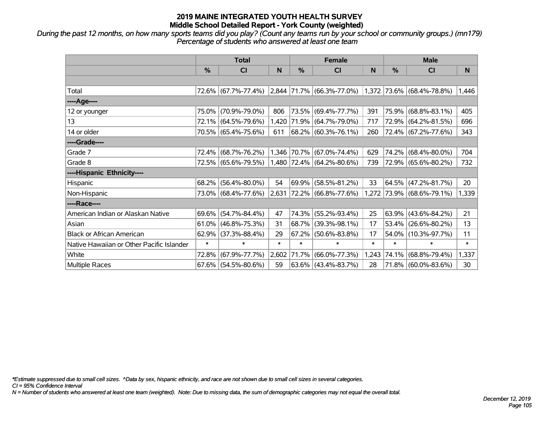*During the past 12 months, on how many sports teams did you play? (Count any teams run by your school or community groups.) (mn179) Percentage of students who answered at least one team*

|                                           | <b>Total</b> |                                               |        | <b>Female</b> |                              | <b>Male</b> |        |                           |                       |
|-------------------------------------------|--------------|-----------------------------------------------|--------|---------------|------------------------------|-------------|--------|---------------------------|-----------------------|
|                                           | $\%$         | <b>CI</b>                                     | N      | %             | <b>CI</b>                    | N           | %      | <b>CI</b>                 | N                     |
|                                           |              |                                               |        |               |                              |             |        |                           |                       |
| Total                                     |              | 72.6% (67.7%-77.4%) 2,844 71.7% (66.3%-77.0%) |        |               |                              |             |        | 1,372 73.6% (68.4%-78.8%) | $\vert$ 1,446 $\vert$ |
| ----Age----                               |              |                                               |        |               |                              |             |        |                           |                       |
| 12 or younger                             | 75.0%        | $(70.9\% - 79.0\%)$                           | 806    |               | 73.5% (69.4%-77.7%)          | 391         | 75.9%  | $(68.8\% - 83.1\%)$       | 405                   |
| 13                                        |              | 72.1% (64.5%-79.6%)                           |        |               | 1,420 71.9% (64.7%-79.0%)    | 717         |        | 72.9% (64.2%-81.5%)       | 696                   |
| 14 or older                               |              | 70.5% (65.4%-75.6%)                           | 611    |               | $ 68.2\%  (60.3\% - 76.1\%)$ | 260         |        | 72.4% (67.2%-77.6%)       | 343                   |
| ----Grade----                             |              |                                               |        |               |                              |             |        |                           |                       |
| Grade 7                                   |              | 72.4% (68.7%-76.2%)                           |        |               | 1,346 70.7% (67.0%-74.4%)    | 629         | 74.2%  | $(68.4\% - 80.0\%)$       | 704                   |
| Grade 8                                   |              | 72.5% (65.6%-79.5%)                           |        |               | $1,480$ 72.4% (64.2%-80.6%)  | 739         |        | 72.9% (65.6%-80.2%)       | 732                   |
| ----Hispanic Ethnicity----                |              |                                               |        |               |                              |             |        |                           |                       |
| Hispanic                                  | 68.2%        | $(56.4\% - 80.0\%)$                           | 54     | 69.9%         | $(58.5\% - 81.2\%)$          | 33          | 64.5%  | $(47.2\% - 81.7\%)$       | 20                    |
| Non-Hispanic                              |              | 73.0% (68.4%-77.6%)                           | 2,631  |               | $ 72.2\% $ (66.8%-77.6%)     |             |        | 1,272 73.9% (68.6%-79.1%) | 1,339                 |
| ----Race----                              |              |                                               |        |               |                              |             |        |                           |                       |
| American Indian or Alaskan Native         | $69.6\%$     | $(54.7\% - 84.4\%)$                           | 47     |               | 74.3% (55.2%-93.4%)          | 25          | 63.9%  | $(43.6\% - 84.2\%)$       | 21                    |
| Asian                                     |              | $61.0\%$ (46.8%-75.3%)                        | 31     | 68.7%         | $(39.3\% - 98.1\%)$          | 17          | 53.4%  | $(26.6\% - 80.2\%)$       | 13                    |
| <b>Black or African American</b>          | 62.9%        | $(37.3\% - 88.4\%)$                           | 29     | 67.2%         | $(50.6\% - 83.8\%)$          | 17          | 54.0%  | $(10.3\% - 97.7\%)$       | 11                    |
| Native Hawaiian or Other Pacific Islander | $\ast$       | $\ast$                                        | $\ast$ | $\ast$        | $\ast$                       | $\ast$      | $\ast$ | $\ast$                    | $\ast$                |
| White                                     | 72.8%        | $(67.9\% - 77.7\%)$                           | 2,602  | 71.7%         | $(66.0\% - 77.3\%)$          | 1,243       | 74.1%  | $(68.8\% - 79.4\%)$       | 1,337                 |
| <b>Multiple Races</b>                     |              | $67.6\%$ (54.5%-80.6%)                        | 59     |               | $63.6\%$ (43.4%-83.7%)       | 28          |        | 71.8% (60.0%-83.6%)       | 30                    |

*\*Estimate suppressed due to small cell sizes. ^Data by sex, hispanic ethnicity, and race are not shown due to small cell sizes in several categories.*

*CI = 95% Confidence Interval*

*N = Number of students who answered at least one team (weighted). Note: Due to missing data, the sum of demographic categories may not equal the overall total.*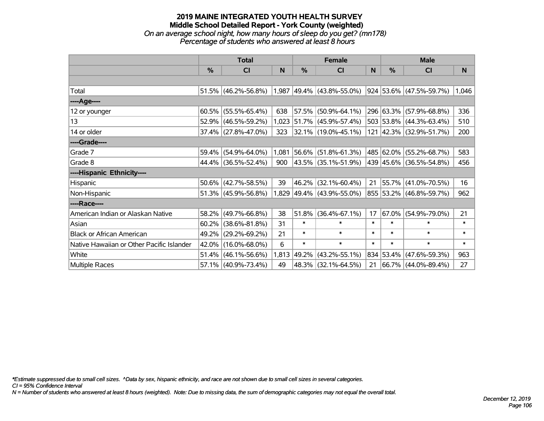# **2019 MAINE INTEGRATED YOUTH HEALTH SURVEY Middle School Detailed Report - York County (weighted)** *On an average school night, how many hours of sleep do you get? (mn178) Percentage of students who answered at least 8 hours*

|                                           | <b>Total</b> |                        | <b>Female</b> |               |                             | <b>Male</b> |               |                              |          |
|-------------------------------------------|--------------|------------------------|---------------|---------------|-----------------------------|-------------|---------------|------------------------------|----------|
|                                           | %            | CI                     | N             | $\frac{0}{0}$ | <b>CI</b>                   | N           | $\frac{0}{0}$ | <b>CI</b>                    | <b>N</b> |
|                                           |              |                        |               |               |                             |             |               |                              |          |
| Total                                     |              | 51.5% (46.2%-56.8%)    |               |               | $1,987$ 49.4% (43.8%-55.0%) |             |               | $ 924 53.6\% $ (47.5%-59.7%) | 1,046    |
| ----Age----                               |              |                        |               |               |                             |             |               |                              |          |
| 12 or younger                             | 60.5%        | $(55.5\% - 65.4\%)$    | 638           |               | 57.5% (50.9%-64.1%)         |             |               | 296 63.3% (57.9%-68.8%)      | 336      |
| 13                                        | 52.9%        | $(46.5\% - 59.2\%)$    | 1,023         |               | 51.7% (45.9%-57.4%)         |             |               | 503 53.8% (44.3%-63.4%)      | 510      |
| 14 or older                               | 37.4%        | $(27.8\% - 47.0\%)$    | 323           |               | 32.1% (19.0%-45.1%)         |             |               | 121 42.3% (32.9%-51.7%)      | 200      |
| ----Grade----                             |              |                        |               |               |                             |             |               |                              |          |
| Grade 7                                   | 59.4%        | $(54.9\% - 64.0\%)$    | 1,081         |               | 56.6% (51.8%-61.3%)         |             |               | 485 62.0% (55.2%-68.7%)      | 583      |
| Grade 8                                   | 44.4%        | $(36.5\% - 52.4\%)$    | 900           |               | 43.5% (35.1%-51.9%)         |             |               | 439 45.6% (36.5%-54.8%)      | 456      |
| ----Hispanic Ethnicity----                |              |                        |               |               |                             |             |               |                              |          |
| Hispanic                                  | 50.6%        | $(42.7\% - 58.5\%)$    | 39            |               | 46.2% (32.1%-60.4%)         | 21          |               | 55.7% (41.0%-70.5%)          | 16       |
| Non-Hispanic                              |              | $51.3\%$ (45.9%-56.8%) |               |               | $1,829$ 49.4% (43.9%-55.0%) |             |               | 855 53.2% (46.8%-59.7%)      | 962      |
| ----Race----                              |              |                        |               |               |                             |             |               |                              |          |
| American Indian or Alaskan Native         | 58.2%        | $(49.7\% - 66.8\%)$    | 38            | 51.8%         | $(36.4\% - 67.1\%)$         | 17          |               | $67.0\%$ (54.9%-79.0%)       | 21       |
| Asian                                     | 60.2%        | $(38.6\% - 81.8\%)$    | 31            | $\ast$        | $\ast$                      | $\ast$      | $\ast$        | $\ast$                       | $\ast$   |
| <b>Black or African American</b>          | 49.2%        | $(29.2\% - 69.2\%)$    | 21            | $\ast$        | $\ast$                      | $\ast$      | $\ast$        | $\ast$                       | $\ast$   |
| Native Hawaiian or Other Pacific Islander | 42.0%        | $(16.0\% - 68.0\%)$    | 6             | $\ast$        | $\ast$                      | $\ast$      | $\ast$        | $\ast$                       | $\ast$   |
| White                                     | 51.4%        | $(46.1\% - 56.6\%)$    | 1,813         | 49.2%         | $(43.2\% - 55.1\%)$         |             | 834 53.4%     | $(47.6\% - 59.3\%)$          | 963      |
| Multiple Races                            | 57.1%        | $(40.9\% - 73.4\%)$    | 49            |               | 48.3% (32.1%-64.5%)         | 21          |               | 66.7% (44.0%-89.4%)          | 27       |

*\*Estimate suppressed due to small cell sizes. ^Data by sex, hispanic ethnicity, and race are not shown due to small cell sizes in several categories.*

*CI = 95% Confidence Interval*

*N = Number of students who answered at least 8 hours (weighted). Note: Due to missing data, the sum of demographic categories may not equal the overall total.*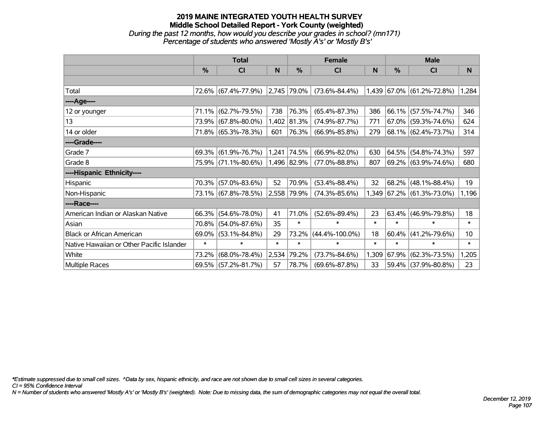# **2019 MAINE INTEGRATED YOUTH HEALTH SURVEY Middle School Detailed Report - York County (weighted)** *During the past 12 months, how would you describe your grades in school? (mn171) Percentage of students who answered 'Mostly A's' or 'Mostly B's'*

|                                           | <b>Total</b> |                     |        |             | <b>Female</b>        |        | <b>Male</b> |                           |        |  |
|-------------------------------------------|--------------|---------------------|--------|-------------|----------------------|--------|-------------|---------------------------|--------|--|
|                                           | $\%$         | <b>CI</b>           | N      | %           | <b>CI</b>            | N      | %           | <b>CI</b>                 | N.     |  |
|                                           |              |                     |        |             |                      |        |             |                           |        |  |
| Total                                     |              | 72.6% (67.4%-77.9%) |        | 2,745 79.0% | $(73.6\% - 84.4\%)$  |        |             | 1,439 67.0% (61.2%-72.8%) | 1,284  |  |
| ----Age----                               |              |                     |        |             |                      |        |             |                           |        |  |
| 12 or younger                             | 71.1%        | $(62.7\% - 79.5\%)$ | 738    | 76.3%       | $(65.4\% - 87.3\%)$  | 386    | $66.1\%$    | $(57.5\% - 74.7\%)$       | 346    |  |
| 13                                        |              | 73.9% (67.8%-80.0%) | 1,402  | 81.3%       | $(74.9\% - 87.7\%)$  | 771    |             | $67.0\%$ (59.3%-74.6%)    | 624    |  |
| 14 or older                               |              | 71.8% (65.3%-78.3%) | 601    | 76.3%       | $(66.9\% - 85.8\%)$  | 279    |             | $68.1\%$ (62.4%-73.7%)    | 314    |  |
| ----Grade----                             |              |                     |        |             |                      |        |             |                           |        |  |
| Grade 7                                   | 69.3%        | $(61.9\% - 76.7\%)$ | 1,241  | 74.5%       | $(66.9\% - 82.0\%)$  | 630    | 64.5%       | $(54.8\% - 74.3\%)$       | 597    |  |
| Grade 8                                   |              | 75.9% (71.1%-80.6%) |        | 1,496 82.9% | $(77.0\% - 88.8\%)$  | 807    |             | 69.2% (63.9%-74.6%)       | 680    |  |
| ----Hispanic Ethnicity----                |              |                     |        |             |                      |        |             |                           |        |  |
| Hispanic                                  | 70.3%        | $(57.0\% - 83.6\%)$ | 52     | 70.9%       | $(53.4\% - 88.4\%)$  | 32     | 68.2%       | $(48.1\% - 88.4\%)$       | 19     |  |
| Non-Hispanic                              |              | 73.1% (67.8%-78.5%) |        | 2,558 79.9% | $(74.3\% - 85.6\%)$  | 1,349  |             | 67.2% (61.3%-73.0%)       | 1,196  |  |
| ----Race----                              |              |                     |        |             |                      |        |             |                           |        |  |
| American Indian or Alaskan Native         |              | 66.3% (54.6%-78.0%) | 41     | 71.0%       | $(52.6\% - 89.4\%)$  | 23     | 63.4%       | $(46.9\% - 79.8\%)$       | 18     |  |
| Asian                                     |              | 70.8% (54.0%-87.6%) | 35     | $\ast$      | $\ast$               | $\ast$ | $\ast$      | $\ast$                    | $\ast$ |  |
| <b>Black or African American</b>          | 69.0%        | $(53.1\% - 84.8\%)$ | 29     | 73.2%       | $(44.4\% - 100.0\%)$ | 18     | 60.4%       | $(41.2\% - 79.6\%)$       | 10     |  |
| Native Hawaiian or Other Pacific Islander | $\ast$       | $\ast$              | $\ast$ | $\ast$      | $\ast$               | $\ast$ | $\ast$      | $\ast$                    | $\ast$ |  |
| White                                     | 73.2%        | $(68.0\% - 78.4\%)$ | 2,534  | 79.2%       | $(73.7\% - 84.6\%)$  | 1,309  | 67.9%       | $(62.3\% - 73.5\%)$       | 1,205  |  |
| <b>Multiple Races</b>                     |              | 69.5% (57.2%-81.7%) | 57     | 78.7%       | $(69.6\% - 87.8\%)$  | 33     |             | 59.4% (37.9%-80.8%)       | 23     |  |

*\*Estimate suppressed due to small cell sizes. ^Data by sex, hispanic ethnicity, and race are not shown due to small cell sizes in several categories.*

*CI = 95% Confidence Interval*

*N = Number of students who answered 'Mostly A's' or 'Mostly B's' (weighted). Note: Due to missing data, the sum of demographic categories may not equal the overall total.*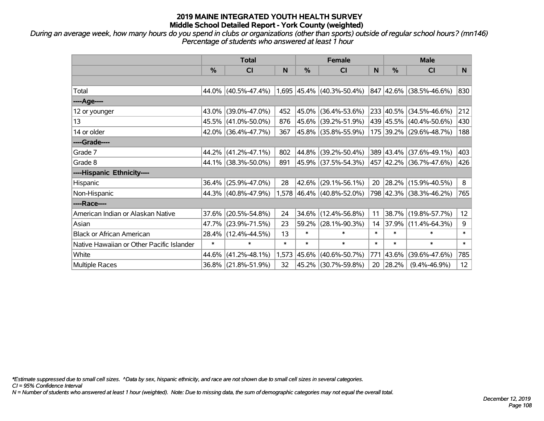*During an average week, how many hours do you spend in clubs or organizations (other than sports) outside of regular school hours? (mn146) Percentage of students who answered at least 1 hour*

|                                           | <b>Total</b> |                        |        |        | <b>Female</b>               |        | <b>Male</b> |                         |        |
|-------------------------------------------|--------------|------------------------|--------|--------|-----------------------------|--------|-------------|-------------------------|--------|
|                                           | %            | CI                     | N      | %      | <b>CI</b>                   | N      | %           | <b>CI</b>               | N.     |
|                                           |              |                        |        |        |                             |        |             |                         |        |
| Total                                     |              | 44.0% (40.5%-47.4%)    |        |        | $1,695$ 45.4% (40.3%-50.4%) |        |             | 847 42.6% (38.5%-46.6%) | 830    |
| ----Age----                               |              |                        |        |        |                             |        |             |                         |        |
| 12 or younger                             | 43.0%        | $(39.0\% - 47.0\%)$    | 452    | 45.0%  | $(36.4\% - 53.6\%)$         |        | 233 40.5%   | $(34.5\% - 46.6\%)$     | 212    |
| 13                                        |              | 45.5% (41.0%-50.0%)    | 876    |        | 45.6% (39.2%-51.9%)         |        |             | 439 45.5% (40.4%-50.6%) | 430    |
| 14 or older                               |              | $42.0\%$ (36.4%-47.7%) | 367    |        | 45.8% (35.8%-55.9%)         |        |             | 175 39.2% (29.6%-48.7%) | 188    |
| ----Grade----                             |              |                        |        |        |                             |        |             |                         |        |
| Grade 7                                   |              | 44.2% (41.2%-47.1%)    | 802    | 44.8%  | $(39.2\% - 50.4\%)$         |        |             | 389 43.4% (37.6%-49.1%) | 403    |
| Grade 8                                   |              | 44.1% (38.3%-50.0%)    | 891    |        | 45.9% (37.5%-54.3%)         |        |             | 457 42.2% (36.7%-47.6%) | 426    |
| ----Hispanic Ethnicity----                |              |                        |        |        |                             |        |             |                         |        |
| Hispanic                                  | 36.4%        | $(25.9\% - 47.0\%)$    | 28     | 42.6%  | $(29.1\% - 56.1\%)$         | 20     | 28.2%       | $(15.9\% - 40.5\%)$     | 8      |
| Non-Hispanic                              |              | 44.3% (40.8%-47.9%)    |        |        | 1,578 46.4% (40.8%-52.0%)   |        |             | 798 42.3% (38.3%-46.2%) | 765    |
| ----Race----                              |              |                        |        |        |                             |        |             |                         |        |
| American Indian or Alaskan Native         |              | 37.6% (20.5%-54.8%)    | 24     | 34.6%  | $(12.4\% - 56.8\%)$         | 11     | 38.7%       | $(19.8\% - 57.7\%)$     | 12     |
| Asian                                     | 47.7%        | $(23.9\% - 71.5\%)$    | 23     | 59.2%  | $(28.1\% - 90.3\%)$         | 14     | 37.9%       | $(11.4\% - 64.3\%)$     | 9      |
| <b>Black or African American</b>          |              | 28.4% (12.4%-44.5%)    | 13     | $\ast$ | $\ast$                      | $\ast$ | $\ast$      | $\ast$                  | $\ast$ |
| Native Hawaiian or Other Pacific Islander | $\ast$       | $\ast$                 | $\ast$ | $\ast$ | $\ast$                      | $\ast$ | $\ast$      | $\ast$                  | $\ast$ |
| White                                     | 44.6%        | $(41.2\% - 48.1\%)$    | 1,573  | 45.6%  | $(40.6\% - 50.7\%)$         | 771    | 43.6%       | $(39.6\% - 47.6\%)$     | 785    |
| Multiple Races                            |              | 36.8% (21.8%-51.9%)    | 32     |        | 45.2% (30.7%-59.8%)         | 20     | 28.2%       | $(9.4\% - 46.9\%)$      | 12     |

*\*Estimate suppressed due to small cell sizes. ^Data by sex, hispanic ethnicity, and race are not shown due to small cell sizes in several categories.*

*CI = 95% Confidence Interval*

*N = Number of students who answered at least 1 hour (weighted). Note: Due to missing data, the sum of demographic categories may not equal the overall total.*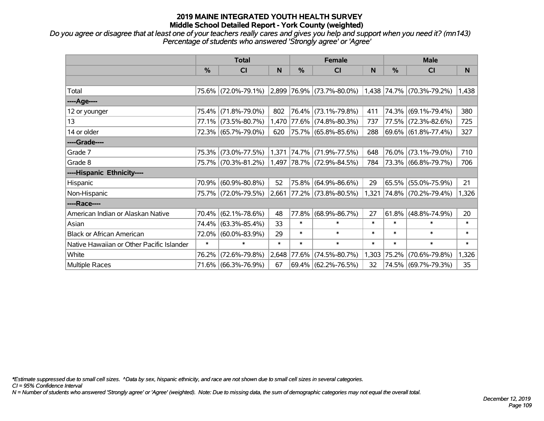*Do you agree or disagree that at least one of your teachers really cares and gives you help and support when you need it? (mn143) Percentage of students who answered 'Strongly agree' or 'Agree'*

|                                           | <b>Total</b>  |                     |        |             | <b>Female</b>                      |        | <b>Male</b>   |                              |        |
|-------------------------------------------|---------------|---------------------|--------|-------------|------------------------------------|--------|---------------|------------------------------|--------|
|                                           | $\frac{0}{0}$ | CI                  | N      | %           | <b>CI</b>                          | N      | $\frac{0}{0}$ | CI                           | N      |
|                                           |               |                     |        |             |                                    |        |               |                              |        |
| Total                                     |               | 75.6% (72.0%-79.1%) |        |             | $ 2,899 76.9\%  (73.7\% - 80.0\%)$ |        |               | 1,438 74.7% (70.3%-79.2%)    | 1,438  |
| ----Age----                               |               |                     |        |             |                                    |        |               |                              |        |
| 12 or younger                             | 75.4%         | $(71.8\% - 79.0\%)$ | 802    |             | 76.4% (73.1%-79.8%)                | 411    | 74.3%         | $(69.1\% - 79.4\%)$          | 380    |
| 13                                        |               | 77.1% (73.5%-80.7%) |        |             | 1,470 77.6% (74.8%-80.3%)          | 737    |               | 77.5% (72.3%-82.6%)          | 725    |
| 14 or older                               |               | 72.3% (65.7%-79.0%) | 620    |             | $ 75.7\% $ (65.8%-85.6%)           | 288    |               | $ 69.6\%  (61.8\% - 77.4\%)$ | 327    |
| ----Grade----                             |               |                     |        |             |                                    |        |               |                              |        |
| Grade 7                                   | 75.3%         | $(73.0\% - 77.5\%)$ | 1,371  |             | $ 74.7\% $ (71.9%-77.5%)           | 648    | 76.0%         | $(73.1\% - 79.0\%)$          | 710    |
| Grade 8                                   |               | 75.7% (70.3%-81.2%) |        |             | $1,497$ 78.7% (72.9%-84.5%)        | 784    |               | 73.3% (66.8%-79.7%)          | 706    |
| ----Hispanic Ethnicity----                |               |                     |        |             |                                    |        |               |                              |        |
| Hispanic                                  |               | 70.9% (60.9%-80.8%) | 52     | 75.8%       | $(64.9\% - 86.6\%)$                | 29     | 65.5%         | $(55.0\% - 75.9\%)$          | 21     |
| Non-Hispanic                              |               | 75.7% (72.0%-79.5%) | 2,661  |             | $ 77.2\% $ (73.8%-80.5%)           | 1,321  |               | 74.8% (70.2%-79.4%)          | 1,326  |
| ----Race----                              |               |                     |        |             |                                    |        |               |                              |        |
| American Indian or Alaskan Native         |               | 70.4% (62.1%-78.6%) | 48     | 77.8%       | $(68.9\% - 86.7\%)$                | 27     | 61.8%         | $(48.8\% - 74.9\%)$          | 20     |
| Asian                                     |               | 74.4% (63.3%-85.4%) | 33     | $\ast$      | $\ast$                             | $\ast$ | $\ast$        | $\ast$                       | $\ast$ |
| <b>Black or African American</b>          | 72.0%         | $(60.0\% - 83.9\%)$ | 29     | $\ast$      | $\ast$                             | $\ast$ | $\ast$        | $\ast$                       | $\ast$ |
| Native Hawaiian or Other Pacific Islander | $\ast$        | $\ast$              | $\ast$ | $\ast$      | $\ast$                             | $\ast$ | $\ast$        | $\ast$                       | $\ast$ |
| White                                     | 76.2%         | $(72.6\% - 79.8\%)$ |        | 2,648 77.6% | $(74.5\% - 80.7\%)$                | 1,303  | 75.2%         | $(70.6\% - 79.8\%)$          | 1,326  |
| <b>Multiple Races</b>                     |               | 71.6% (66.3%-76.9%) | 67     |             | 69.4% (62.2%-76.5%)                | 32     |               | 74.5% (69.7%-79.3%)          | 35     |

*\*Estimate suppressed due to small cell sizes. ^Data by sex, hispanic ethnicity, and race are not shown due to small cell sizes in several categories.*

*CI = 95% Confidence Interval*

*N = Number of students who answered 'Strongly agree' or 'Agree' (weighted). Note: Due to missing data, the sum of demographic categories may not equal the overall total.*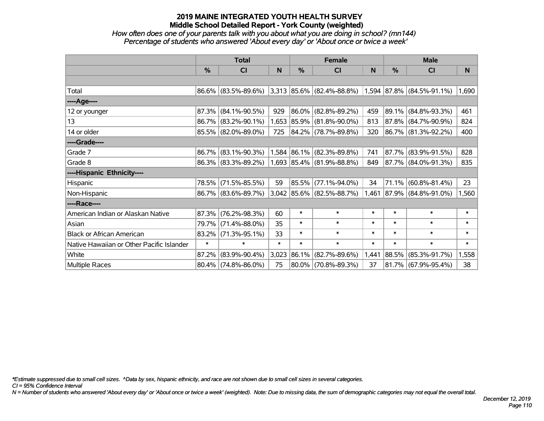### *How often does one of your parents talk with you about what you are doing in school? (mn144) Percentage of students who answered 'About every day' or 'About once or twice a week'*

|                                           |        | <b>Total</b>           |        |        | <b>Female</b>                  |        | <b>Male</b>   |                             |        |
|-------------------------------------------|--------|------------------------|--------|--------|--------------------------------|--------|---------------|-----------------------------|--------|
|                                           | %      | CI                     | N      | %      | <b>CI</b>                      | N      | $\frac{0}{0}$ | <b>CI</b>                   | N      |
|                                           |        |                        |        |        |                                |        |               |                             |        |
| Total                                     |        | $86.6\%$ (83.5%-89.6%) |        |        | $ 3,313 85.6\% $ (82.4%-88.8%) |        |               | $1,594$ 87.8% (84.5%-91.1%) | 1,690  |
| ----Age----                               |        |                        |        |        |                                |        |               |                             |        |
| 12 or younger                             | 87.3%  | $(84.1\% - 90.5\%)$    | 929    |        | 86.0% (82.8%-89.2%)            | 459    |               | 89.1% (84.8%-93.3%)         | 461    |
| 13                                        |        | 86.7% (83.2%-90.1%)    |        |        | 1,653 85.9% (81.8%-90.0%)      | 813    |               | 87.8% (84.7%-90.9%)         | 824    |
| 14 or older                               |        | 85.5% (82.0%-89.0%)    | 725    |        | 84.2% (78.7%-89.8%)            | 320    |               | 86.7% (81.3%-92.2%)         | 400    |
| ----Grade----                             |        |                        |        |        |                                |        |               |                             |        |
| Grade 7                                   | 86.7%  | $(83.1\% - 90.3\%)$    |        |        | $1,584$ 86.1% (82.3%-89.8%)    | 741    |               | 87.7% (83.9%-91.5%)         | 828    |
| Grade 8                                   |        | 86.3% (83.3%-89.2%)    |        |        | $1,693$ 85.4% (81.9%-88.8%)    | 849    |               | 87.7% (84.0%-91.3%)         | 835    |
| ----Hispanic Ethnicity----                |        |                        |        |        |                                |        |               |                             |        |
| Hispanic                                  | 78.5%  | $(71.5\% - 85.5\%)$    | 59     |        | 85.5% (77.1%-94.0%)            | 34     |               | $71.1\%$ (60.8%-81.4%)      | 23     |
| Non-Hispanic                              |        | 86.7% (83.6%-89.7%)    |        |        | 3,042 85.6% (82.5%-88.7%)      | 1,461  |               | 87.9% (84.8%-91.0%)         | 1,560  |
| ----Race----                              |        |                        |        |        |                                |        |               |                             |        |
| American Indian or Alaskan Native         | 87.3%  | $(76.2\% - 98.3\%)$    | 60     | $\ast$ | $\ast$                         | $\ast$ | $\ast$        | $\ast$                      | $\ast$ |
| Asian                                     | 79.7%  | $(71.4\% - 88.0\%)$    | 35     | $\ast$ | $\ast$                         | $\ast$ | $\ast$        | $\ast$                      | $\ast$ |
| <b>Black or African American</b>          |        | $83.2\%$ (71.3%-95.1%) | 33     | $\ast$ | $\ast$                         | $\ast$ | $\ast$        | $\ast$                      | $\ast$ |
| Native Hawaiian or Other Pacific Islander | $\ast$ | $\ast$                 | $\ast$ | $\ast$ | $\ast$                         | $\ast$ | $\ast$        | $\ast$                      | $\ast$ |
| White                                     | 87.2%  | $(83.9\% - 90.4\%)$    | 3,023  | 86.1%  | $(82.7\% - 89.6\%)$            | 1,441  | 88.5%         | $(85.3\% - 91.7\%)$         | 1,558  |
| <b>Multiple Races</b>                     |        | $80.4\%$ (74.8%-86.0%) | 75     |        | 80.0% (70.8%-89.3%)            | 37     |               | 81.7% (67.9%-95.4%)         | 38     |

*\*Estimate suppressed due to small cell sizes. ^Data by sex, hispanic ethnicity, and race are not shown due to small cell sizes in several categories.*

*CI = 95% Confidence Interval*

*N = Number of students who answered 'About every day' or 'About once or twice a week' (weighted). Note: Due to missing data, the sum of demographic categories may not equal the overall total.*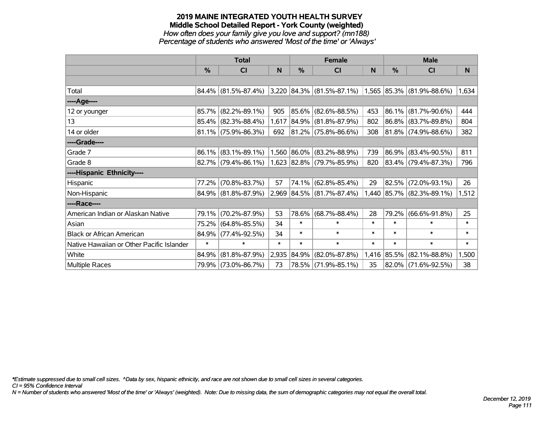## **2019 MAINE INTEGRATED YOUTH HEALTH SURVEY Middle School Detailed Report - York County (weighted)** *How often does your family give you love and support? (mn188)*

*Percentage of students who answered 'Most of the time' or 'Always'*

|                                           | <b>Total</b> |                        |        |        | <b>Female</b>                                            |        | <b>Male</b> |                          |        |
|-------------------------------------------|--------------|------------------------|--------|--------|----------------------------------------------------------|--------|-------------|--------------------------|--------|
|                                           | $\%$         | CI                     | N      | %      | CI                                                       | N      | %           | <b>CI</b>                | N      |
|                                           |              |                        |        |        |                                                          |        |             |                          |        |
| Total                                     |              | $84.4\%$ (81.5%-87.4%) |        |        | $ 3,220 84.3\% $ (81.5%-87.1%) 1,565 85.3% (81.9%-88.6%) |        |             |                          | 1,634  |
| ----Age----                               |              |                        |        |        |                                                          |        |             |                          |        |
| 12 or younger                             | 85.7%        | $(82.2\% - 89.1\%)$    | 905    |        | 85.6% (82.6%-88.5%)                                      | 453    | $ 86.1\% $  | $(81.7\% - 90.6\%)$      | 444    |
| 13                                        |              | 85.4% (82.3%-88.4%)    | 1,617  |        | 84.9% (81.8%-87.9%)                                      | 802    |             | 86.8% (83.7%-89.8%)      | 804    |
| 14 or older                               |              | 81.1% (75.9%-86.3%)    | 692    |        | 81.2% (75.8%-86.6%)                                      | 308    |             | 81.8% (74.9%-88.6%)      | 382    |
| ----Grade----                             |              |                        |        |        |                                                          |        |             |                          |        |
| Grade 7                                   | 86.1%        | $(83.1\% - 89.1\%)$    |        |        | 1,560 86.0% (83.2%-88.9%)                                | 739    | $ 86.9\% $  | $(83.4\% - 90.5\%)$      | 811    |
| Grade 8                                   |              | $82.7\%$ (79.4%-86.1%) |        |        | 1,623 82.8% (79.7%-85.9%)                                | 820    |             | 83.4% (79.4%-87.3%)      | 796    |
| ----Hispanic Ethnicity----                |              |                        |        |        |                                                          |        |             |                          |        |
| Hispanic                                  | 77.2%        | $(70.8\% - 83.7\%)$    | 57     | 74.1%  | $(62.8\% - 85.4\%)$                                      | 29     | $ 82.5\% $  | $(72.0\% - 93.1\%)$      | 26     |
| Non-Hispanic                              |              | 84.9% (81.8%-87.9%)    |        |        | 2,969 84.5% (81.7%-87.4%)                                | 1,440  |             | $ 85.7\% $ (82.3%-89.1%) | 1,512  |
| ----Race----                              |              |                        |        |        |                                                          |        |             |                          |        |
| American Indian or Alaskan Native         | 79.1%        | $(70.2\% - 87.9\%)$    | 53     | 78.6%  | $(68.7\% - 88.4\%)$                                      | 28     | 79.2%       | $(66.6\% - 91.8\%)$      | 25     |
| Asian                                     | 75.2%        | $(64.8\% - 85.5\%)$    | 34     | $\ast$ | $\ast$                                                   | $\ast$ | $\ast$      | $\ast$                   | $\ast$ |
| <b>Black or African American</b>          | 84.9%        | $(77.4\% - 92.5\%)$    | 34     | $\ast$ | $\ast$                                                   | $\ast$ | $\ast$      | $\ast$                   | $\ast$ |
| Native Hawaiian or Other Pacific Islander | $\ast$       | $\ast$                 | $\ast$ | $\ast$ | $\ast$                                                   | $\ast$ | $\ast$      | $\ast$                   | $\ast$ |
| White                                     | 84.9%        | $(81.8\% - 87.9\%)$    | 2,935  | 84.9%  | $(82.0\% - 87.8\%)$                                      | 1,416  | $ 85.5\% $  | $(82.1\% - 88.8\%)$      | 1,500  |
| Multiple Races                            |              | 79.9% (73.0%-86.7%)    | 73     |        | 78.5% (71.9%-85.1%)                                      | 35     |             | 82.0% (71.6%-92.5%)      | 38     |

*\*Estimate suppressed due to small cell sizes. ^Data by sex, hispanic ethnicity, and race are not shown due to small cell sizes in several categories.*

*CI = 95% Confidence Interval*

*N = Number of students who answered 'Most of the time' or 'Always' (weighted). Note: Due to missing data, the sum of demographic categories may not equal the overall total.*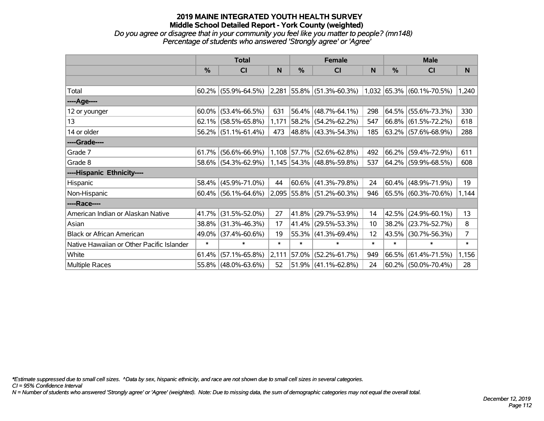*Do you agree or disagree that in your community you feel like you matter to people? (mn148) Percentage of students who answered 'Strongly agree' or 'Agree'*

|                                           | <b>Total</b> |                        |        |             | <b>Female</b>                                            |        | <b>Male</b> |                        |        |
|-------------------------------------------|--------------|------------------------|--------|-------------|----------------------------------------------------------|--------|-------------|------------------------|--------|
|                                           | $\%$         | <b>CI</b>              | N      | %           | <b>CI</b>                                                | N      | %           | <b>CI</b>              | N.     |
|                                           |              |                        |        |             |                                                          |        |             |                        |        |
| Total                                     |              | $60.2\%$ (55.9%-64.5%) |        |             | $ 2,281 55.8\% $ (51.3%-60.3%) 1,032 65.3% (60.1%-70.5%) |        |             |                        | 1,240  |
| ----Age----                               |              |                        |        |             |                                                          |        |             |                        |        |
| 12 or younger                             | 60.0%        | $(53.4\% - 66.5\%)$    | 631    |             | $56.4\%$ (48.7%-64.1%)                                   | 298    | 64.5%       | $(55.6\% - 73.3\%)$    | 330    |
| 13                                        | 62.1%        | $(58.5\% - 65.8\%)$    | 1,171  |             | 58.2% (54.2%-62.2%)                                      | 547    |             | 66.8% (61.5%-72.2%)    | 618    |
| 14 or older                               |              | 56.2% (51.1%-61.4%)    | 473    |             | 48.8% (43.3%-54.3%)                                      | 185    |             | 63.2% (57.6%-68.9%)    | 288    |
| ----Grade----                             |              |                        |        |             |                                                          |        |             |                        |        |
| Grade 7                                   | 61.7%        | $(56.6\% - 66.9\%)$    |        | 1,108 57.7% | $(52.6\% - 62.8\%)$                                      | 492    | $66.2\%$    | $(59.4\% - 72.9\%)$    | 611    |
| Grade 8                                   |              | 58.6% (54.3%-62.9%)    |        |             | $1,145$ 54.3% (48.8%-59.8%)                              | 537    |             | $64.2\%$ (59.9%-68.5%) | 608    |
| ----Hispanic Ethnicity----                |              |                        |        |             |                                                          |        |             |                        |        |
| Hispanic                                  | 58.4%        | $(45.9\% - 71.0\%)$    | 44     |             | $ 60.6\% $ (41.3%-79.8%)                                 | 24     | $ 60.4\% $  | $(48.9\% - 71.9\%)$    | 19     |
| Non-Hispanic                              |              | $60.4\%$ (56.1%-64.6%) |        |             | 2,095 55.8% (51.2%-60.3%)                                | 946    |             | 65.5% (60.3%-70.6%)    | 1,144  |
| ----Race----                              |              |                        |        |             |                                                          |        |             |                        |        |
| American Indian or Alaskan Native         | 41.7%        | $(31.5\% - 52.0\%)$    | 27     | 41.8%       | $(29.7\% - 53.9\%)$                                      | 14     | 42.5%       | $(24.9\% - 60.1\%)$    | 13     |
| Asian                                     | 38.8%        | $(31.3\% - 46.3\%)$    | 17     | 41.4%       | $(29.5\% - 53.3\%)$                                      | 10     | $38.2\%$    | $(23.7\% - 52.7\%)$    | 8      |
| <b>Black or African American</b>          | 49.0%        | $(37.4\% - 60.6\%)$    | 19     |             | $55.3\%$ (41.3%-69.4%)                                   | 12     | 43.5%       | $(30.7\% - 56.3\%)$    | 7      |
| Native Hawaiian or Other Pacific Islander | $\ast$       | $\ast$                 | $\ast$ | $\ast$      | $\ast$                                                   | $\ast$ | $\ast$      | $\ast$                 | $\ast$ |
| White                                     | 61.4%        | $(57.1\% - 65.8\%)$    | 2,111  | 57.0%       | $(52.2\% - 61.7\%)$                                      | 949    | 66.5%       | $(61.4\% - 71.5\%)$    | 1,156  |
| Multiple Races                            |              | 55.8% (48.0%-63.6%)    | 52     |             | $51.9\%$ (41.1%-62.8%)                                   | 24     |             | 60.2% (50.0%-70.4%)    | 28     |

*\*Estimate suppressed due to small cell sizes. ^Data by sex, hispanic ethnicity, and race are not shown due to small cell sizes in several categories.*

*CI = 95% Confidence Interval*

*N = Number of students who answered 'Strongly agree' or 'Agree' (weighted). Note: Due to missing data, the sum of demographic categories may not equal the overall total.*